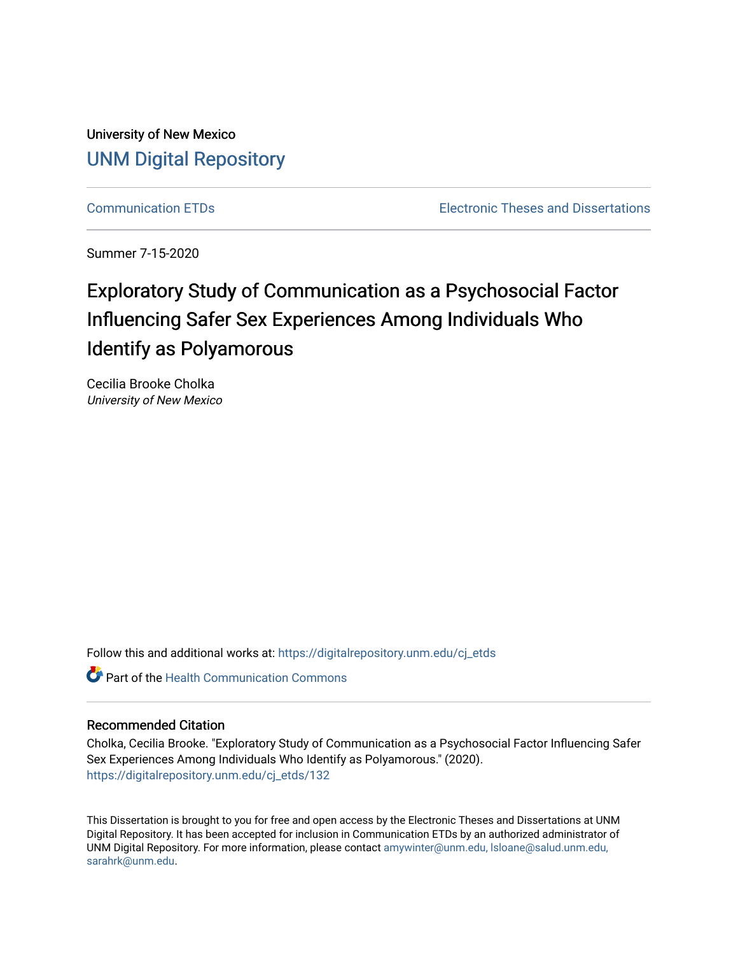University of New Mexico [UNM Digital Repository](https://digitalrepository.unm.edu/) 

[Communication ETDs](https://digitalrepository.unm.edu/cj_etds) [Electronic Theses and Dissertations](https://digitalrepository.unm.edu/etds) 

Summer 7-15-2020

# Exploratory Study of Communication as a Psychosocial Factor Influencing Safer Sex Experiences Among Individuals Who Identify as Polyamorous

Cecilia Brooke Cholka University of New Mexico

Follow this and additional works at: [https://digitalrepository.unm.edu/cj\\_etds](https://digitalrepository.unm.edu/cj_etds?utm_source=digitalrepository.unm.edu%2Fcj_etds%2F132&utm_medium=PDF&utm_campaign=PDFCoverPages) 

Part of the [Health Communication Commons](http://network.bepress.com/hgg/discipline/330?utm_source=digitalrepository.unm.edu%2Fcj_etds%2F132&utm_medium=PDF&utm_campaign=PDFCoverPages)

#### Recommended Citation

Cholka, Cecilia Brooke. "Exploratory Study of Communication as a Psychosocial Factor Influencing Safer Sex Experiences Among Individuals Who Identify as Polyamorous." (2020). [https://digitalrepository.unm.edu/cj\\_etds/132](https://digitalrepository.unm.edu/cj_etds/132?utm_source=digitalrepository.unm.edu%2Fcj_etds%2F132&utm_medium=PDF&utm_campaign=PDFCoverPages) 

This Dissertation is brought to you for free and open access by the Electronic Theses and Dissertations at UNM Digital Repository. It has been accepted for inclusion in Communication ETDs by an authorized administrator of UNM Digital Repository. For more information, please contact [amywinter@unm.edu, lsloane@salud.unm.edu,](mailto:amywinter@unm.edu,%20lsloane@salud.unm.edu,%20sarahrk@unm.edu)  [sarahrk@unm.edu.](mailto:amywinter@unm.edu,%20lsloane@salud.unm.edu,%20sarahrk@unm.edu)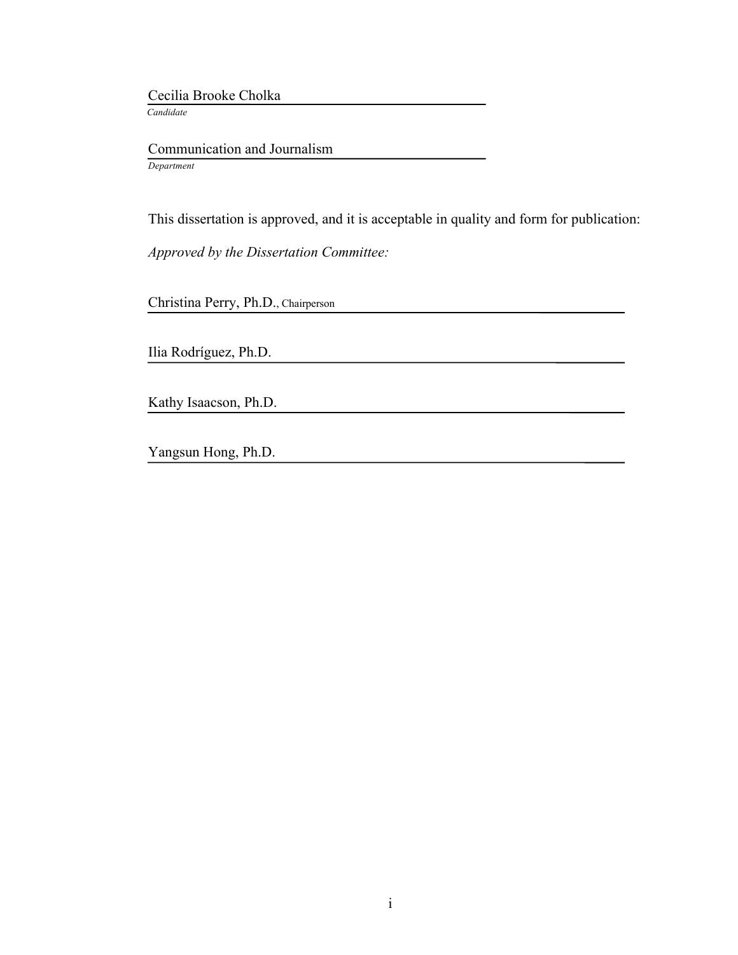Cecilia Brooke Cholka  *Candidate*

 Communication and Journalism *Department*

This dissertation is approved, and it is acceptable in quality and form for publication:

*Approved by the Dissertation Committee:*

Christina Perry, Ph.D., Chairperson

Ilia Rodríguez, Ph.D.

Kathy Isaacson, Ph.D.

Yangsun Hong, Ph.D.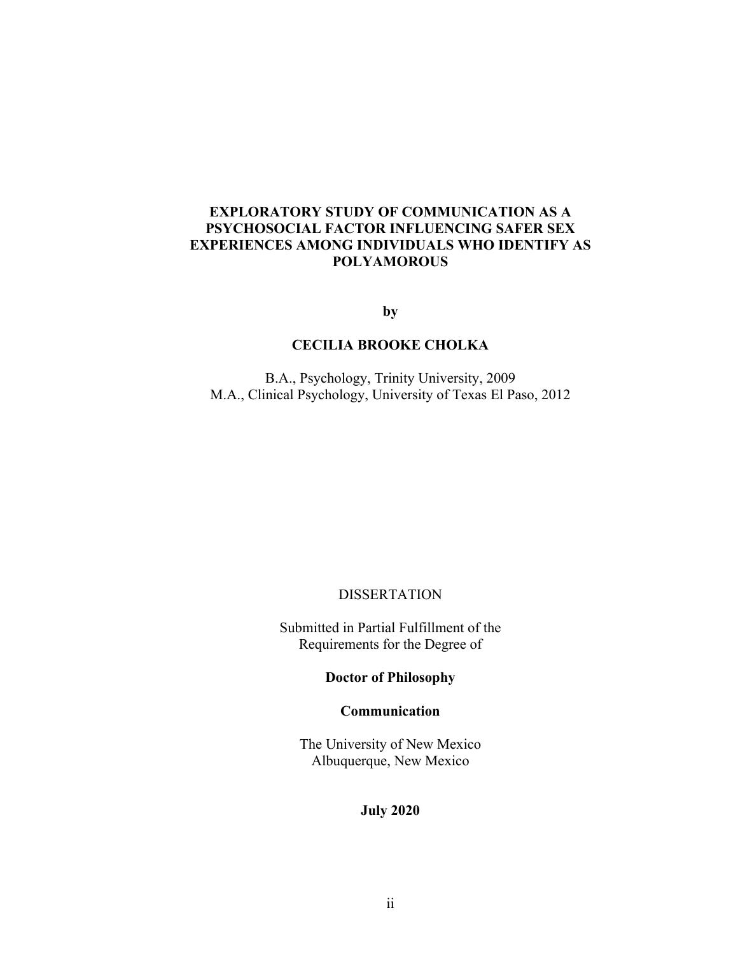# **EXPLORATORY STUDY OF COMMUNICATION AS A PSYCHOSOCIAL FACTOR INFLUENCING SAFER SEX EXPERIENCES AMONG INDIVIDUALS WHO IDENTIFY AS POLYAMOROUS**

**by**

# **CECILIA BROOKE CHOLKA**

B.A., Psychology, Trinity University, 2009 M.A., Clinical Psychology, University of Texas El Paso, 2012

DISSERTATION

Submitted in Partial Fulfillment of the Requirements for the Degree of

**Doctor of Philosophy**

**Communication**

The University of New Mexico Albuquerque, New Mexico

**July 2020**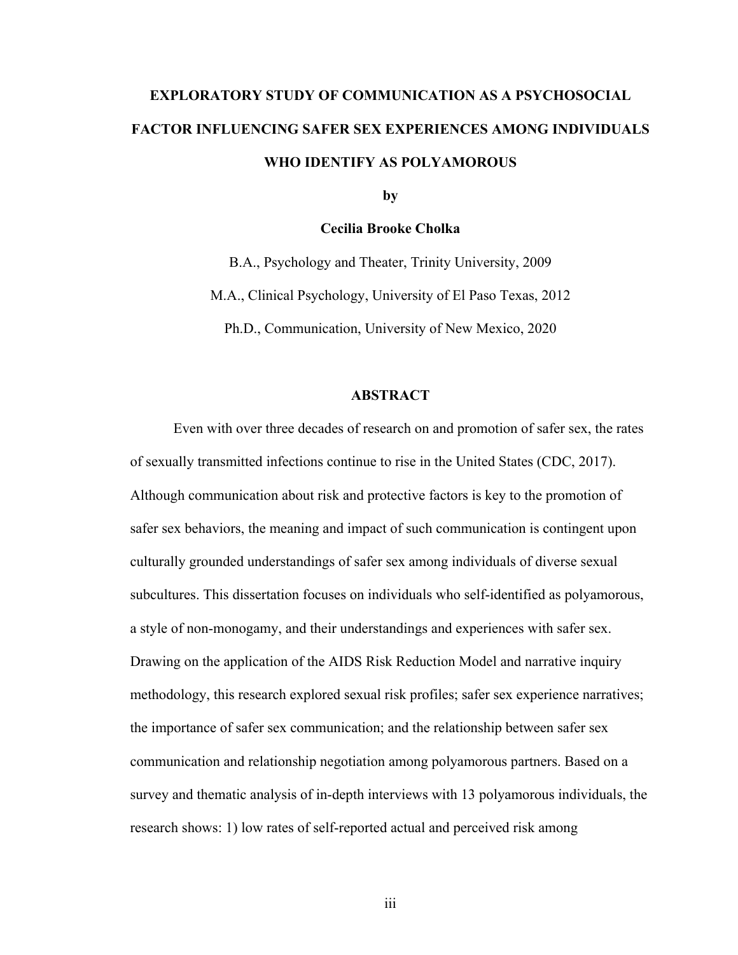# **EXPLORATORY STUDY OF COMMUNICATION AS A PSYCHOSOCIAL FACTOR INFLUENCING SAFER SEX EXPERIENCES AMONG INDIVIDUALS WHO IDENTIFY AS POLYAMOROUS**

**by**

#### **Cecilia Brooke Cholka**

B.A., Psychology and Theater, Trinity University, 2009 M.A., Clinical Psychology, University of El Paso Texas, 2012 Ph.D., Communication, University of New Mexico, 2020

#### **ABSTRACT**

Even with over three decades of research on and promotion of safer sex, the rates of sexually transmitted infections continue to rise in the United States (CDC, 2017). Although communication about risk and protective factors is key to the promotion of safer sex behaviors, the meaning and impact of such communication is contingent upon culturally grounded understandings of safer sex among individuals of diverse sexual subcultures. This dissertation focuses on individuals who self-identified as polyamorous, a style of non-monogamy, and their understandings and experiences with safer sex. Drawing on the application of the AIDS Risk Reduction Model and narrative inquiry methodology, this research explored sexual risk profiles; safer sex experience narratives; the importance of safer sex communication; and the relationship between safer sex communication and relationship negotiation among polyamorous partners. Based on a survey and thematic analysis of in-depth interviews with 13 polyamorous individuals, the research shows: 1) low rates of self-reported actual and perceived risk among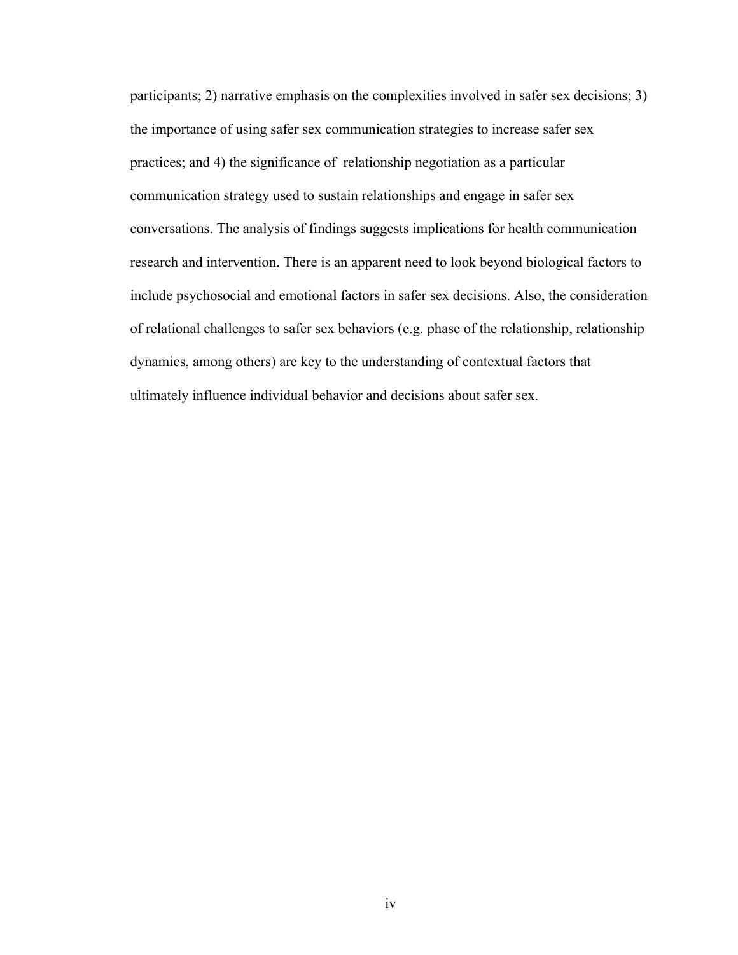participants; 2) narrative emphasis on the complexities involved in safer sex decisions; 3) the importance of using safer sex communication strategies to increase safer sex practices; and 4) the significance of relationship negotiation as a particular communication strategy used to sustain relationships and engage in safer sex conversations. The analysis of findings suggests implications for health communication research and intervention. There is an apparent need to look beyond biological factors to include psychosocial and emotional factors in safer sex decisions. Also, the consideration of relational challenges to safer sex behaviors (e.g. phase of the relationship, relationship dynamics, among others) are key to the understanding of contextual factors that ultimately influence individual behavior and decisions about safer sex.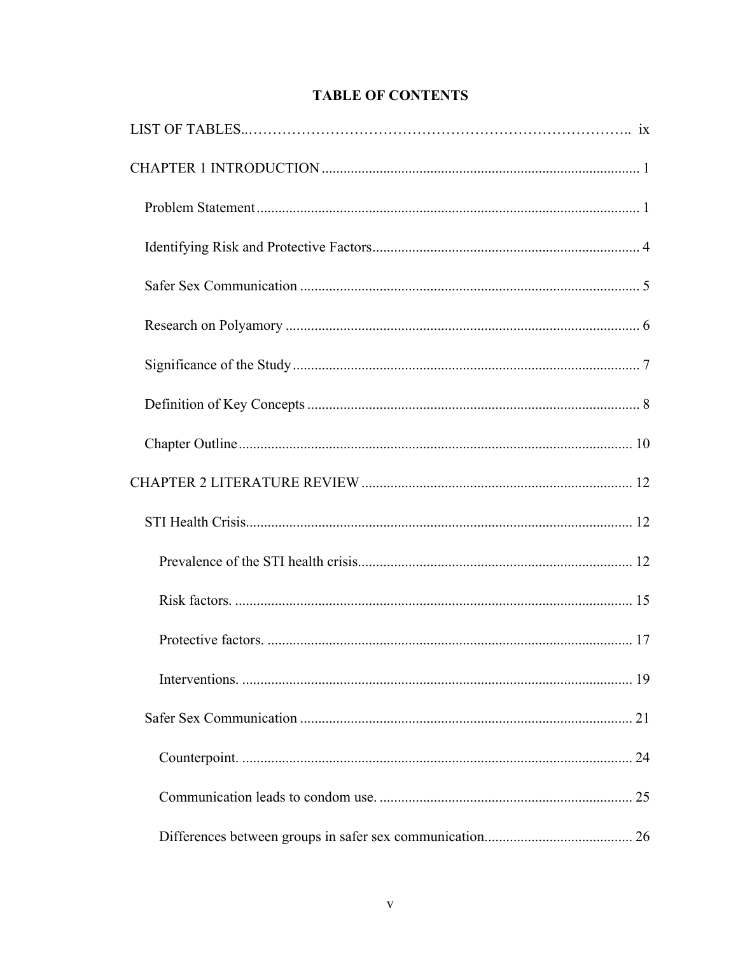# **TABLE OF CONTENTS**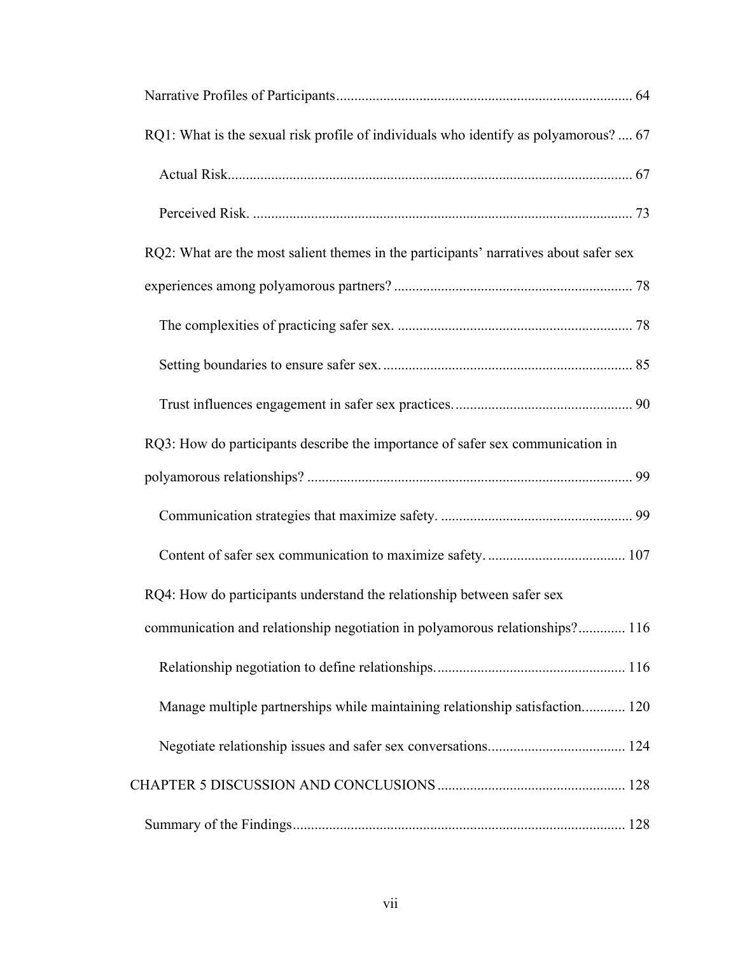| RQ1: What is the sexual risk profile of individuals who identify as polyamorous?  67  |  |
|---------------------------------------------------------------------------------------|--|
|                                                                                       |  |
|                                                                                       |  |
| RQ2: What are the most salient themes in the participants' narratives about safer sex |  |
|                                                                                       |  |
|                                                                                       |  |
|                                                                                       |  |
|                                                                                       |  |
| RQ3: How do participants describe the importance of safer sex communication in        |  |
|                                                                                       |  |
|                                                                                       |  |
|                                                                                       |  |
| RQ4: How do participants understand the relationship between safer sex                |  |
| communication and relationship negotiation in polyamorous relationships? 116          |  |
|                                                                                       |  |
| Manage multiple partnerships while maintaining relationship satisfaction 120          |  |
|                                                                                       |  |
|                                                                                       |  |
|                                                                                       |  |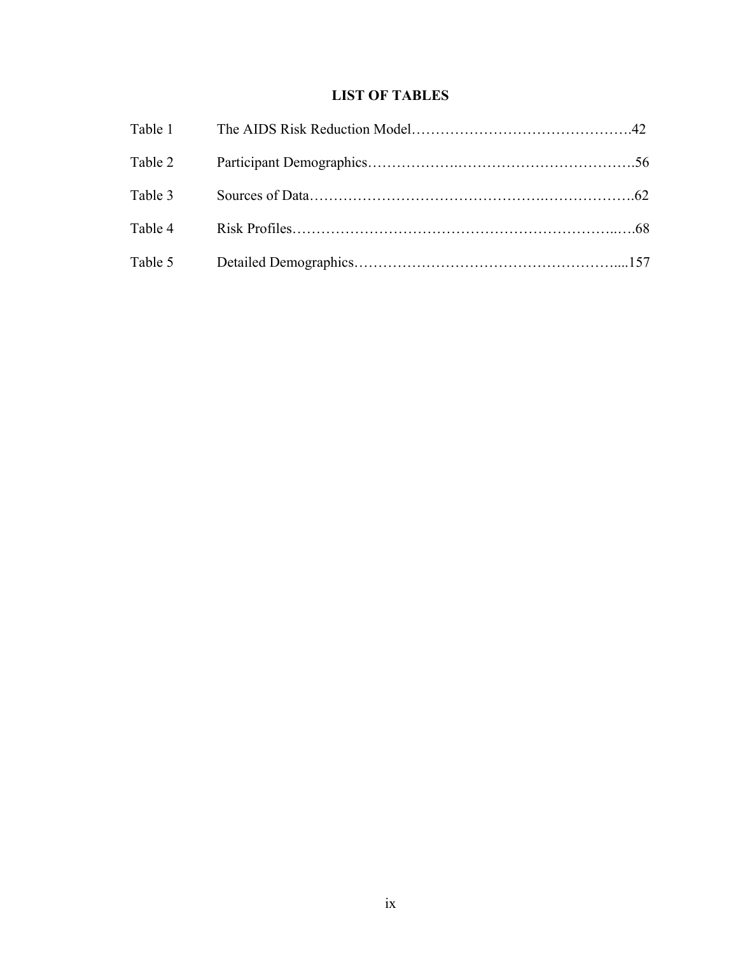# **LIST OF TABLES**

| Table 3 |  |
|---------|--|
|         |  |
|         |  |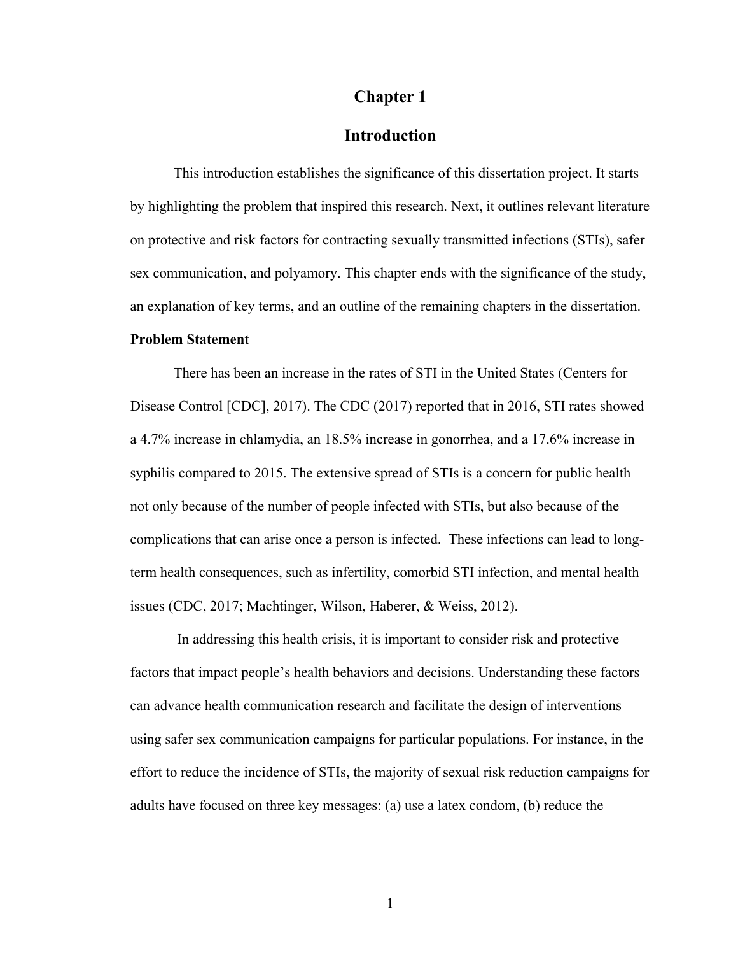# **Chapter 1**

# **Introduction**

This introduction establishes the significance of this dissertation project. It starts by highlighting the problem that inspired this research. Next, it outlines relevant literature on protective and risk factors for contracting sexually transmitted infections (STIs), safer sex communication, and polyamory. This chapter ends with the significance of the study, an explanation of key terms, and an outline of the remaining chapters in the dissertation. **Problem Statement**

There has been an increase in the rates of STI in the United States (Centers for Disease Control [CDC], 2017). The CDC (2017) reported that in 2016, STI rates showed a 4.7% increase in chlamydia, an 18.5% increase in gonorrhea, and a 17.6% increase in syphilis compared to 2015. The extensive spread of STIs is a concern for public health not only because of the number of people infected with STIs, but also because of the complications that can arise once a person is infected. These infections can lead to longterm health consequences, such as infertility, comorbid STI infection, and mental health issues (CDC, 2017; Machtinger, Wilson, Haberer, & Weiss, 2012).

In addressing this health crisis, it is important to consider risk and protective factors that impact people's health behaviors and decisions. Understanding these factors can advance health communication research and facilitate the design of interventions using safer sex communication campaigns for particular populations. For instance, in the effort to reduce the incidence of STIs, the majority of sexual risk reduction campaigns for adults have focused on three key messages: (a) use a latex condom, (b) reduce the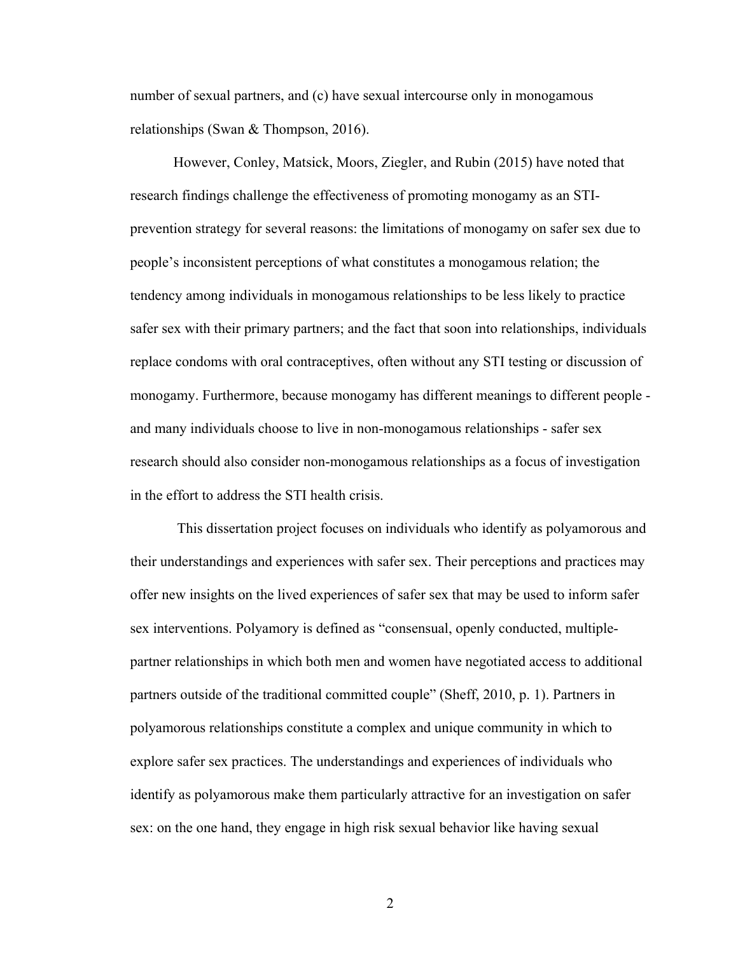number of sexual partners, and (c) have sexual intercourse only in monogamous relationships (Swan & Thompson, 2016).

However, Conley, Matsick, Moors, Ziegler, and Rubin (2015) have noted that research findings challenge the effectiveness of promoting monogamy as an STIprevention strategy for several reasons: the limitations of monogamy on safer sex due to people's inconsistent perceptions of what constitutes a monogamous relation; the tendency among individuals in monogamous relationships to be less likely to practice safer sex with their primary partners; and the fact that soon into relationships, individuals replace condoms with oral contraceptives, often without any STI testing or discussion of monogamy. Furthermore, because monogamy has different meanings to different people and many individuals choose to live in non-monogamous relationships - safer sex research should also consider non-monogamous relationships as a focus of investigation in the effort to address the STI health crisis.

This dissertation project focuses on individuals who identify as polyamorous and their understandings and experiences with safer sex. Their perceptions and practices may offer new insights on the lived experiences of safer sex that may be used to inform safer sex interventions. Polyamory is defined as "consensual, openly conducted, multiplepartner relationships in which both men and women have negotiated access to additional partners outside of the traditional committed couple" (Sheff, 2010, p. 1). Partners in polyamorous relationships constitute a complex and unique community in which to explore safer sex practices. The understandings and experiences of individuals who identify as polyamorous make them particularly attractive for an investigation on safer sex: on the one hand, they engage in high risk sexual behavior like having sexual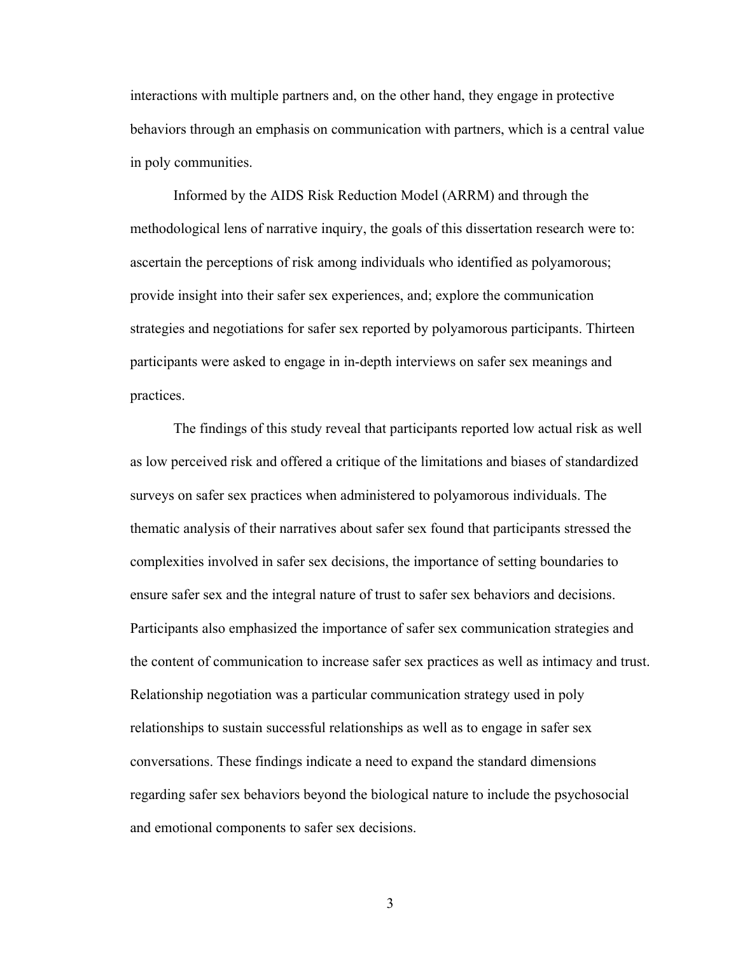interactions with multiple partners and, on the other hand, they engage in protective behaviors through an emphasis on communication with partners, which is a central value in poly communities.

Informed by the AIDS Risk Reduction Model (ARRM) and through the methodological lens of narrative inquiry, the goals of this dissertation research were to: ascertain the perceptions of risk among individuals who identified as polyamorous; provide insight into their safer sex experiences, and; explore the communication strategies and negotiations for safer sex reported by polyamorous participants. Thirteen participants were asked to engage in in-depth interviews on safer sex meanings and practices.

The findings of this study reveal that participants reported low actual risk as well as low perceived risk and offered a critique of the limitations and biases of standardized surveys on safer sex practices when administered to polyamorous individuals. The thematic analysis of their narratives about safer sex found that participants stressed the complexities involved in safer sex decisions, the importance of setting boundaries to ensure safer sex and the integral nature of trust to safer sex behaviors and decisions. Participants also emphasized the importance of safer sex communication strategies and the content of communication to increase safer sex practices as well as intimacy and trust. Relationship negotiation was a particular communication strategy used in poly relationships to sustain successful relationships as well as to engage in safer sex conversations. These findings indicate a need to expand the standard dimensions regarding safer sex behaviors beyond the biological nature to include the psychosocial and emotional components to safer sex decisions.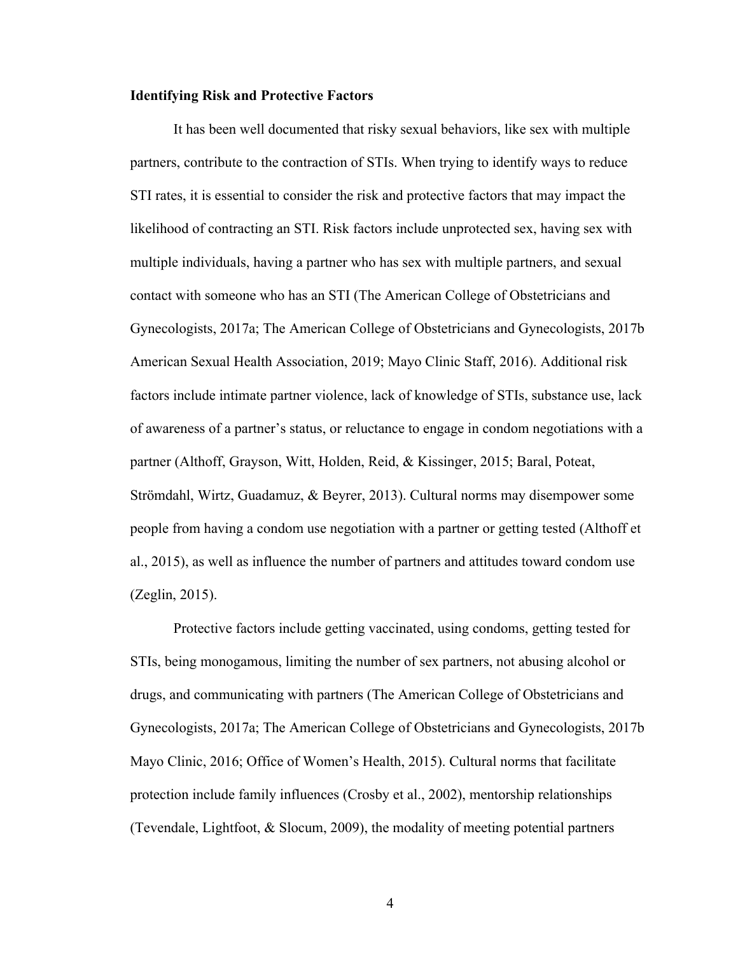#### **Identifying Risk and Protective Factors**

It has been well documented that risky sexual behaviors, like sex with multiple partners, contribute to the contraction of STIs. When trying to identify ways to reduce STI rates, it is essential to consider the risk and protective factors that may impact the likelihood of contracting an STI. Risk factors include unprotected sex, having sex with multiple individuals, having a partner who has sex with multiple partners, and sexual contact with someone who has an STI (The American College of Obstetricians and Gynecologists, 2017a; The American College of Obstetricians and Gynecologists, 2017b American Sexual Health Association, 2019; Mayo Clinic Staff, 2016). Additional risk factors include intimate partner violence, lack of knowledge of STIs, substance use, lack of awareness of a partner's status, or reluctance to engage in condom negotiations with a partner (Althoff, Grayson, Witt, Holden, Reid, & Kissinger, 2015; Baral, Poteat, Strömdahl, Wirtz, Guadamuz, & Beyrer, 2013). Cultural norms may disempower some people from having a condom use negotiation with a partner or getting tested (Althoff et al., 2015), as well as influence the number of partners and attitudes toward condom use (Zeglin, 2015).

Protective factors include getting vaccinated, using condoms, getting tested for STIs, being monogamous, limiting the number of sex partners, not abusing alcohol or drugs, and communicating with partners (The American College of Obstetricians and Gynecologists, 2017a; The American College of Obstetricians and Gynecologists, 2017b Mayo Clinic, 2016; Office of Women's Health, 2015). Cultural norms that facilitate protection include family influences (Crosby et al., 2002), mentorship relationships (Tevendale, Lightfoot, & Slocum, 2009), the modality of meeting potential partners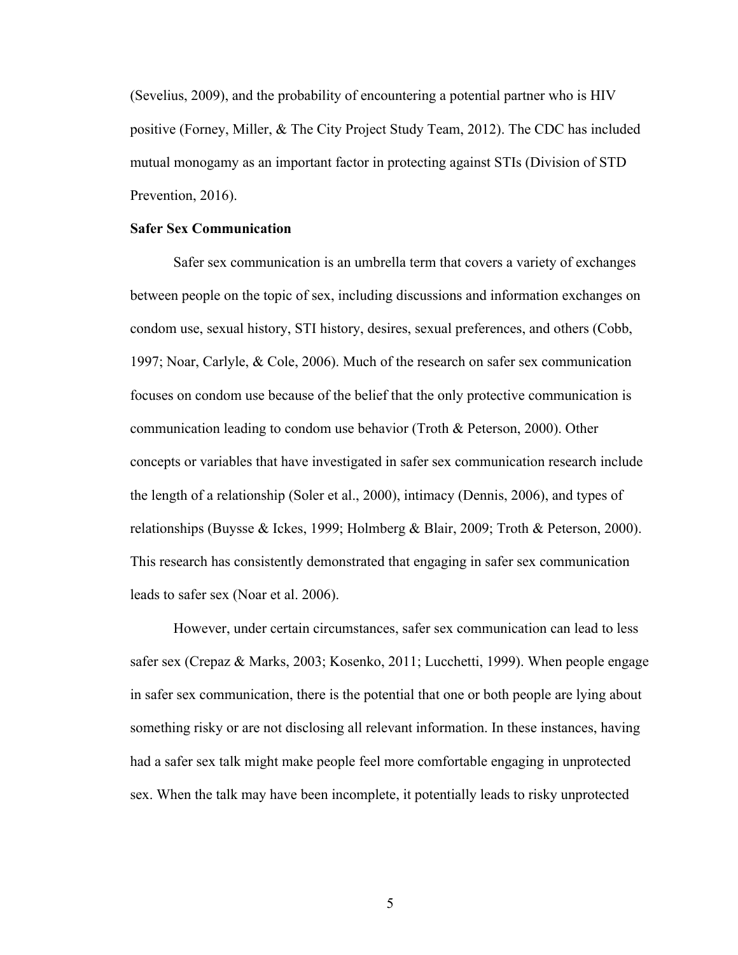(Sevelius, 2009), and the probability of encountering a potential partner who is HIV positive (Forney, Miller, & The City Project Study Team, 2012). The CDC has included mutual monogamy as an important factor in protecting against STIs (Division of STD Prevention, 2016).

#### **Safer Sex Communication**

Safer sex communication is an umbrella term that covers a variety of exchanges between people on the topic of sex, including discussions and information exchanges on condom use, sexual history, STI history, desires, sexual preferences, and others (Cobb, 1997; Noar, Carlyle, & Cole, 2006). Much of the research on safer sex communication focuses on condom use because of the belief that the only protective communication is communication leading to condom use behavior (Troth & Peterson, 2000). Other concepts or variables that have investigated in safer sex communication research include the length of a relationship (Soler et al., 2000), intimacy (Dennis, 2006), and types of relationships (Buysse & Ickes, 1999; Holmberg & Blair, 2009; Troth & Peterson, 2000). This research has consistently demonstrated that engaging in safer sex communication leads to safer sex (Noar et al. 2006).

However, under certain circumstances, safer sex communication can lead to less safer sex (Crepaz & Marks, 2003; Kosenko, 2011; Lucchetti, 1999). When people engage in safer sex communication, there is the potential that one or both people are lying about something risky or are not disclosing all relevant information. In these instances, having had a safer sex talk might make people feel more comfortable engaging in unprotected sex. When the talk may have been incomplete, it potentially leads to risky unprotected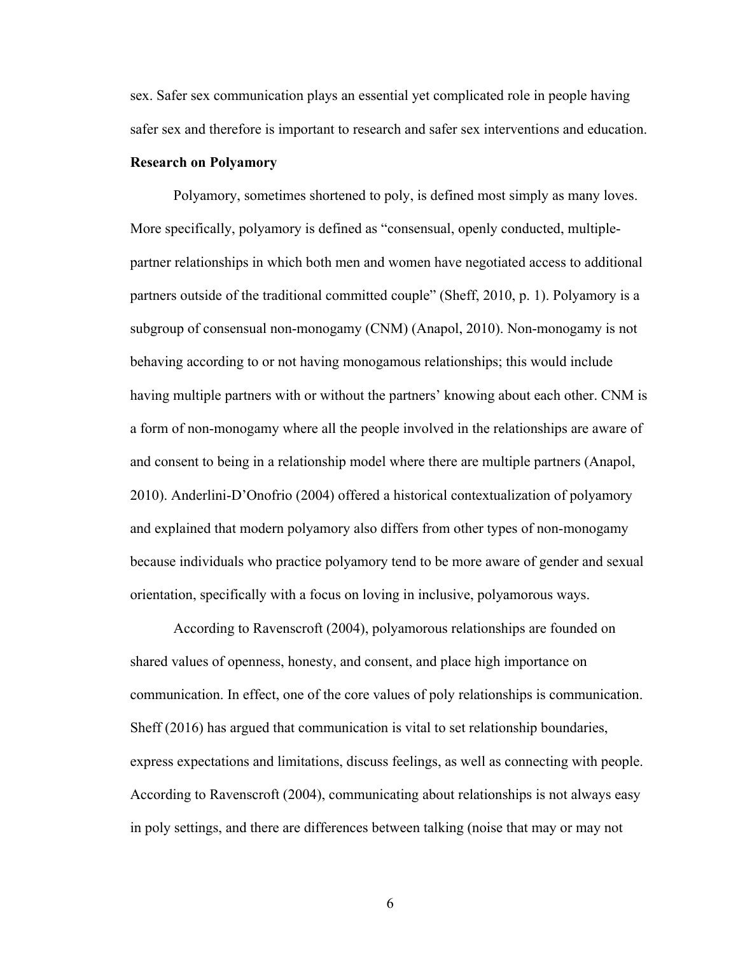sex. Safer sex communication plays an essential yet complicated role in people having safer sex and therefore is important to research and safer sex interventions and education.

#### **Research on Polyamory**

Polyamory, sometimes shortened to poly, is defined most simply as many loves. More specifically, polyamory is defined as "consensual, openly conducted, multiplepartner relationships in which both men and women have negotiated access to additional partners outside of the traditional committed couple" (Sheff, 2010, p. 1). Polyamory is a subgroup of consensual non-monogamy (CNM) (Anapol, 2010). Non-monogamy is not behaving according to or not having monogamous relationships; this would include having multiple partners with or without the partners' knowing about each other. CNM is a form of non-monogamy where all the people involved in the relationships are aware of and consent to being in a relationship model where there are multiple partners (Anapol, 2010). Anderlini-D'Onofrio (2004) offered a historical contextualization of polyamory and explained that modern polyamory also differs from other types of non-monogamy because individuals who practice polyamory tend to be more aware of gender and sexual orientation, specifically with a focus on loving in inclusive, polyamorous ways.

According to Ravenscroft (2004), polyamorous relationships are founded on shared values of openness, honesty, and consent, and place high importance on communication. In effect, one of the core values of poly relationships is communication. Sheff (2016) has argued that communication is vital to set relationship boundaries, express expectations and limitations, discuss feelings, as well as connecting with people. According to Ravenscroft (2004), communicating about relationships is not always easy in poly settings, and there are differences between talking (noise that may or may not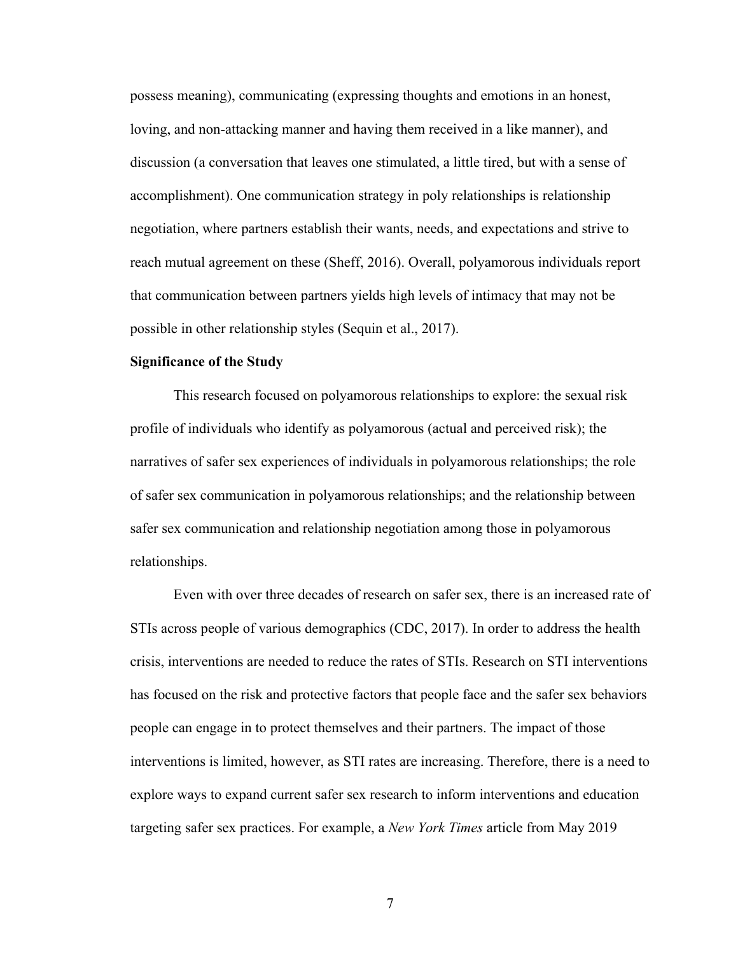possess meaning), communicating (expressing thoughts and emotions in an honest, loving, and non-attacking manner and having them received in a like manner), and discussion (a conversation that leaves one stimulated, a little tired, but with a sense of accomplishment). One communication strategy in poly relationships is relationship negotiation, where partners establish their wants, needs, and expectations and strive to reach mutual agreement on these (Sheff, 2016). Overall, polyamorous individuals report that communication between partners yields high levels of intimacy that may not be possible in other relationship styles (Sequin et al., 2017).

#### **Significance of the Study**

This research focused on polyamorous relationships to explore: the sexual risk profile of individuals who identify as polyamorous (actual and perceived risk); the narratives of safer sex experiences of individuals in polyamorous relationships; the role of safer sex communication in polyamorous relationships; and the relationship between safer sex communication and relationship negotiation among those in polyamorous relationships.

Even with over three decades of research on safer sex, there is an increased rate of STIs across people of various demographics (CDC, 2017). In order to address the health crisis, interventions are needed to reduce the rates of STIs. Research on STI interventions has focused on the risk and protective factors that people face and the safer sex behaviors people can engage in to protect themselves and their partners. The impact of those interventions is limited, however, as STI rates are increasing. Therefore, there is a need to explore ways to expand current safer sex research to inform interventions and education targeting safer sex practices. For example, a *New York Times* article from May 2019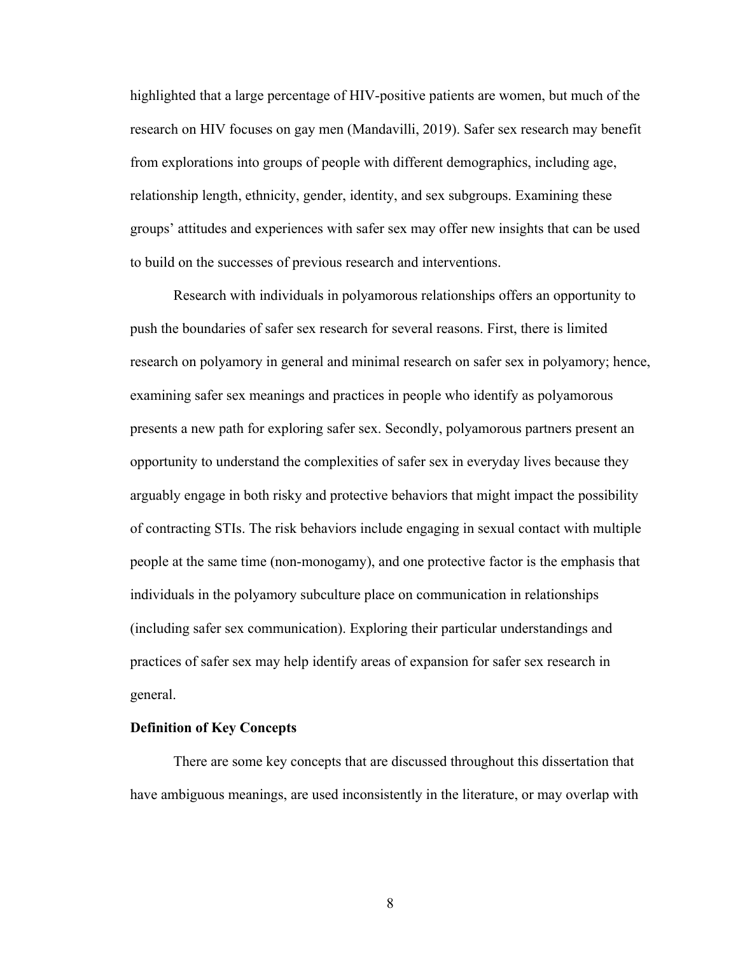highlighted that a large percentage of HIV-positive patients are women, but much of the research on HIV focuses on gay men (Mandavilli, 2019). Safer sex research may benefit from explorations into groups of people with different demographics, including age, relationship length, ethnicity, gender, identity, and sex subgroups. Examining these groups' attitudes and experiences with safer sex may offer new insights that can be used to build on the successes of previous research and interventions.

Research with individuals in polyamorous relationships offers an opportunity to push the boundaries of safer sex research for several reasons. First, there is limited research on polyamory in general and minimal research on safer sex in polyamory; hence, examining safer sex meanings and practices in people who identify as polyamorous presents a new path for exploring safer sex. Secondly, polyamorous partners present an opportunity to understand the complexities of safer sex in everyday lives because they arguably engage in both risky and protective behaviors that might impact the possibility of contracting STIs. The risk behaviors include engaging in sexual contact with multiple people at the same time (non-monogamy), and one protective factor is the emphasis that individuals in the polyamory subculture place on communication in relationships (including safer sex communication). Exploring their particular understandings and practices of safer sex may help identify areas of expansion for safer sex research in general.

### **Definition of Key Concepts**

There are some key concepts that are discussed throughout this dissertation that have ambiguous meanings, are used inconsistently in the literature, or may overlap with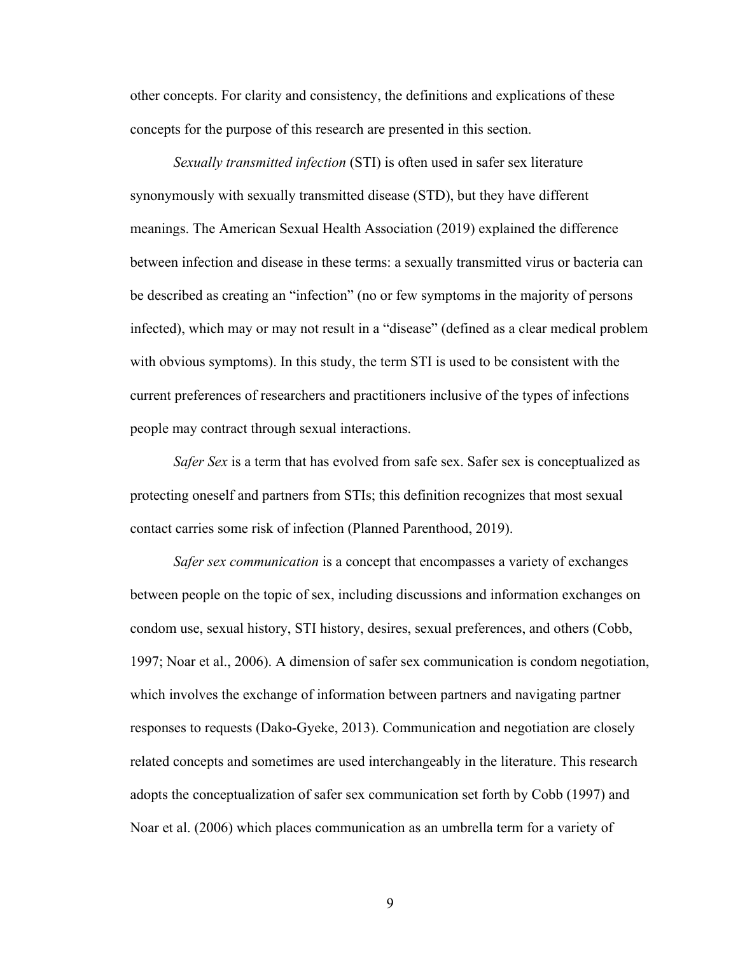other concepts. For clarity and consistency, the definitions and explications of these concepts for the purpose of this research are presented in this section.

*Sexually transmitted infection* (STI) is often used in safer sex literature synonymously with sexually transmitted disease (STD), but they have different meanings. The American Sexual Health Association (2019) explained the difference between infection and disease in these terms: a sexually transmitted virus or bacteria can be described as creating an "infection" (no or few symptoms in the majority of persons infected), which may or may not result in a "disease" (defined as a clear medical problem with obvious symptoms). In this study, the term STI is used to be consistent with the current preferences of researchers and practitioners inclusive of the types of infections people may contract through sexual interactions.

*Safer Sex* is a term that has evolved from safe sex. Safer sex is conceptualized as protecting oneself and partners from STIs; this definition recognizes that most sexual contact carries some risk of infection (Planned Parenthood, 2019).

*Safer sex communication* is a concept that encompasses a variety of exchanges between people on the topic of sex, including discussions and information exchanges on condom use, sexual history, STI history, desires, sexual preferences, and others (Cobb, 1997; Noar et al., 2006). A dimension of safer sex communication is condom negotiation, which involves the exchange of information between partners and navigating partner responses to requests (Dako-Gyeke, 2013). Communication and negotiation are closely related concepts and sometimes are used interchangeably in the literature. This research adopts the conceptualization of safer sex communication set forth by Cobb (1997) and Noar et al. (2006) which places communication as an umbrella term for a variety of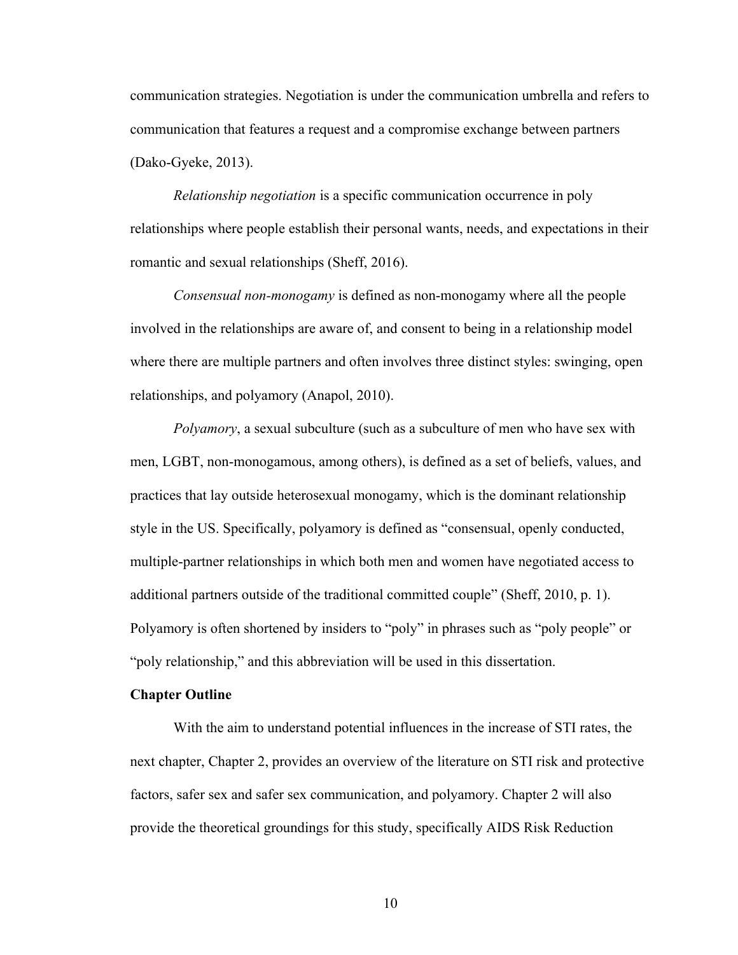communication strategies. Negotiation is under the communication umbrella and refers to communication that features a request and a compromise exchange between partners (Dako-Gyeke, 2013).

*Relationship negotiation* is a specific communication occurrence in poly relationships where people establish their personal wants, needs, and expectations in their romantic and sexual relationships (Sheff, 2016).

*Consensual non-monogamy* is defined as non-monogamy where all the people involved in the relationships are aware of, and consent to being in a relationship model where there are multiple partners and often involves three distinct styles: swinging, open relationships, and polyamory (Anapol, 2010).

*Polyamory*, a sexual subculture (such as a subculture of men who have sex with men, LGBT, non-monogamous, among others), is defined as a set of beliefs, values, and practices that lay outside heterosexual monogamy, which is the dominant relationship style in the US. Specifically, polyamory is defined as "consensual, openly conducted, multiple-partner relationships in which both men and women have negotiated access to additional partners outside of the traditional committed couple" (Sheff, 2010, p. 1). Polyamory is often shortened by insiders to "poly" in phrases such as "poly people" or "poly relationship," and this abbreviation will be used in this dissertation.

#### **Chapter Outline**

With the aim to understand potential influences in the increase of STI rates, the next chapter, Chapter 2, provides an overview of the literature on STI risk and protective factors, safer sex and safer sex communication, and polyamory. Chapter 2 will also provide the theoretical groundings for this study, specifically AIDS Risk Reduction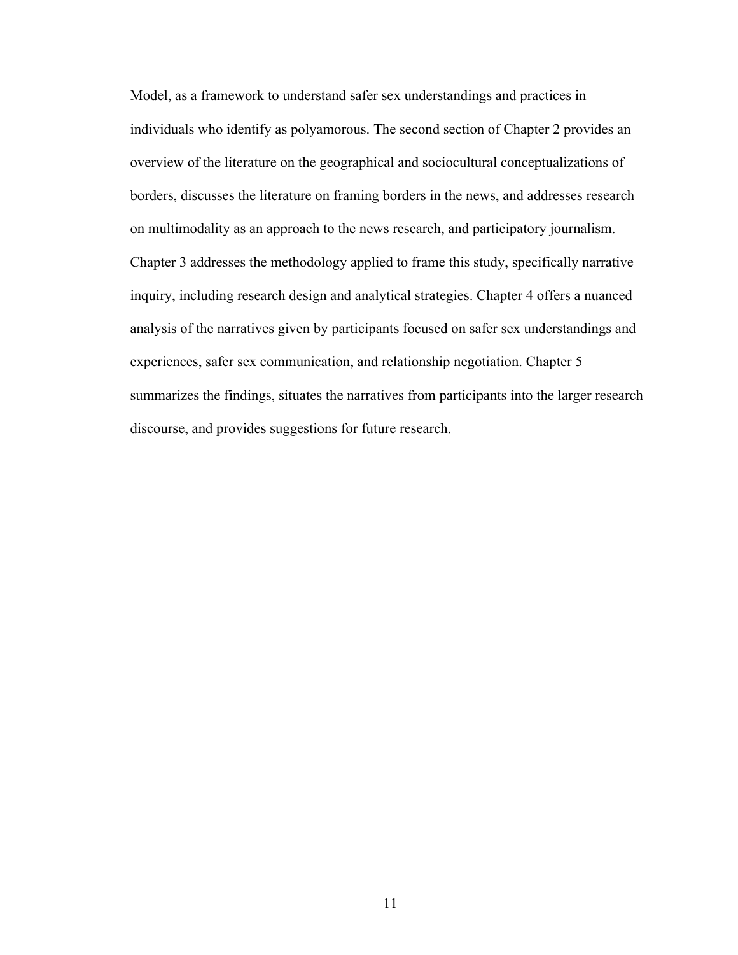Model, as a framework to understand safer sex understandings and practices in individuals who identify as polyamorous. The second section of Chapter 2 provides an overview of the literature on the geographical and sociocultural conceptualizations of borders, discusses the literature on framing borders in the news, and addresses research on multimodality as an approach to the news research, and participatory journalism. Chapter 3 addresses the methodology applied to frame this study, specifically narrative inquiry, including research design and analytical strategies. Chapter 4 offers a nuanced analysis of the narratives given by participants focused on safer sex understandings and experiences, safer sex communication, and relationship negotiation. Chapter 5 summarizes the findings, situates the narratives from participants into the larger research discourse, and provides suggestions for future research.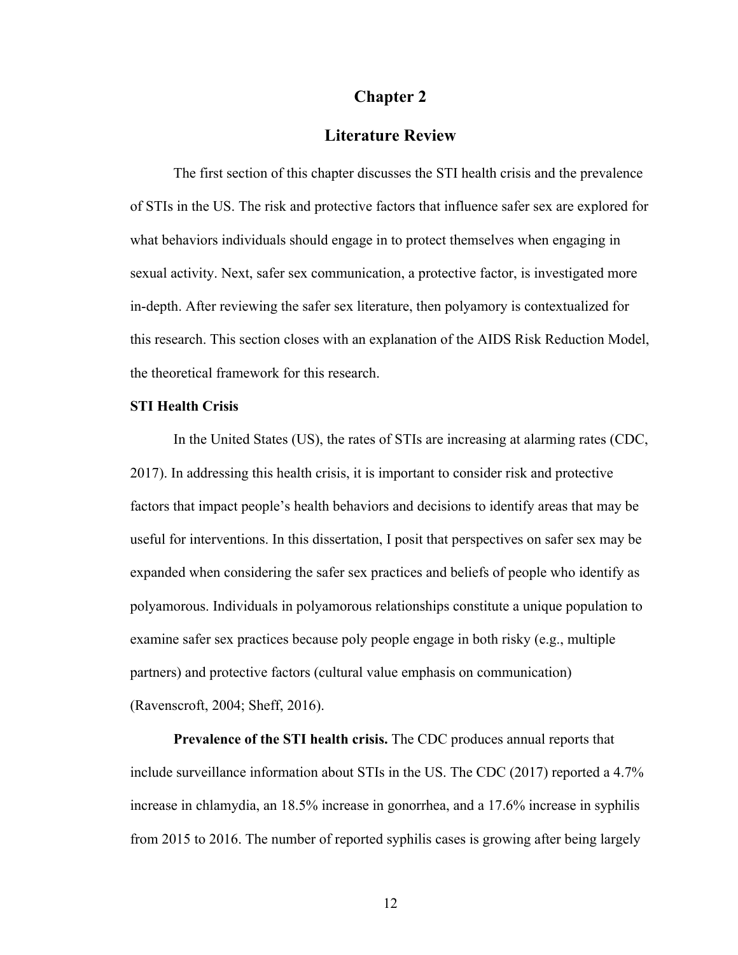# **Chapter 2**

# **Literature Review**

The first section of this chapter discusses the STI health crisis and the prevalence of STIs in the US. The risk and protective factors that influence safer sex are explored for what behaviors individuals should engage in to protect themselves when engaging in sexual activity. Next, safer sex communication, a protective factor, is investigated more in-depth. After reviewing the safer sex literature, then polyamory is contextualized for this research. This section closes with an explanation of the AIDS Risk Reduction Model, the theoretical framework for this research.

# **STI Health Crisis**

In the United States (US), the rates of STIs are increasing at alarming rates (CDC, 2017). In addressing this health crisis, it is important to consider risk and protective factors that impact people's health behaviors and decisions to identify areas that may be useful for interventions. In this dissertation, I posit that perspectives on safer sex may be expanded when considering the safer sex practices and beliefs of people who identify as polyamorous. Individuals in polyamorous relationships constitute a unique population to examine safer sex practices because poly people engage in both risky (e.g., multiple partners) and protective factors (cultural value emphasis on communication) (Ravenscroft, 2004; Sheff, 2016).

**Prevalence of the STI health crisis.** The CDC produces annual reports that include surveillance information about STIs in the US. The CDC (2017) reported a 4.7% increase in chlamydia, an 18.5% increase in gonorrhea, and a 17.6% increase in syphilis from 2015 to 2016. The number of reported syphilis cases is growing after being largely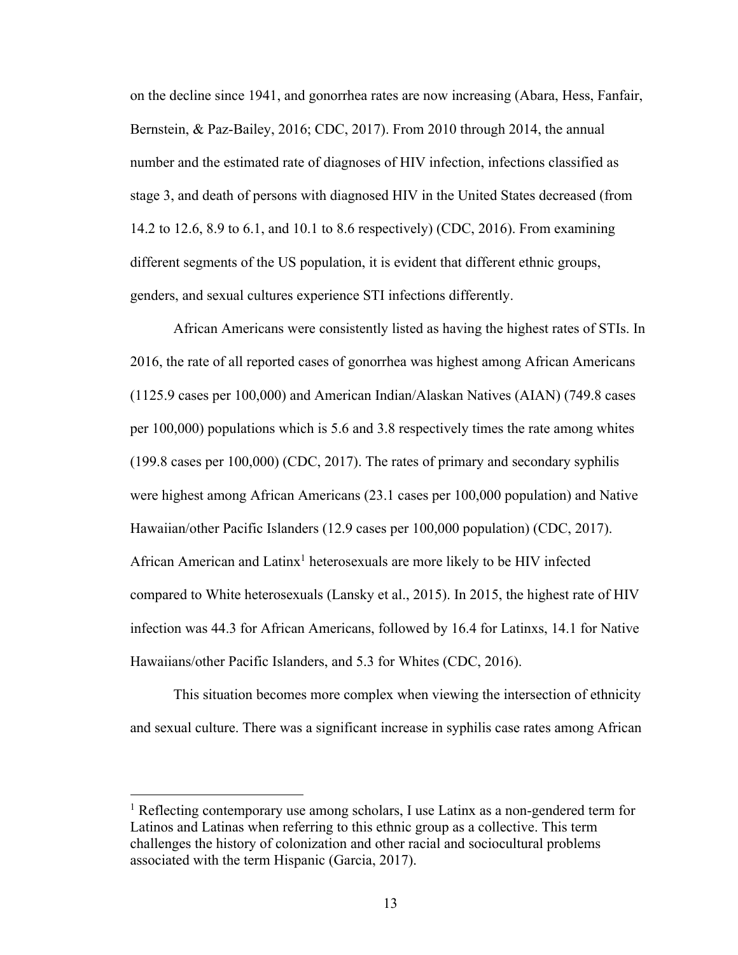on the decline since 1941, and gonorrhea rates are now increasing (Abara, Hess, Fanfair, Bernstein, & Paz-Bailey, 2016; CDC, 2017). From 2010 through 2014, the annual number and the estimated rate of diagnoses of HIV infection, infections classified as stage 3, and death of persons with diagnosed HIV in the United States decreased (from 14.2 to 12.6, 8.9 to 6.1, and 10.1 to 8.6 respectively) (CDC, 2016). From examining different segments of the US population, it is evident that different ethnic groups, genders, and sexual cultures experience STI infections differently.

African Americans were consistently listed as having the highest rates of STIs. In 2016, the rate of all reported cases of gonorrhea was highest among African Americans (1125.9 cases per 100,000) and American Indian/Alaskan Natives (AIAN) (749.8 cases per 100,000) populations which is 5.6 and 3.8 respectively times the rate among whites (199.8 cases per 100,000) (CDC, 2017). The rates of primary and secondary syphilis were highest among African Americans (23.1 cases per 100,000 population) and Native Hawaiian/other Pacific Islanders (12.9 cases per 100,000 population) (CDC, 2017). African American and Latinx<sup>1</sup> heterosexuals are more likely to be HIV infected compared to White heterosexuals (Lansky et al., 2015). In 2015, the highest rate of HIV infection was 44.3 for African Americans, followed by 16.4 for Latinxs, 14.1 for Native Hawaiians/other Pacific Islanders, and 5.3 for Whites (CDC, 2016).

This situation becomes more complex when viewing the intersection of ethnicity and sexual culture. There was a significant increase in syphilis case rates among African

<sup>&</sup>lt;sup>1</sup> Reflecting contemporary use among scholars, I use Latinx as a non-gendered term for Latinos and Latinas when referring to this ethnic group as a collective. This term challenges the history of colonization and other racial and sociocultural problems associated with the term Hispanic (Garcia, 2017).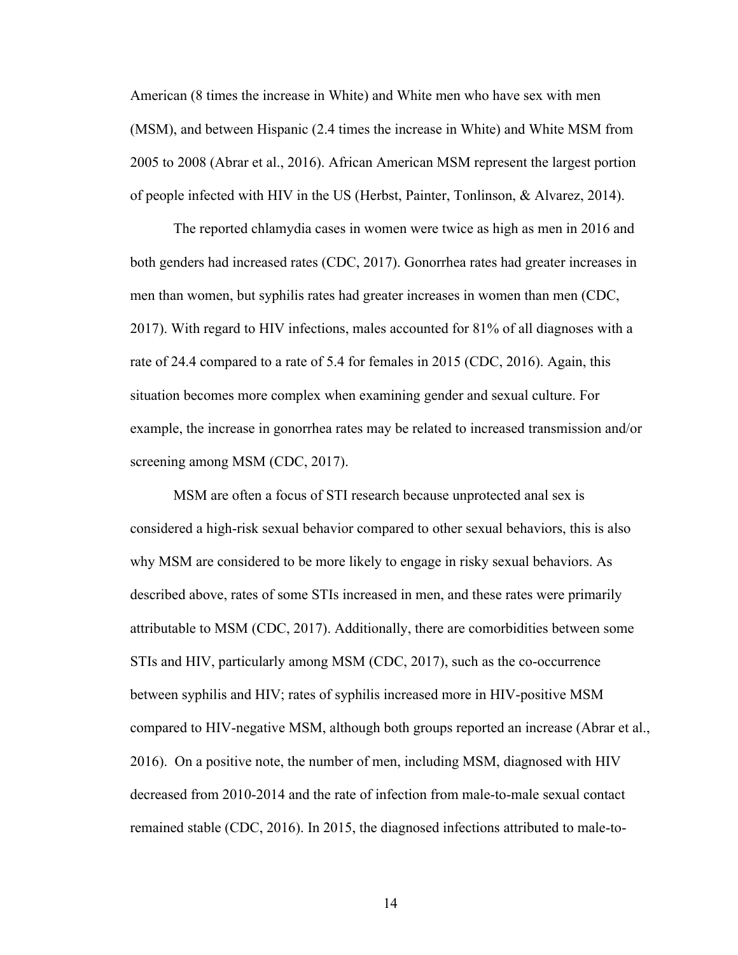American (8 times the increase in White) and White men who have sex with men (MSM), and between Hispanic (2.4 times the increase in White) and White MSM from 2005 to 2008 (Abrar et al., 2016). African American MSM represent the largest portion of people infected with HIV in the US (Herbst, Painter, Tonlinson, & Alvarez, 2014).

The reported chlamydia cases in women were twice as high as men in 2016 and both genders had increased rates (CDC, 2017). Gonorrhea rates had greater increases in men than women, but syphilis rates had greater increases in women than men (CDC, 2017). With regard to HIV infections, males accounted for 81% of all diagnoses with a rate of 24.4 compared to a rate of 5.4 for females in 2015 (CDC, 2016). Again, this situation becomes more complex when examining gender and sexual culture. For example, the increase in gonorrhea rates may be related to increased transmission and/or screening among MSM (CDC, 2017).

MSM are often a focus of STI research because unprotected anal sex is considered a high-risk sexual behavior compared to other sexual behaviors, this is also why MSM are considered to be more likely to engage in risky sexual behaviors. As described above, rates of some STIs increased in men, and these rates were primarily attributable to MSM (CDC, 2017). Additionally, there are comorbidities between some STIs and HIV, particularly among MSM (CDC, 2017), such as the co-occurrence between syphilis and HIV; rates of syphilis increased more in HIV-positive MSM compared to HIV-negative MSM, although both groups reported an increase (Abrar et al., 2016). On a positive note, the number of men, including MSM, diagnosed with HIV decreased from 2010-2014 and the rate of infection from male-to-male sexual contact remained stable (CDC, 2016). In 2015, the diagnosed infections attributed to male-to-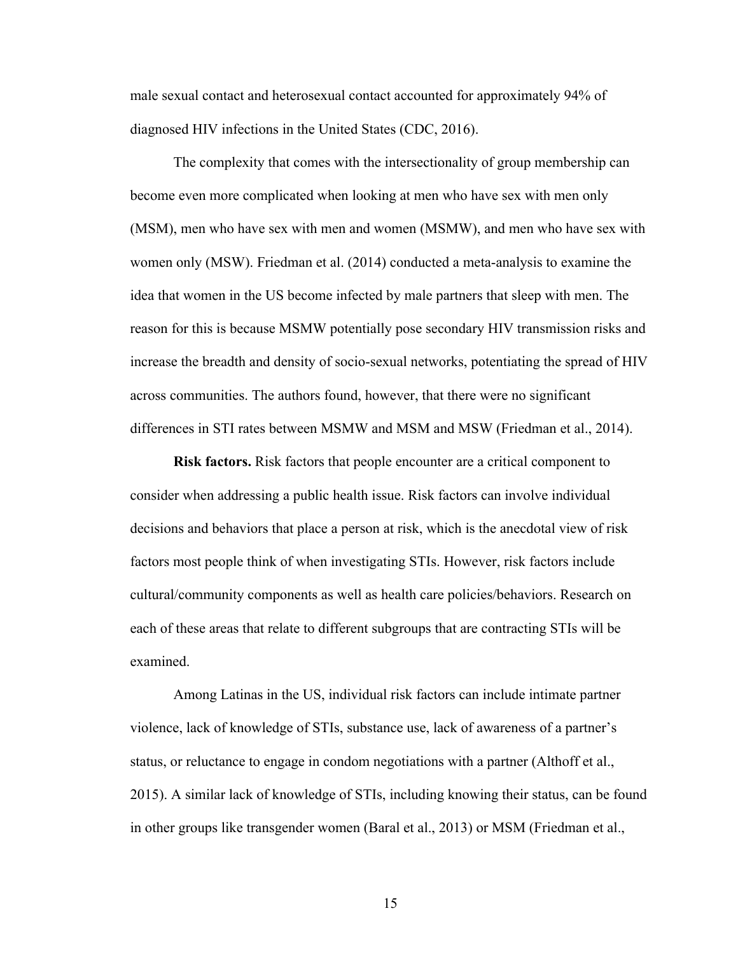male sexual contact and heterosexual contact accounted for approximately 94% of diagnosed HIV infections in the United States (CDC, 2016).

The complexity that comes with the intersectionality of group membership can become even more complicated when looking at men who have sex with men only (MSM), men who have sex with men and women (MSMW), and men who have sex with women only (MSW). Friedman et al. (2014) conducted a meta-analysis to examine the idea that women in the US become infected by male partners that sleep with men. The reason for this is because MSMW potentially pose secondary HIV transmission risks and increase the breadth and density of socio-sexual networks, potentiating the spread of HIV across communities. The authors found, however, that there were no significant differences in STI rates between MSMW and MSM and MSW (Friedman et al., 2014).

**Risk factors.** Risk factors that people encounter are a critical component to consider when addressing a public health issue. Risk factors can involve individual decisions and behaviors that place a person at risk, which is the anecdotal view of risk factors most people think of when investigating STIs. However, risk factors include cultural/community components as well as health care policies/behaviors. Research on each of these areas that relate to different subgroups that are contracting STIs will be examined.

Among Latinas in the US, individual risk factors can include intimate partner violence, lack of knowledge of STIs, substance use, lack of awareness of a partner's status, or reluctance to engage in condom negotiations with a partner (Althoff et al., 2015). A similar lack of knowledge of STIs, including knowing their status, can be found in other groups like transgender women (Baral et al., 2013) or MSM (Friedman et al.,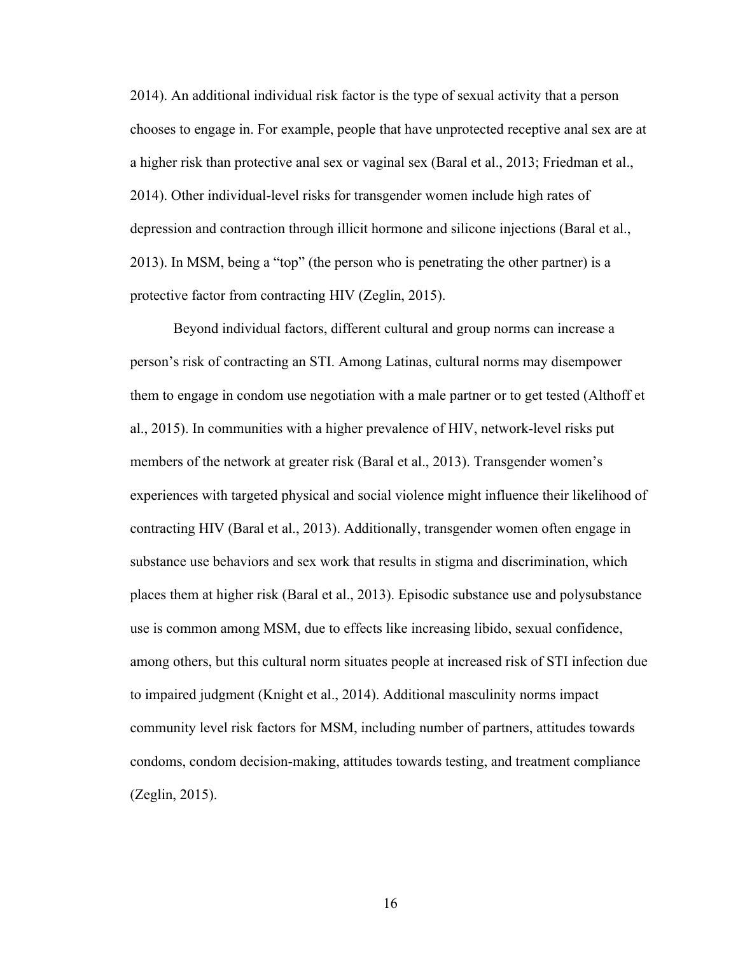2014). An additional individual risk factor is the type of sexual activity that a person chooses to engage in. For example, people that have unprotected receptive anal sex are at a higher risk than protective anal sex or vaginal sex (Baral et al., 2013; Friedman et al., 2014). Other individual-level risks for transgender women include high rates of depression and contraction through illicit hormone and silicone injections (Baral et al., 2013). In MSM, being a "top" (the person who is penetrating the other partner) is a protective factor from contracting HIV (Zeglin, 2015).

Beyond individual factors, different cultural and group norms can increase a person's risk of contracting an STI. Among Latinas, cultural norms may disempower them to engage in condom use negotiation with a male partner or to get tested (Althoff et al., 2015). In communities with a higher prevalence of HIV, network-level risks put members of the network at greater risk (Baral et al., 2013). Transgender women's experiences with targeted physical and social violence might influence their likelihood of contracting HIV (Baral et al., 2013). Additionally, transgender women often engage in substance use behaviors and sex work that results in stigma and discrimination, which places them at higher risk (Baral et al., 2013). Episodic substance use and polysubstance use is common among MSM, due to effects like increasing libido, sexual confidence, among others, but this cultural norm situates people at increased risk of STI infection due to impaired judgment (Knight et al., 2014). Additional masculinity norms impact community level risk factors for MSM, including number of partners, attitudes towards condoms, condom decision-making, attitudes towards testing, and treatment compliance (Zeglin, 2015).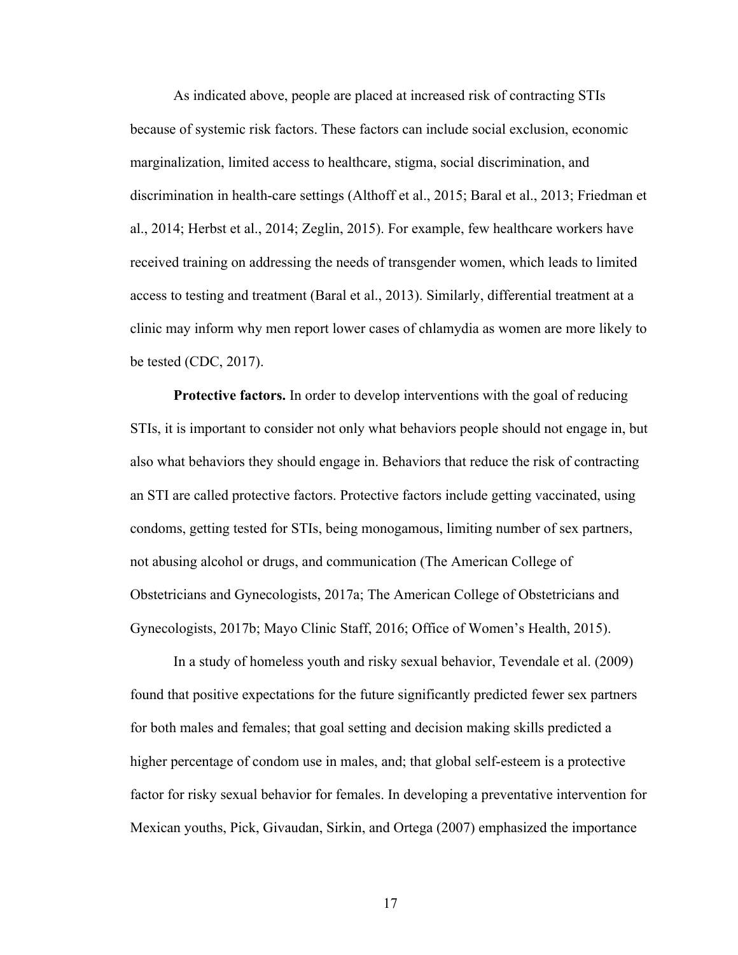As indicated above, people are placed at increased risk of contracting STIs because of systemic risk factors. These factors can include social exclusion, economic marginalization, limited access to healthcare, stigma, social discrimination, and discrimination in health-care settings (Althoff et al., 2015; Baral et al., 2013; Friedman et al., 2014; Herbst et al., 2014; Zeglin, 2015). For example, few healthcare workers have received training on addressing the needs of transgender women, which leads to limited access to testing and treatment (Baral et al., 2013). Similarly, differential treatment at a clinic may inform why men report lower cases of chlamydia as women are more likely to be tested (CDC, 2017).

**Protective factors.** In order to develop interventions with the goal of reducing STIs, it is important to consider not only what behaviors people should not engage in, but also what behaviors they should engage in. Behaviors that reduce the risk of contracting an STI are called protective factors. Protective factors include getting vaccinated, using condoms, getting tested for STIs, being monogamous, limiting number of sex partners, not abusing alcohol or drugs, and communication (The American College of Obstetricians and Gynecologists, 2017a; The American College of Obstetricians and Gynecologists, 2017b; Mayo Clinic Staff, 2016; Office of Women's Health, 2015).

In a study of homeless youth and risky sexual behavior, Tevendale et al. (2009) found that positive expectations for the future significantly predicted fewer sex partners for both males and females; that goal setting and decision making skills predicted a higher percentage of condom use in males, and; that global self-esteem is a protective factor for risky sexual behavior for females. In developing a preventative intervention for Mexican youths, Pick, Givaudan, Sirkin, and Ortega (2007) emphasized the importance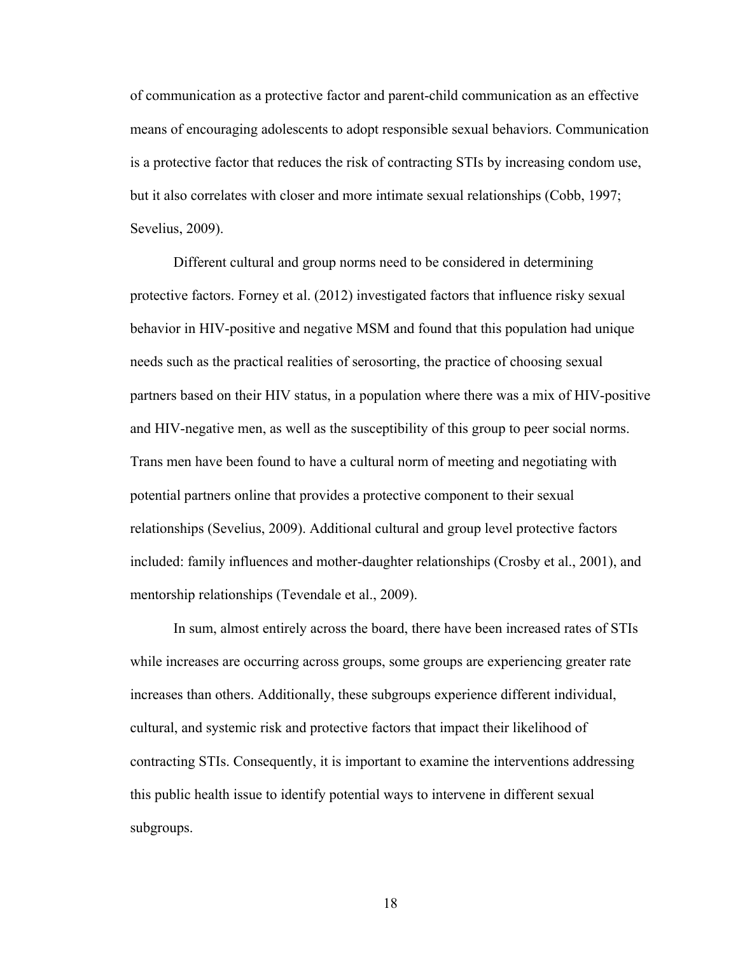of communication as a protective factor and parent-child communication as an effective means of encouraging adolescents to adopt responsible sexual behaviors. Communication is a protective factor that reduces the risk of contracting STIs by increasing condom use, but it also correlates with closer and more intimate sexual relationships (Cobb, 1997; Sevelius, 2009).

Different cultural and group norms need to be considered in determining protective factors. Forney et al. (2012) investigated factors that influence risky sexual behavior in HIV-positive and negative MSM and found that this population had unique needs such as the practical realities of serosorting, the practice of choosing sexual partners based on their HIV status, in a population where there was a mix of HIV-positive and HIV-negative men, as well as the susceptibility of this group to peer social norms. Trans men have been found to have a cultural norm of meeting and negotiating with potential partners online that provides a protective component to their sexual relationships (Sevelius, 2009). Additional cultural and group level protective factors included: family influences and mother-daughter relationships (Crosby et al., 2001), and mentorship relationships (Tevendale et al., 2009).

In sum, almost entirely across the board, there have been increased rates of STIs while increases are occurring across groups, some groups are experiencing greater rate increases than others. Additionally, these subgroups experience different individual, cultural, and systemic risk and protective factors that impact their likelihood of contracting STIs. Consequently, it is important to examine the interventions addressing this public health issue to identify potential ways to intervene in different sexual subgroups.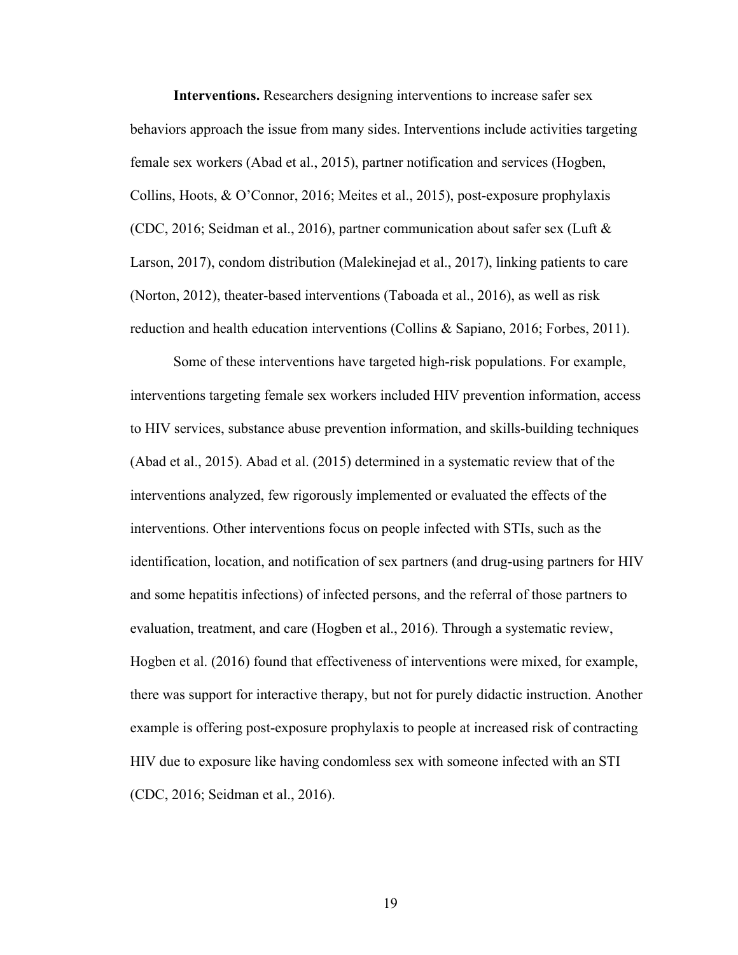**Interventions.** Researchers designing interventions to increase safer sex behaviors approach the issue from many sides. Interventions include activities targeting female sex workers (Abad et al., 2015), partner notification and services (Hogben, Collins, Hoots, & O'Connor, 2016; Meites et al., 2015), post-exposure prophylaxis (CDC, 2016; Seidman et al., 2016), partner communication about safer sex (Luft & Larson, 2017), condom distribution (Malekinejad et al., 2017), linking patients to care (Norton, 2012), theater-based interventions (Taboada et al., 2016), as well as risk reduction and health education interventions (Collins & Sapiano, 2016; Forbes, 2011).

Some of these interventions have targeted high-risk populations. For example, interventions targeting female sex workers included HIV prevention information, access to HIV services, substance abuse prevention information, and skills-building techniques (Abad et al., 2015). Abad et al. (2015) determined in a systematic review that of the interventions analyzed, few rigorously implemented or evaluated the effects of the interventions. Other interventions focus on people infected with STIs, such as the identification, location, and notification of sex partners (and drug-using partners for HIV and some hepatitis infections) of infected persons, and the referral of those partners to evaluation, treatment, and care (Hogben et al., 2016). Through a systematic review, Hogben et al. (2016) found that effectiveness of interventions were mixed, for example, there was support for interactive therapy, but not for purely didactic instruction. Another example is offering post-exposure prophylaxis to people at increased risk of contracting HIV due to exposure like having condomless sex with someone infected with an STI (CDC, 2016; Seidman et al., 2016).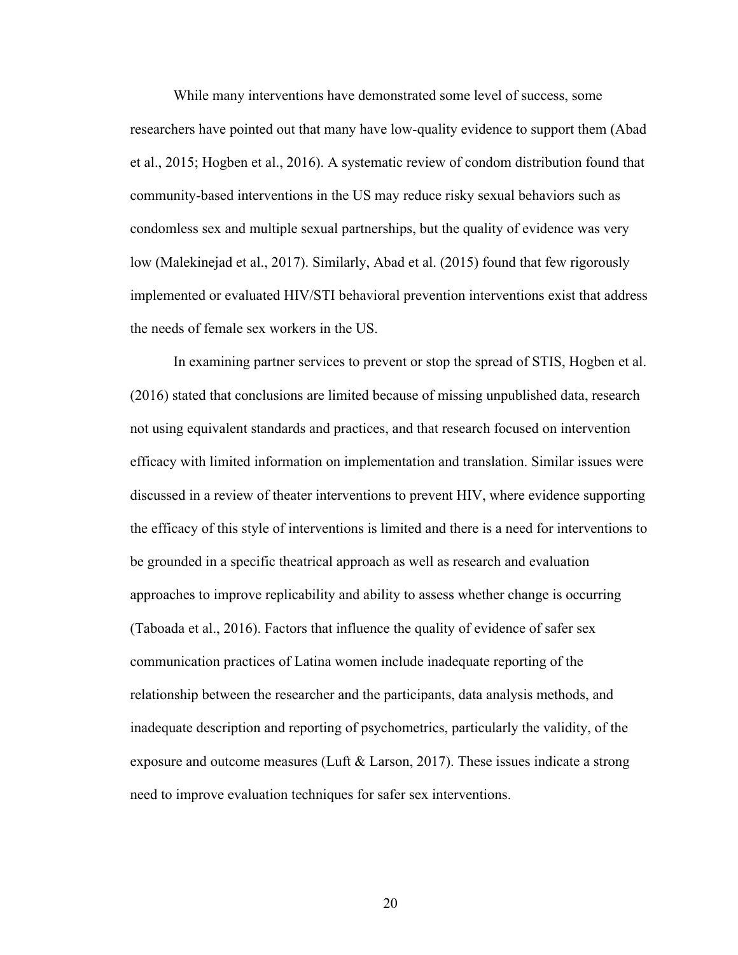While many interventions have demonstrated some level of success, some researchers have pointed out that many have low-quality evidence to support them (Abad et al., 2015; Hogben et al., 2016). A systematic review of condom distribution found that community-based interventions in the US may reduce risky sexual behaviors such as condomless sex and multiple sexual partnerships, but the quality of evidence was very low (Malekinejad et al., 2017). Similarly, Abad et al. (2015) found that few rigorously implemented or evaluated HIV/STI behavioral prevention interventions exist that address the needs of female sex workers in the US.

In examining partner services to prevent or stop the spread of STIS, Hogben et al. (2016) stated that conclusions are limited because of missing unpublished data, research not using equivalent standards and practices, and that research focused on intervention efficacy with limited information on implementation and translation. Similar issues were discussed in a review of theater interventions to prevent HIV, where evidence supporting the efficacy of this style of interventions is limited and there is a need for interventions to be grounded in a specific theatrical approach as well as research and evaluation approaches to improve replicability and ability to assess whether change is occurring (Taboada et al., 2016). Factors that influence the quality of evidence of safer sex communication practices of Latina women include inadequate reporting of the relationship between the researcher and the participants, data analysis methods, and inadequate description and reporting of psychometrics, particularly the validity, of the exposure and outcome measures (Luft & Larson, 2017). These issues indicate a strong need to improve evaluation techniques for safer sex interventions.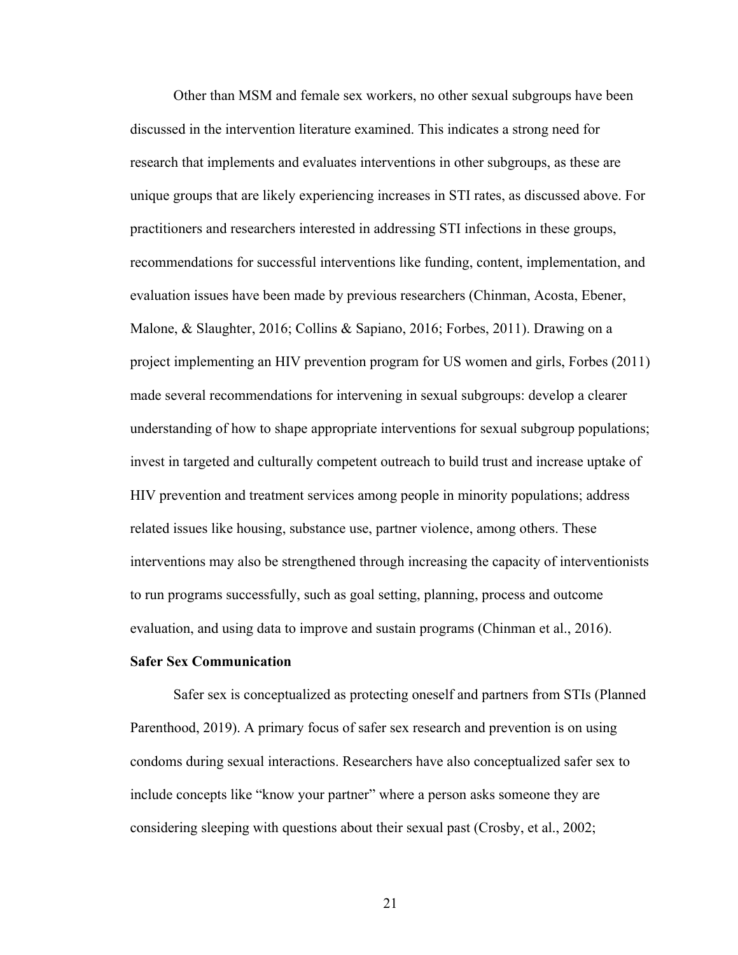Other than MSM and female sex workers, no other sexual subgroups have been discussed in the intervention literature examined. This indicates a strong need for research that implements and evaluates interventions in other subgroups, as these are unique groups that are likely experiencing increases in STI rates, as discussed above. For practitioners and researchers interested in addressing STI infections in these groups, recommendations for successful interventions like funding, content, implementation, and evaluation issues have been made by previous researchers (Chinman, Acosta, Ebener, Malone, & Slaughter, 2016; Collins & Sapiano, 2016; Forbes, 2011). Drawing on a project implementing an HIV prevention program for US women and girls, Forbes (2011) made several recommendations for intervening in sexual subgroups: develop a clearer understanding of how to shape appropriate interventions for sexual subgroup populations; invest in targeted and culturally competent outreach to build trust and increase uptake of HIV prevention and treatment services among people in minority populations; address related issues like housing, substance use, partner violence, among others. These interventions may also be strengthened through increasing the capacity of interventionists to run programs successfully, such as goal setting, planning, process and outcome evaluation, and using data to improve and sustain programs (Chinman et al., 2016).

#### **Safer Sex Communication**

Safer sex is conceptualized as protecting oneself and partners from STIs (Planned Parenthood, 2019). A primary focus of safer sex research and prevention is on using condoms during sexual interactions. Researchers have also conceptualized safer sex to include concepts like "know your partner" where a person asks someone they are considering sleeping with questions about their sexual past (Crosby, et al., 2002;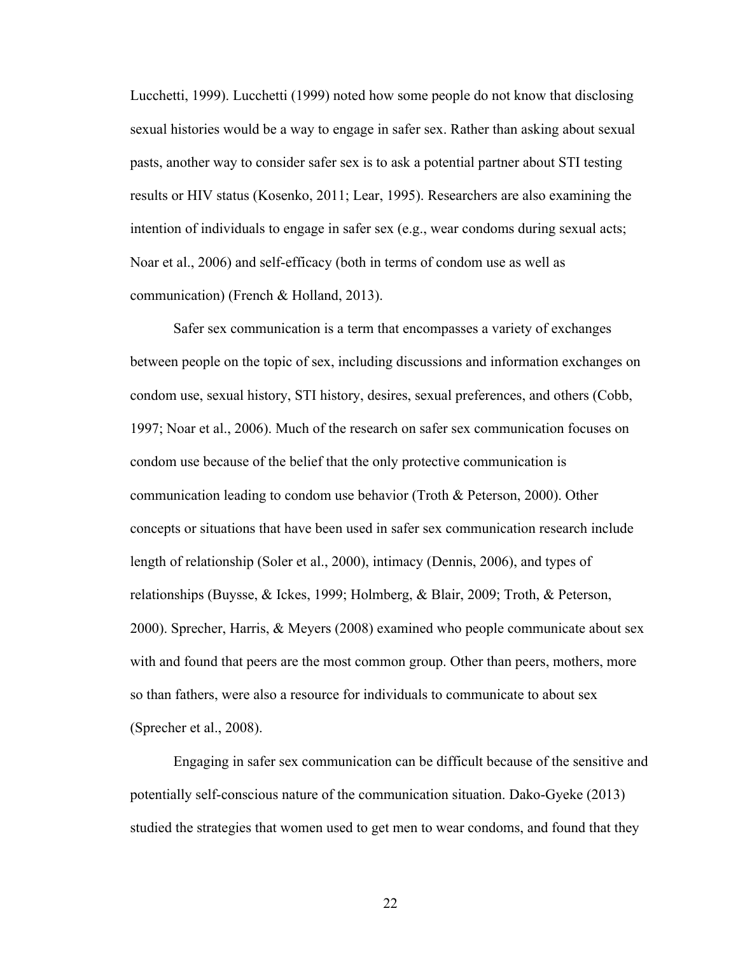Lucchetti, 1999). Lucchetti (1999) noted how some people do not know that disclosing sexual histories would be a way to engage in safer sex. Rather than asking about sexual pasts, another way to consider safer sex is to ask a potential partner about STI testing results or HIV status (Kosenko, 2011; Lear, 1995). Researchers are also examining the intention of individuals to engage in safer sex (e.g., wear condoms during sexual acts; Noar et al., 2006) and self-efficacy (both in terms of condom use as well as communication) (French & Holland, 2013).

Safer sex communication is a term that encompasses a variety of exchanges between people on the topic of sex, including discussions and information exchanges on condom use, sexual history, STI history, desires, sexual preferences, and others (Cobb, 1997; Noar et al., 2006). Much of the research on safer sex communication focuses on condom use because of the belief that the only protective communication is communication leading to condom use behavior (Troth & Peterson, 2000). Other concepts or situations that have been used in safer sex communication research include length of relationship (Soler et al., 2000), intimacy (Dennis, 2006), and types of relationships (Buysse, & Ickes, 1999; Holmberg, & Blair, 2009; Troth, & Peterson, 2000). Sprecher, Harris, & Meyers (2008) examined who people communicate about sex with and found that peers are the most common group. Other than peers, mothers, more so than fathers, were also a resource for individuals to communicate to about sex (Sprecher et al., 2008).

Engaging in safer sex communication can be difficult because of the sensitive and potentially self-conscious nature of the communication situation. Dako-Gyeke (2013) studied the strategies that women used to get men to wear condoms, and found that they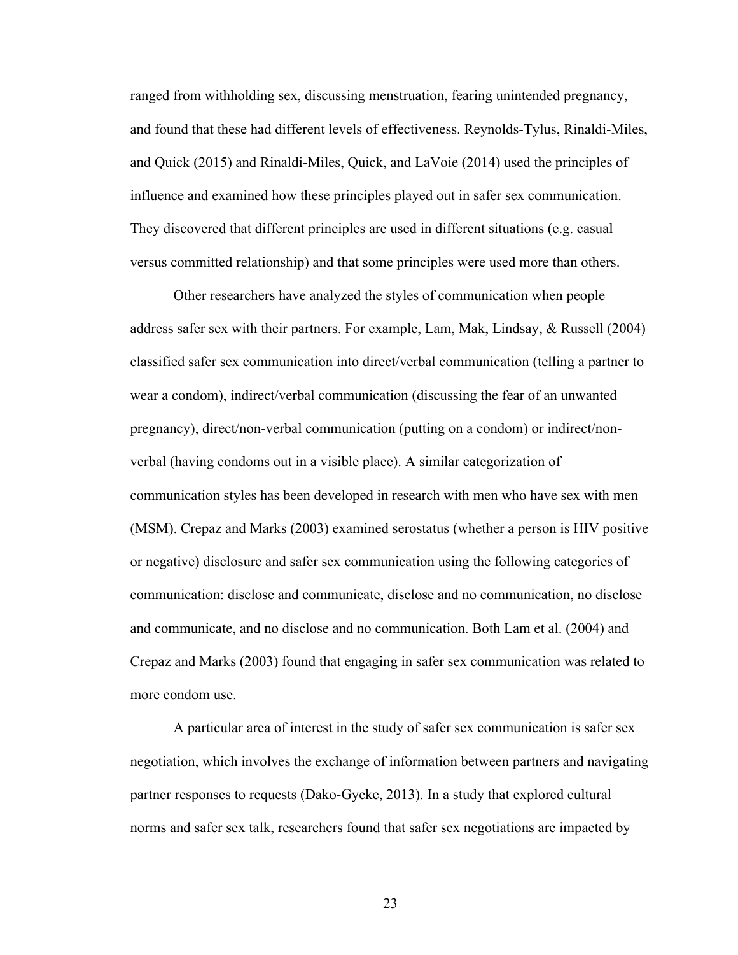ranged from withholding sex, discussing menstruation, fearing unintended pregnancy, and found that these had different levels of effectiveness. Reynolds-Tylus, Rinaldi-Miles, and Quick (2015) and Rinaldi-Miles, Quick, and LaVoie (2014) used the principles of influence and examined how these principles played out in safer sex communication. They discovered that different principles are used in different situations (e.g. casual versus committed relationship) and that some principles were used more than others.

Other researchers have analyzed the styles of communication when people address safer sex with their partners. For example, Lam, Mak, Lindsay, & Russell (2004) classified safer sex communication into direct/verbal communication (telling a partner to wear a condom), indirect/verbal communication (discussing the fear of an unwanted pregnancy), direct/non-verbal communication (putting on a condom) or indirect/nonverbal (having condoms out in a visible place). A similar categorization of communication styles has been developed in research with men who have sex with men (MSM). Crepaz and Marks (2003) examined serostatus (whether a person is HIV positive or negative) disclosure and safer sex communication using the following categories of communication: disclose and communicate, disclose and no communication, no disclose and communicate, and no disclose and no communication. Both Lam et al. (2004) and Crepaz and Marks (2003) found that engaging in safer sex communication was related to more condom use.

A particular area of interest in the study of safer sex communication is safer sex negotiation, which involves the exchange of information between partners and navigating partner responses to requests (Dako-Gyeke, 2013). In a study that explored cultural norms and safer sex talk, researchers found that safer sex negotiations are impacted by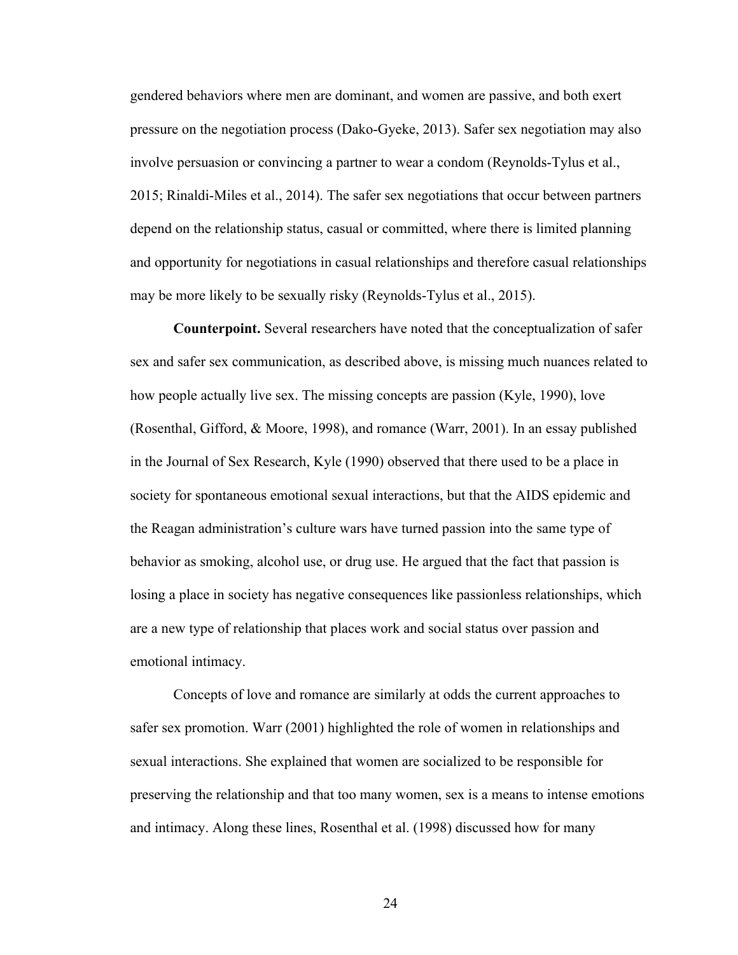gendered behaviors where men are dominant, and women are passive, and both exert pressure on the negotiation process (Dako-Gyeke, 2013). Safer sex negotiation may also involve persuasion or convincing a partner to wear a condom (Reynolds-Tylus et al., 2015; Rinaldi-Miles et al., 2014). The safer sex negotiations that occur between partners depend on the relationship status, casual or committed, where there is limited planning and opportunity for negotiations in casual relationships and therefore casual relationships may be more likely to be sexually risky (Reynolds-Tylus et al., 2015).

**Counterpoint.** Several researchers have noted that the conceptualization of safer sex and safer sex communication, as described above, is missing much nuances related to how people actually live sex. The missing concepts are passion (Kyle, 1990), love (Rosenthal, Gifford, & Moore, 1998), and romance (Warr, 2001). In an essay published in the Journal of Sex Research, Kyle (1990) observed that there used to be a place in society for spontaneous emotional sexual interactions, but that the AIDS epidemic and the Reagan administration's culture wars have turned passion into the same type of behavior as smoking, alcohol use, or drug use. He argued that the fact that passion is losing a place in society has negative consequences like passionless relationships, which are a new type of relationship that places work and social status over passion and emotional intimacy.

Concepts of love and romance are similarly at odds the current approaches to safer sex promotion. Warr (2001) highlighted the role of women in relationships and sexual interactions. She explained that women are socialized to be responsible for preserving the relationship and that too many women, sex is a means to intense emotions and intimacy. Along these lines, Rosenthal et al. (1998) discussed how for many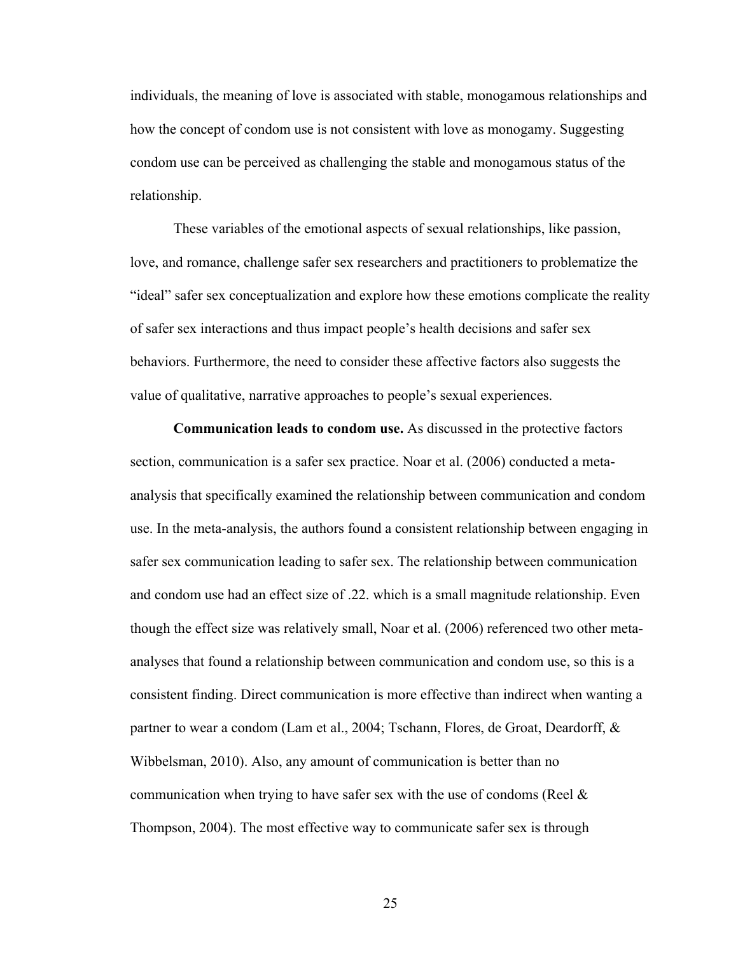individuals, the meaning of love is associated with stable, monogamous relationships and how the concept of condom use is not consistent with love as monogamy. Suggesting condom use can be perceived as challenging the stable and monogamous status of the relationship.

These variables of the emotional aspects of sexual relationships, like passion, love, and romance, challenge safer sex researchers and practitioners to problematize the "ideal" safer sex conceptualization and explore how these emotions complicate the reality of safer sex interactions and thus impact people's health decisions and safer sex behaviors. Furthermore, the need to consider these affective factors also suggests the value of qualitative, narrative approaches to people's sexual experiences.

**Communication leads to condom use.** As discussed in the protective factors section, communication is a safer sex practice. Noar et al. (2006) conducted a metaanalysis that specifically examined the relationship between communication and condom use. In the meta-analysis, the authors found a consistent relationship between engaging in safer sex communication leading to safer sex. The relationship between communication and condom use had an effect size of .22. which is a small magnitude relationship. Even though the effect size was relatively small, Noar et al. (2006) referenced two other metaanalyses that found a relationship between communication and condom use, so this is a consistent finding. Direct communication is more effective than indirect when wanting a partner to wear a condom (Lam et al., 2004; Tschann, Flores, de Groat, Deardorff, & Wibbelsman, 2010). Also, any amount of communication is better than no communication when trying to have safer sex with the use of condoms (Reel & Thompson, 2004). The most effective way to communicate safer sex is through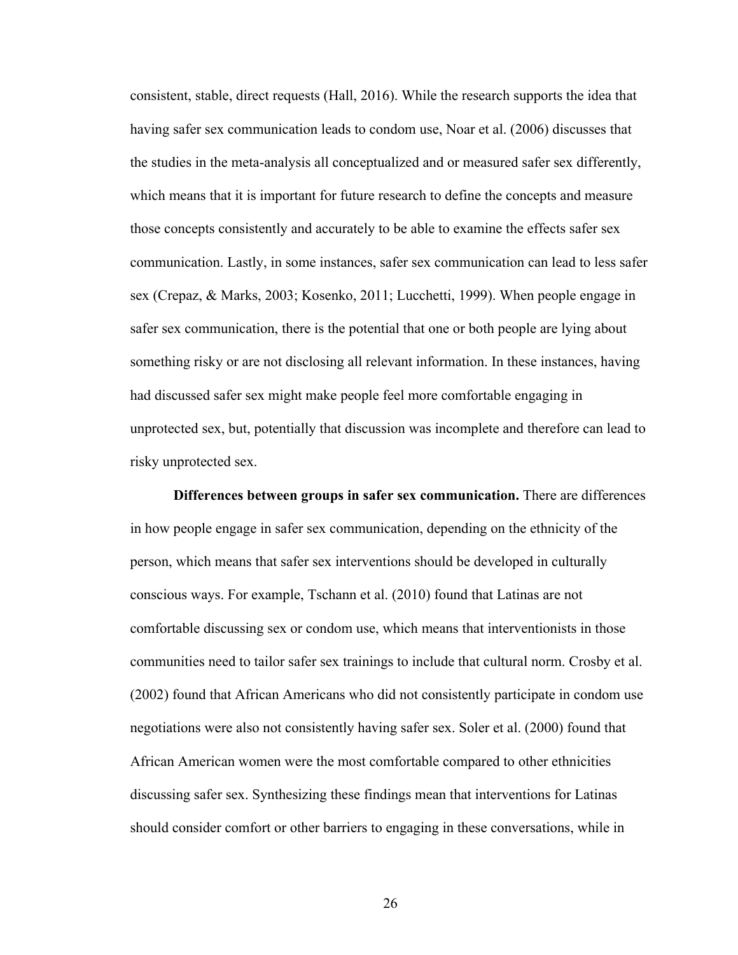consistent, stable, direct requests (Hall, 2016). While the research supports the idea that having safer sex communication leads to condom use, Noar et al. (2006) discusses that the studies in the meta-analysis all conceptualized and or measured safer sex differently, which means that it is important for future research to define the concepts and measure those concepts consistently and accurately to be able to examine the effects safer sex communication. Lastly, in some instances, safer sex communication can lead to less safer sex (Crepaz, & Marks, 2003; Kosenko, 2011; Lucchetti, 1999). When people engage in safer sex communication, there is the potential that one or both people are lying about something risky or are not disclosing all relevant information. In these instances, having had discussed safer sex might make people feel more comfortable engaging in unprotected sex, but, potentially that discussion was incomplete and therefore can lead to risky unprotected sex.

**Differences between groups in safer sex communication.** There are differences in how people engage in safer sex communication, depending on the ethnicity of the person, which means that safer sex interventions should be developed in culturally conscious ways. For example, Tschann et al. (2010) found that Latinas are not comfortable discussing sex or condom use, which means that interventionists in those communities need to tailor safer sex trainings to include that cultural norm. Crosby et al. (2002) found that African Americans who did not consistently participate in condom use negotiations were also not consistently having safer sex. Soler et al. (2000) found that African American women were the most comfortable compared to other ethnicities discussing safer sex. Synthesizing these findings mean that interventions for Latinas should consider comfort or other barriers to engaging in these conversations, while in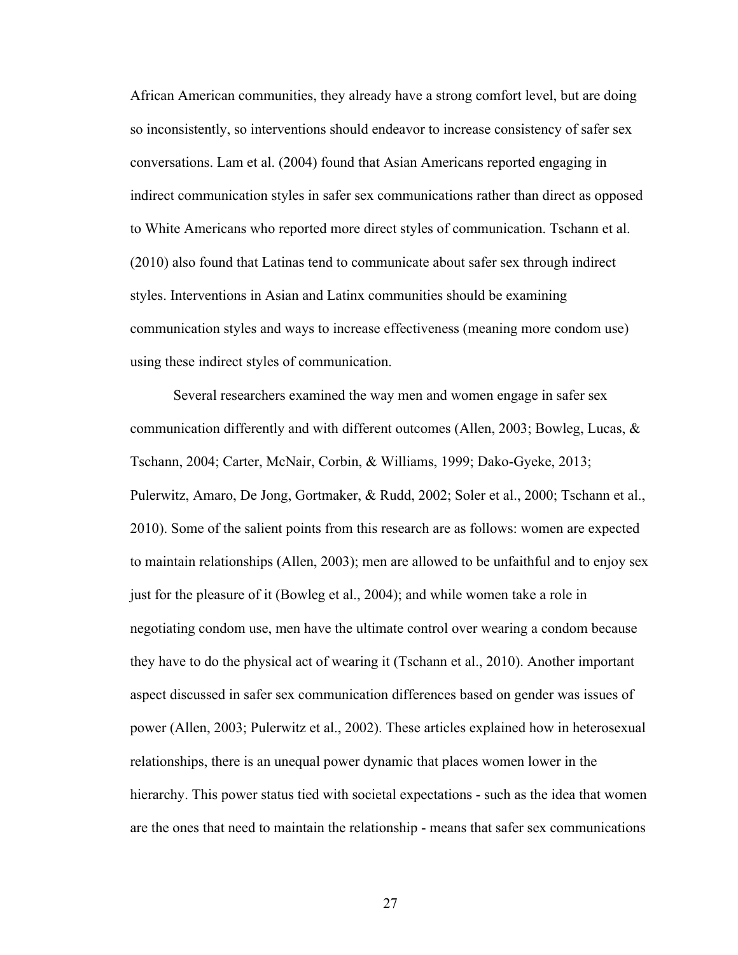African American communities, they already have a strong comfort level, but are doing so inconsistently, so interventions should endeavor to increase consistency of safer sex conversations. Lam et al. (2004) found that Asian Americans reported engaging in indirect communication styles in safer sex communications rather than direct as opposed to White Americans who reported more direct styles of communication. Tschann et al. (2010) also found that Latinas tend to communicate about safer sex through indirect styles. Interventions in Asian and Latinx communities should be examining communication styles and ways to increase effectiveness (meaning more condom use) using these indirect styles of communication.

Several researchers examined the way men and women engage in safer sex communication differently and with different outcomes (Allen, 2003; Bowleg, Lucas, & Tschann, 2004; Carter, McNair, Corbin, & Williams, 1999; Dako-Gyeke, 2013; Pulerwitz, Amaro, De Jong, Gortmaker, & Rudd, 2002; Soler et al., 2000; Tschann et al., 2010). Some of the salient points from this research are as follows: women are expected to maintain relationships (Allen, 2003); men are allowed to be unfaithful and to enjoy sex just for the pleasure of it (Bowleg et al., 2004); and while women take a role in negotiating condom use, men have the ultimate control over wearing a condom because they have to do the physical act of wearing it (Tschann et al., 2010). Another important aspect discussed in safer sex communication differences based on gender was issues of power (Allen, 2003; Pulerwitz et al., 2002). These articles explained how in heterosexual relationships, there is an unequal power dynamic that places women lower in the hierarchy. This power status tied with societal expectations - such as the idea that women are the ones that need to maintain the relationship - means that safer sex communications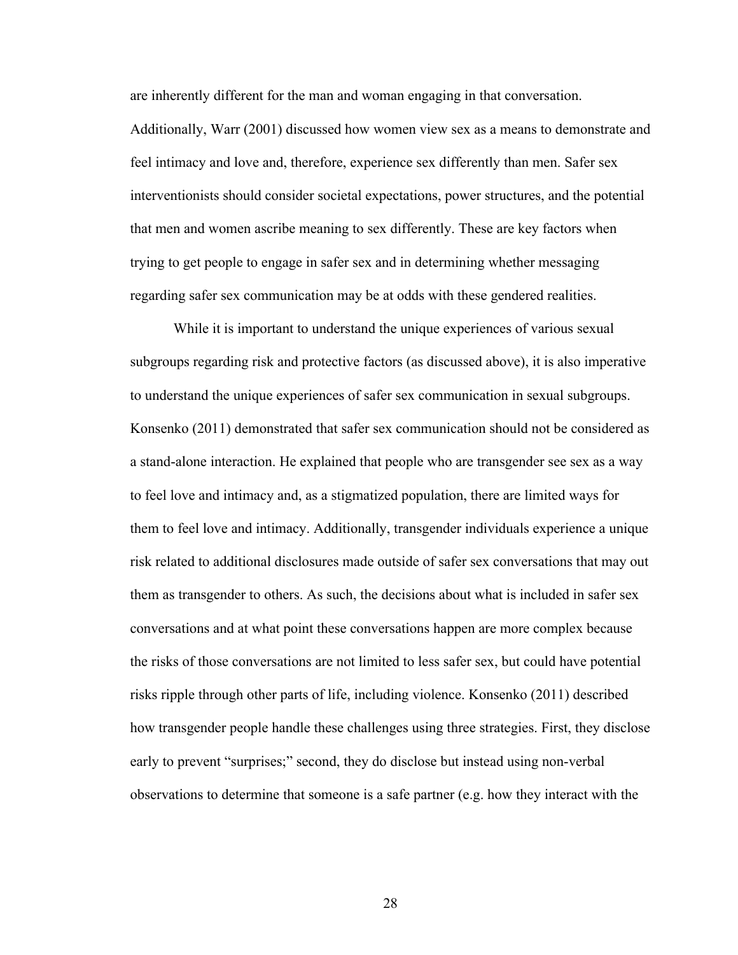are inherently different for the man and woman engaging in that conversation.

Additionally, Warr (2001) discussed how women view sex as a means to demonstrate and feel intimacy and love and, therefore, experience sex differently than men. Safer sex interventionists should consider societal expectations, power structures, and the potential that men and women ascribe meaning to sex differently. These are key factors when trying to get people to engage in safer sex and in determining whether messaging regarding safer sex communication may be at odds with these gendered realities.

While it is important to understand the unique experiences of various sexual subgroups regarding risk and protective factors (as discussed above), it is also imperative to understand the unique experiences of safer sex communication in sexual subgroups. Konsenko (2011) demonstrated that safer sex communication should not be considered as a stand-alone interaction. He explained that people who are transgender see sex as a way to feel love and intimacy and, as a stigmatized population, there are limited ways for them to feel love and intimacy. Additionally, transgender individuals experience a unique risk related to additional disclosures made outside of safer sex conversations that may out them as transgender to others. As such, the decisions about what is included in safer sex conversations and at what point these conversations happen are more complex because the risks of those conversations are not limited to less safer sex, but could have potential risks ripple through other parts of life, including violence. Konsenko (2011) described how transgender people handle these challenges using three strategies. First, they disclose early to prevent "surprises;" second, they do disclose but instead using non-verbal observations to determine that someone is a safe partner (e.g. how they interact with the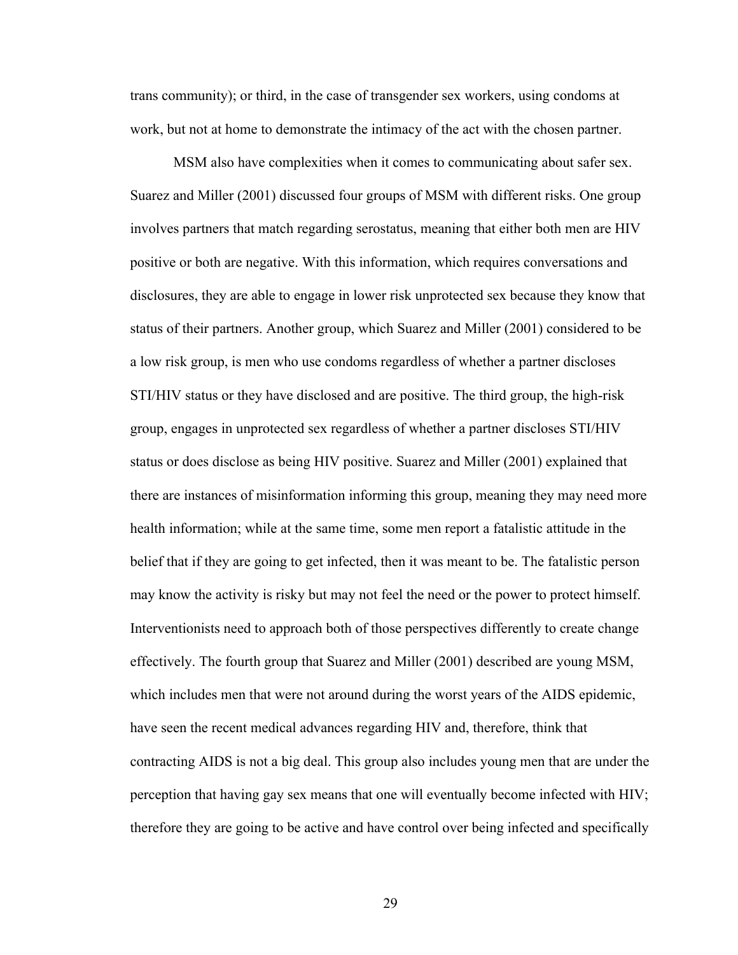trans community); or third, in the case of transgender sex workers, using condoms at work, but not at home to demonstrate the intimacy of the act with the chosen partner.

MSM also have complexities when it comes to communicating about safer sex. Suarez and Miller (2001) discussed four groups of MSM with different risks. One group involves partners that match regarding serostatus, meaning that either both men are HIV positive or both are negative. With this information, which requires conversations and disclosures, they are able to engage in lower risk unprotected sex because they know that status of their partners. Another group, which Suarez and Miller (2001) considered to be a low risk group, is men who use condoms regardless of whether a partner discloses STI/HIV status or they have disclosed and are positive. The third group, the high-risk group, engages in unprotected sex regardless of whether a partner discloses STI/HIV status or does disclose as being HIV positive. Suarez and Miller (2001) explained that there are instances of misinformation informing this group, meaning they may need more health information; while at the same time, some men report a fatalistic attitude in the belief that if they are going to get infected, then it was meant to be. The fatalistic person may know the activity is risky but may not feel the need or the power to protect himself. Interventionists need to approach both of those perspectives differently to create change effectively. The fourth group that Suarez and Miller (2001) described are young MSM, which includes men that were not around during the worst years of the AIDS epidemic, have seen the recent medical advances regarding HIV and, therefore, think that contracting AIDS is not a big deal. This group also includes young men that are under the perception that having gay sex means that one will eventually become infected with HIV; therefore they are going to be active and have control over being infected and specifically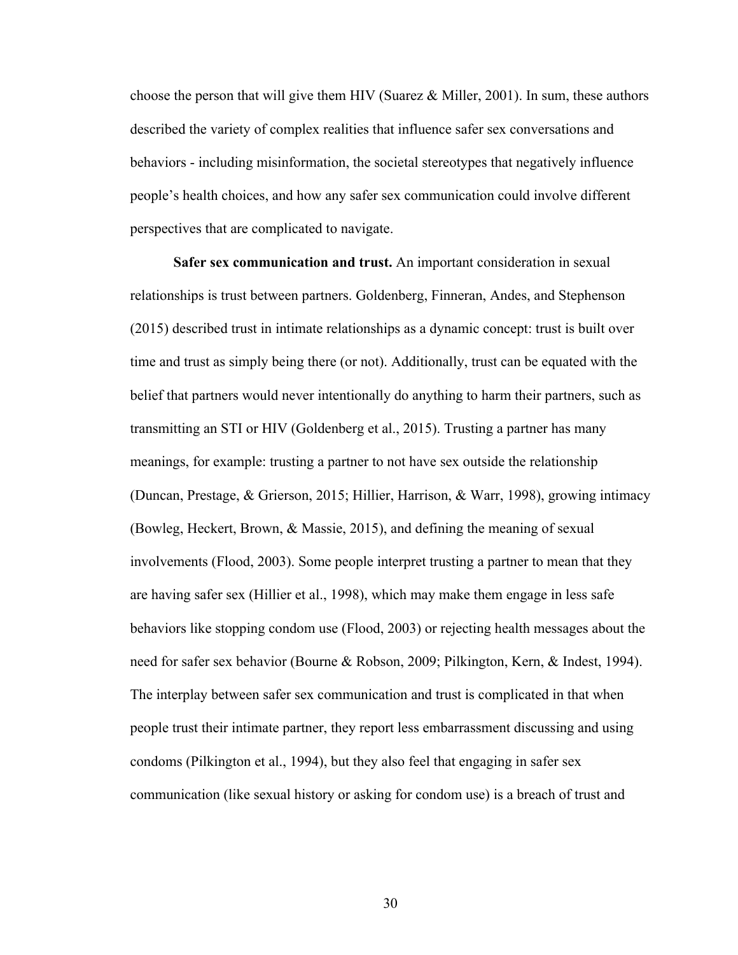choose the person that will give them HIV (Suarez & Miller, 2001). In sum, these authors described the variety of complex realities that influence safer sex conversations and behaviors - including misinformation, the societal stereotypes that negatively influence people's health choices, and how any safer sex communication could involve different perspectives that are complicated to navigate.

**Safer sex communication and trust.** An important consideration in sexual relationships is trust between partners. Goldenberg, Finneran, Andes, and Stephenson (2015) described trust in intimate relationships as a dynamic concept: trust is built over time and trust as simply being there (or not). Additionally, trust can be equated with the belief that partners would never intentionally do anything to harm their partners, such as transmitting an STI or HIV (Goldenberg et al., 2015). Trusting a partner has many meanings, for example: trusting a partner to not have sex outside the relationship (Duncan, Prestage, & Grierson, 2015; Hillier, Harrison, & Warr, 1998), growing intimacy (Bowleg, Heckert, Brown, & Massie, 2015), and defining the meaning of sexual involvements (Flood, 2003). Some people interpret trusting a partner to mean that they are having safer sex (Hillier et al., 1998), which may make them engage in less safe behaviors like stopping condom use (Flood, 2003) or rejecting health messages about the need for safer sex behavior (Bourne & Robson, 2009; Pilkington, Kern, & Indest, 1994). The interplay between safer sex communication and trust is complicated in that when people trust their intimate partner, they report less embarrassment discussing and using condoms (Pilkington et al., 1994), but they also feel that engaging in safer sex communication (like sexual history or asking for condom use) is a breach of trust and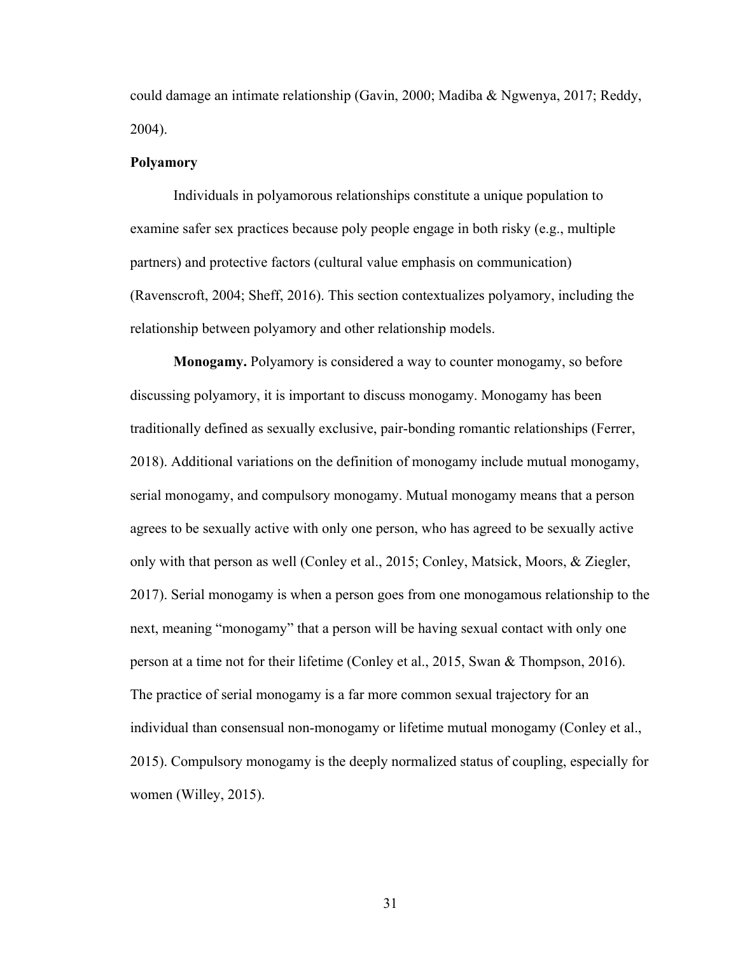could damage an intimate relationship (Gavin, 2000; Madiba & Ngwenya, 2017; Reddy, 2004).

#### **Polyamory**

Individuals in polyamorous relationships constitute a unique population to examine safer sex practices because poly people engage in both risky (e.g., multiple partners) and protective factors (cultural value emphasis on communication) (Ravenscroft, 2004; Sheff, 2016). This section contextualizes polyamory, including the relationship between polyamory and other relationship models.

**Monogamy.** Polyamory is considered a way to counter monogamy, so before discussing polyamory, it is important to discuss monogamy. Monogamy has been traditionally defined as sexually exclusive, pair-bonding romantic relationships (Ferrer, 2018). Additional variations on the definition of monogamy include mutual monogamy, serial monogamy, and compulsory monogamy. Mutual monogamy means that a person agrees to be sexually active with only one person, who has agreed to be sexually active only with that person as well (Conley et al., 2015; Conley, Matsick, Moors, & Ziegler, 2017). Serial monogamy is when a person goes from one monogamous relationship to the next, meaning "monogamy" that a person will be having sexual contact with only one person at a time not for their lifetime (Conley et al., 2015, Swan & Thompson, 2016). The practice of serial monogamy is a far more common sexual trajectory for an individual than consensual non-monogamy or lifetime mutual monogamy (Conley et al., 2015). Compulsory monogamy is the deeply normalized status of coupling, especially for women (Willey, 2015).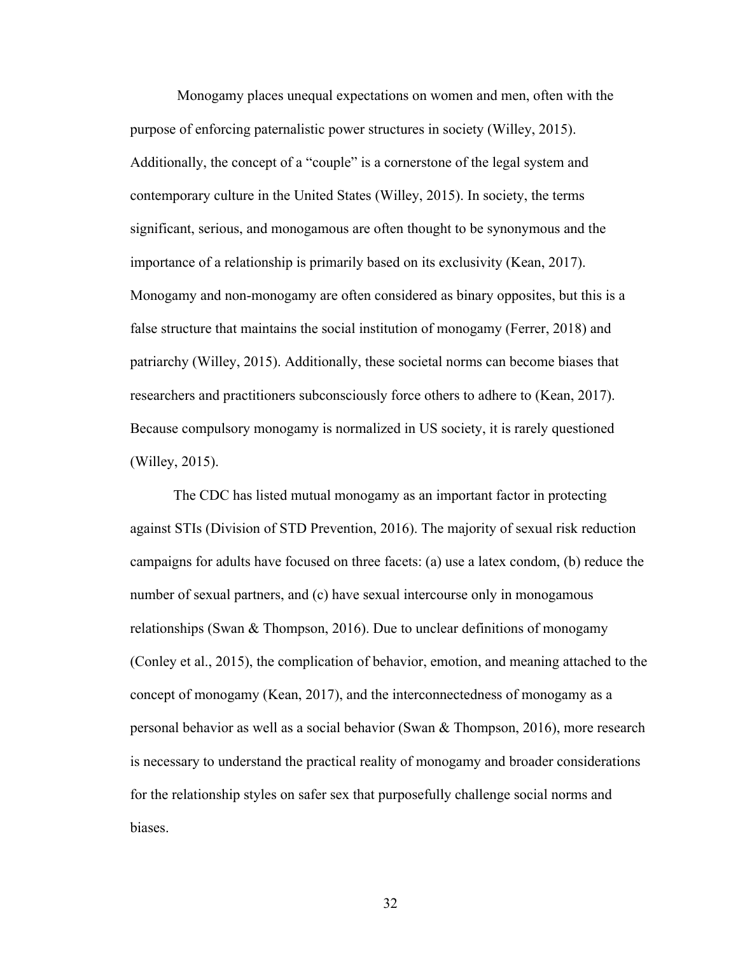Monogamy places unequal expectations on women and men, often with the purpose of enforcing paternalistic power structures in society (Willey, 2015). Additionally, the concept of a "couple" is a cornerstone of the legal system and contemporary culture in the United States (Willey, 2015). In society, the terms significant, serious, and monogamous are often thought to be synonymous and the importance of a relationship is primarily based on its exclusivity (Kean, 2017). Monogamy and non-monogamy are often considered as binary opposites, but this is a false structure that maintains the social institution of monogamy (Ferrer, 2018) and patriarchy (Willey, 2015). Additionally, these societal norms can become biases that researchers and practitioners subconsciously force others to adhere to (Kean, 2017). Because compulsory monogamy is normalized in US society, it is rarely questioned (Willey, 2015).

The CDC has listed mutual monogamy as an important factor in protecting against STIs (Division of STD Prevention, 2016). The majority of sexual risk reduction campaigns for adults have focused on three facets: (a) use a latex condom, (b) reduce the number of sexual partners, and (c) have sexual intercourse only in monogamous relationships (Swan & Thompson, 2016). Due to unclear definitions of monogamy (Conley et al., 2015), the complication of behavior, emotion, and meaning attached to the concept of monogamy (Kean, 2017), and the interconnectedness of monogamy as a personal behavior as well as a social behavior (Swan & Thompson, 2016), more research is necessary to understand the practical reality of monogamy and broader considerations for the relationship styles on safer sex that purposefully challenge social norms and biases.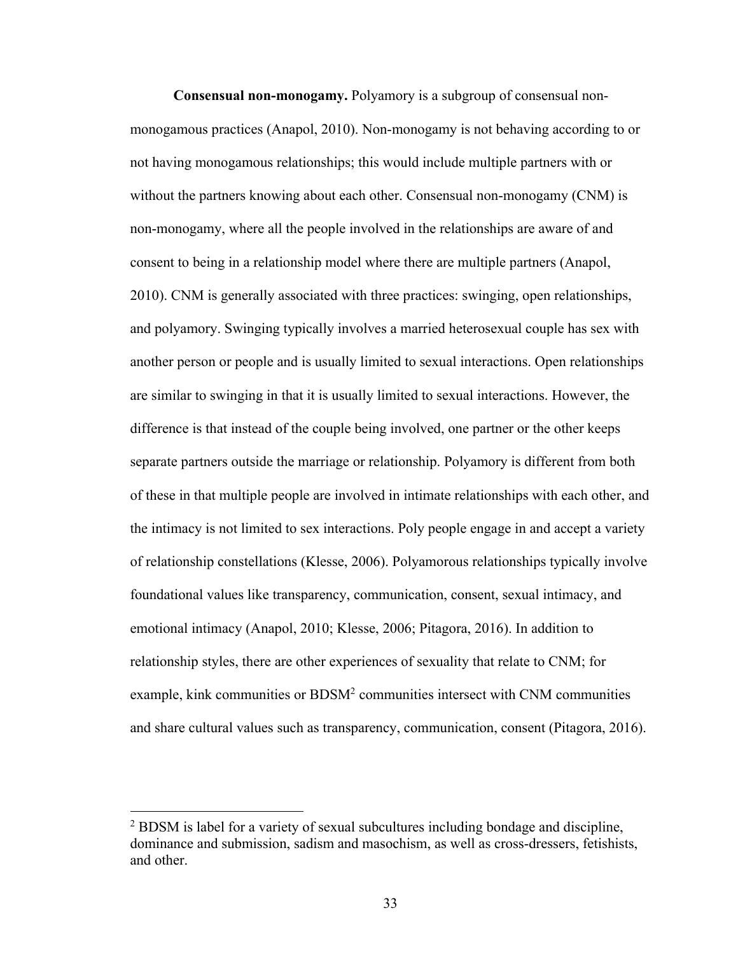**Consensual non-monogamy.** Polyamory is a subgroup of consensual nonmonogamous practices (Anapol, 2010). Non-monogamy is not behaving according to or not having monogamous relationships; this would include multiple partners with or without the partners knowing about each other. Consensual non-monogamy (CNM) is non-monogamy, where all the people involved in the relationships are aware of and consent to being in a relationship model where there are multiple partners (Anapol, 2010). CNM is generally associated with three practices: swinging, open relationships, and polyamory. Swinging typically involves a married heterosexual couple has sex with another person or people and is usually limited to sexual interactions. Open relationships are similar to swinging in that it is usually limited to sexual interactions. However, the difference is that instead of the couple being involved, one partner or the other keeps separate partners outside the marriage or relationship. Polyamory is different from both of these in that multiple people are involved in intimate relationships with each other, and the intimacy is not limited to sex interactions. Poly people engage in and accept a variety of relationship constellations (Klesse, 2006). Polyamorous relationships typically involve foundational values like transparency, communication, consent, sexual intimacy, and emotional intimacy (Anapol, 2010; Klesse, 2006; Pitagora, 2016). In addition to relationship styles, there are other experiences of sexuality that relate to CNM; for example, kink communities or BDSM<sup>2</sup> communities intersect with CNM communities and share cultural values such as transparency, communication, consent (Pitagora, 2016).

<sup>&</sup>lt;sup>2</sup> BDSM is label for a variety of sexual subcultures including bondage and discipline, dominance and submission, sadism and masochism, as well as cross-dressers, fetishists, and other.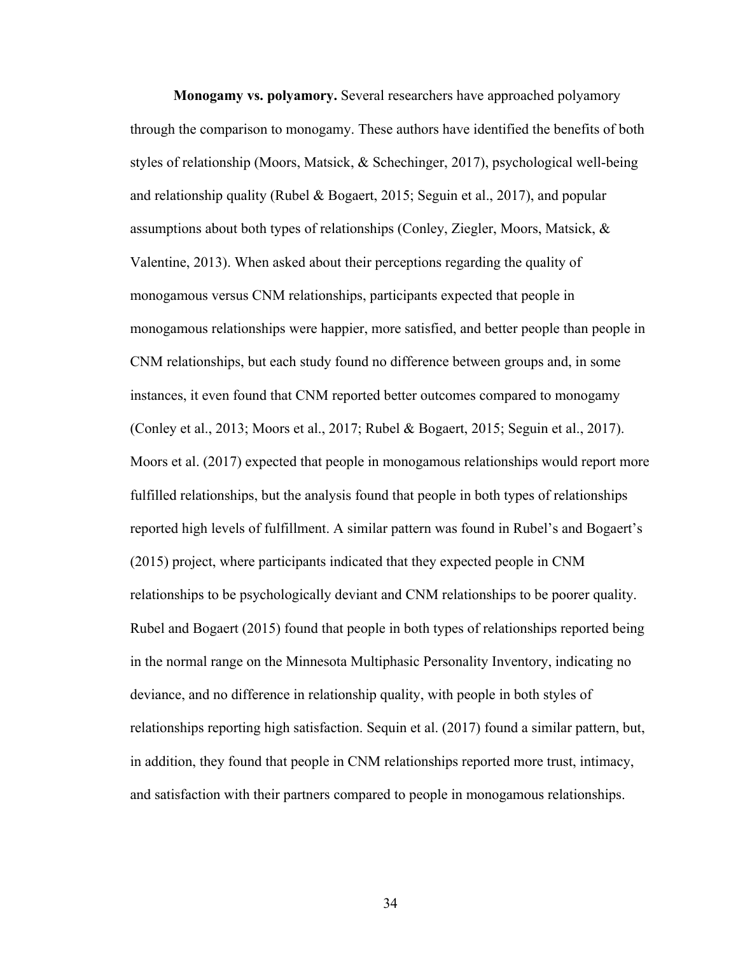**Monogamy vs. polyamory.** Several researchers have approached polyamory through the comparison to monogamy. These authors have identified the benefits of both styles of relationship (Moors, Matsick, & Schechinger, 2017), psychological well-being and relationship quality (Rubel & Bogaert, 2015; Seguin et al., 2017), and popular assumptions about both types of relationships (Conley, Ziegler, Moors, Matsick, & Valentine, 2013). When asked about their perceptions regarding the quality of monogamous versus CNM relationships, participants expected that people in monogamous relationships were happier, more satisfied, and better people than people in CNM relationships, but each study found no difference between groups and, in some instances, it even found that CNM reported better outcomes compared to monogamy (Conley et al., 2013; Moors et al., 2017; Rubel & Bogaert, 2015; Seguin et al., 2017). Moors et al. (2017) expected that people in monogamous relationships would report more fulfilled relationships, but the analysis found that people in both types of relationships reported high levels of fulfillment. A similar pattern was found in Rubel's and Bogaert's (2015) project, where participants indicated that they expected people in CNM relationships to be psychologically deviant and CNM relationships to be poorer quality. Rubel and Bogaert (2015) found that people in both types of relationships reported being in the normal range on the Minnesota Multiphasic Personality Inventory, indicating no deviance, and no difference in relationship quality, with people in both styles of relationships reporting high satisfaction. Sequin et al. (2017) found a similar pattern, but, in addition, they found that people in CNM relationships reported more trust, intimacy, and satisfaction with their partners compared to people in monogamous relationships.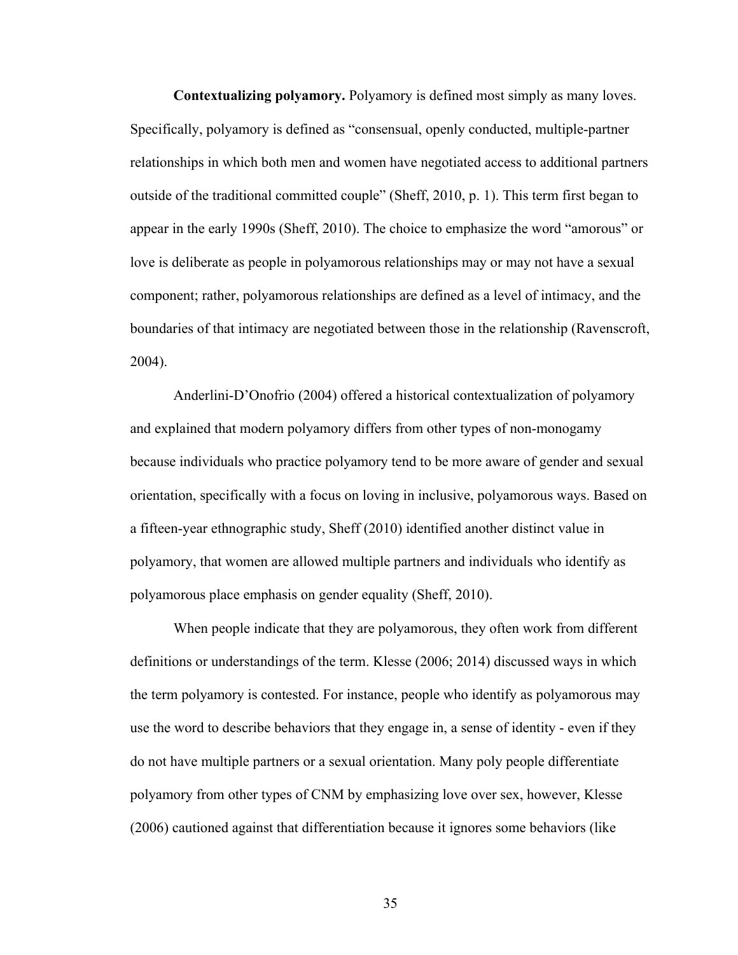**Contextualizing polyamory.** Polyamory is defined most simply as many loves. Specifically, polyamory is defined as "consensual, openly conducted, multiple-partner relationships in which both men and women have negotiated access to additional partners outside of the traditional committed couple" (Sheff, 2010, p. 1). This term first began to appear in the early 1990s (Sheff, 2010). The choice to emphasize the word "amorous" or love is deliberate as people in polyamorous relationships may or may not have a sexual component; rather, polyamorous relationships are defined as a level of intimacy, and the boundaries of that intimacy are negotiated between those in the relationship (Ravenscroft, 2004).

Anderlini-D'Onofrio (2004) offered a historical contextualization of polyamory and explained that modern polyamory differs from other types of non-monogamy because individuals who practice polyamory tend to be more aware of gender and sexual orientation, specifically with a focus on loving in inclusive, polyamorous ways. Based on a fifteen-year ethnographic study, Sheff (2010) identified another distinct value in polyamory, that women are allowed multiple partners and individuals who identify as polyamorous place emphasis on gender equality (Sheff, 2010).

When people indicate that they are polyamorous, they often work from different definitions or understandings of the term. Klesse (2006; 2014) discussed ways in which the term polyamory is contested. For instance, people who identify as polyamorous may use the word to describe behaviors that they engage in, a sense of identity - even if they do not have multiple partners or a sexual orientation. Many poly people differentiate polyamory from other types of CNM by emphasizing love over sex, however, Klesse (2006) cautioned against that differentiation because it ignores some behaviors (like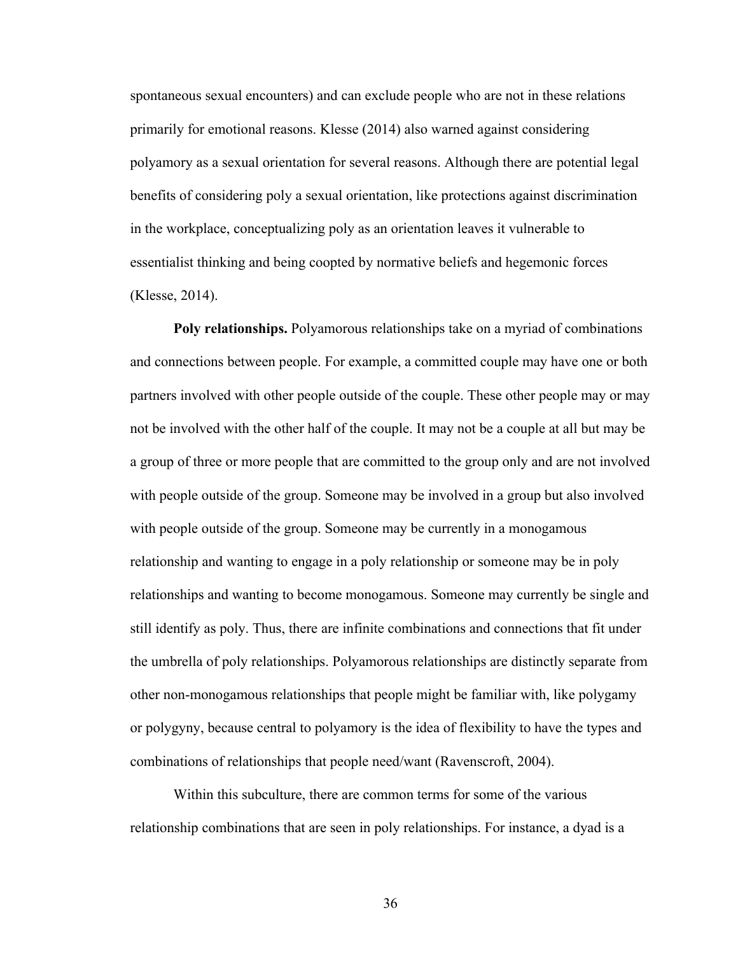spontaneous sexual encounters) and can exclude people who are not in these relations primarily for emotional reasons. Klesse (2014) also warned against considering polyamory as a sexual orientation for several reasons. Although there are potential legal benefits of considering poly a sexual orientation, like protections against discrimination in the workplace, conceptualizing poly as an orientation leaves it vulnerable to essentialist thinking and being coopted by normative beliefs and hegemonic forces (Klesse, 2014).

**Poly relationships.** Polyamorous relationships take on a myriad of combinations and connections between people. For example, a committed couple may have one or both partners involved with other people outside of the couple. These other people may or may not be involved with the other half of the couple. It may not be a couple at all but may be a group of three or more people that are committed to the group only and are not involved with people outside of the group. Someone may be involved in a group but also involved with people outside of the group. Someone may be currently in a monogamous relationship and wanting to engage in a poly relationship or someone may be in poly relationships and wanting to become monogamous. Someone may currently be single and still identify as poly. Thus, there are infinite combinations and connections that fit under the umbrella of poly relationships. Polyamorous relationships are distinctly separate from other non-monogamous relationships that people might be familiar with, like polygamy or polygyny, because central to polyamory is the idea of flexibility to have the types and combinations of relationships that people need/want (Ravenscroft, 2004).

Within this subculture, there are common terms for some of the various relationship combinations that are seen in poly relationships. For instance, a dyad is a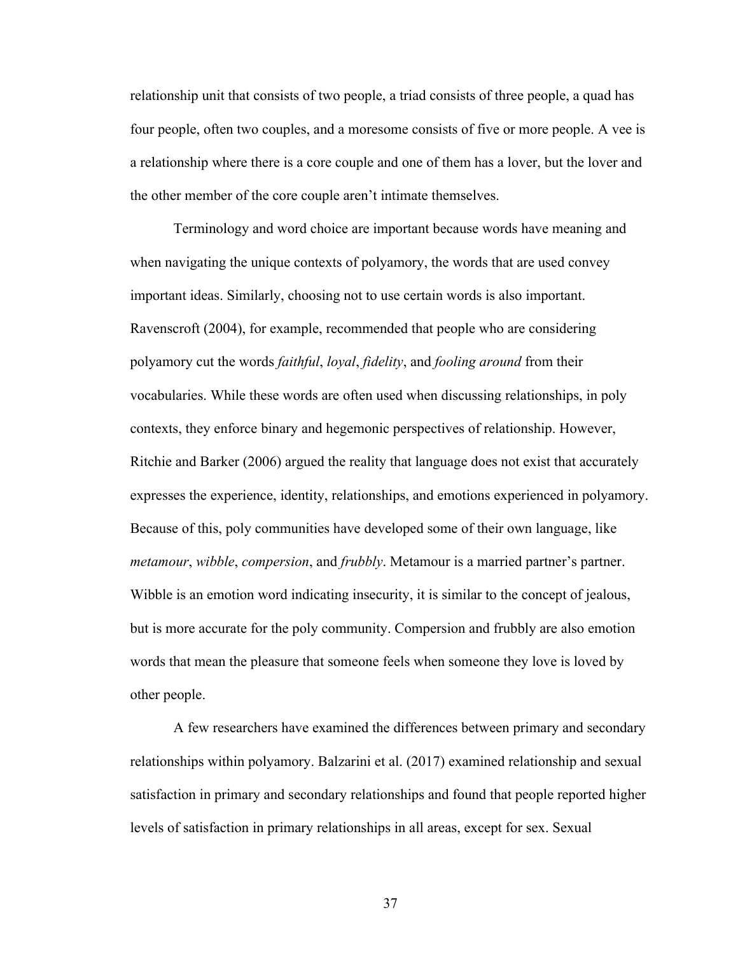relationship unit that consists of two people, a triad consists of three people, a quad has four people, often two couples, and a moresome consists of five or more people. A vee is a relationship where there is a core couple and one of them has a lover, but the lover and the other member of the core couple aren't intimate themselves.

Terminology and word choice are important because words have meaning and when navigating the unique contexts of polyamory, the words that are used convey important ideas. Similarly, choosing not to use certain words is also important. Ravenscroft (2004), for example, recommended that people who are considering polyamory cut the words *faithful*, *loyal*, *fidelity*, and *fooling around* from their vocabularies. While these words are often used when discussing relationships, in poly contexts, they enforce binary and hegemonic perspectives of relationship. However, Ritchie and Barker (2006) argued the reality that language does not exist that accurately expresses the experience, identity, relationships, and emotions experienced in polyamory. Because of this, poly communities have developed some of their own language, like *metamour*, *wibble*, *compersion*, and *frubbly*. Metamour is a married partner's partner. Wibble is an emotion word indicating insecurity, it is similar to the concept of jealous, but is more accurate for the poly community. Compersion and frubbly are also emotion words that mean the pleasure that someone feels when someone they love is loved by other people.

A few researchers have examined the differences between primary and secondary relationships within polyamory. Balzarini et al. (2017) examined relationship and sexual satisfaction in primary and secondary relationships and found that people reported higher levels of satisfaction in primary relationships in all areas, except for sex. Sexual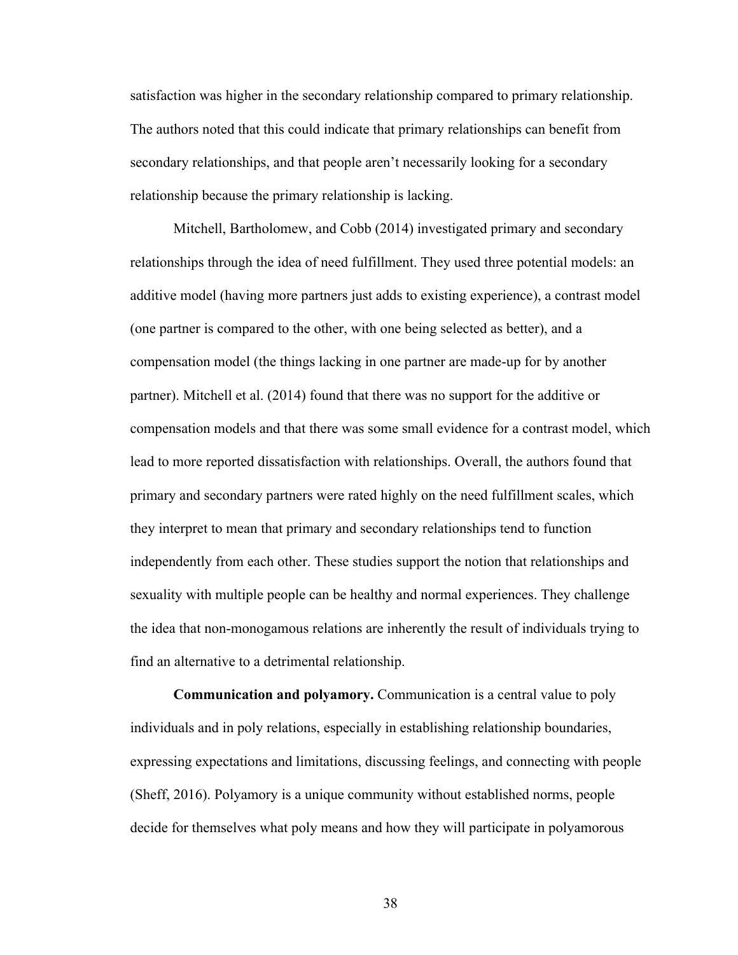satisfaction was higher in the secondary relationship compared to primary relationship. The authors noted that this could indicate that primary relationships can benefit from secondary relationships, and that people aren't necessarily looking for a secondary relationship because the primary relationship is lacking.

Mitchell, Bartholomew, and Cobb (2014) investigated primary and secondary relationships through the idea of need fulfillment. They used three potential models: an additive model (having more partners just adds to existing experience), a contrast model (one partner is compared to the other, with one being selected as better), and a compensation model (the things lacking in one partner are made-up for by another partner). Mitchell et al. (2014) found that there was no support for the additive or compensation models and that there was some small evidence for a contrast model, which lead to more reported dissatisfaction with relationships. Overall, the authors found that primary and secondary partners were rated highly on the need fulfillment scales, which they interpret to mean that primary and secondary relationships tend to function independently from each other. These studies support the notion that relationships and sexuality with multiple people can be healthy and normal experiences. They challenge the idea that non-monogamous relations are inherently the result of individuals trying to find an alternative to a detrimental relationship.

**Communication and polyamory.** Communication is a central value to poly individuals and in poly relations, especially in establishing relationship boundaries, expressing expectations and limitations, discussing feelings, and connecting with people (Sheff, 2016). Polyamory is a unique community without established norms, people decide for themselves what poly means and how they will participate in polyamorous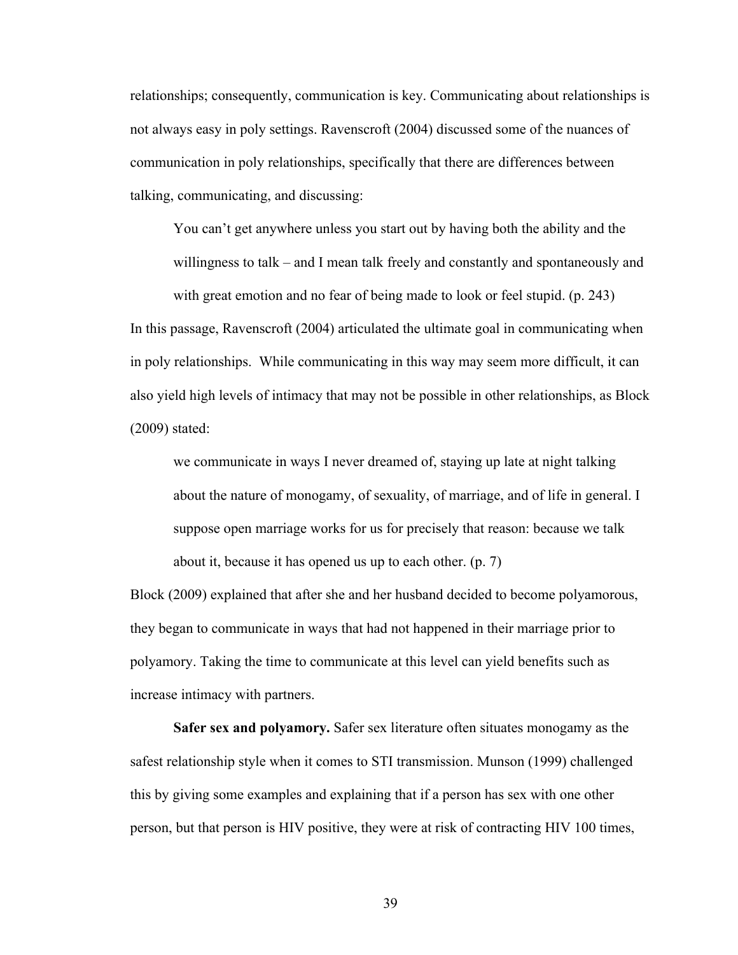relationships; consequently, communication is key. Communicating about relationships is not always easy in poly settings. Ravenscroft (2004) discussed some of the nuances of communication in poly relationships, specifically that there are differences between talking, communicating, and discussing:

You can't get anywhere unless you start out by having both the ability and the willingness to talk – and I mean talk freely and constantly and spontaneously and

with great emotion and no fear of being made to look or feel stupid. (p. 243) In this passage, Ravenscroft (2004) articulated the ultimate goal in communicating when in poly relationships. While communicating in this way may seem more difficult, it can also yield high levels of intimacy that may not be possible in other relationships, as Block (2009) stated:

we communicate in ways I never dreamed of, staying up late at night talking about the nature of monogamy, of sexuality, of marriage, and of life in general. I suppose open marriage works for us for precisely that reason: because we talk about it, because it has opened us up to each other. (p. 7)

Block (2009) explained that after she and her husband decided to become polyamorous, they began to communicate in ways that had not happened in their marriage prior to polyamory. Taking the time to communicate at this level can yield benefits such as increase intimacy with partners.

**Safer sex and polyamory.** Safer sex literature often situates monogamy as the safest relationship style when it comes to STI transmission. Munson (1999) challenged this by giving some examples and explaining that if a person has sex with one other person, but that person is HIV positive, they were at risk of contracting HIV 100 times,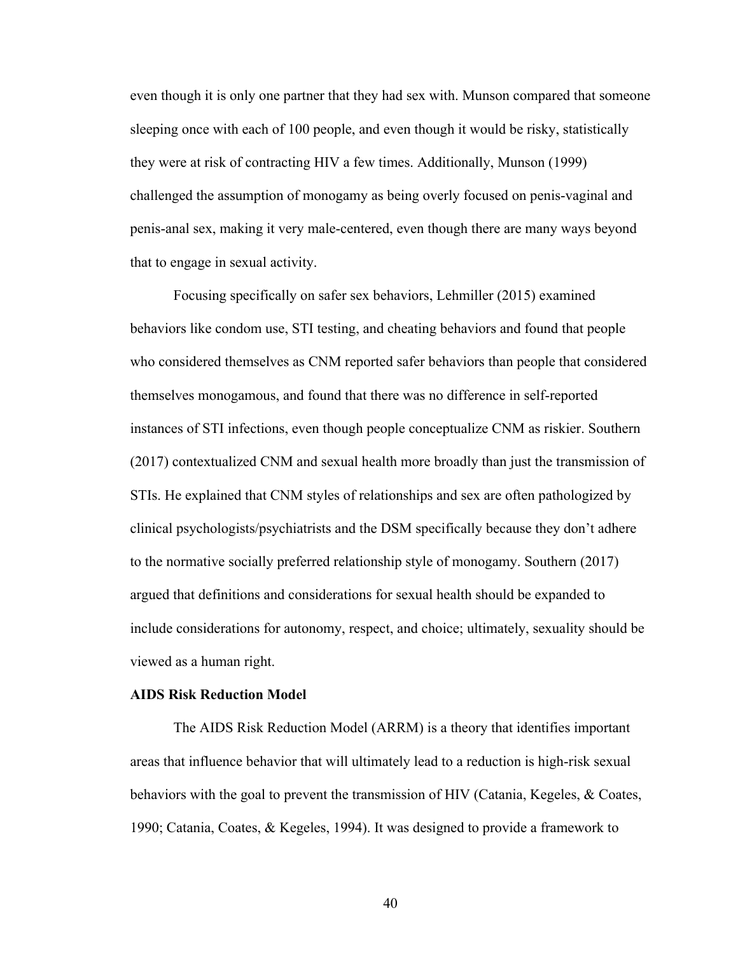even though it is only one partner that they had sex with. Munson compared that someone sleeping once with each of 100 people, and even though it would be risky, statistically they were at risk of contracting HIV a few times. Additionally, Munson (1999) challenged the assumption of monogamy as being overly focused on penis-vaginal and penis-anal sex, making it very male-centered, even though there are many ways beyond that to engage in sexual activity.

Focusing specifically on safer sex behaviors, Lehmiller (2015) examined behaviors like condom use, STI testing, and cheating behaviors and found that people who considered themselves as CNM reported safer behaviors than people that considered themselves monogamous, and found that there was no difference in self-reported instances of STI infections, even though people conceptualize CNM as riskier. Southern (2017) contextualized CNM and sexual health more broadly than just the transmission of STIs. He explained that CNM styles of relationships and sex are often pathologized by clinical psychologists/psychiatrists and the DSM specifically because they don't adhere to the normative socially preferred relationship style of monogamy. Southern (2017) argued that definitions and considerations for sexual health should be expanded to include considerations for autonomy, respect, and choice; ultimately, sexuality should be viewed as a human right.

## **AIDS Risk Reduction Model**

The AIDS Risk Reduction Model (ARRM) is a theory that identifies important areas that influence behavior that will ultimately lead to a reduction is high-risk sexual behaviors with the goal to prevent the transmission of HIV (Catania, Kegeles, & Coates, 1990; Catania, Coates, & Kegeles, 1994). It was designed to provide a framework to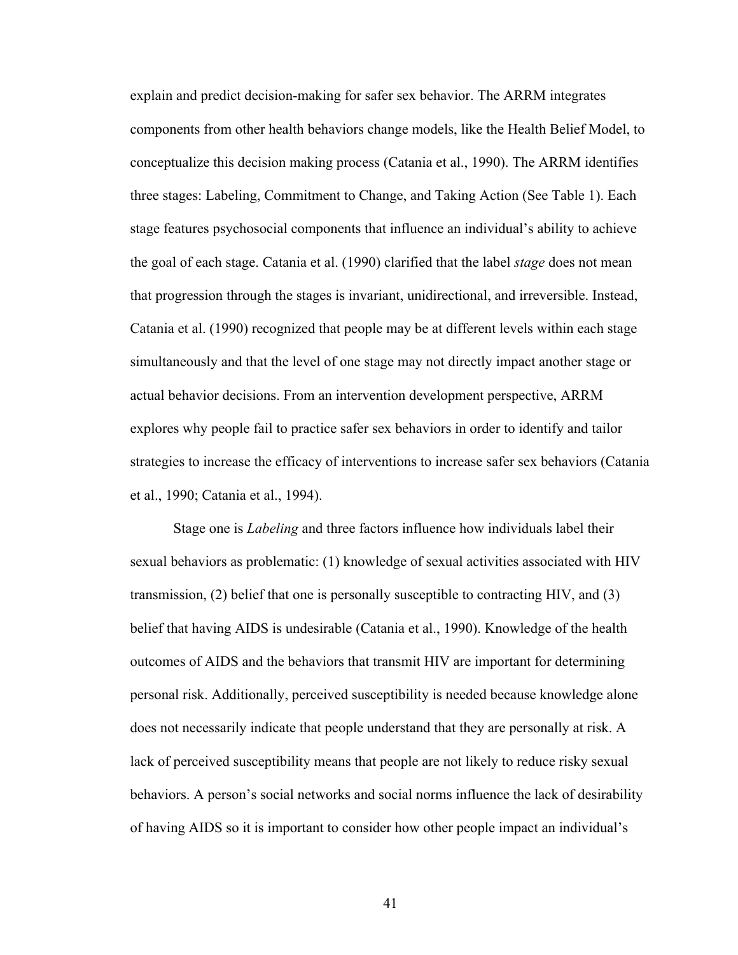explain and predict decision-making for safer sex behavior. The ARRM integrates components from other health behaviors change models, like the Health Belief Model, to conceptualize this decision making process (Catania et al., 1990). The ARRM identifies three stages: Labeling, Commitment to Change, and Taking Action (See Table 1). Each stage features psychosocial components that influence an individual's ability to achieve the goal of each stage. Catania et al. (1990) clarified that the label *stage* does not mean that progression through the stages is invariant, unidirectional, and irreversible. Instead, Catania et al. (1990) recognized that people may be at different levels within each stage simultaneously and that the level of one stage may not directly impact another stage or actual behavior decisions. From an intervention development perspective, ARRM explores why people fail to practice safer sex behaviors in order to identify and tailor strategies to increase the efficacy of interventions to increase safer sex behaviors (Catania et al., 1990; Catania et al., 1994).

Stage one is *Labeling* and three factors influence how individuals label their sexual behaviors as problematic: (1) knowledge of sexual activities associated with HIV transmission, (2) belief that one is personally susceptible to contracting HIV, and (3) belief that having AIDS is undesirable (Catania et al., 1990). Knowledge of the health outcomes of AIDS and the behaviors that transmit HIV are important for determining personal risk. Additionally, perceived susceptibility is needed because knowledge alone does not necessarily indicate that people understand that they are personally at risk. A lack of perceived susceptibility means that people are not likely to reduce risky sexual behaviors. A person's social networks and social norms influence the lack of desirability of having AIDS so it is important to consider how other people impact an individual's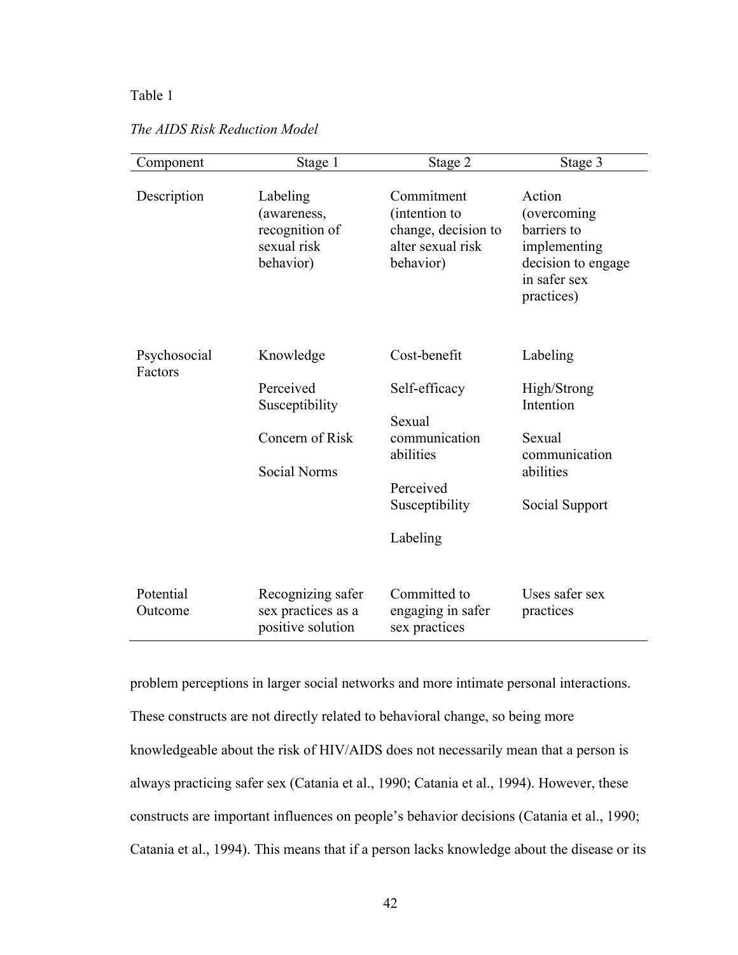# Table 1

| Component               | Stage 1                                                                            | Stage 2                                                                                                          | Stage 3                                                                                                   |
|-------------------------|------------------------------------------------------------------------------------|------------------------------------------------------------------------------------------------------------------|-----------------------------------------------------------------------------------------------------------|
| Description             | Labeling<br>(awareness,<br>recognition of<br>sexual risk<br>behavior)              | Commitment<br>(intention to<br>change, decision to<br>alter sexual risk<br>behavior)                             | Action<br>(overcoming)<br>barriers to<br>implementing<br>decision to engage<br>in safer sex<br>practices) |
| Psychosocial<br>Factors | Knowledge<br>Perceived<br>Susceptibility<br>Concern of Risk<br><b>Social Norms</b> | Cost-benefit<br>Self-efficacy<br>Sexual<br>communication<br>abilities<br>Perceived<br>Susceptibility<br>Labeling | Labeling<br>High/Strong<br>Intention<br>Sexual<br>communication<br>abilities<br>Social Support            |
| Potential<br>Outcome    | Recognizing safer<br>sex practices as a<br>positive solution                       | Committed to<br>engaging in safer<br>sex practices                                                               | Uses safer sex<br>practices                                                                               |

*The AIDS Risk Reduction Model* 

problem perceptions in larger social networks and more intimate personal interactions. These constructs are not directly related to behavioral change, so being more knowledgeable about the risk of HIV/AIDS does not necessarily mean that a person is always practicing safer sex (Catania et al., 1990; Catania et al., 1994). However, these constructs are important influences on people's behavior decisions (Catania et al., 1990; Catania et al., 1994). This means that if a person lacks knowledge about the disease or its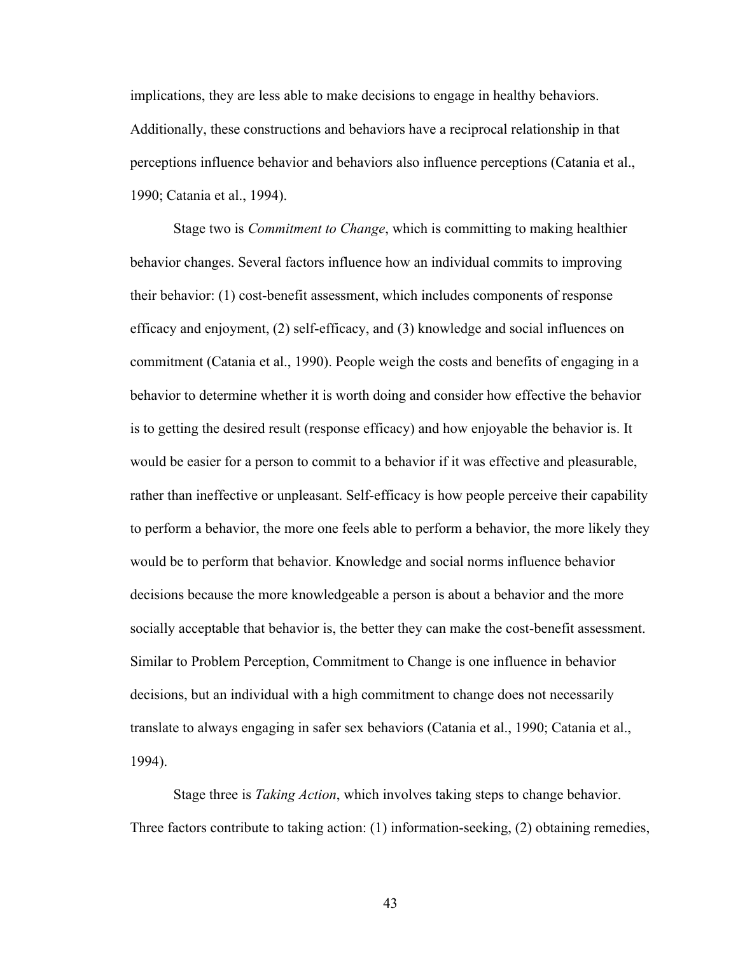implications, they are less able to make decisions to engage in healthy behaviors. Additionally, these constructions and behaviors have a reciprocal relationship in that perceptions influence behavior and behaviors also influence perceptions (Catania et al., 1990; Catania et al., 1994).

Stage two is *Commitment to Change*, which is committing to making healthier behavior changes. Several factors influence how an individual commits to improving their behavior: (1) cost-benefit assessment, which includes components of response efficacy and enjoyment, (2) self-efficacy, and (3) knowledge and social influences on commitment (Catania et al., 1990). People weigh the costs and benefits of engaging in a behavior to determine whether it is worth doing and consider how effective the behavior is to getting the desired result (response efficacy) and how enjoyable the behavior is. It would be easier for a person to commit to a behavior if it was effective and pleasurable, rather than ineffective or unpleasant. Self-efficacy is how people perceive their capability to perform a behavior, the more one feels able to perform a behavior, the more likely they would be to perform that behavior. Knowledge and social norms influence behavior decisions because the more knowledgeable a person is about a behavior and the more socially acceptable that behavior is, the better they can make the cost-benefit assessment. Similar to Problem Perception, Commitment to Change is one influence in behavior decisions, but an individual with a high commitment to change does not necessarily translate to always engaging in safer sex behaviors (Catania et al., 1990; Catania et al., 1994).

Stage three is *Taking Action*, which involves taking steps to change behavior. Three factors contribute to taking action: (1) information-seeking, (2) obtaining remedies,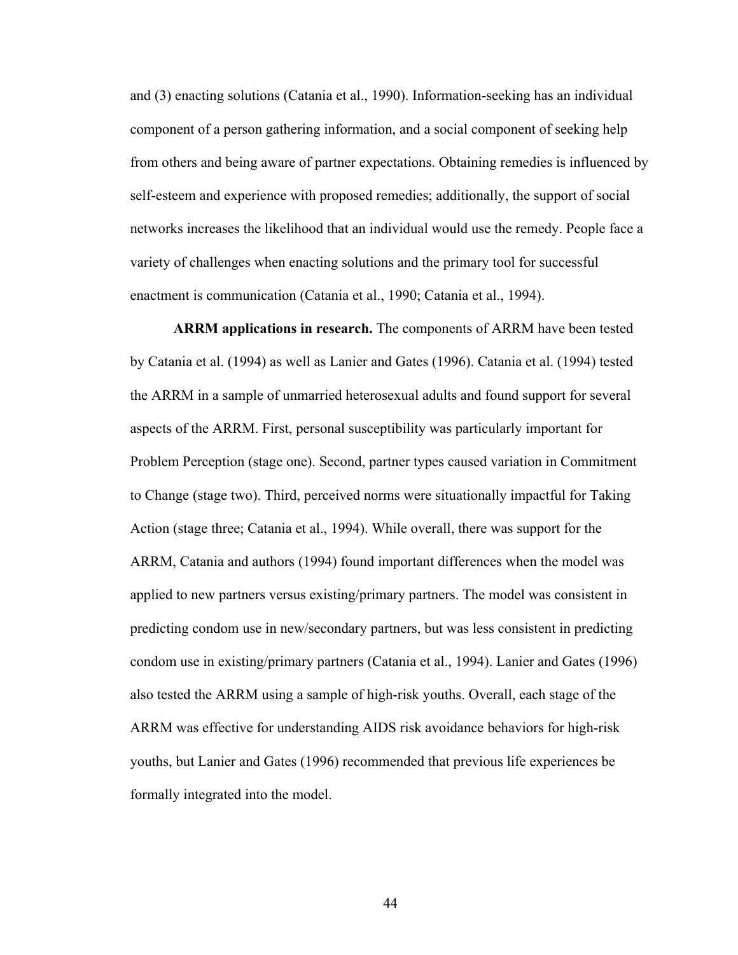and (3) enacting solutions (Catania et al., 1990). Information-seeking has an individual component of a person gathering information, and a social component of seeking help from others and being aware of partner expectations. Obtaining remedies is influenced by self-esteem and experience with proposed remedies; additionally, the support of social networks increases the likelihood that an individual would use the remedy. People face a variety of challenges when enacting solutions and the primary tool for successful enactment is communication (Catania et al., 1990; Catania et al., 1994).

**ARRM applications in research.** The components of ARRM have been tested by Catania et al. (1994) as well as Lanier and Gates (1996). Catania et al. (1994) tested the ARRM in a sample of unmarried heterosexual adults and found support for several aspects of the ARRM. First, personal susceptibility was particularly important for Problem Perception (stage one). Second, partner types caused variation in Commitment to Change (stage two). Third, perceived norms were situationally impactful for Taking Action (stage three; Catania et al., 1994). While overall, there was support for the ARRM, Catania and authors (1994) found important differences when the model was applied to new partners versus existing/primary partners. The model was consistent in predicting condom use in new/secondary partners, but was less consistent in predicting condom use in existing/primary partners (Catania et al., 1994). Lanier and Gates (1996) also tested the ARRM using a sample of high-risk youths. Overall, each stage of the ARRM was effective for understanding AIDS risk avoidance behaviors for high-risk youths, but Lanier and Gates (1996) recommended that previous life experiences be formally integrated into the model.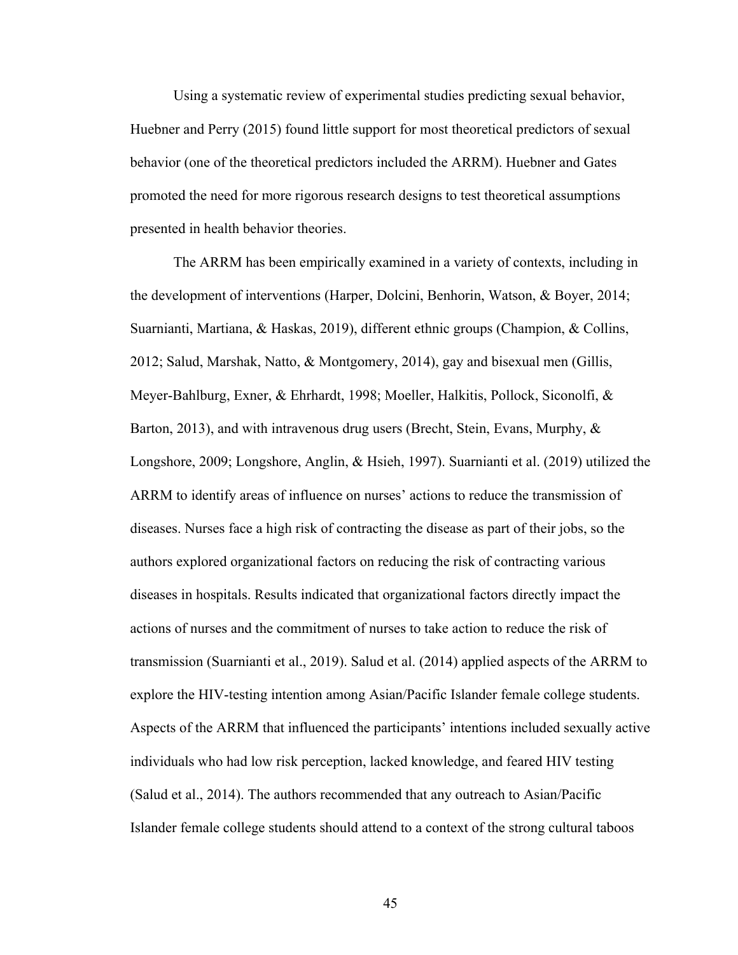Using a systematic review of experimental studies predicting sexual behavior, Huebner and Perry (2015) found little support for most theoretical predictors of sexual behavior (one of the theoretical predictors included the ARRM). Huebner and Gates promoted the need for more rigorous research designs to test theoretical assumptions presented in health behavior theories.

The ARRM has been empirically examined in a variety of contexts, including in the development of interventions (Harper, Dolcini, Benhorin, Watson, & Boyer, 2014; Suarnianti, Martiana, & Haskas, 2019), different ethnic groups (Champion, & Collins, 2012; Salud, Marshak, Natto, & Montgomery, 2014), gay and bisexual men (Gillis, Meyer-Bahlburg, Exner, & Ehrhardt, 1998; Moeller, Halkitis, Pollock, Siconolfi, & Barton, 2013), and with intravenous drug users (Brecht, Stein, Evans, Murphy,  $\&$ Longshore, 2009; Longshore, Anglin, & Hsieh, 1997). Suarnianti et al. (2019) utilized the ARRM to identify areas of influence on nurses' actions to reduce the transmission of diseases. Nurses face a high risk of contracting the disease as part of their jobs, so the authors explored organizational factors on reducing the risk of contracting various diseases in hospitals. Results indicated that organizational factors directly impact the actions of nurses and the commitment of nurses to take action to reduce the risk of transmission (Suarnianti et al., 2019). Salud et al. (2014) applied aspects of the ARRM to explore the HIV-testing intention among Asian/Pacific Islander female college students. Aspects of the ARRM that influenced the participants' intentions included sexually active individuals who had low risk perception, lacked knowledge, and feared HIV testing (Salud et al., 2014). The authors recommended that any outreach to Asian/Pacific Islander female college students should attend to a context of the strong cultural taboos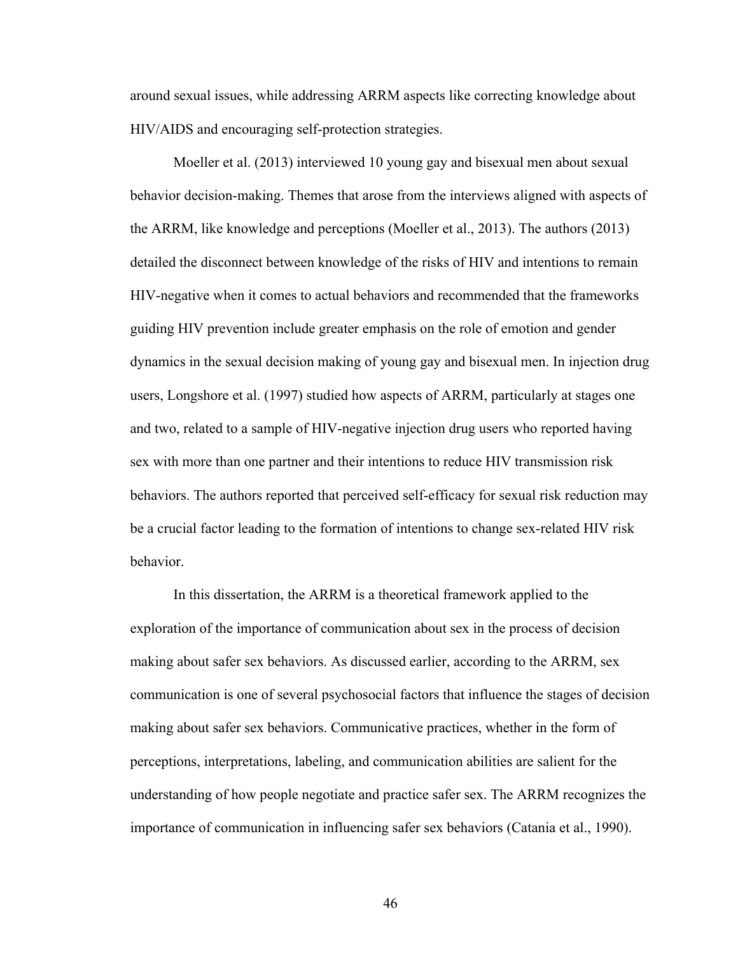around sexual issues, while addressing ARRM aspects like correcting knowledge about HIV/AIDS and encouraging self-protection strategies.

Moeller et al. (2013) interviewed 10 young gay and bisexual men about sexual behavior decision-making. Themes that arose from the interviews aligned with aspects of the ARRM, like knowledge and perceptions (Moeller et al., 2013). The authors (2013) detailed the disconnect between knowledge of the risks of HIV and intentions to remain HIV-negative when it comes to actual behaviors and recommended that the frameworks guiding HIV prevention include greater emphasis on the role of emotion and gender dynamics in the sexual decision making of young gay and bisexual men. In injection drug users, Longshore et al. (1997) studied how aspects of ARRM, particularly at stages one and two, related to a sample of HIV-negative injection drug users who reported having sex with more than one partner and their intentions to reduce HIV transmission risk behaviors. The authors reported that perceived self-efficacy for sexual risk reduction may be a crucial factor leading to the formation of intentions to change sex-related HIV risk behavior.

In this dissertation, the ARRM is a theoretical framework applied to the exploration of the importance of communication about sex in the process of decision making about safer sex behaviors. As discussed earlier, according to the ARRM, sex communication is one of several psychosocial factors that influence the stages of decision making about safer sex behaviors. Communicative practices, whether in the form of perceptions, interpretations, labeling, and communication abilities are salient for the understanding of how people negotiate and practice safer sex. The ARRM recognizes the importance of communication in influencing safer sex behaviors (Catania et al., 1990).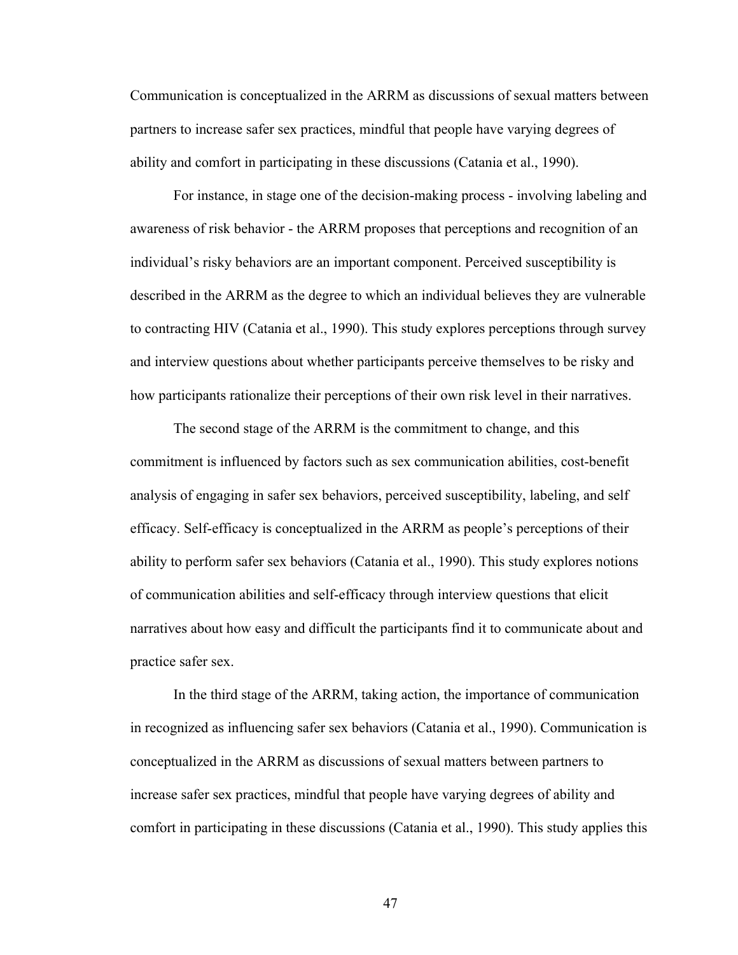Communication is conceptualized in the ARRM as discussions of sexual matters between partners to increase safer sex practices, mindful that people have varying degrees of ability and comfort in participating in these discussions (Catania et al., 1990).

For instance, in stage one of the decision-making process - involving labeling and awareness of risk behavior - the ARRM proposes that perceptions and recognition of an individual's risky behaviors are an important component. Perceived susceptibility is described in the ARRM as the degree to which an individual believes they are vulnerable to contracting HIV (Catania et al., 1990). This study explores perceptions through survey and interview questions about whether participants perceive themselves to be risky and how participants rationalize their perceptions of their own risk level in their narratives.

The second stage of the ARRM is the commitment to change, and this commitment is influenced by factors such as sex communication abilities, cost-benefit analysis of engaging in safer sex behaviors, perceived susceptibility, labeling, and self efficacy. Self-efficacy is conceptualized in the ARRM as people's perceptions of their ability to perform safer sex behaviors (Catania et al., 1990). This study explores notions of communication abilities and self-efficacy through interview questions that elicit narratives about how easy and difficult the participants find it to communicate about and practice safer sex.

In the third stage of the ARRM, taking action, the importance of communication in recognized as influencing safer sex behaviors (Catania et al., 1990). Communication is conceptualized in the ARRM as discussions of sexual matters between partners to increase safer sex practices, mindful that people have varying degrees of ability and comfort in participating in these discussions (Catania et al., 1990). This study applies this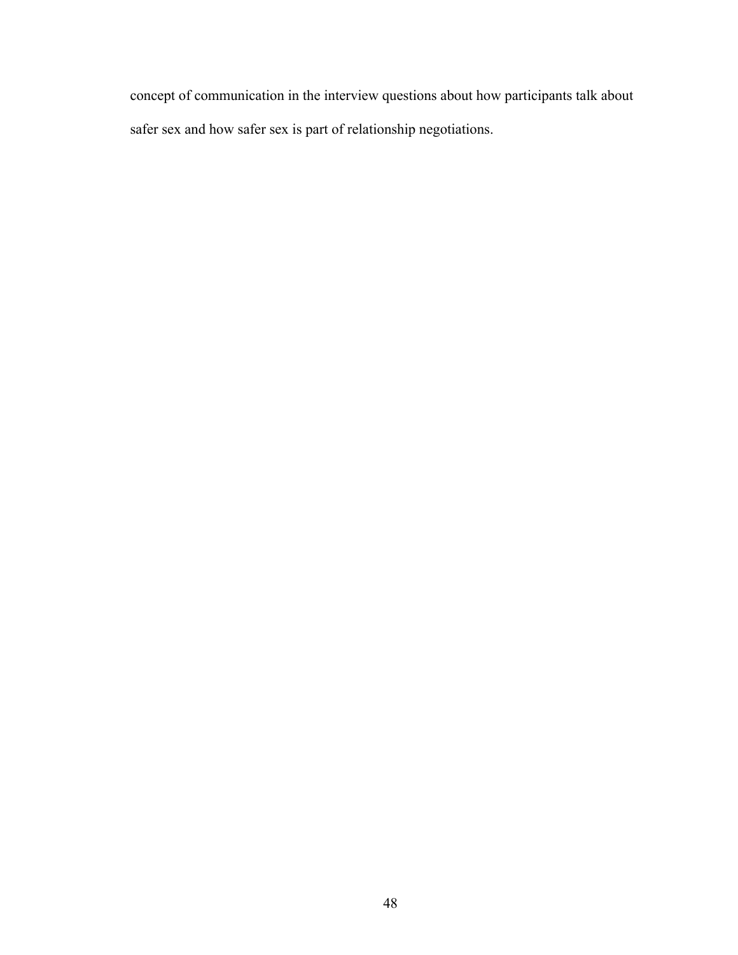concept of communication in the interview questions about how participants talk about safer sex and how safer sex is part of relationship negotiations.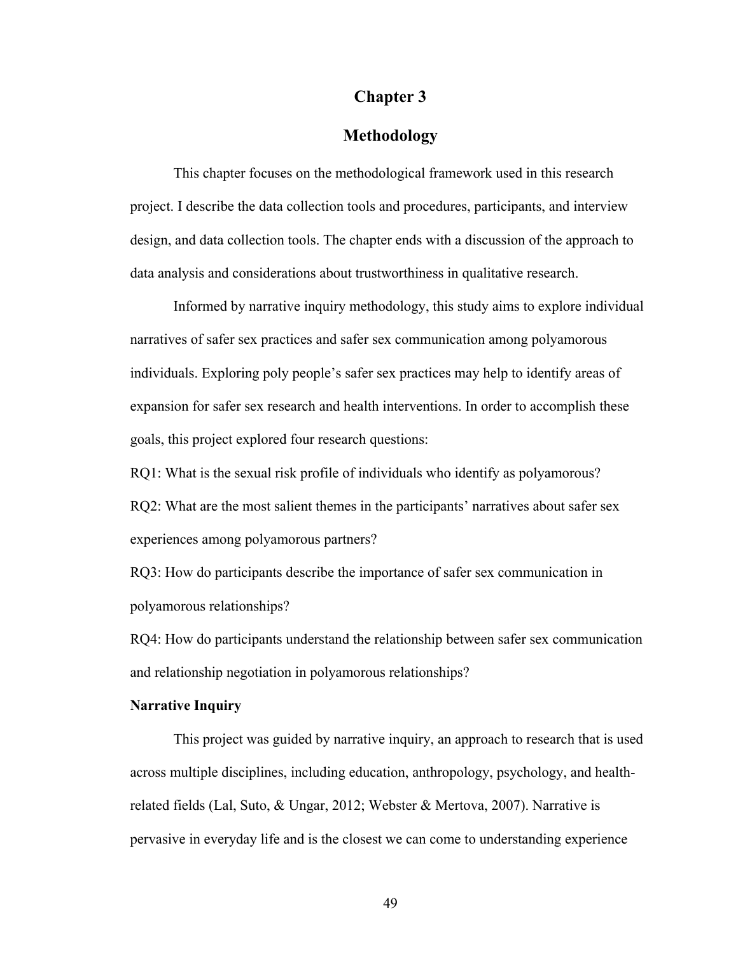## **Chapter 3**

# **Methodology**

This chapter focuses on the methodological framework used in this research project. I describe the data collection tools and procedures, participants, and interview design, and data collection tools. The chapter ends with a discussion of the approach to data analysis and considerations about trustworthiness in qualitative research.

Informed by narrative inquiry methodology, this study aims to explore individual narratives of safer sex practices and safer sex communication among polyamorous individuals. Exploring poly people's safer sex practices may help to identify areas of expansion for safer sex research and health interventions. In order to accomplish these goals, this project explored four research questions:

RQ1: What is the sexual risk profile of individuals who identify as polyamorous? RQ2: What are the most salient themes in the participants' narratives about safer sex experiences among polyamorous partners?

RQ3: How do participants describe the importance of safer sex communication in polyamorous relationships?

RQ4: How do participants understand the relationship between safer sex communication and relationship negotiation in polyamorous relationships?

## **Narrative Inquiry**

This project was guided by narrative inquiry, an approach to research that is used across multiple disciplines, including education, anthropology, psychology, and healthrelated fields (Lal, Suto, & Ungar, 2012; Webster & Mertova, 2007). Narrative is pervasive in everyday life and is the closest we can come to understanding experience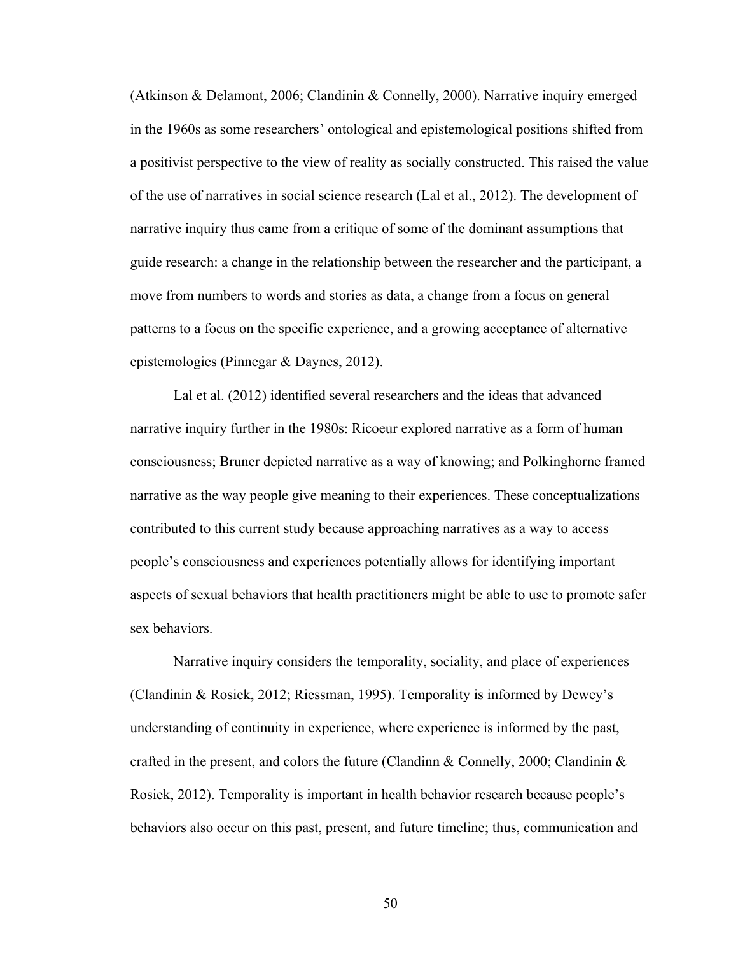(Atkinson & Delamont, 2006; Clandinin & Connelly, 2000). Narrative inquiry emerged in the 1960s as some researchers' ontological and epistemological positions shifted from a positivist perspective to the view of reality as socially constructed. This raised the value of the use of narratives in social science research (Lal et al., 2012). The development of narrative inquiry thus came from a critique of some of the dominant assumptions that guide research: a change in the relationship between the researcher and the participant, a move from numbers to words and stories as data, a change from a focus on general patterns to a focus on the specific experience, and a growing acceptance of alternative epistemologies (Pinnegar & Daynes, 2012).

Lal et al. (2012) identified several researchers and the ideas that advanced narrative inquiry further in the 1980s: Ricoeur explored narrative as a form of human consciousness; Bruner depicted narrative as a way of knowing; and Polkinghorne framed narrative as the way people give meaning to their experiences. These conceptualizations contributed to this current study because approaching narratives as a way to access people's consciousness and experiences potentially allows for identifying important aspects of sexual behaviors that health practitioners might be able to use to promote safer sex behaviors.

Narrative inquiry considers the temporality, sociality, and place of experiences (Clandinin & Rosiek, 2012; Riessman, 1995). Temporality is informed by Dewey's understanding of continuity in experience, where experience is informed by the past, crafted in the present, and colors the future (Clandinn & Connelly, 2000; Clandinin & Rosiek, 2012). Temporality is important in health behavior research because people's behaviors also occur on this past, present, and future timeline; thus, communication and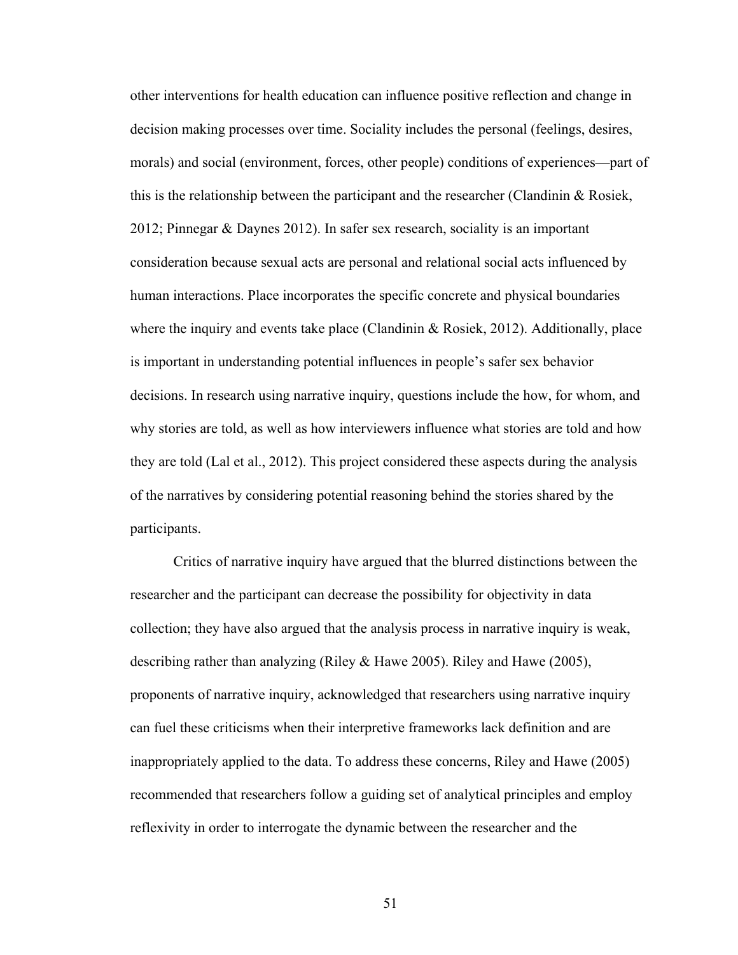other interventions for health education can influence positive reflection and change in decision making processes over time. Sociality includes the personal (feelings, desires, morals) and social (environment, forces, other people) conditions of experiences—part of this is the relationship between the participant and the researcher (Clandinin & Rosiek, 2012; Pinnegar & Daynes 2012). In safer sex research, sociality is an important consideration because sexual acts are personal and relational social acts influenced by human interactions. Place incorporates the specific concrete and physical boundaries where the inquiry and events take place (Clandinin  $\&$  Rosiek, 2012). Additionally, place is important in understanding potential influences in people's safer sex behavior decisions. In research using narrative inquiry, questions include the how, for whom, and why stories are told, as well as how interviewers influence what stories are told and how they are told (Lal et al., 2012). This project considered these aspects during the analysis of the narratives by considering potential reasoning behind the stories shared by the participants.

Critics of narrative inquiry have argued that the blurred distinctions between the researcher and the participant can decrease the possibility for objectivity in data collection; they have also argued that the analysis process in narrative inquiry is weak, describing rather than analyzing (Riley & Hawe 2005). Riley and Hawe (2005), proponents of narrative inquiry, acknowledged that researchers using narrative inquiry can fuel these criticisms when their interpretive frameworks lack definition and are inappropriately applied to the data. To address these concerns, Riley and Hawe (2005) recommended that researchers follow a guiding set of analytical principles and employ reflexivity in order to interrogate the dynamic between the researcher and the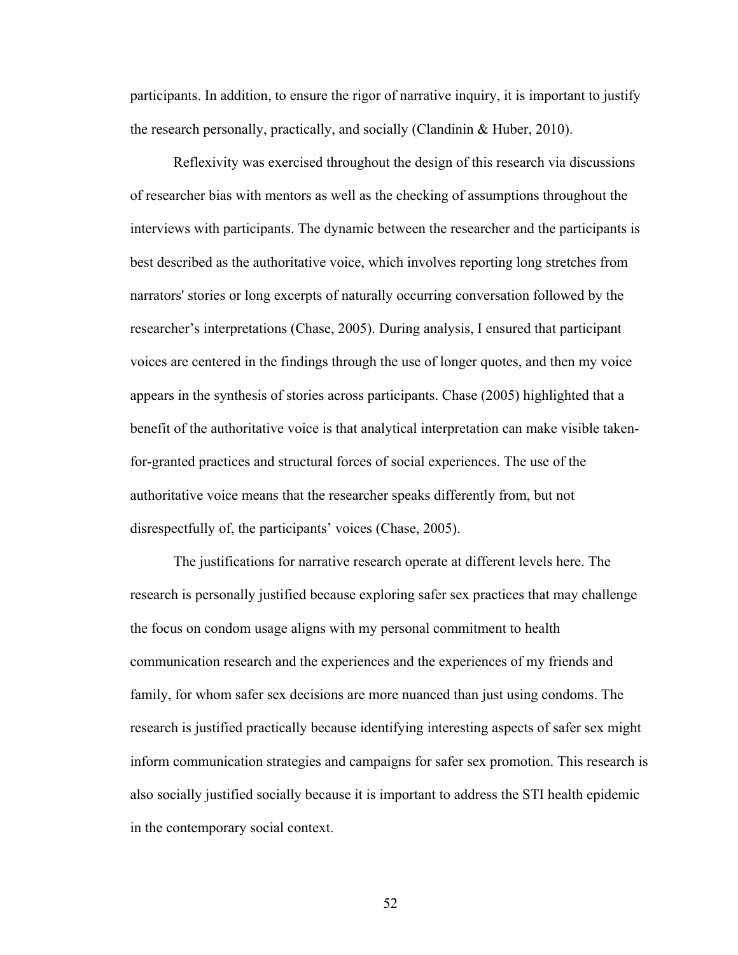participants. In addition, to ensure the rigor of narrative inquiry, it is important to justify the research personally, practically, and socially (Clandinin & Huber, 2010).

Reflexivity was exercised throughout the design of this research via discussions of researcher bias with mentors as well as the checking of assumptions throughout the interviews with participants. The dynamic between the researcher and the participants is best described as the authoritative voice, which involves reporting long stretches from narrators' stories or long excerpts of naturally occurring conversation followed by the researcher's interpretations (Chase, 2005). During analysis, I ensured that participant voices are centered in the findings through the use of longer quotes, and then my voice appears in the synthesis of stories across participants. Chase (2005) highlighted that a benefit of the authoritative voice is that analytical interpretation can make visible takenfor-granted practices and structural forces of social experiences. The use of the authoritative voice means that the researcher speaks differently from, but not disrespectfully of, the participants' voices (Chase, 2005).

The justifications for narrative research operate at different levels here. The research is personally justified because exploring safer sex practices that may challenge the focus on condom usage aligns with my personal commitment to health communication research and the experiences and the experiences of my friends and family, for whom safer sex decisions are more nuanced than just using condoms. The research is justified practically because identifying interesting aspects of safer sex might inform communication strategies and campaigns for safer sex promotion. This research is also socially justified socially because it is important to address the STI health epidemic in the contemporary social context.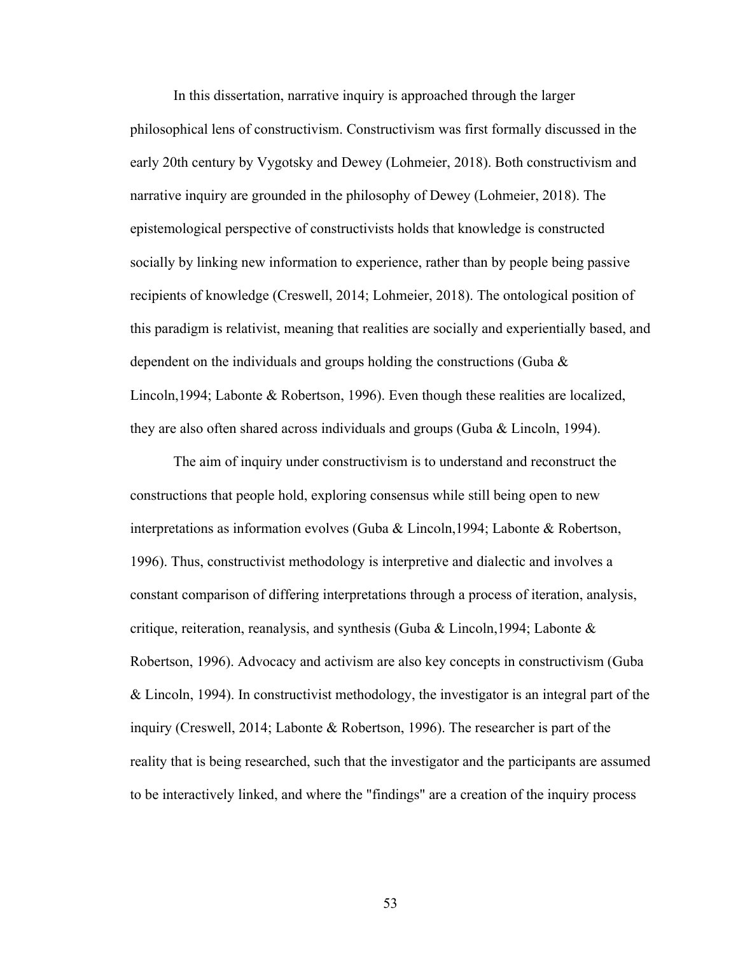In this dissertation, narrative inquiry is approached through the larger philosophical lens of constructivism. Constructivism was first formally discussed in the early 20th century by Vygotsky and Dewey (Lohmeier, 2018). Both constructivism and narrative inquiry are grounded in the philosophy of Dewey (Lohmeier, 2018). The epistemological perspective of constructivists holds that knowledge is constructed socially by linking new information to experience, rather than by people being passive recipients of knowledge (Creswell, 2014; Lohmeier, 2018). The ontological position of this paradigm is relativist, meaning that realities are socially and experientially based, and dependent on the individuals and groups holding the constructions (Guba & Lincoln,1994; Labonte & Robertson, 1996). Even though these realities are localized, they are also often shared across individuals and groups (Guba & Lincoln, 1994).

The aim of inquiry under constructivism is to understand and reconstruct the constructions that people hold, exploring consensus while still being open to new interpretations as information evolves (Guba & Lincoln,1994; Labonte & Robertson, 1996). Thus, constructivist methodology is interpretive and dialectic and involves a constant comparison of differing interpretations through a process of iteration, analysis, critique, reiteration, reanalysis, and synthesis (Guba & Lincoln, 1994; Labonte & Robertson, 1996). Advocacy and activism are also key concepts in constructivism (Guba & Lincoln, 1994). In constructivist methodology, the investigator is an integral part of the inquiry (Creswell, 2014; Labonte & Robertson, 1996). The researcher is part of the reality that is being researched, such that the investigator and the participants are assumed to be interactively linked, and where the "findings" are a creation of the inquiry process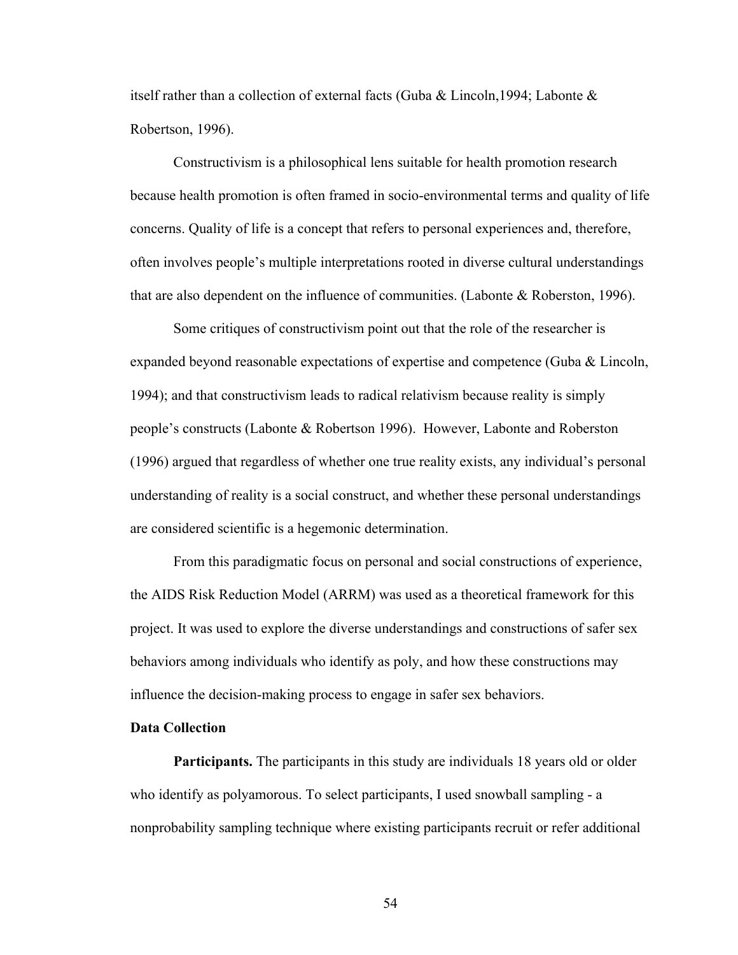itself rather than a collection of external facts (Guba & Lincoln,1994; Labonte & Robertson, 1996).

Constructivism is a philosophical lens suitable for health promotion research because health promotion is often framed in socio-environmental terms and quality of life concerns. Quality of life is a concept that refers to personal experiences and, therefore, often involves people's multiple interpretations rooted in diverse cultural understandings that are also dependent on the influence of communities. (Labonte & Roberston, 1996).

Some critiques of constructivism point out that the role of the researcher is expanded beyond reasonable expectations of expertise and competence (Guba & Lincoln, 1994); and that constructivism leads to radical relativism because reality is simply people's constructs (Labonte & Robertson 1996). However, Labonte and Roberston (1996) argued that regardless of whether one true reality exists, any individual's personal understanding of reality is a social construct, and whether these personal understandings are considered scientific is a hegemonic determination.

From this paradigmatic focus on personal and social constructions of experience, the AIDS Risk Reduction Model (ARRM) was used as a theoretical framework for this project. It was used to explore the diverse understandings and constructions of safer sex behaviors among individuals who identify as poly, and how these constructions may influence the decision-making process to engage in safer sex behaviors.

#### **Data Collection**

**Participants.** The participants in this study are individuals 18 years old or older who identify as polyamorous. To select participants, I used snowball sampling - a nonprobability sampling technique where existing participants recruit or refer additional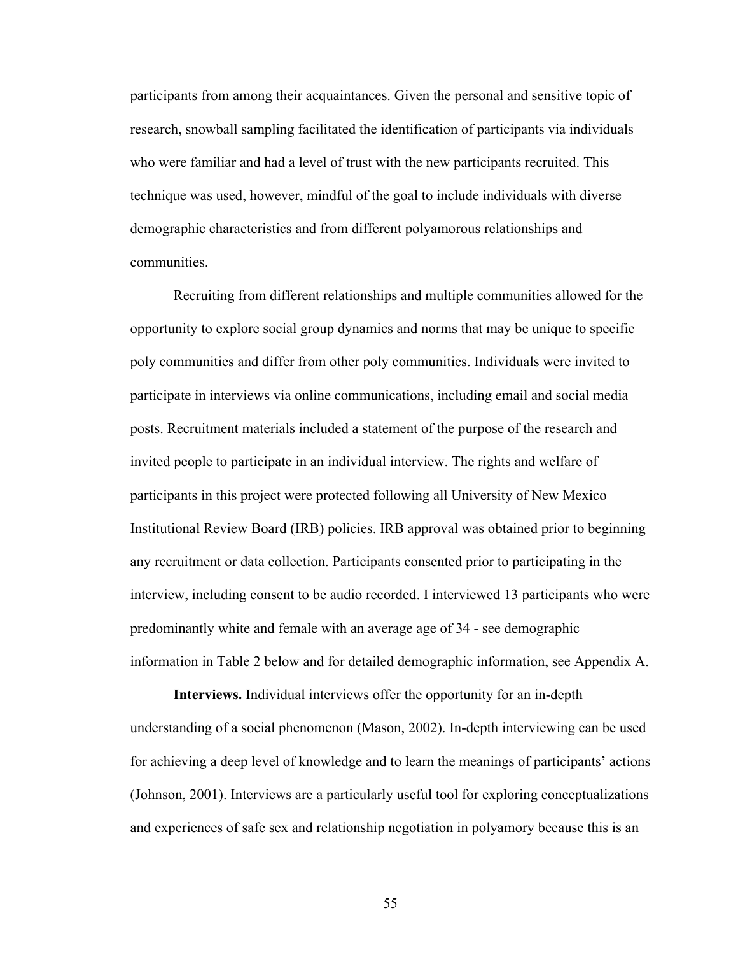participants from among their acquaintances. Given the personal and sensitive topic of research, snowball sampling facilitated the identification of participants via individuals who were familiar and had a level of trust with the new participants recruited. This technique was used, however, mindful of the goal to include individuals with diverse demographic characteristics and from different polyamorous relationships and communities.

Recruiting from different relationships and multiple communities allowed for the opportunity to explore social group dynamics and norms that may be unique to specific poly communities and differ from other poly communities. Individuals were invited to participate in interviews via online communications, including email and social media posts. Recruitment materials included a statement of the purpose of the research and invited people to participate in an individual interview. The rights and welfare of participants in this project were protected following all University of New Mexico Institutional Review Board (IRB) policies. IRB approval was obtained prior to beginning any recruitment or data collection. Participants consented prior to participating in the interview, including consent to be audio recorded. I interviewed 13 participants who were predominantly white and female with an average age of 34 - see demographic information in Table 2 below and for detailed demographic information, see Appendix A.

**Interviews.** Individual interviews offer the opportunity for an in-depth understanding of a social phenomenon (Mason, 2002). In-depth interviewing can be used for achieving a deep level of knowledge and to learn the meanings of participants' actions (Johnson, 2001). Interviews are a particularly useful tool for exploring conceptualizations and experiences of safe sex and relationship negotiation in polyamory because this is an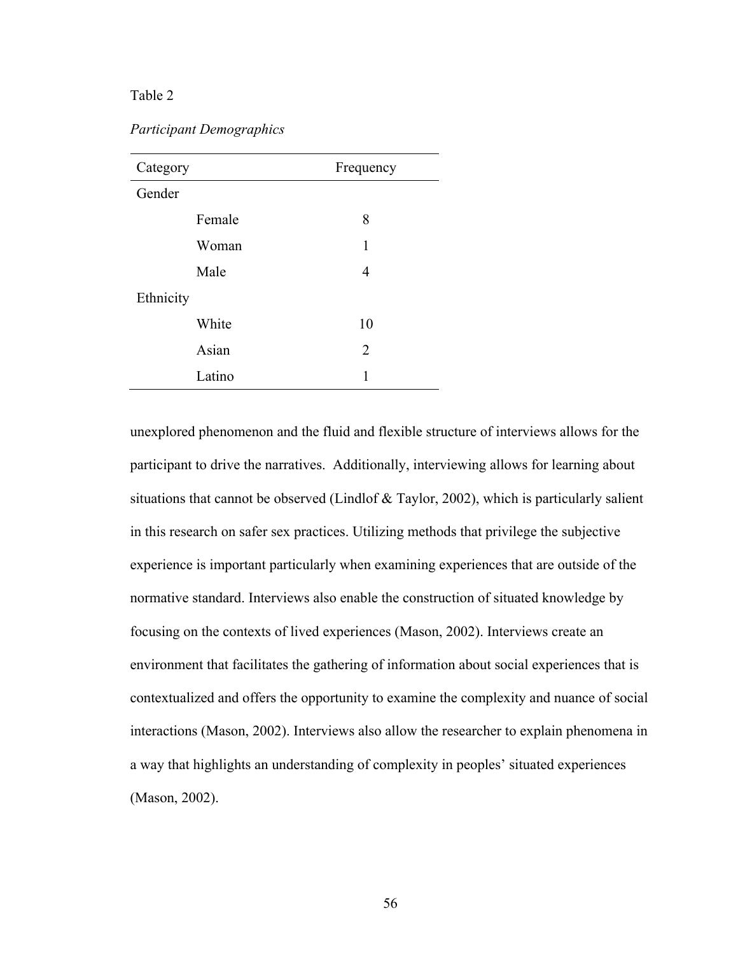## Table 2

*Participant Demographics*

| Category  | Frequency |  |
|-----------|-----------|--|
| Gender    |           |  |
| Female    | 8         |  |
| Woman     | 1         |  |
| Male      | 4         |  |
| Ethnicity |           |  |
| White     | 10        |  |
| Asian     | 2         |  |
| Latino    | 1         |  |

unexplored phenomenon and the fluid and flexible structure of interviews allows for the participant to drive the narratives. Additionally, interviewing allows for learning about situations that cannot be observed (Lindlof & Taylor, 2002), which is particularly salient in this research on safer sex practices. Utilizing methods that privilege the subjective experience is important particularly when examining experiences that are outside of the normative standard. Interviews also enable the construction of situated knowledge by focusing on the contexts of lived experiences (Mason, 2002). Interviews create an environment that facilitates the gathering of information about social experiences that is contextualized and offers the opportunity to examine the complexity and nuance of social interactions (Mason, 2002). Interviews also allow the researcher to explain phenomena in a way that highlights an understanding of complexity in peoples' situated experiences (Mason, 2002).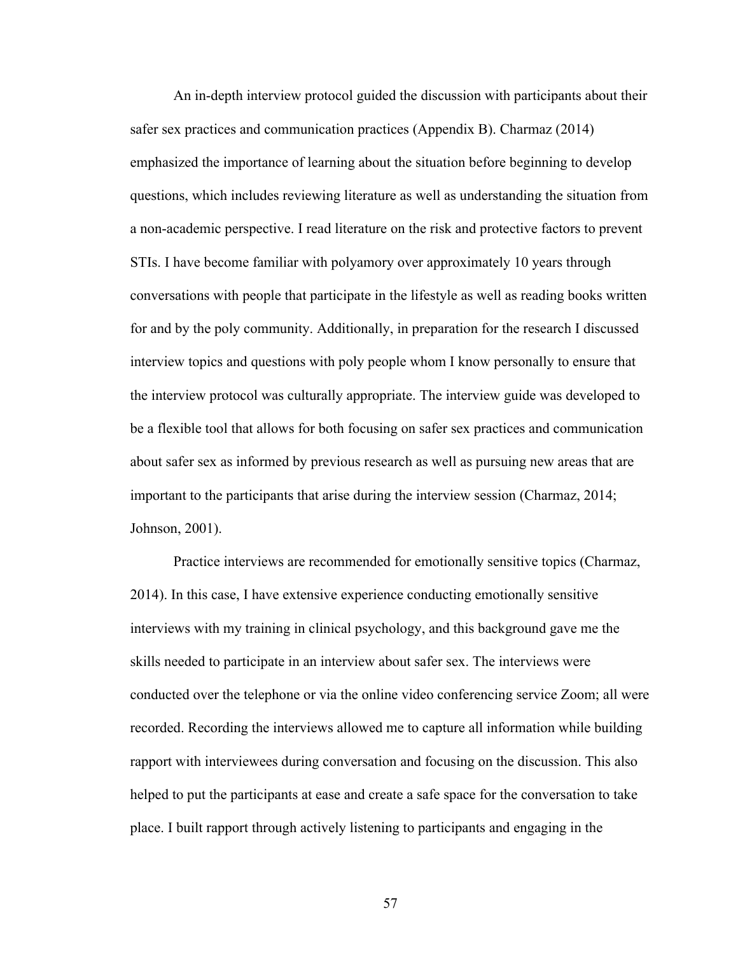An in-depth interview protocol guided the discussion with participants about their safer sex practices and communication practices (Appendix B). Charmaz (2014) emphasized the importance of learning about the situation before beginning to develop questions, which includes reviewing literature as well as understanding the situation from a non-academic perspective. I read literature on the risk and protective factors to prevent STIs. I have become familiar with polyamory over approximately 10 years through conversations with people that participate in the lifestyle as well as reading books written for and by the poly community. Additionally, in preparation for the research I discussed interview topics and questions with poly people whom I know personally to ensure that the interview protocol was culturally appropriate. The interview guide was developed to be a flexible tool that allows for both focusing on safer sex practices and communication about safer sex as informed by previous research as well as pursuing new areas that are important to the participants that arise during the interview session (Charmaz, 2014; Johnson, 2001).

Practice interviews are recommended for emotionally sensitive topics (Charmaz, 2014). In this case, I have extensive experience conducting emotionally sensitive interviews with my training in clinical psychology, and this background gave me the skills needed to participate in an interview about safer sex. The interviews were conducted over the telephone or via the online video conferencing service Zoom; all were recorded. Recording the interviews allowed me to capture all information while building rapport with interviewees during conversation and focusing on the discussion. This also helped to put the participants at ease and create a safe space for the conversation to take place. I built rapport through actively listening to participants and engaging in the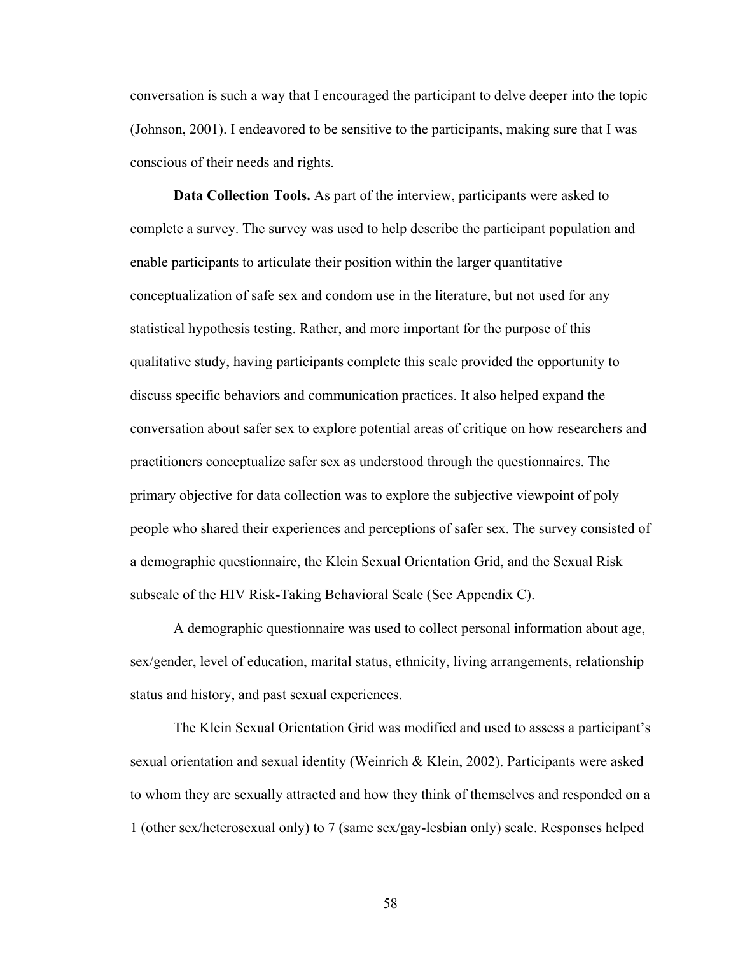conversation is such a way that I encouraged the participant to delve deeper into the topic (Johnson, 2001). I endeavored to be sensitive to the participants, making sure that I was conscious of their needs and rights.

**Data Collection Tools.** As part of the interview, participants were asked to complete a survey. The survey was used to help describe the participant population and enable participants to articulate their position within the larger quantitative conceptualization of safe sex and condom use in the literature, but not used for any statistical hypothesis testing. Rather, and more important for the purpose of this qualitative study, having participants complete this scale provided the opportunity to discuss specific behaviors and communication practices. It also helped expand the conversation about safer sex to explore potential areas of critique on how researchers and practitioners conceptualize safer sex as understood through the questionnaires. The primary objective for data collection was to explore the subjective viewpoint of poly people who shared their experiences and perceptions of safer sex. The survey consisted of a demographic questionnaire, the Klein Sexual Orientation Grid, and the Sexual Risk subscale of the HIV Risk-Taking Behavioral Scale (See Appendix C).

A demographic questionnaire was used to collect personal information about age, sex/gender, level of education, marital status, ethnicity, living arrangements, relationship status and history, and past sexual experiences.

The Klein Sexual Orientation Grid was modified and used to assess a participant's sexual orientation and sexual identity (Weinrich & Klein, 2002). Participants were asked to whom they are sexually attracted and how they think of themselves and responded on a 1 (other sex/heterosexual only) to 7 (same sex/gay-lesbian only) scale. Responses helped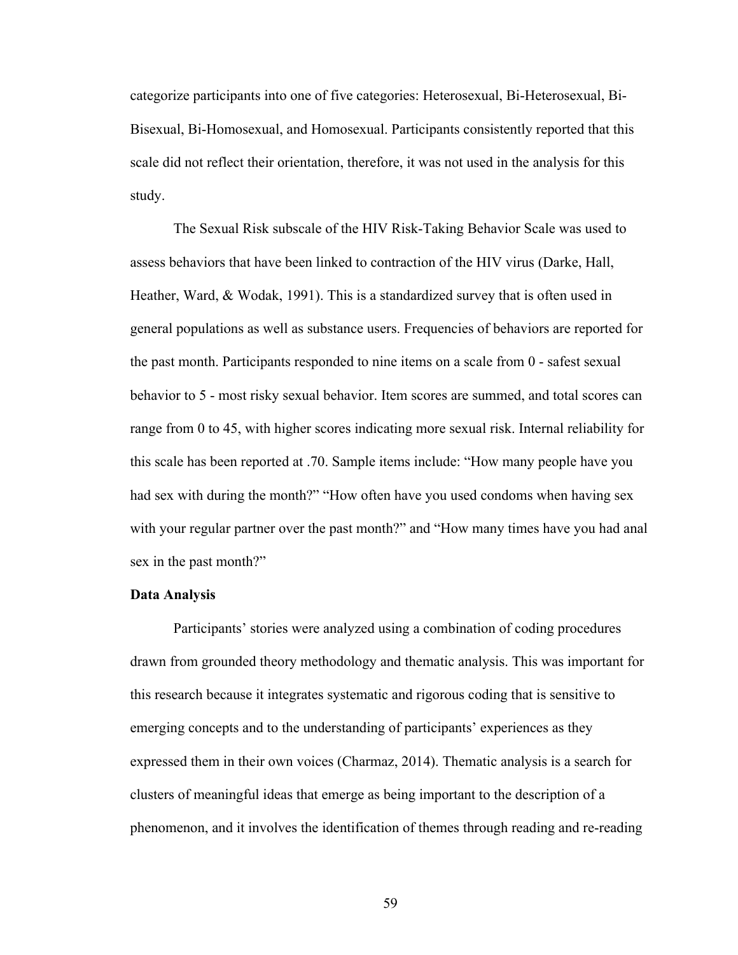categorize participants into one of five categories: Heterosexual, Bi-Heterosexual, Bi-Bisexual, Bi-Homosexual, and Homosexual. Participants consistently reported that this scale did not reflect their orientation, therefore, it was not used in the analysis for this study.

The Sexual Risk subscale of the HIV Risk-Taking Behavior Scale was used to assess behaviors that have been linked to contraction of the HIV virus (Darke, Hall, Heather, Ward, & Wodak, 1991). This is a standardized survey that is often used in general populations as well as substance users. Frequencies of behaviors are reported for the past month. Participants responded to nine items on a scale from 0 - safest sexual behavior to 5 - most risky sexual behavior. Item scores are summed, and total scores can range from 0 to 45, with higher scores indicating more sexual risk. Internal reliability for this scale has been reported at .70. Sample items include: "How many people have you had sex with during the month?" "How often have you used condoms when having sex with your regular partner over the past month?" and "How many times have you had anal sex in the past month?"

#### **Data Analysis**

Participants' stories were analyzed using a combination of coding procedures drawn from grounded theory methodology and thematic analysis. This was important for this research because it integrates systematic and rigorous coding that is sensitive to emerging concepts and to the understanding of participants' experiences as they expressed them in their own voices (Charmaz, 2014). Thematic analysis is a search for clusters of meaningful ideas that emerge as being important to the description of a phenomenon, and it involves the identification of themes through reading and re-reading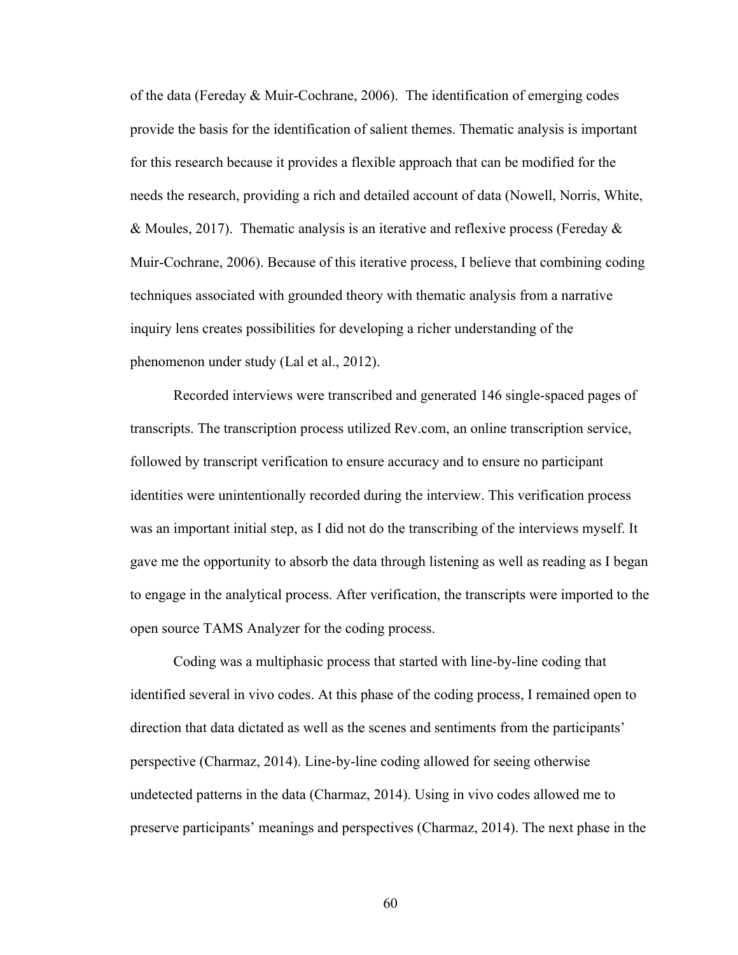of the data (Fereday & Muir-Cochrane, 2006). The identification of emerging codes provide the basis for the identification of salient themes. Thematic analysis is important for this research because it provides a flexible approach that can be modified for the needs the research, providing a rich and detailed account of data (Nowell, Norris, White, & Moules, 2017). Thematic analysis is an iterative and reflexive process (Fereday  $\&$ Muir-Cochrane, 2006). Because of this iterative process, I believe that combining coding techniques associated with grounded theory with thematic analysis from a narrative inquiry lens creates possibilities for developing a richer understanding of the phenomenon under study (Lal et al., 2012).

Recorded interviews were transcribed and generated 146 single-spaced pages of transcripts. The transcription process utilized Rev.com, an online transcription service, followed by transcript verification to ensure accuracy and to ensure no participant identities were unintentionally recorded during the interview. This verification process was an important initial step, as I did not do the transcribing of the interviews myself. It gave me the opportunity to absorb the data through listening as well as reading as I began to engage in the analytical process. After verification, the transcripts were imported to the open source TAMS Analyzer for the coding process.

Coding was a multiphasic process that started with line-by-line coding that identified several in vivo codes. At this phase of the coding process, I remained open to direction that data dictated as well as the scenes and sentiments from the participants' perspective (Charmaz, 2014). Line-by-line coding allowed for seeing otherwise undetected patterns in the data (Charmaz, 2014). Using in vivo codes allowed me to preserve participants' meanings and perspectives (Charmaz, 2014). The next phase in the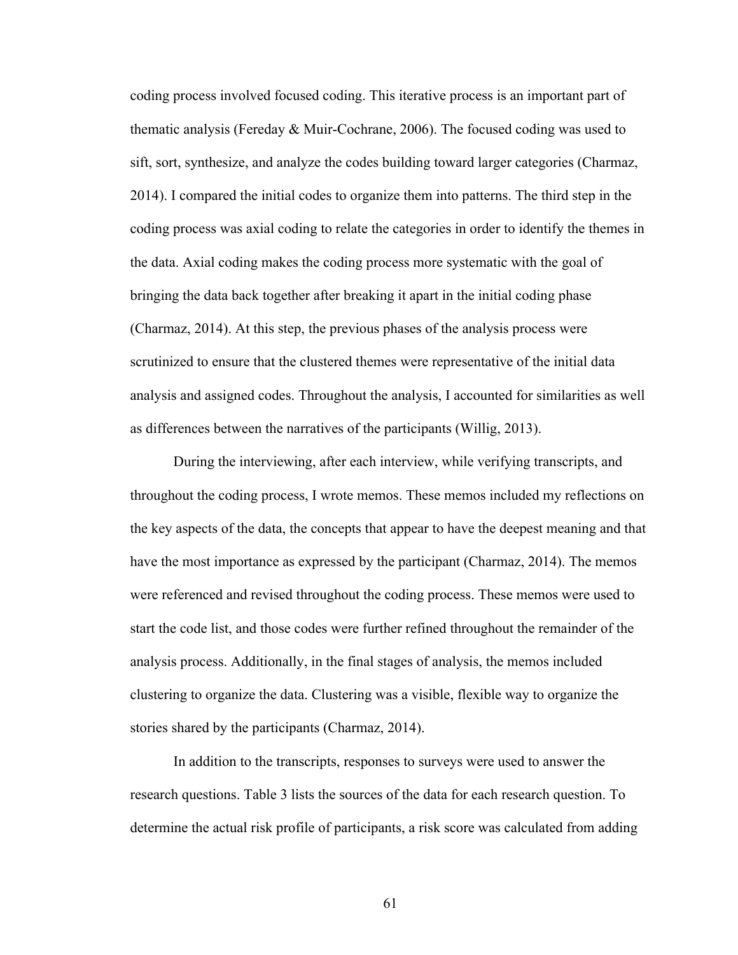coding process involved focused coding. This iterative process is an important part of thematic analysis (Fereday & Muir-Cochrane, 2006). The focused coding was used to sift, sort, synthesize, and analyze the codes building toward larger categories (Charmaz, 2014). I compared the initial codes to organize them into patterns. The third step in the coding process was axial coding to relate the categories in order to identify the themes in the data. Axial coding makes the coding process more systematic with the goal of bringing the data back together after breaking it apart in the initial coding phase (Charmaz, 2014). At this step, the previous phases of the analysis process were scrutinized to ensure that the clustered themes were representative of the initial data analysis and assigned codes. Throughout the analysis, I accounted for similarities as well as differences between the narratives of the participants (Willig, 2013).

During the interviewing, after each interview, while verifying transcripts, and throughout the coding process, I wrote memos. These memos included my reflections on the key aspects of the data, the concepts that appear to have the deepest meaning and that have the most importance as expressed by the participant (Charmaz, 2014). The memos were referenced and revised throughout the coding process. These memos were used to start the code list, and those codes were further refined throughout the remainder of the analysis process. Additionally, in the final stages of analysis, the memos included clustering to organize the data. Clustering was a visible, flexible way to organize the stories shared by the participants (Charmaz, 2014).

In addition to the transcripts, responses to surveys were used to answer the research questions. Table 3 lists the sources of the data for each research question. To determine the actual risk profile of participants, a risk score was calculated from adding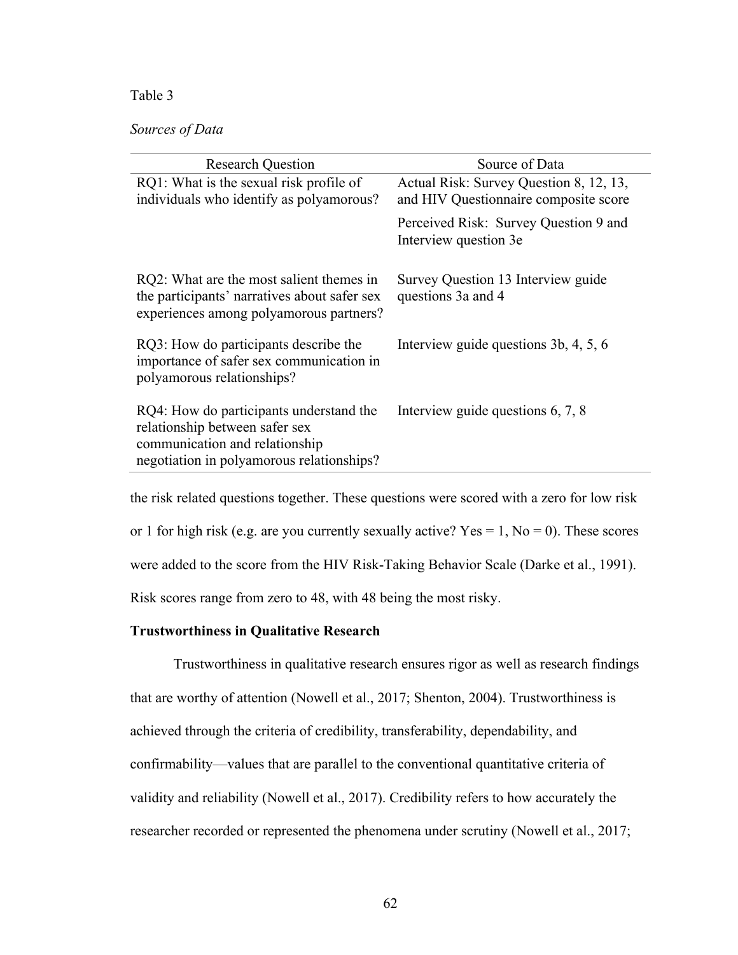## Table 3

## *Sources of Data*

| Source of Data                                                                   |  |
|----------------------------------------------------------------------------------|--|
| Actual Risk: Survey Question 8, 12, 13,<br>and HIV Questionnaire composite score |  |
| Perceived Risk: Survey Question 9 and<br>Interview question 3e                   |  |
| Survey Question 13 Interview guide<br>questions 3a and 4                         |  |
| Interview guide questions 3b, 4, 5, 6                                            |  |
| Interview guide questions $6, 7, 8$                                              |  |
|                                                                                  |  |

the risk related questions together. These questions were scored with a zero for low risk or 1 for high risk (e.g. are you currently sexually active?  $Yes = 1, No = 0$ ). These scores were added to the score from the HIV Risk-Taking Behavior Scale (Darke et al., 1991). Risk scores range from zero to 48, with 48 being the most risky.

#### **Trustworthiness in Qualitative Research**

Trustworthiness in qualitative research ensures rigor as well as research findings that are worthy of attention (Nowell et al., 2017; Shenton, 2004). Trustworthiness is achieved through the criteria of credibility, transferability, dependability, and confirmability—values that are parallel to the conventional quantitative criteria of validity and reliability (Nowell et al., 2017). Credibility refers to how accurately the researcher recorded or represented the phenomena under scrutiny (Nowell et al., 2017;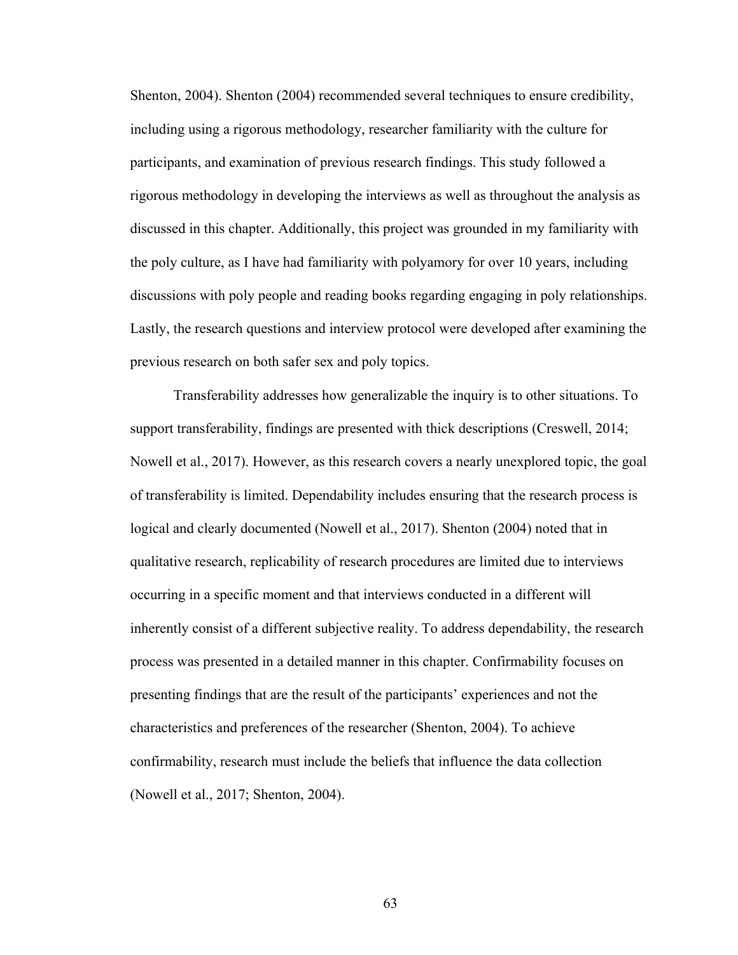Shenton, 2004). Shenton (2004) recommended several techniques to ensure credibility, including using a rigorous methodology, researcher familiarity with the culture for participants, and examination of previous research findings. This study followed a rigorous methodology in developing the interviews as well as throughout the analysis as discussed in this chapter. Additionally, this project was grounded in my familiarity with the poly culture, as I have had familiarity with polyamory for over 10 years, including discussions with poly people and reading books regarding engaging in poly relationships. Lastly, the research questions and interview protocol were developed after examining the previous research on both safer sex and poly topics.

Transferability addresses how generalizable the inquiry is to other situations. To support transferability, findings are presented with thick descriptions (Creswell, 2014; Nowell et al., 2017). However, as this research covers a nearly unexplored topic, the goal of transferability is limited. Dependability includes ensuring that the research process is logical and clearly documented (Nowell et al., 2017). Shenton (2004) noted that in qualitative research, replicability of research procedures are limited due to interviews occurring in a specific moment and that interviews conducted in a different will inherently consist of a different subjective reality. To address dependability, the research process was presented in a detailed manner in this chapter. Confirmability focuses on presenting findings that are the result of the participants' experiences and not the characteristics and preferences of the researcher (Shenton, 2004). To achieve confirmability, research must include the beliefs that influence the data collection (Nowell et al., 2017; Shenton, 2004).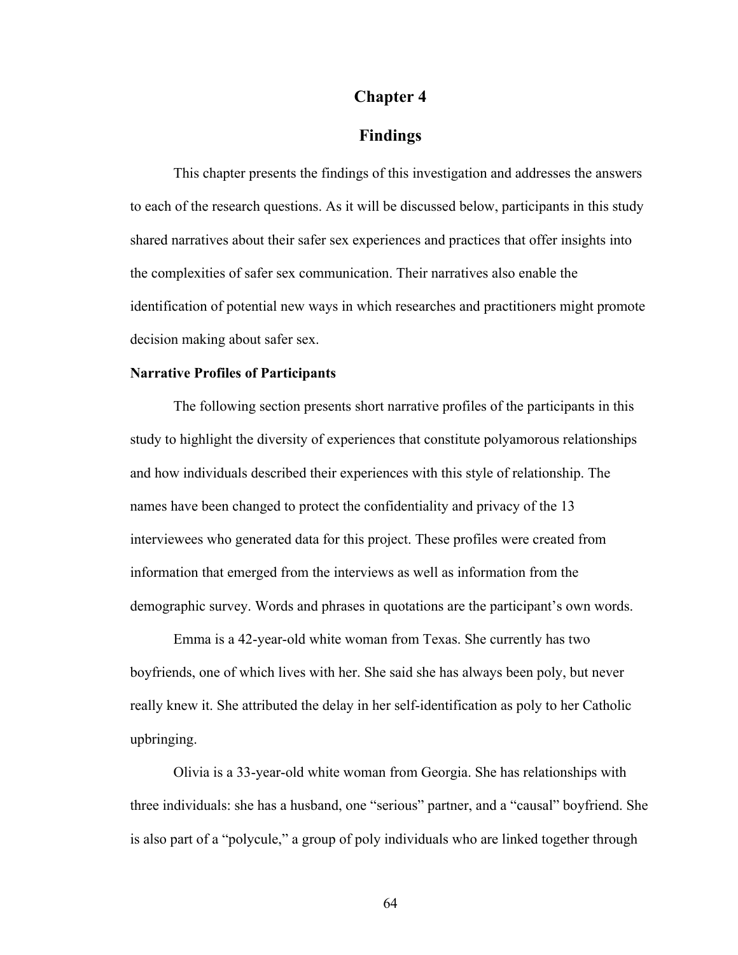## **Chapter 4**

## **Findings**

This chapter presents the findings of this investigation and addresses the answers to each of the research questions. As it will be discussed below, participants in this study shared narratives about their safer sex experiences and practices that offer insights into the complexities of safer sex communication. Their narratives also enable the identification of potential new ways in which researches and practitioners might promote decision making about safer sex.

#### **Narrative Profiles of Participants**

The following section presents short narrative profiles of the participants in this study to highlight the diversity of experiences that constitute polyamorous relationships and how individuals described their experiences with this style of relationship. The names have been changed to protect the confidentiality and privacy of the 13 interviewees who generated data for this project. These profiles were created from information that emerged from the interviews as well as information from the demographic survey. Words and phrases in quotations are the participant's own words.

Emma is a 42-year-old white woman from Texas. She currently has two boyfriends, one of which lives with her. She said she has always been poly, but never really knew it. She attributed the delay in her self-identification as poly to her Catholic upbringing.

Olivia is a 33-year-old white woman from Georgia. She has relationships with three individuals: she has a husband, one "serious" partner, and a "causal" boyfriend. She is also part of a "polycule," a group of poly individuals who are linked together through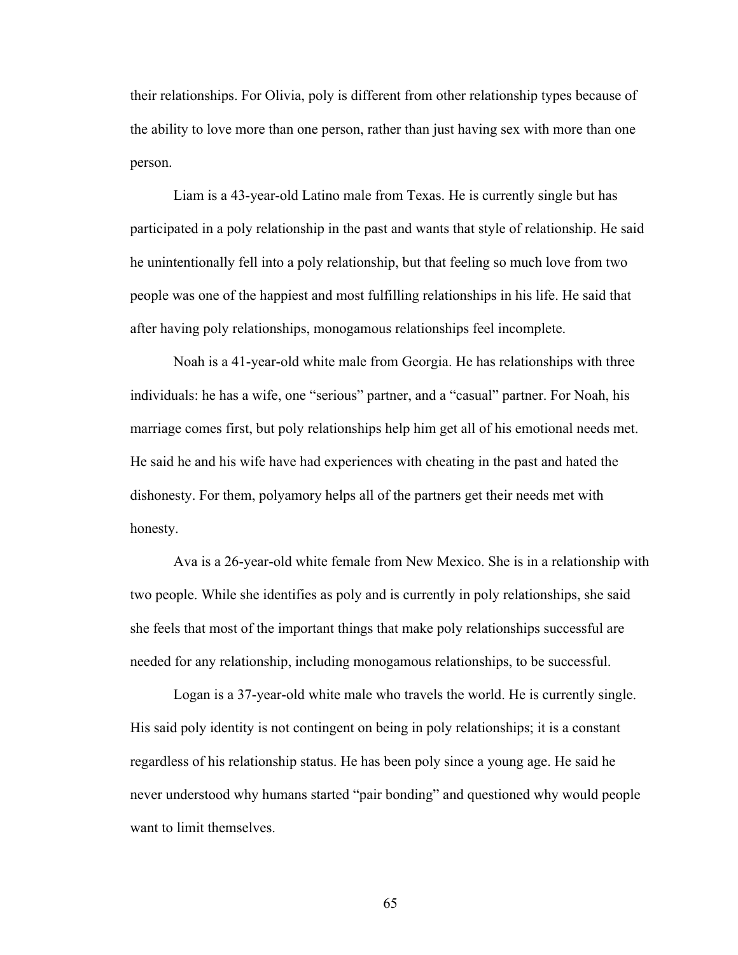their relationships. For Olivia, poly is different from other relationship types because of the ability to love more than one person, rather than just having sex with more than one person.

Liam is a 43-year-old Latino male from Texas. He is currently single but has participated in a poly relationship in the past and wants that style of relationship. He said he unintentionally fell into a poly relationship, but that feeling so much love from two people was one of the happiest and most fulfilling relationships in his life. He said that after having poly relationships, monogamous relationships feel incomplete.

Noah is a 41-year-old white male from Georgia. He has relationships with three individuals: he has a wife, one "serious" partner, and a "casual" partner. For Noah, his marriage comes first, but poly relationships help him get all of his emotional needs met. He said he and his wife have had experiences with cheating in the past and hated the dishonesty. For them, polyamory helps all of the partners get their needs met with honesty.

Ava is a 26-year-old white female from New Mexico. She is in a relationship with two people. While she identifies as poly and is currently in poly relationships, she said she feels that most of the important things that make poly relationships successful are needed for any relationship, including monogamous relationships, to be successful.

Logan is a 37-year-old white male who travels the world. He is currently single. His said poly identity is not contingent on being in poly relationships; it is a constant regardless of his relationship status. He has been poly since a young age. He said he never understood why humans started "pair bonding" and questioned why would people want to limit themselves.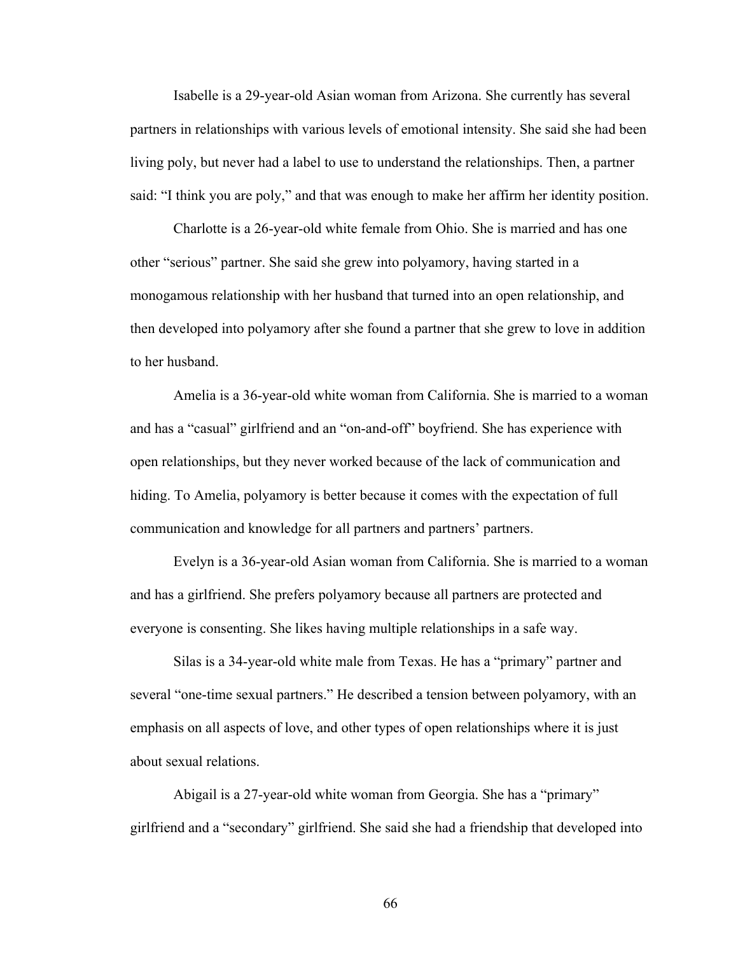Isabelle is a 29-year-old Asian woman from Arizona. She currently has several partners in relationships with various levels of emotional intensity. She said she had been living poly, but never had a label to use to understand the relationships. Then, a partner said: "I think you are poly," and that was enough to make her affirm her identity position.

Charlotte is a 26-year-old white female from Ohio. She is married and has one other "serious" partner. She said she grew into polyamory, having started in a monogamous relationship with her husband that turned into an open relationship, and then developed into polyamory after she found a partner that she grew to love in addition to her husband.

Amelia is a 36-year-old white woman from California. She is married to a woman and has a "casual" girlfriend and an "on-and-off" boyfriend. She has experience with open relationships, but they never worked because of the lack of communication and hiding. To Amelia, polyamory is better because it comes with the expectation of full communication and knowledge for all partners and partners' partners.

Evelyn is a 36-year-old Asian woman from California. She is married to a woman and has a girlfriend. She prefers polyamory because all partners are protected and everyone is consenting. She likes having multiple relationships in a safe way.

Silas is a 34-year-old white male from Texas. He has a "primary" partner and several "one-time sexual partners." He described a tension between polyamory, with an emphasis on all aspects of love, and other types of open relationships where it is just about sexual relations.

Abigail is a 27-year-old white woman from Georgia. She has a "primary" girlfriend and a "secondary" girlfriend. She said she had a friendship that developed into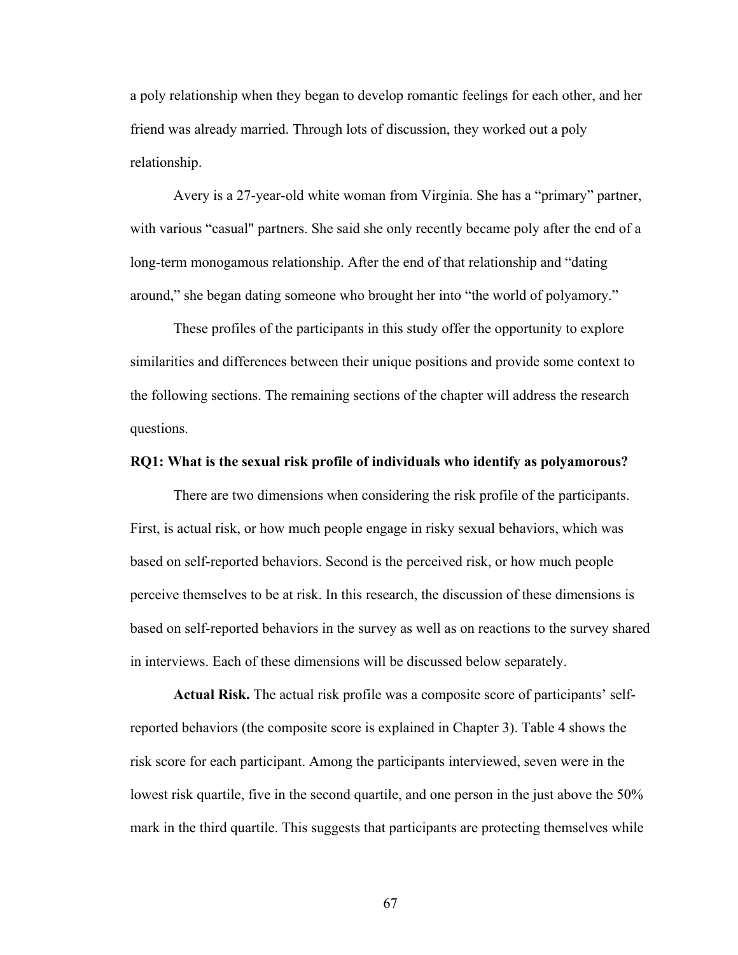a poly relationship when they began to develop romantic feelings for each other, and her friend was already married. Through lots of discussion, they worked out a poly relationship.

Avery is a 27-year-old white woman from Virginia. She has a "primary" partner, with various "casual" partners. She said she only recently became poly after the end of a long-term monogamous relationship. After the end of that relationship and "dating around," she began dating someone who brought her into "the world of polyamory."

These profiles of the participants in this study offer the opportunity to explore similarities and differences between their unique positions and provide some context to the following sections. The remaining sections of the chapter will address the research questions.

#### **RQ1: What is the sexual risk profile of individuals who identify as polyamorous?**

There are two dimensions when considering the risk profile of the participants. First, is actual risk, or how much people engage in risky sexual behaviors, which was based on self-reported behaviors. Second is the perceived risk, or how much people perceive themselves to be at risk. In this research, the discussion of these dimensions is based on self-reported behaviors in the survey as well as on reactions to the survey shared in interviews. Each of these dimensions will be discussed below separately.

**Actual Risk.** The actual risk profile was a composite score of participants' selfreported behaviors (the composite score is explained in Chapter 3). Table 4 shows the risk score for each participant. Among the participants interviewed, seven were in the lowest risk quartile, five in the second quartile, and one person in the just above the 50% mark in the third quartile. This suggests that participants are protecting themselves while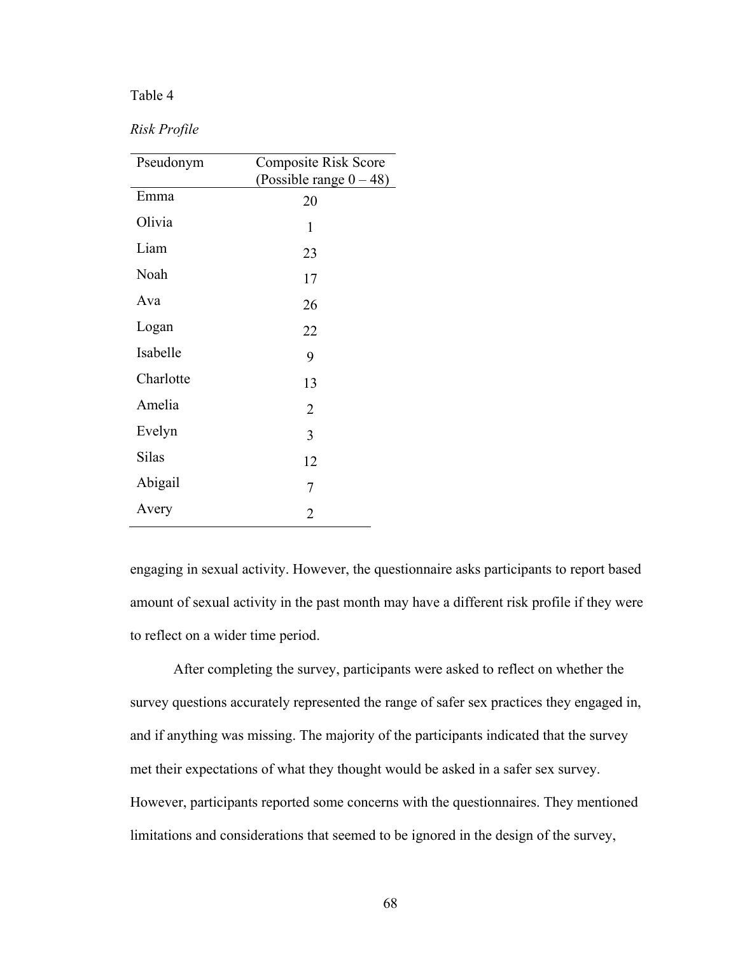## Table 4

## *Risk Profile*

| Pseudonym | <b>Composite Risk Score</b> |
|-----------|-----------------------------|
|           | (Possible range $0 - 48$ )  |
| Emma      | 20                          |
| Olivia    | 1                           |
| Liam      | 23                          |
| Noah      | 17                          |
| Ava       | 26                          |
| Logan     | 22                          |
| Isabelle  | 9                           |
| Charlotte | 13                          |
| Amelia    | $\overline{2}$              |
| Evelyn    | 3                           |
| Silas     | 12                          |
| Abigail   | $\overline{7}$              |
| Avery     | $\overline{2}$              |

engaging in sexual activity. However, the questionnaire asks participants to report based amount of sexual activity in the past month may have a different risk profile if they were to reflect on a wider time period.

After completing the survey, participants were asked to reflect on whether the survey questions accurately represented the range of safer sex practices they engaged in, and if anything was missing. The majority of the participants indicated that the survey met their expectations of what they thought would be asked in a safer sex survey. However, participants reported some concerns with the questionnaires. They mentioned limitations and considerations that seemed to be ignored in the design of the survey,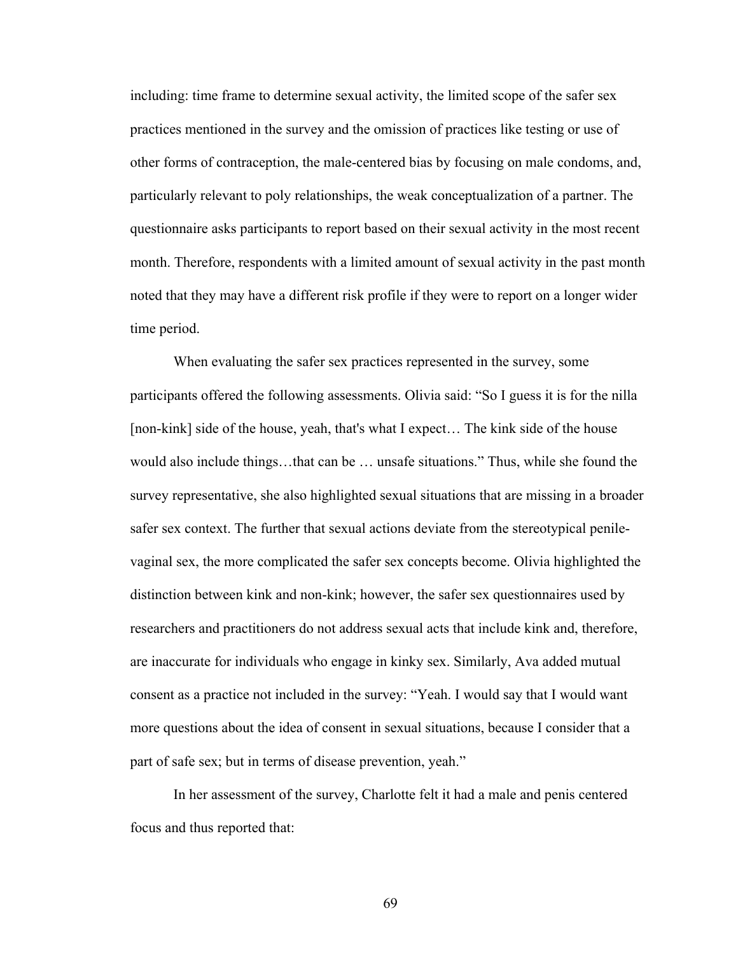including: time frame to determine sexual activity, the limited scope of the safer sex practices mentioned in the survey and the omission of practices like testing or use of other forms of contraception, the male-centered bias by focusing on male condoms, and, particularly relevant to poly relationships, the weak conceptualization of a partner. The questionnaire asks participants to report based on their sexual activity in the most recent month. Therefore, respondents with a limited amount of sexual activity in the past month noted that they may have a different risk profile if they were to report on a longer wider time period.

When evaluating the safer sex practices represented in the survey, some participants offered the following assessments. Olivia said: "So I guess it is for the nilla [non-kink] side of the house, yeah, that's what I expect... The kink side of the house would also include things…that can be … unsafe situations." Thus, while she found the survey representative, she also highlighted sexual situations that are missing in a broader safer sex context. The further that sexual actions deviate from the stereotypical penilevaginal sex, the more complicated the safer sex concepts become. Olivia highlighted the distinction between kink and non-kink; however, the safer sex questionnaires used by researchers and practitioners do not address sexual acts that include kink and, therefore, are inaccurate for individuals who engage in kinky sex. Similarly, Ava added mutual consent as a practice not included in the survey: "Yeah. I would say that I would want more questions about the idea of consent in sexual situations, because I consider that a part of safe sex; but in terms of disease prevention, yeah."

In her assessment of the survey, Charlotte felt it had a male and penis centered focus and thus reported that: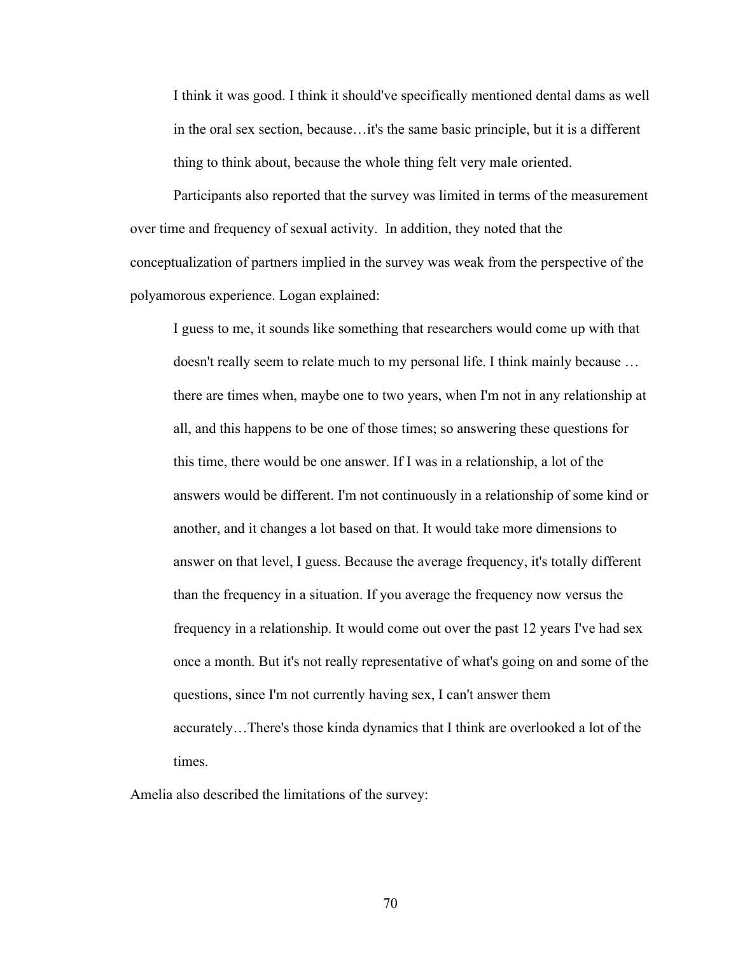I think it was good. I think it should've specifically mentioned dental dams as well in the oral sex section, because…it's the same basic principle, but it is a different thing to think about, because the whole thing felt very male oriented.

Participants also reported that the survey was limited in terms of the measurement over time and frequency of sexual activity. In addition, they noted that the conceptualization of partners implied in the survey was weak from the perspective of the polyamorous experience. Logan explained:

I guess to me, it sounds like something that researchers would come up with that doesn't really seem to relate much to my personal life. I think mainly because … there are times when, maybe one to two years, when I'm not in any relationship at all, and this happens to be one of those times; so answering these questions for this time, there would be one answer. If I was in a relationship, a lot of the answers would be different. I'm not continuously in a relationship of some kind or another, and it changes a lot based on that. It would take more dimensions to answer on that level, I guess. Because the average frequency, it's totally different than the frequency in a situation. If you average the frequency now versus the frequency in a relationship. It would come out over the past 12 years I've had sex once a month. But it's not really representative of what's going on and some of the questions, since I'm not currently having sex, I can't answer them accurately…There's those kinda dynamics that I think are overlooked a lot of the times.

Amelia also described the limitations of the survey: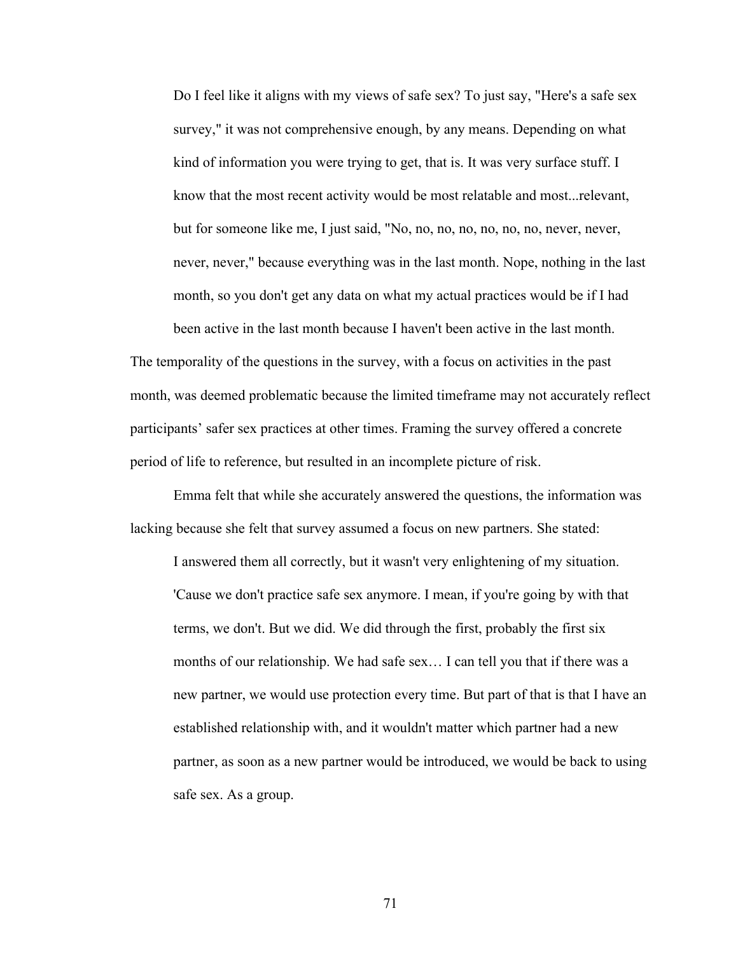Do I feel like it aligns with my views of safe sex? To just say, "Here's a safe sex survey," it was not comprehensive enough, by any means. Depending on what kind of information you were trying to get, that is. It was very surface stuff. I know that the most recent activity would be most relatable and most...relevant, but for someone like me, I just said, "No, no, no, no, no, no, no, never, never, never, never," because everything was in the last month. Nope, nothing in the last month, so you don't get any data on what my actual practices would be if I had

been active in the last month because I haven't been active in the last month. The temporality of the questions in the survey, with a focus on activities in the past month, was deemed problematic because the limited timeframe may not accurately reflect participants' safer sex practices at other times. Framing the survey offered a concrete period of life to reference, but resulted in an incomplete picture of risk.

Emma felt that while she accurately answered the questions, the information was lacking because she felt that survey assumed a focus on new partners. She stated:

I answered them all correctly, but it wasn't very enlightening of my situation. 'Cause we don't practice safe sex anymore. I mean, if you're going by with that terms, we don't. But we did. We did through the first, probably the first six months of our relationship. We had safe sex… I can tell you that if there was a new partner, we would use protection every time. But part of that is that I have an established relationship with, and it wouldn't matter which partner had a new partner, as soon as a new partner would be introduced, we would be back to using safe sex. As a group.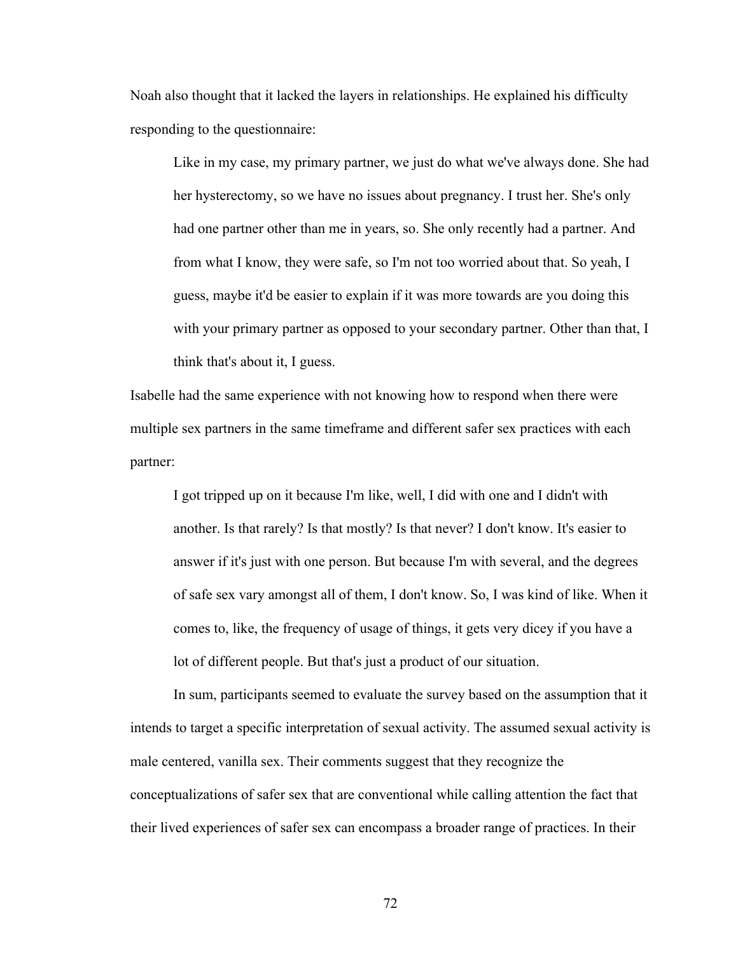Noah also thought that it lacked the layers in relationships. He explained his difficulty responding to the questionnaire:

Like in my case, my primary partner, we just do what we've always done. She had her hysterectomy, so we have no issues about pregnancy. I trust her. She's only had one partner other than me in years, so. She only recently had a partner. And from what I know, they were safe, so I'm not too worried about that. So yeah, I guess, maybe it'd be easier to explain if it was more towards are you doing this with your primary partner as opposed to your secondary partner. Other than that, I think that's about it, I guess.

Isabelle had the same experience with not knowing how to respond when there were multiple sex partners in the same timeframe and different safer sex practices with each partner:

I got tripped up on it because I'm like, well, I did with one and I didn't with another. Is that rarely? Is that mostly? Is that never? I don't know. It's easier to answer if it's just with one person. But because I'm with several, and the degrees of safe sex vary amongst all of them, I don't know. So, I was kind of like. When it comes to, like, the frequency of usage of things, it gets very dicey if you have a lot of different people. But that's just a product of our situation.

In sum, participants seemed to evaluate the survey based on the assumption that it intends to target a specific interpretation of sexual activity. The assumed sexual activity is male centered, vanilla sex. Their comments suggest that they recognize the conceptualizations of safer sex that are conventional while calling attention the fact that their lived experiences of safer sex can encompass a broader range of practices. In their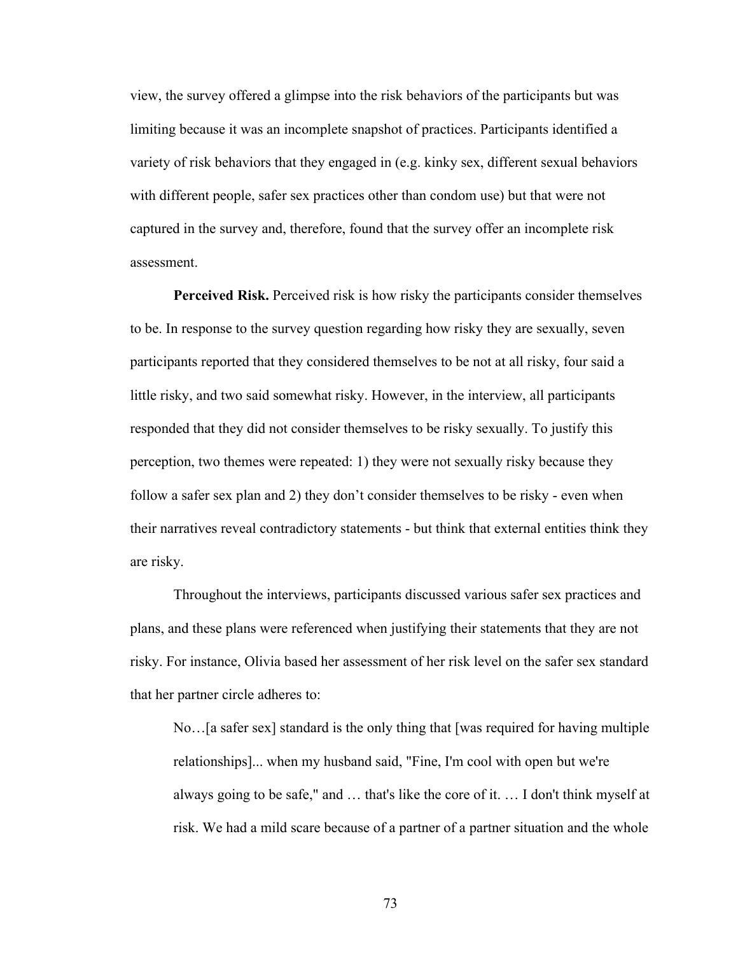view, the survey offered a glimpse into the risk behaviors of the participants but was limiting because it was an incomplete snapshot of practices. Participants identified a variety of risk behaviors that they engaged in (e.g. kinky sex, different sexual behaviors with different people, safer sex practices other than condom use) but that were not captured in the survey and, therefore, found that the survey offer an incomplete risk assessment.

**Perceived Risk.** Perceived risk is how risky the participants consider themselves to be. In response to the survey question regarding how risky they are sexually, seven participants reported that they considered themselves to be not at all risky, four said a little risky, and two said somewhat risky. However, in the interview, all participants responded that they did not consider themselves to be risky sexually. To justify this perception, two themes were repeated: 1) they were not sexually risky because they follow a safer sex plan and 2) they don't consider themselves to be risky - even when their narratives reveal contradictory statements - but think that external entities think they are risky.

Throughout the interviews, participants discussed various safer sex practices and plans, and these plans were referenced when justifying their statements that they are not risky. For instance, Olivia based her assessment of her risk level on the safer sex standard that her partner circle adheres to:

No…[a safer sex] standard is the only thing that [was required for having multiple relationships]... when my husband said, "Fine, I'm cool with open but we're always going to be safe," and … that's like the core of it. … I don't think myself at risk. We had a mild scare because of a partner of a partner situation and the whole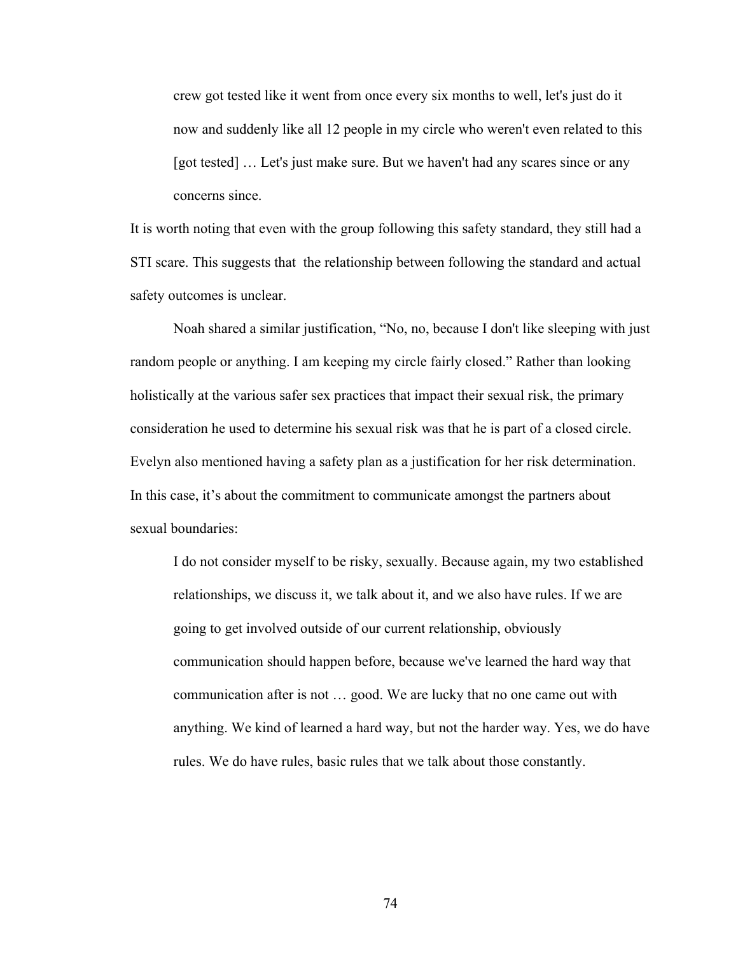crew got tested like it went from once every six months to well, let's just do it now and suddenly like all 12 people in my circle who weren't even related to this [got tested] … Let's just make sure. But we haven't had any scares since or any concerns since.

It is worth noting that even with the group following this safety standard, they still had a STI scare. This suggests that the relationship between following the standard and actual safety outcomes is unclear.

Noah shared a similar justification, "No, no, because I don't like sleeping with just random people or anything. I am keeping my circle fairly closed." Rather than looking holistically at the various safer sex practices that impact their sexual risk, the primary consideration he used to determine his sexual risk was that he is part of a closed circle. Evelyn also mentioned having a safety plan as a justification for her risk determination. In this case, it's about the commitment to communicate amongst the partners about sexual boundaries:

I do not consider myself to be risky, sexually. Because again, my two established relationships, we discuss it, we talk about it, and we also have rules. If we are going to get involved outside of our current relationship, obviously communication should happen before, because we've learned the hard way that communication after is not … good. We are lucky that no one came out with anything. We kind of learned a hard way, but not the harder way. Yes, we do have rules. We do have rules, basic rules that we talk about those constantly.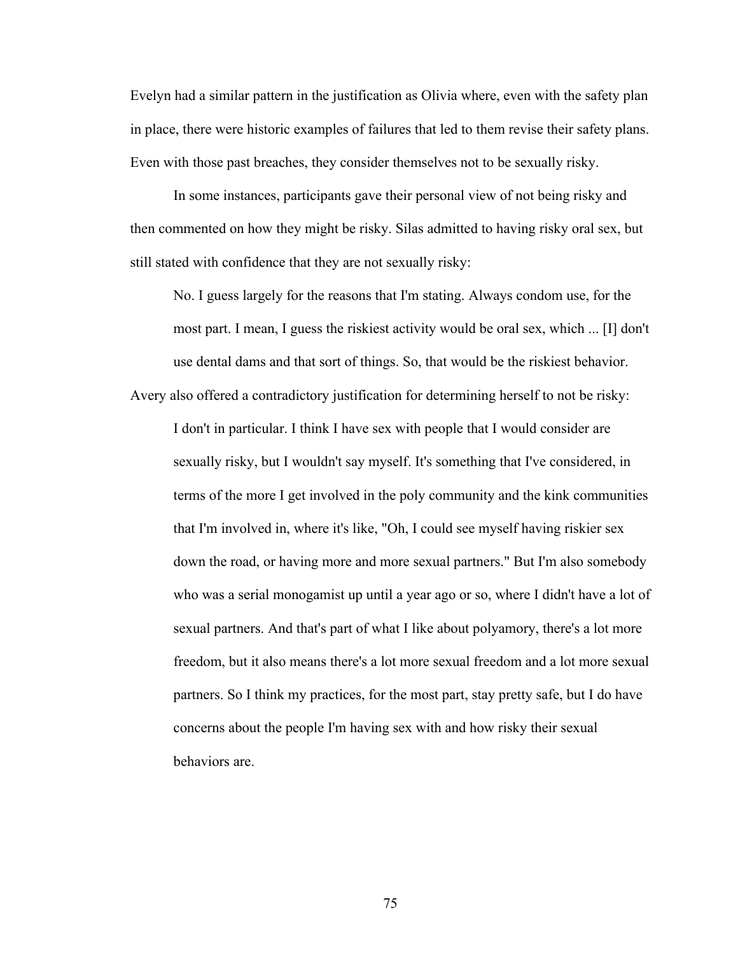Evelyn had a similar pattern in the justification as Olivia where, even with the safety plan in place, there were historic examples of failures that led to them revise their safety plans. Even with those past breaches, they consider themselves not to be sexually risky.

In some instances, participants gave their personal view of not being risky and then commented on how they might be risky. Silas admitted to having risky oral sex, but still stated with confidence that they are not sexually risky:

No. I guess largely for the reasons that I'm stating. Always condom use, for the most part. I mean, I guess the riskiest activity would be oral sex, which ... [I] don't use dental dams and that sort of things. So, that would be the riskiest behavior.

Avery also offered a contradictory justification for determining herself to not be risky:

I don't in particular. I think I have sex with people that I would consider are sexually risky, but I wouldn't say myself. It's something that I've considered, in terms of the more I get involved in the poly community and the kink communities that I'm involved in, where it's like, "Oh, I could see myself having riskier sex down the road, or having more and more sexual partners." But I'm also somebody who was a serial monogamist up until a year ago or so, where I didn't have a lot of sexual partners. And that's part of what I like about polyamory, there's a lot more freedom, but it also means there's a lot more sexual freedom and a lot more sexual partners. So I think my practices, for the most part, stay pretty safe, but I do have concerns about the people I'm having sex with and how risky their sexual behaviors are.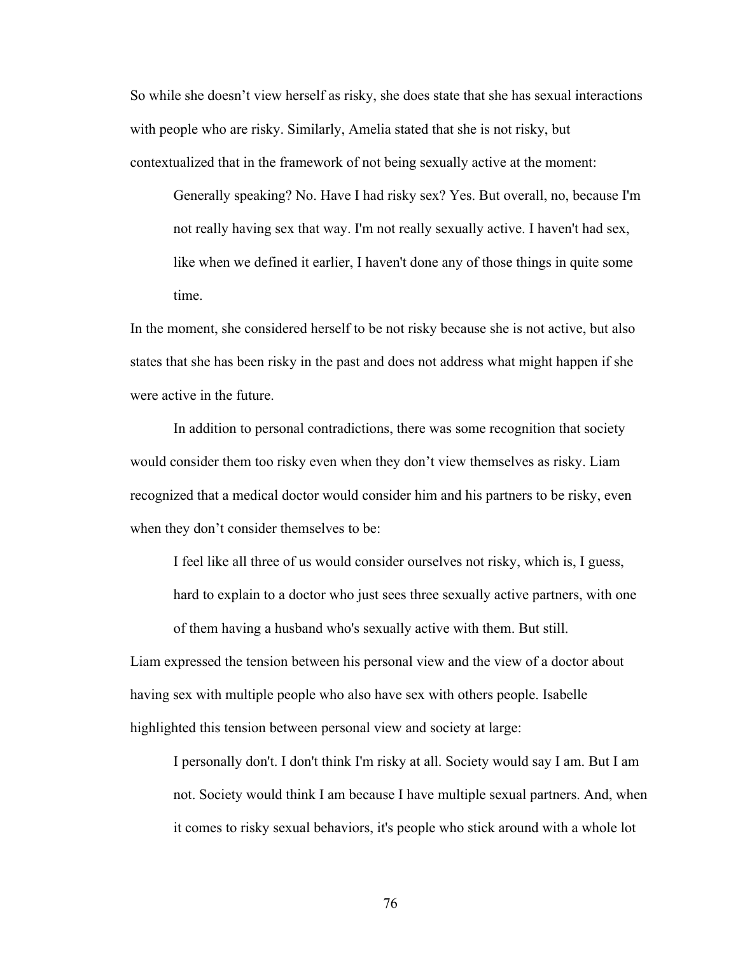So while she doesn't view herself as risky, she does state that she has sexual interactions with people who are risky. Similarly, Amelia stated that she is not risky, but contextualized that in the framework of not being sexually active at the moment:

Generally speaking? No. Have I had risky sex? Yes. But overall, no, because I'm not really having sex that way. I'm not really sexually active. I haven't had sex, like when we defined it earlier, I haven't done any of those things in quite some time.

In the moment, she considered herself to be not risky because she is not active, but also states that she has been risky in the past and does not address what might happen if she were active in the future.

In addition to personal contradictions, there was some recognition that society would consider them too risky even when they don't view themselves as risky. Liam recognized that a medical doctor would consider him and his partners to be risky, even when they don't consider themselves to be:

I feel like all three of us would consider ourselves not risky, which is, I guess, hard to explain to a doctor who just sees three sexually active partners, with one of them having a husband who's sexually active with them. But still.

Liam expressed the tension between his personal view and the view of a doctor about having sex with multiple people who also have sex with others people. Isabelle highlighted this tension between personal view and society at large:

I personally don't. I don't think I'm risky at all. Society would say I am. But I am not. Society would think I am because I have multiple sexual partners. And, when it comes to risky sexual behaviors, it's people who stick around with a whole lot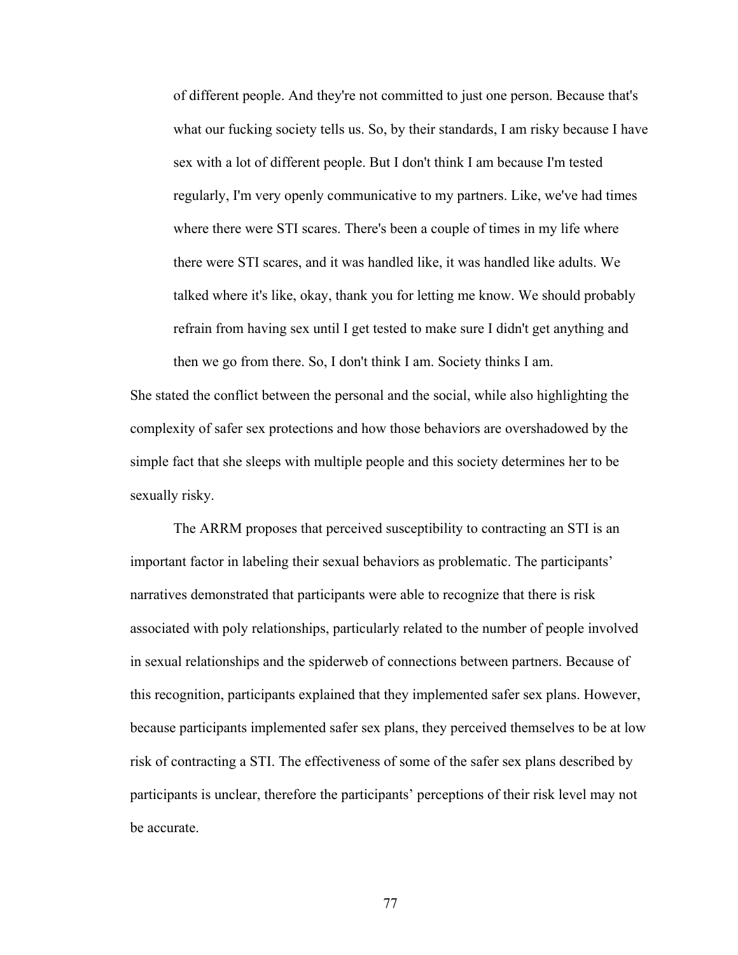of different people. And they're not committed to just one person. Because that's what our fucking society tells us. So, by their standards, I am risky because I have sex with a lot of different people. But I don't think I am because I'm tested regularly, I'm very openly communicative to my partners. Like, we've had times where there were STI scares. There's been a couple of times in my life where there were STI scares, and it was handled like, it was handled like adults. We talked where it's like, okay, thank you for letting me know. We should probably refrain from having sex until I get tested to make sure I didn't get anything and then we go from there. So, I don't think I am. Society thinks I am.

She stated the conflict between the personal and the social, while also highlighting the complexity of safer sex protections and how those behaviors are overshadowed by the simple fact that she sleeps with multiple people and this society determines her to be sexually risky.

The ARRM proposes that perceived susceptibility to contracting an STI is an important factor in labeling their sexual behaviors as problematic. The participants' narratives demonstrated that participants were able to recognize that there is risk associated with poly relationships, particularly related to the number of people involved in sexual relationships and the spiderweb of connections between partners. Because of this recognition, participants explained that they implemented safer sex plans. However, because participants implemented safer sex plans, they perceived themselves to be at low risk of contracting a STI. The effectiveness of some of the safer sex plans described by participants is unclear, therefore the participants' perceptions of their risk level may not be accurate.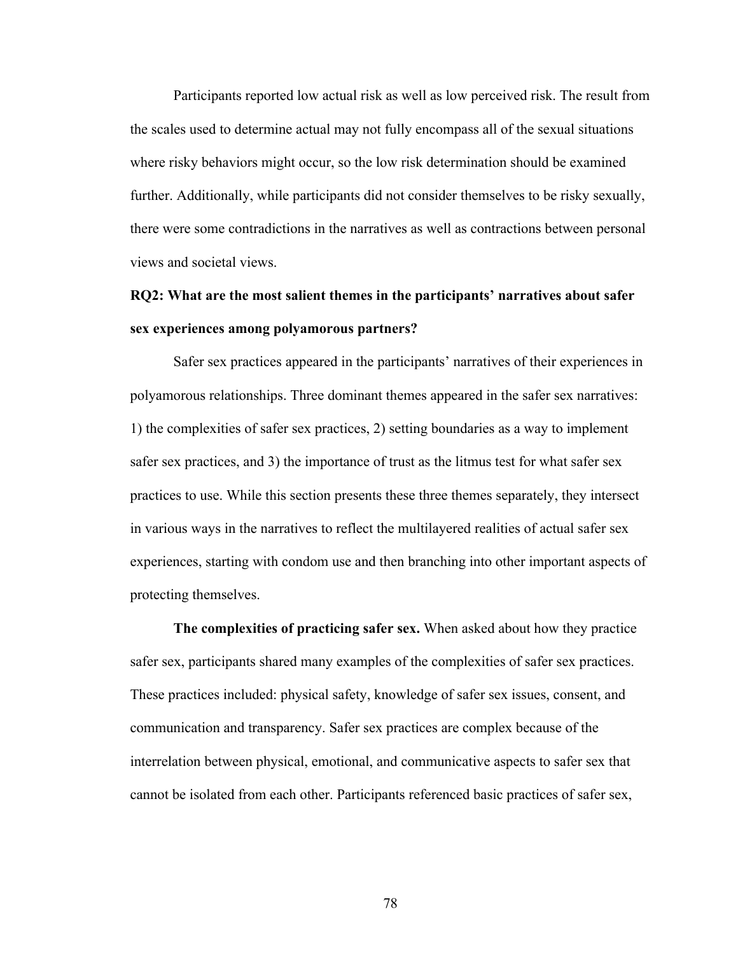Participants reported low actual risk as well as low perceived risk. The result from the scales used to determine actual may not fully encompass all of the sexual situations where risky behaviors might occur, so the low risk determination should be examined further. Additionally, while participants did not consider themselves to be risky sexually, there were some contradictions in the narratives as well as contractions between personal views and societal views.

# **RQ2: What are the most salient themes in the participants' narratives about safer sex experiences among polyamorous partners?**

Safer sex practices appeared in the participants' narratives of their experiences in polyamorous relationships. Three dominant themes appeared in the safer sex narratives: 1) the complexities of safer sex practices, 2) setting boundaries as a way to implement safer sex practices, and 3) the importance of trust as the litmus test for what safer sex practices to use. While this section presents these three themes separately, they intersect in various ways in the narratives to reflect the multilayered realities of actual safer sex experiences, starting with condom use and then branching into other important aspects of protecting themselves.

**The complexities of practicing safer sex.** When asked about how they practice safer sex, participants shared many examples of the complexities of safer sex practices. These practices included: physical safety, knowledge of safer sex issues, consent, and communication and transparency. Safer sex practices are complex because of the interrelation between physical, emotional, and communicative aspects to safer sex that cannot be isolated from each other. Participants referenced basic practices of safer sex,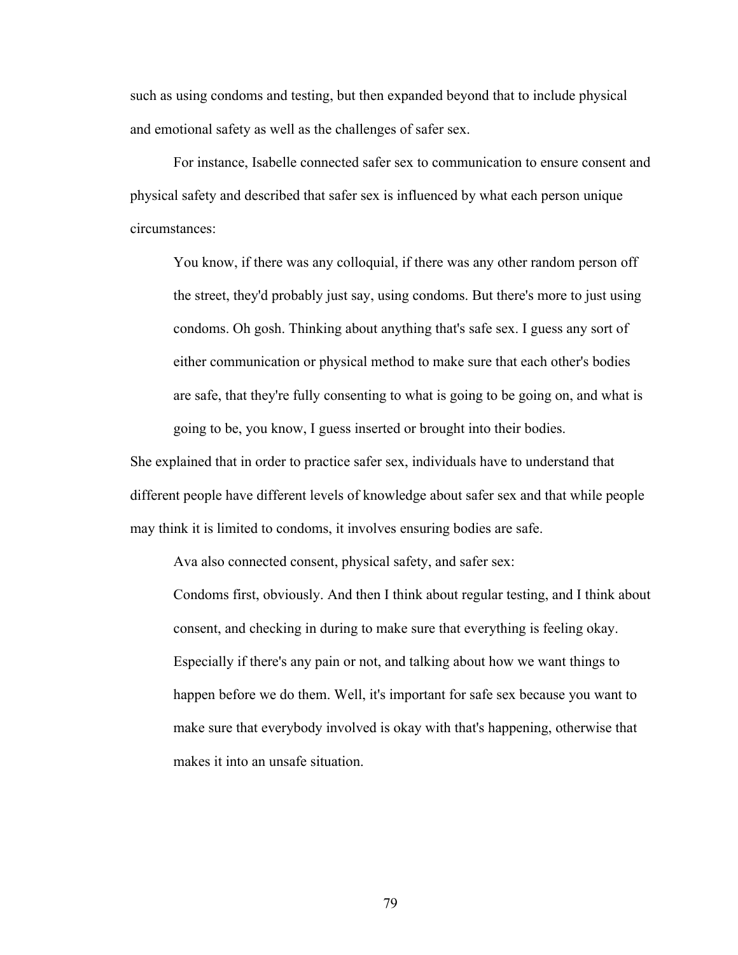such as using condoms and testing, but then expanded beyond that to include physical and emotional safety as well as the challenges of safer sex.

For instance, Isabelle connected safer sex to communication to ensure consent and physical safety and described that safer sex is influenced by what each person unique circumstances:

You know, if there was any colloquial, if there was any other random person off the street, they'd probably just say, using condoms. But there's more to just using condoms. Oh gosh. Thinking about anything that's safe sex. I guess any sort of either communication or physical method to make sure that each other's bodies are safe, that they're fully consenting to what is going to be going on, and what is going to be, you know, I guess inserted or brought into their bodies.

She explained that in order to practice safer sex, individuals have to understand that different people have different levels of knowledge about safer sex and that while people may think it is limited to condoms, it involves ensuring bodies are safe.

Ava also connected consent, physical safety, and safer sex:

Condoms first, obviously. And then I think about regular testing, and I think about consent, and checking in during to make sure that everything is feeling okay. Especially if there's any pain or not, and talking about how we want things to happen before we do them. Well, it's important for safe sex because you want to make sure that everybody involved is okay with that's happening, otherwise that makes it into an unsafe situation.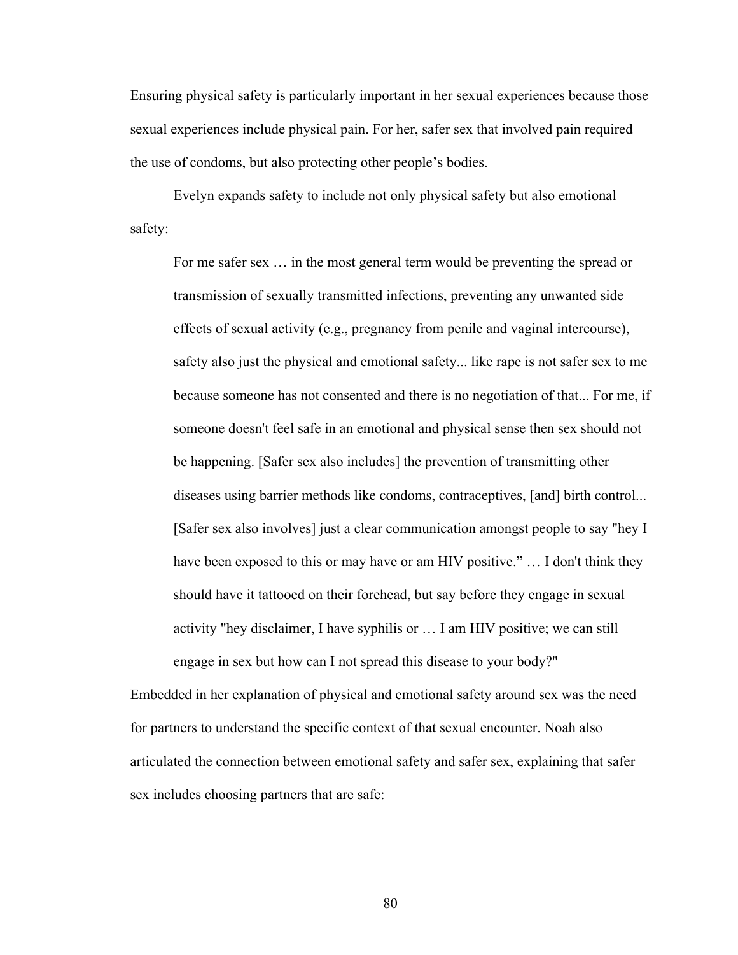Ensuring physical safety is particularly important in her sexual experiences because those sexual experiences include physical pain. For her, safer sex that involved pain required the use of condoms, but also protecting other people's bodies.

Evelyn expands safety to include not only physical safety but also emotional safety:

For me safer sex … in the most general term would be preventing the spread or transmission of sexually transmitted infections, preventing any unwanted side effects of sexual activity (e.g., pregnancy from penile and vaginal intercourse), safety also just the physical and emotional safety... like rape is not safer sex to me because someone has not consented and there is no negotiation of that... For me, if someone doesn't feel safe in an emotional and physical sense then sex should not be happening. [Safer sex also includes] the prevention of transmitting other diseases using barrier methods like condoms, contraceptives, [and] birth control... [Safer sex also involves] just a clear communication amongst people to say "hey I have been exposed to this or may have or am HIV positive." … I don't think they should have it tattooed on their forehead, but say before they engage in sexual activity "hey disclaimer, I have syphilis or … I am HIV positive; we can still engage in sex but how can I not spread this disease to your body?"

Embedded in her explanation of physical and emotional safety around sex was the need for partners to understand the specific context of that sexual encounter. Noah also articulated the connection between emotional safety and safer sex, explaining that safer sex includes choosing partners that are safe: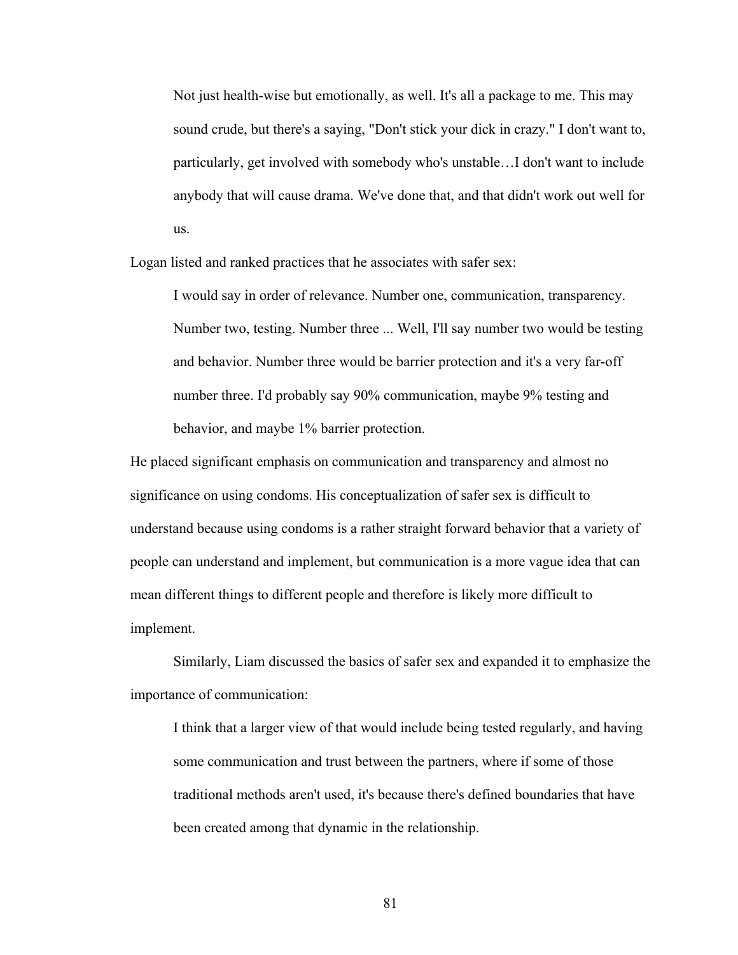Not just health-wise but emotionally, as well. It's all a package to me. This may sound crude, but there's a saying, "Don't stick your dick in crazy." I don't want to, particularly, get involved with somebody who's unstable…I don't want to include anybody that will cause drama. We've done that, and that didn't work out well for us.

Logan listed and ranked practices that he associates with safer sex:

I would say in order of relevance. Number one, communication, transparency. Number two, testing. Number three ... Well, I'll say number two would be testing and behavior. Number three would be barrier protection and it's a very far-off number three. I'd probably say 90% communication, maybe 9% testing and behavior, and maybe 1% barrier protection.

He placed significant emphasis on communication and transparency and almost no significance on using condoms. His conceptualization of safer sex is difficult to understand because using condoms is a rather straight forward behavior that a variety of people can understand and implement, but communication is a more vague idea that can mean different things to different people and therefore is likely more difficult to implement.

Similarly, Liam discussed the basics of safer sex and expanded it to emphasize the importance of communication:

I think that a larger view of that would include being tested regularly, and having some communication and trust between the partners, where if some of those traditional methods aren't used, it's because there's defined boundaries that have been created among that dynamic in the relationship.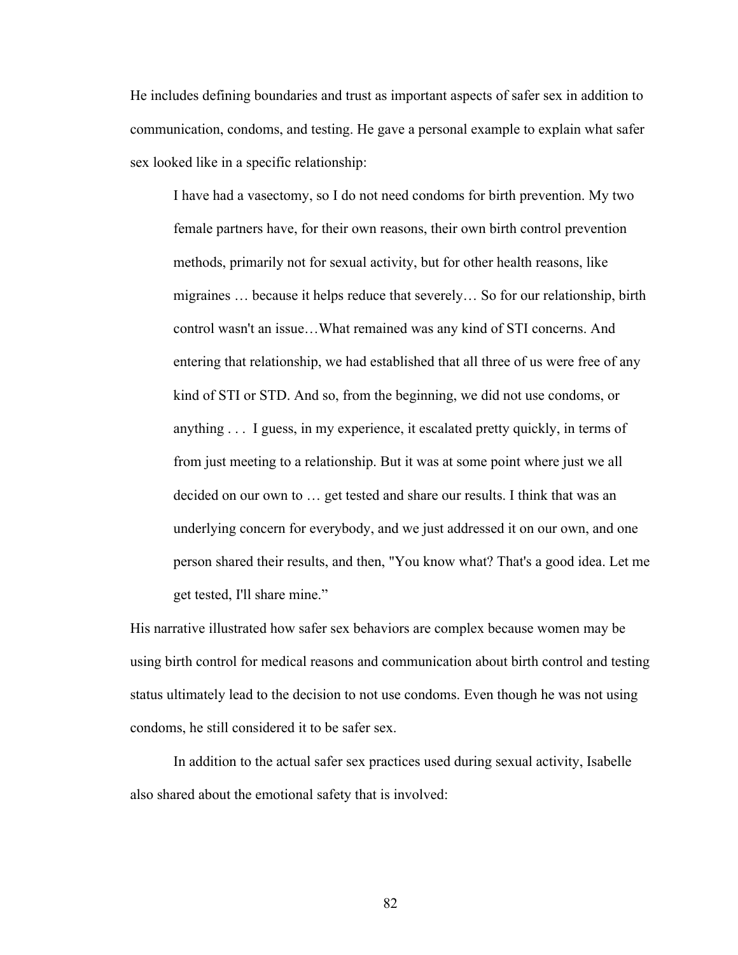He includes defining boundaries and trust as important aspects of safer sex in addition to communication, condoms, and testing. He gave a personal example to explain what safer sex looked like in a specific relationship:

I have had a vasectomy, so I do not need condoms for birth prevention. My two female partners have, for their own reasons, their own birth control prevention methods, primarily not for sexual activity, but for other health reasons, like migraines … because it helps reduce that severely… So for our relationship, birth control wasn't an issue…What remained was any kind of STI concerns. And entering that relationship, we had established that all three of us were free of any kind of STI or STD. And so, from the beginning, we did not use condoms, or anything . . . I guess, in my experience, it escalated pretty quickly, in terms of from just meeting to a relationship. But it was at some point where just we all decided on our own to … get tested and share our results. I think that was an underlying concern for everybody, and we just addressed it on our own, and one person shared their results, and then, "You know what? That's a good idea. Let me get tested, I'll share mine."

His narrative illustrated how safer sex behaviors are complex because women may be using birth control for medical reasons and communication about birth control and testing status ultimately lead to the decision to not use condoms. Even though he was not using condoms, he still considered it to be safer sex.

In addition to the actual safer sex practices used during sexual activity, Isabelle also shared about the emotional safety that is involved: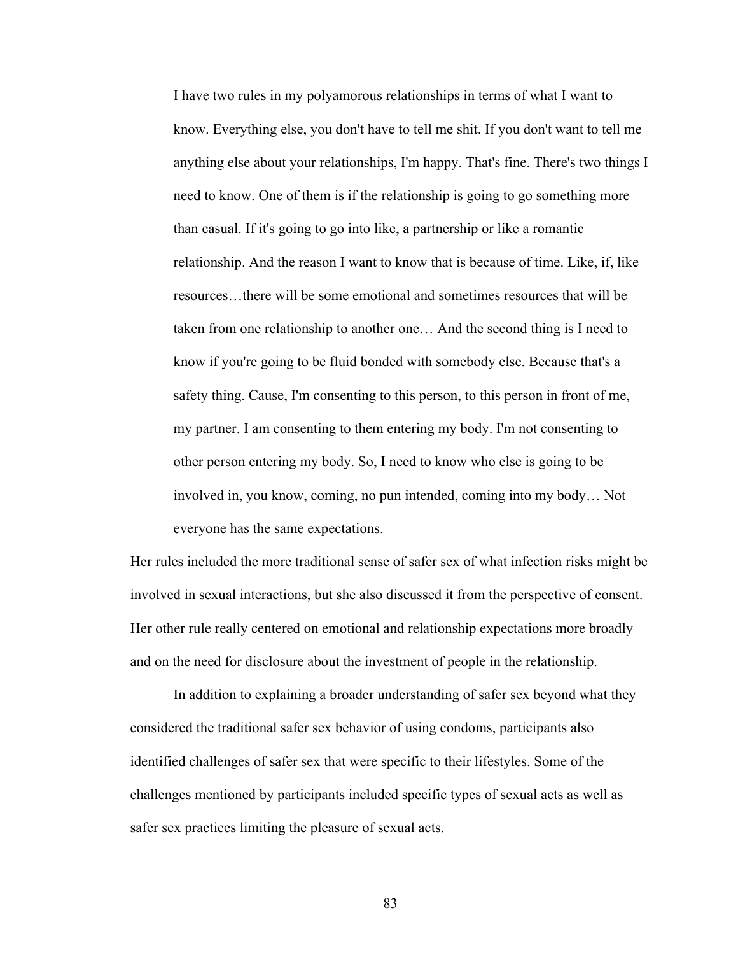I have two rules in my polyamorous relationships in terms of what I want to know. Everything else, you don't have to tell me shit. If you don't want to tell me anything else about your relationships, I'm happy. That's fine. There's two things I need to know. One of them is if the relationship is going to go something more than casual. If it's going to go into like, a partnership or like a romantic relationship. And the reason I want to know that is because of time. Like, if, like resources…there will be some emotional and sometimes resources that will be taken from one relationship to another one… And the second thing is I need to know if you're going to be fluid bonded with somebody else. Because that's a safety thing. Cause, I'm consenting to this person, to this person in front of me, my partner. I am consenting to them entering my body. I'm not consenting to other person entering my body. So, I need to know who else is going to be involved in, you know, coming, no pun intended, coming into my body… Not everyone has the same expectations.

Her rules included the more traditional sense of safer sex of what infection risks might be involved in sexual interactions, but she also discussed it from the perspective of consent. Her other rule really centered on emotional and relationship expectations more broadly and on the need for disclosure about the investment of people in the relationship.

In addition to explaining a broader understanding of safer sex beyond what they considered the traditional safer sex behavior of using condoms, participants also identified challenges of safer sex that were specific to their lifestyles. Some of the challenges mentioned by participants included specific types of sexual acts as well as safer sex practices limiting the pleasure of sexual acts.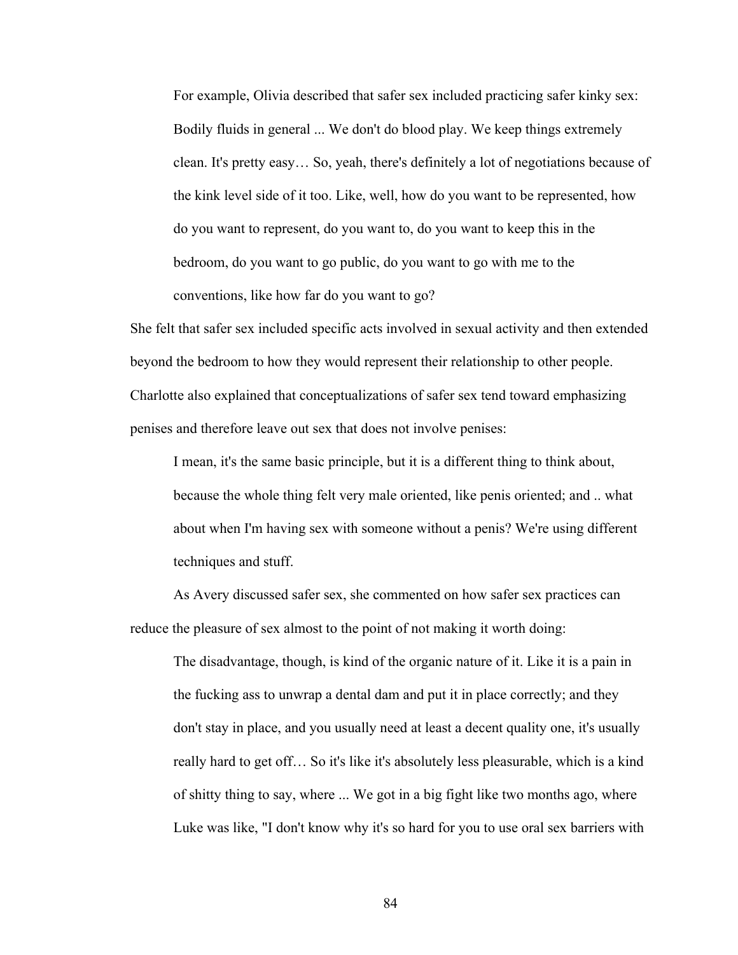For example, Olivia described that safer sex included practicing safer kinky sex: Bodily fluids in general ... We don't do blood play. We keep things extremely clean. It's pretty easy… So, yeah, there's definitely a lot of negotiations because of the kink level side of it too. Like, well, how do you want to be represented, how do you want to represent, do you want to, do you want to keep this in the bedroom, do you want to go public, do you want to go with me to the conventions, like how far do you want to go?

She felt that safer sex included specific acts involved in sexual activity and then extended beyond the bedroom to how they would represent their relationship to other people. Charlotte also explained that conceptualizations of safer sex tend toward emphasizing penises and therefore leave out sex that does not involve penises:

I mean, it's the same basic principle, but it is a different thing to think about, because the whole thing felt very male oriented, like penis oriented; and .. what about when I'm having sex with someone without a penis? We're using different techniques and stuff.

As Avery discussed safer sex, she commented on how safer sex practices can reduce the pleasure of sex almost to the point of not making it worth doing:

The disadvantage, though, is kind of the organic nature of it. Like it is a pain in the fucking ass to unwrap a dental dam and put it in place correctly; and they don't stay in place, and you usually need at least a decent quality one, it's usually really hard to get off… So it's like it's absolutely less pleasurable, which is a kind of shitty thing to say, where ... We got in a big fight like two months ago, where Luke was like, "I don't know why it's so hard for you to use oral sex barriers with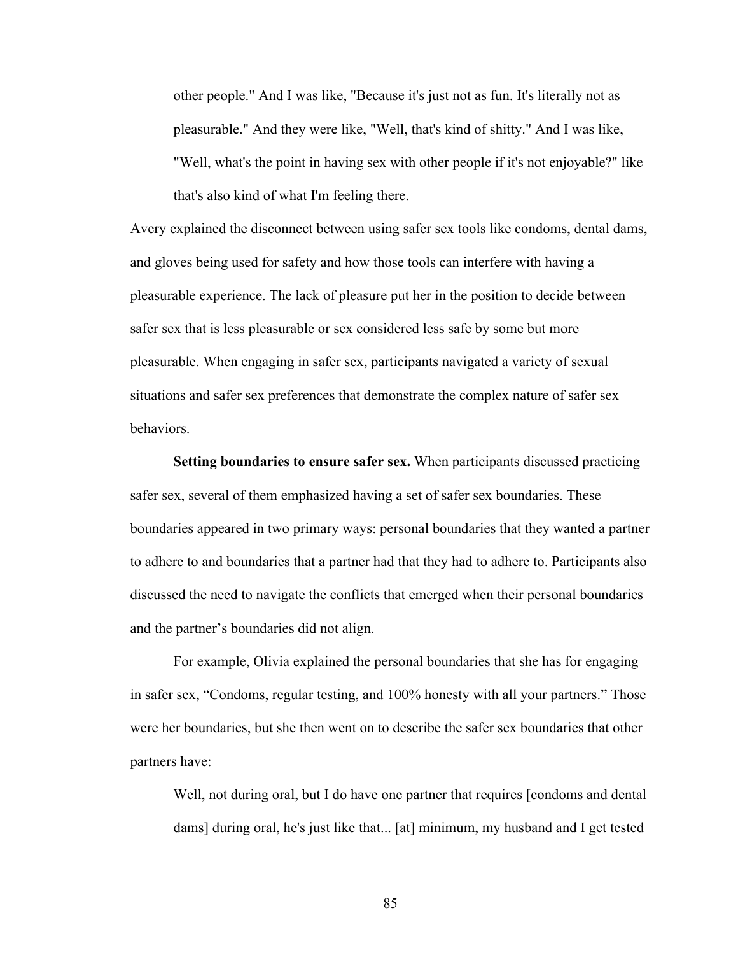other people." And I was like, "Because it's just not as fun. It's literally not as pleasurable." And they were like, "Well, that's kind of shitty." And I was like, "Well, what's the point in having sex with other people if it's not enjoyable?" like that's also kind of what I'm feeling there.

Avery explained the disconnect between using safer sex tools like condoms, dental dams, and gloves being used for safety and how those tools can interfere with having a pleasurable experience. The lack of pleasure put her in the position to decide between safer sex that is less pleasurable or sex considered less safe by some but more pleasurable. When engaging in safer sex, participants navigated a variety of sexual situations and safer sex preferences that demonstrate the complex nature of safer sex behaviors.

**Setting boundaries to ensure safer sex.** When participants discussed practicing safer sex, several of them emphasized having a set of safer sex boundaries. These boundaries appeared in two primary ways: personal boundaries that they wanted a partner to adhere to and boundaries that a partner had that they had to adhere to. Participants also discussed the need to navigate the conflicts that emerged when their personal boundaries and the partner's boundaries did not align.

For example, Olivia explained the personal boundaries that she has for engaging in safer sex, "Condoms, regular testing, and 100% honesty with all your partners." Those were her boundaries, but she then went on to describe the safer sex boundaries that other partners have:

Well, not during oral, but I do have one partner that requires [condoms and dental dams] during oral, he's just like that... [at] minimum, my husband and I get tested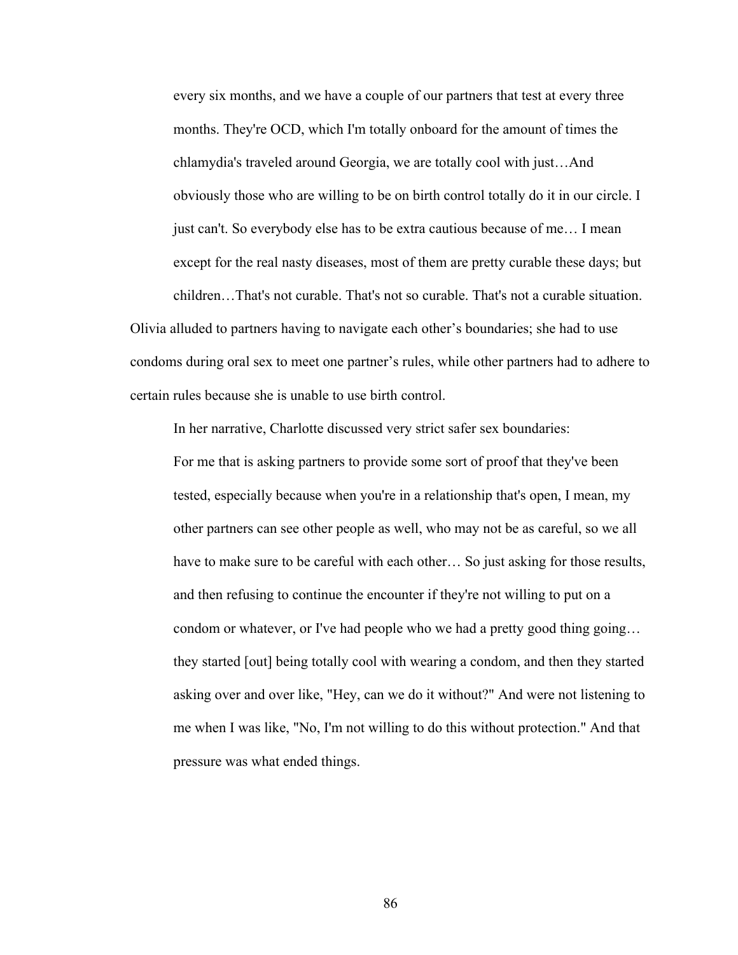every six months, and we have a couple of our partners that test at every three months. They're OCD, which I'm totally onboard for the amount of times the chlamydia's traveled around Georgia, we are totally cool with just…And obviously those who are willing to be on birth control totally do it in our circle. I just can't. So everybody else has to be extra cautious because of me… I mean except for the real nasty diseases, most of them are pretty curable these days; but children…That's not curable. That's not so curable. That's not a curable situation.

Olivia alluded to partners having to navigate each other's boundaries; she had to use condoms during oral sex to meet one partner's rules, while other partners had to adhere to certain rules because she is unable to use birth control.

In her narrative, Charlotte discussed very strict safer sex boundaries: For me that is asking partners to provide some sort of proof that they've been tested, especially because when you're in a relationship that's open, I mean, my other partners can see other people as well, who may not be as careful, so we all have to make sure to be careful with each other... So just asking for those results, and then refusing to continue the encounter if they're not willing to put on a condom or whatever, or I've had people who we had a pretty good thing going… they started [out] being totally cool with wearing a condom, and then they started asking over and over like, "Hey, can we do it without?" And were not listening to me when I was like, "No, I'm not willing to do this without protection." And that pressure was what ended things.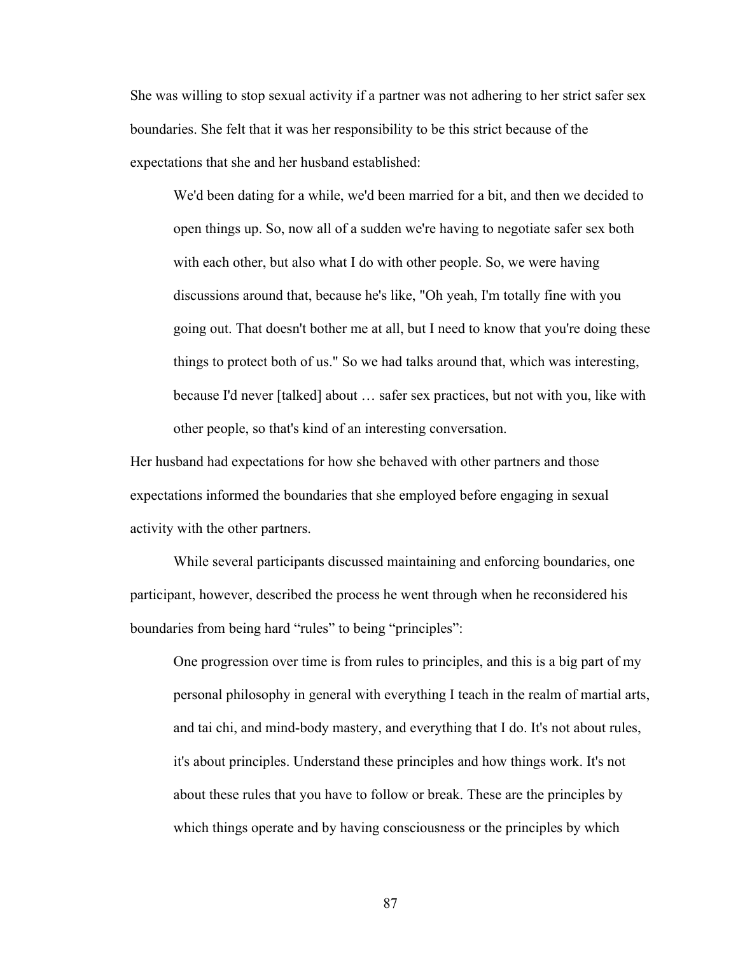She was willing to stop sexual activity if a partner was not adhering to her strict safer sex boundaries. She felt that it was her responsibility to be this strict because of the expectations that she and her husband established:

We'd been dating for a while, we'd been married for a bit, and then we decided to open things up. So, now all of a sudden we're having to negotiate safer sex both with each other, but also what I do with other people. So, we were having discussions around that, because he's like, "Oh yeah, I'm totally fine with you going out. That doesn't bother me at all, but I need to know that you're doing these things to protect both of us." So we had talks around that, which was interesting, because I'd never [talked] about … safer sex practices, but not with you, like with other people, so that's kind of an interesting conversation.

Her husband had expectations for how she behaved with other partners and those expectations informed the boundaries that she employed before engaging in sexual activity with the other partners.

While several participants discussed maintaining and enforcing boundaries, one participant, however, described the process he went through when he reconsidered his boundaries from being hard "rules" to being "principles":

One progression over time is from rules to principles, and this is a big part of my personal philosophy in general with everything I teach in the realm of martial arts, and tai chi, and mind-body mastery, and everything that I do. It's not about rules, it's about principles. Understand these principles and how things work. It's not about these rules that you have to follow or break. These are the principles by which things operate and by having consciousness or the principles by which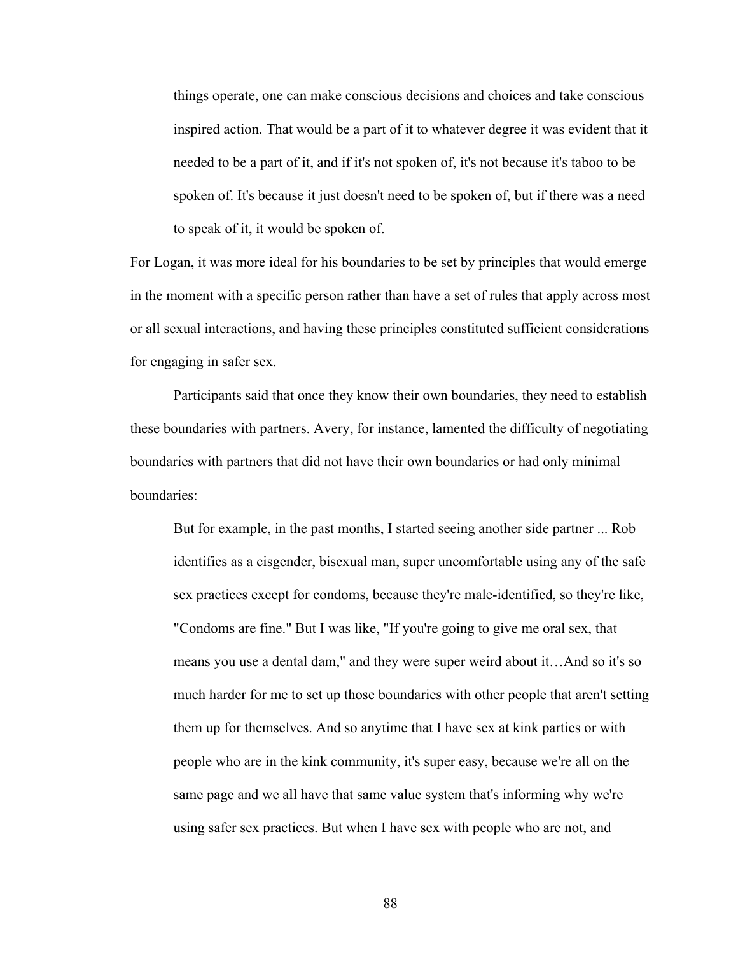things operate, one can make conscious decisions and choices and take conscious inspired action. That would be a part of it to whatever degree it was evident that it needed to be a part of it, and if it's not spoken of, it's not because it's taboo to be spoken of. It's because it just doesn't need to be spoken of, but if there was a need to speak of it, it would be spoken of.

For Logan, it was more ideal for his boundaries to be set by principles that would emerge in the moment with a specific person rather than have a set of rules that apply across most or all sexual interactions, and having these principles constituted sufficient considerations for engaging in safer sex.

Participants said that once they know their own boundaries, they need to establish these boundaries with partners. Avery, for instance, lamented the difficulty of negotiating boundaries with partners that did not have their own boundaries or had only minimal boundaries:

But for example, in the past months, I started seeing another side partner ... Rob identifies as a cisgender, bisexual man, super uncomfortable using any of the safe sex practices except for condoms, because they're male-identified, so they're like, "Condoms are fine." But I was like, "If you're going to give me oral sex, that means you use a dental dam," and they were super weird about it…And so it's so much harder for me to set up those boundaries with other people that aren't setting them up for themselves. And so anytime that I have sex at kink parties or with people who are in the kink community, it's super easy, because we're all on the same page and we all have that same value system that's informing why we're using safer sex practices. But when I have sex with people who are not, and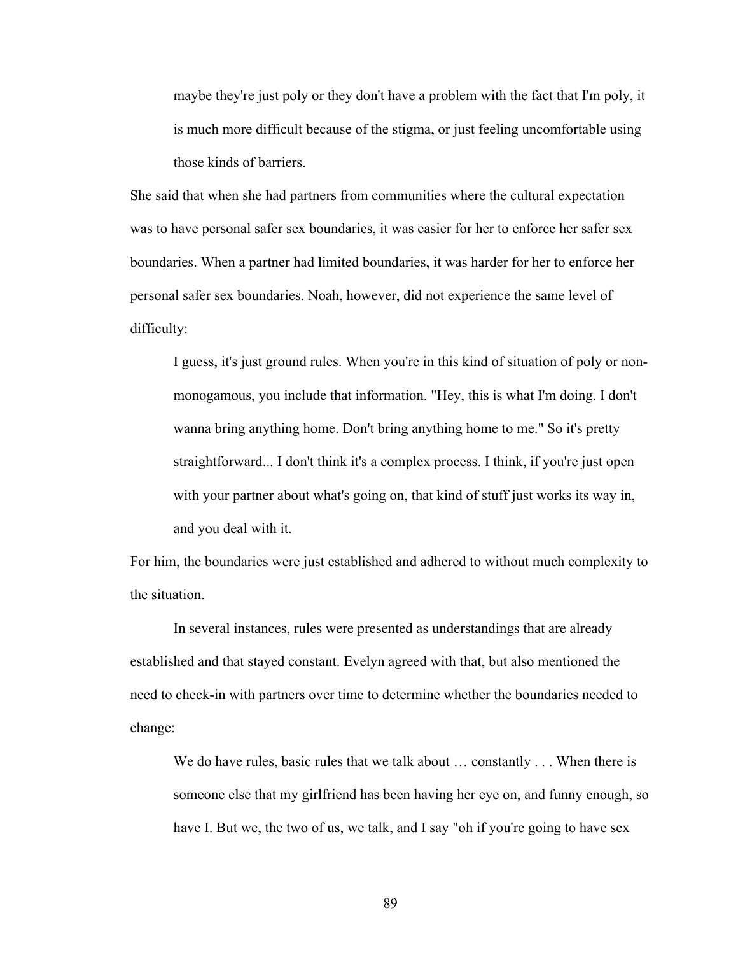maybe they're just poly or they don't have a problem with the fact that I'm poly, it is much more difficult because of the stigma, or just feeling uncomfortable using those kinds of barriers.

She said that when she had partners from communities where the cultural expectation was to have personal safer sex boundaries, it was easier for her to enforce her safer sex boundaries. When a partner had limited boundaries, it was harder for her to enforce her personal safer sex boundaries. Noah, however, did not experience the same level of difficulty:

I guess, it's just ground rules. When you're in this kind of situation of poly or nonmonogamous, you include that information. "Hey, this is what I'm doing. I don't wanna bring anything home. Don't bring anything home to me." So it's pretty straightforward... I don't think it's a complex process. I think, if you're just open with your partner about what's going on, that kind of stuff just works its way in, and you deal with it.

For him, the boundaries were just established and adhered to without much complexity to the situation.

In several instances, rules were presented as understandings that are already established and that stayed constant. Evelyn agreed with that, but also mentioned the need to check-in with partners over time to determine whether the boundaries needed to change:

We do have rules, basic rules that we talk about ... constantly ... When there is someone else that my girlfriend has been having her eye on, and funny enough, so have I. But we, the two of us, we talk, and I say "oh if you're going to have sex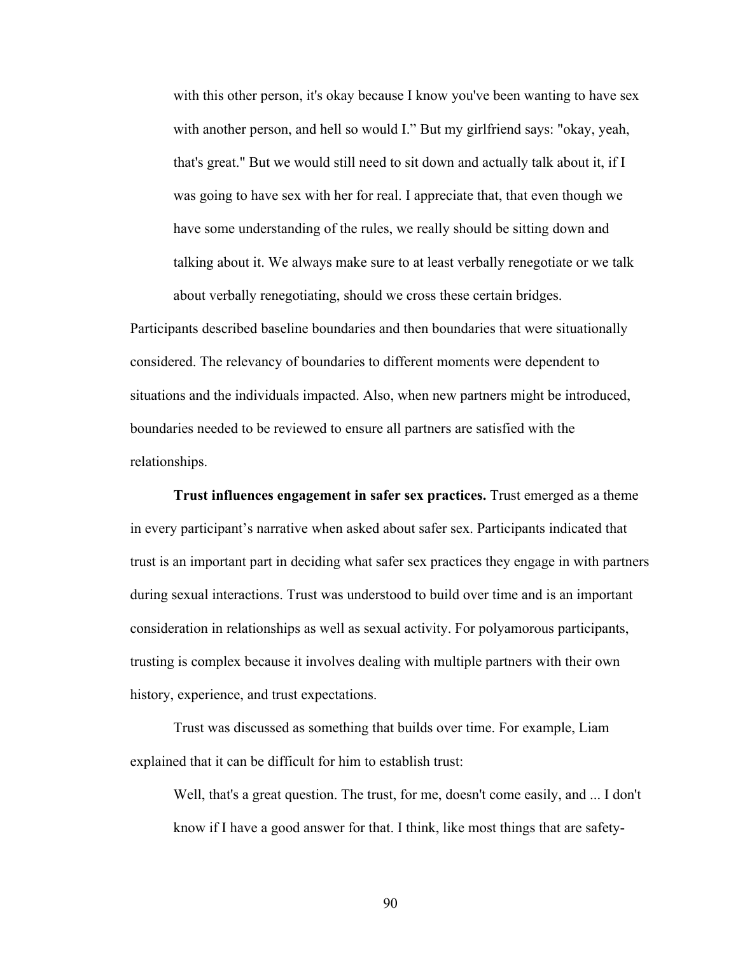with this other person, it's okay because I know you've been wanting to have sex with another person, and hell so would I." But my girlfriend says: "okay, yeah, that's great." But we would still need to sit down and actually talk about it, if I was going to have sex with her for real. I appreciate that, that even though we have some understanding of the rules, we really should be sitting down and talking about it. We always make sure to at least verbally renegotiate or we talk about verbally renegotiating, should we cross these certain bridges.

Participants described baseline boundaries and then boundaries that were situationally considered. The relevancy of boundaries to different moments were dependent to situations and the individuals impacted. Also, when new partners might be introduced, boundaries needed to be reviewed to ensure all partners are satisfied with the relationships.

**Trust influences engagement in safer sex practices.** Trust emerged as a theme in every participant's narrative when asked about safer sex. Participants indicated that trust is an important part in deciding what safer sex practices they engage in with partners during sexual interactions. Trust was understood to build over time and is an important consideration in relationships as well as sexual activity. For polyamorous participants, trusting is complex because it involves dealing with multiple partners with their own history, experience, and trust expectations.

Trust was discussed as something that builds over time. For example, Liam explained that it can be difficult for him to establish trust:

Well, that's a great question. The trust, for me, doesn't come easily, and ... I don't know if I have a good answer for that. I think, like most things that are safety-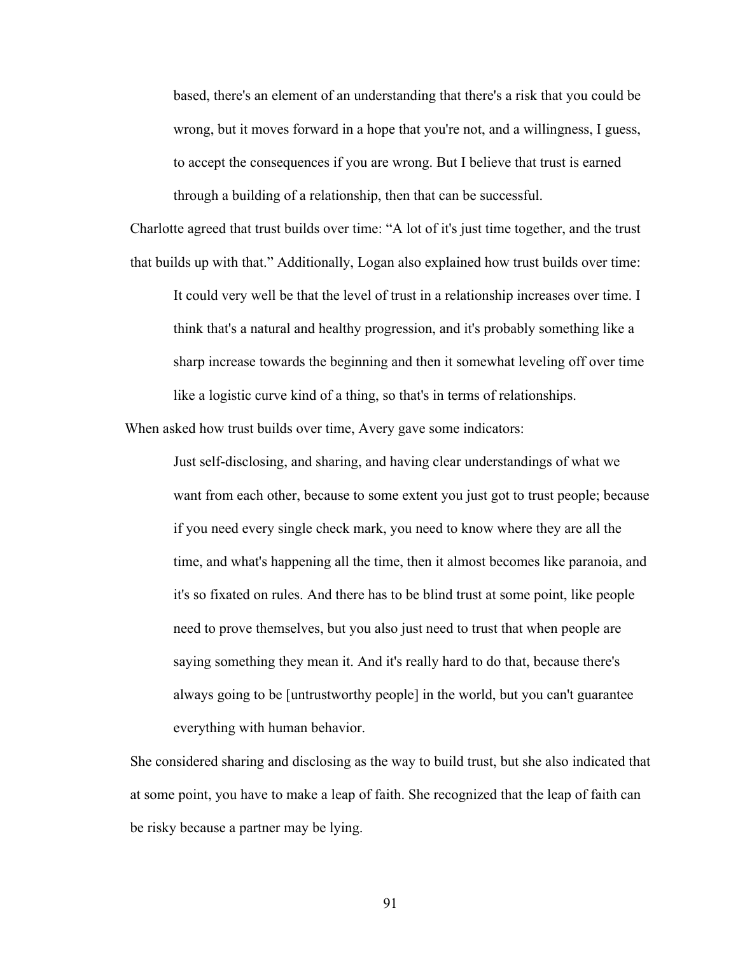based, there's an element of an understanding that there's a risk that you could be wrong, but it moves forward in a hope that you're not, and a willingness, I guess, to accept the consequences if you are wrong. But I believe that trust is earned through a building of a relationship, then that can be successful.

Charlotte agreed that trust builds over time: "A lot of it's just time together, and the trust that builds up with that." Additionally, Logan also explained how trust builds over time: It could very well be that the level of trust in a relationship increases over time. I think that's a natural and healthy progression, and it's probably something like a sharp increase towards the beginning and then it somewhat leveling off over time like a logistic curve kind of a thing, so that's in terms of relationships.

When asked how trust builds over time, Avery gave some indicators:

Just self-disclosing, and sharing, and having clear understandings of what we want from each other, because to some extent you just got to trust people; because if you need every single check mark, you need to know where they are all the time, and what's happening all the time, then it almost becomes like paranoia, and it's so fixated on rules. And there has to be blind trust at some point, like people need to prove themselves, but you also just need to trust that when people are saying something they mean it. And it's really hard to do that, because there's always going to be [untrustworthy people] in the world, but you can't guarantee everything with human behavior.

She considered sharing and disclosing as the way to build trust, but she also indicated that at some point, you have to make a leap of faith. She recognized that the leap of faith can be risky because a partner may be lying.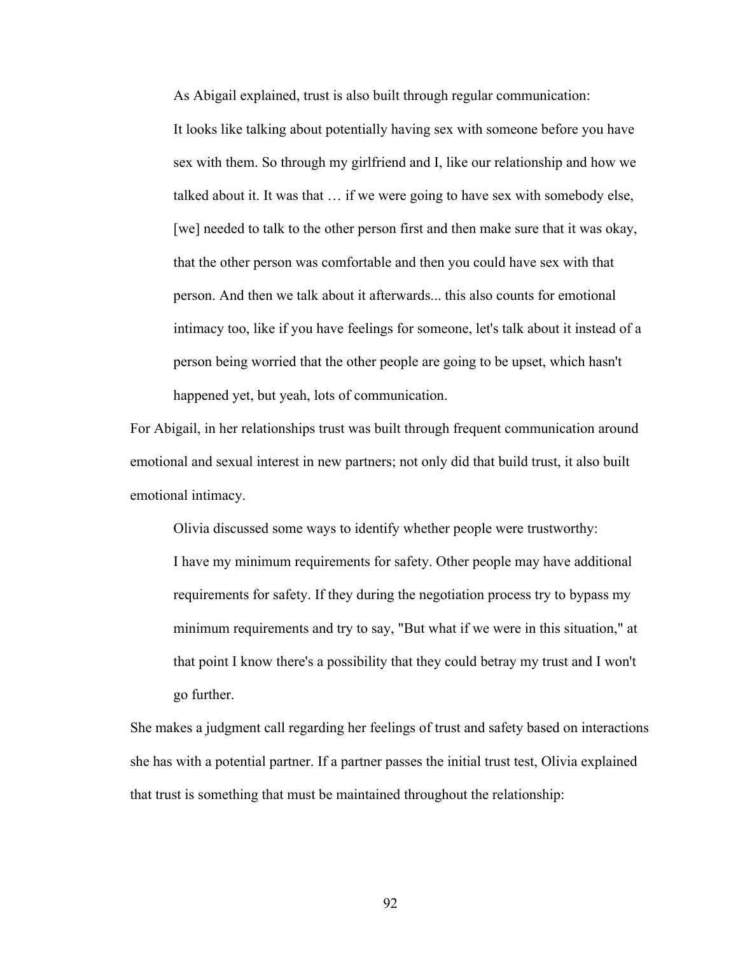As Abigail explained, trust is also built through regular communication:

It looks like talking about potentially having sex with someone before you have sex with them. So through my girlfriend and I, like our relationship and how we talked about it. It was that … if we were going to have sex with somebody else, [we] needed to talk to the other person first and then make sure that it was okay, that the other person was comfortable and then you could have sex with that person. And then we talk about it afterwards... this also counts for emotional intimacy too, like if you have feelings for someone, let's talk about it instead of a person being worried that the other people are going to be upset, which hasn't happened yet, but yeah, lots of communication.

For Abigail, in her relationships trust was built through frequent communication around emotional and sexual interest in new partners; not only did that build trust, it also built emotional intimacy.

Olivia discussed some ways to identify whether people were trustworthy: I have my minimum requirements for safety. Other people may have additional requirements for safety. If they during the negotiation process try to bypass my minimum requirements and try to say, "But what if we were in this situation," at that point I know there's a possibility that they could betray my trust and I won't go further.

She makes a judgment call regarding her feelings of trust and safety based on interactions she has with a potential partner. If a partner passes the initial trust test, Olivia explained that trust is something that must be maintained throughout the relationship: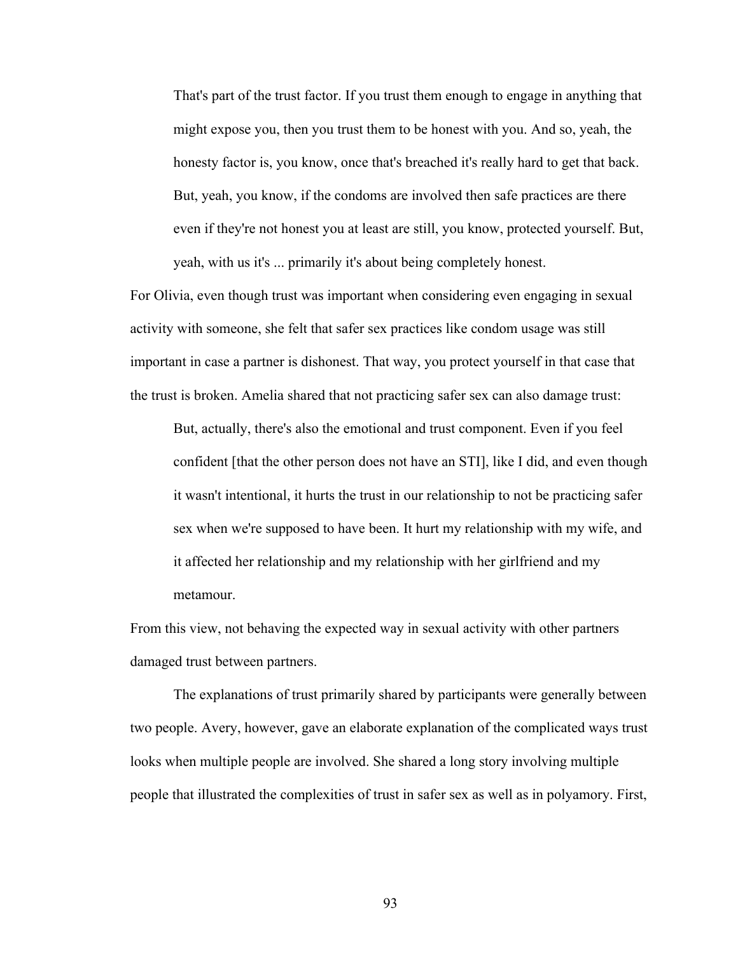That's part of the trust factor. If you trust them enough to engage in anything that might expose you, then you trust them to be honest with you. And so, yeah, the honesty factor is, you know, once that's breached it's really hard to get that back. But, yeah, you know, if the condoms are involved then safe practices are there even if they're not honest you at least are still, you know, protected yourself. But, yeah, with us it's ... primarily it's about being completely honest.

For Olivia, even though trust was important when considering even engaging in sexual activity with someone, she felt that safer sex practices like condom usage was still important in case a partner is dishonest. That way, you protect yourself in that case that the trust is broken. Amelia shared that not practicing safer sex can also damage trust:

But, actually, there's also the emotional and trust component. Even if you feel confident [that the other person does not have an STI], like I did, and even though it wasn't intentional, it hurts the trust in our relationship to not be practicing safer sex when we're supposed to have been. It hurt my relationship with my wife, and it affected her relationship and my relationship with her girlfriend and my metamour.

From this view, not behaving the expected way in sexual activity with other partners damaged trust between partners.

The explanations of trust primarily shared by participants were generally between two people. Avery, however, gave an elaborate explanation of the complicated ways trust looks when multiple people are involved. She shared a long story involving multiple people that illustrated the complexities of trust in safer sex as well as in polyamory. First,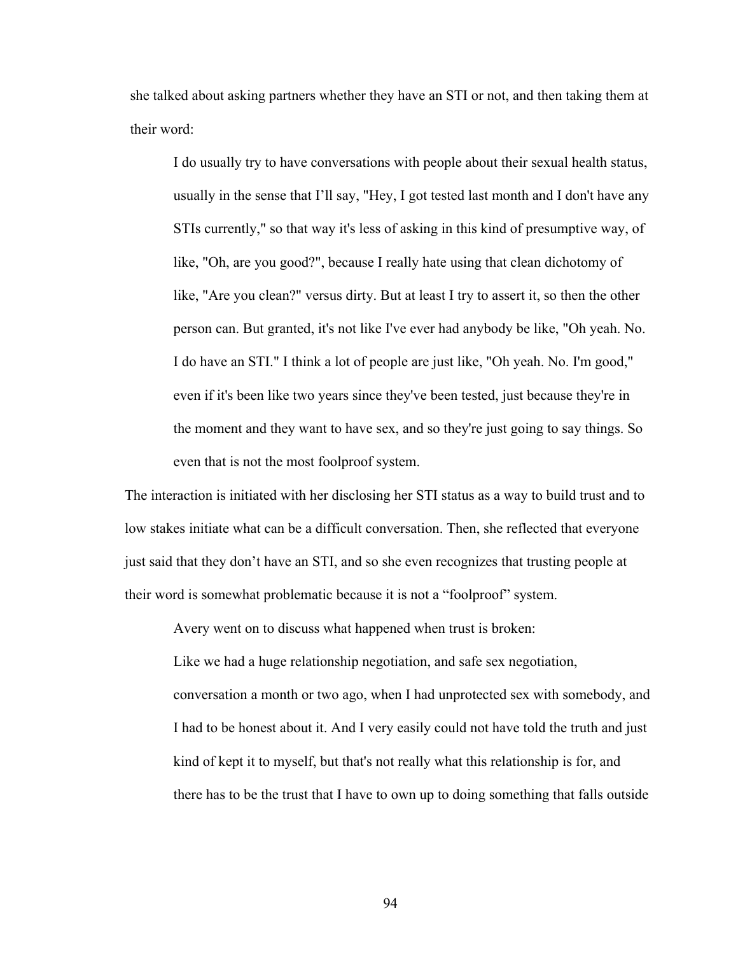she talked about asking partners whether they have an STI or not, and then taking them at their word:

I do usually try to have conversations with people about their sexual health status, usually in the sense that I'll say, "Hey, I got tested last month and I don't have any STIs currently," so that way it's less of asking in this kind of presumptive way, of like, "Oh, are you good?", because I really hate using that clean dichotomy of like, "Are you clean?" versus dirty. But at least I try to assert it, so then the other person can. But granted, it's not like I've ever had anybody be like, "Oh yeah. No. I do have an STI." I think a lot of people are just like, "Oh yeah. No. I'm good," even if it's been like two years since they've been tested, just because they're in the moment and they want to have sex, and so they're just going to say things. So even that is not the most foolproof system.

The interaction is initiated with her disclosing her STI status as a way to build trust and to low stakes initiate what can be a difficult conversation. Then, she reflected that everyone just said that they don't have an STI, and so she even recognizes that trusting people at their word is somewhat problematic because it is not a "foolproof" system.

Avery went on to discuss what happened when trust is broken:

Like we had a huge relationship negotiation, and safe sex negotiation, conversation a month or two ago, when I had unprotected sex with somebody, and I had to be honest about it. And I very easily could not have told the truth and just kind of kept it to myself, but that's not really what this relationship is for, and there has to be the trust that I have to own up to doing something that falls outside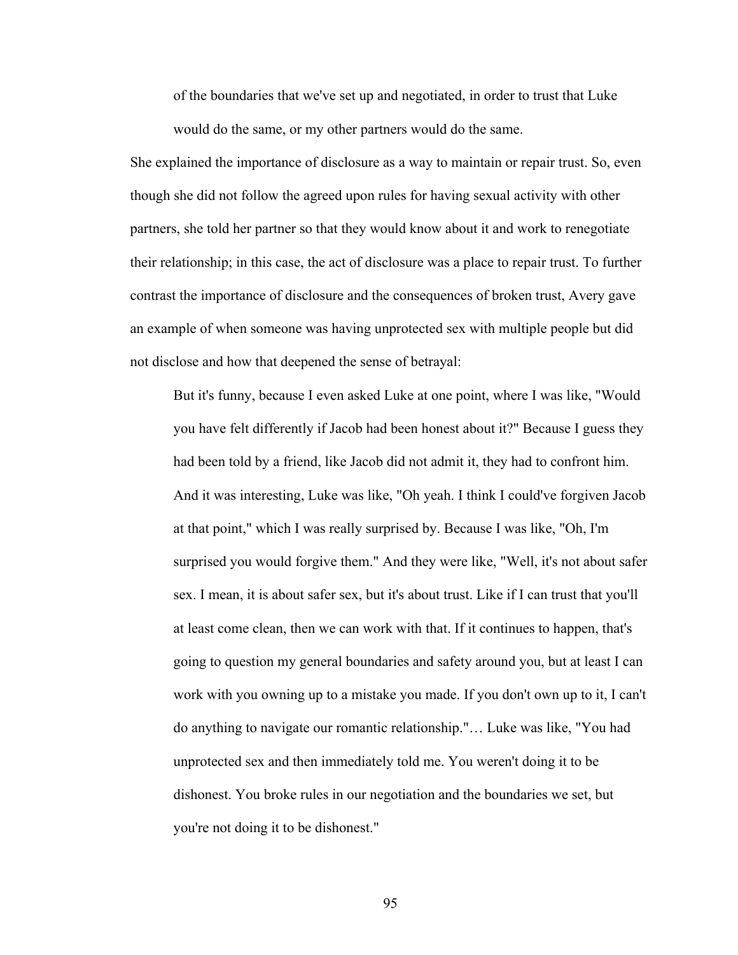of the boundaries that we've set up and negotiated, in order to trust that Luke would do the same, or my other partners would do the same.

She explained the importance of disclosure as a way to maintain or repair trust. So, even though she did not follow the agreed upon rules for having sexual activity with other partners, she told her partner so that they would know about it and work to renegotiate their relationship; in this case, the act of disclosure was a place to repair trust. To further contrast the importance of disclosure and the consequences of broken trust, Avery gave an example of when someone was having unprotected sex with multiple people but did not disclose and how that deepened the sense of betrayal:

But it's funny, because I even asked Luke at one point, where I was like, "Would you have felt differently if Jacob had been honest about it?" Because I guess they had been told by a friend, like Jacob did not admit it, they had to confront him. And it was interesting, Luke was like, "Oh yeah. I think I could've forgiven Jacob at that point," which I was really surprised by. Because I was like, "Oh, I'm surprised you would forgive them." And they were like, "Well, it's not about safer sex. I mean, it is about safer sex, but it's about trust. Like if I can trust that you'll at least come clean, then we can work with that. If it continues to happen, that's going to question my general boundaries and safety around you, but at least I can work with you owning up to a mistake you made. If you don't own up to it, I can't do anything to navigate our romantic relationship."… Luke was like, "You had unprotected sex and then immediately told me. You weren't doing it to be dishonest. You broke rules in our negotiation and the boundaries we set, but you're not doing it to be dishonest."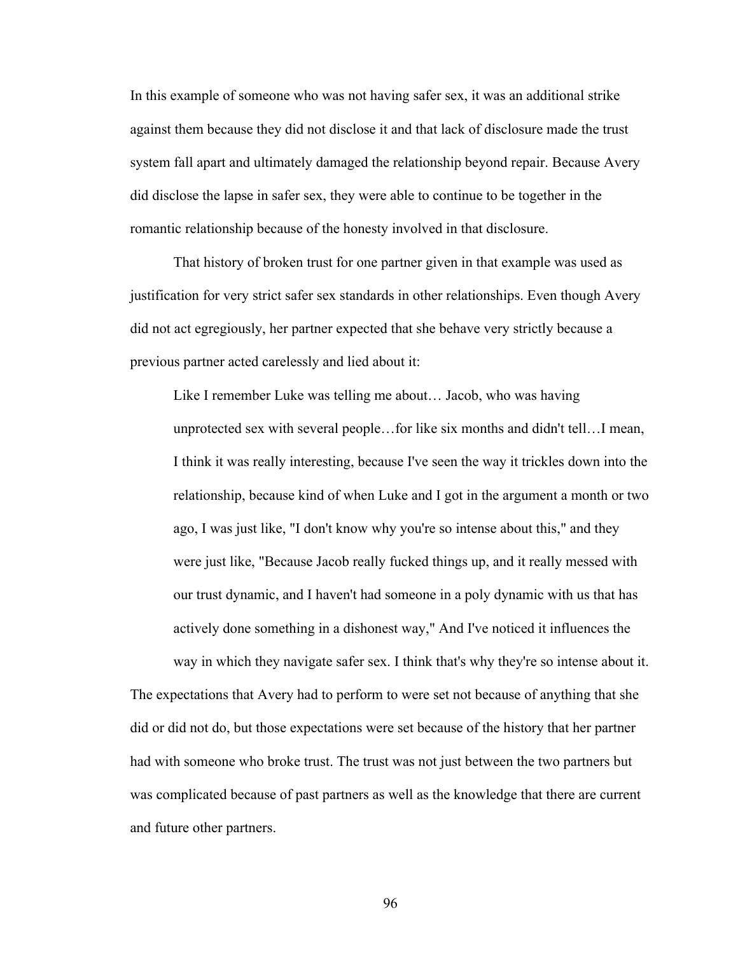In this example of someone who was not having safer sex, it was an additional strike against them because they did not disclose it and that lack of disclosure made the trust system fall apart and ultimately damaged the relationship beyond repair. Because Avery did disclose the lapse in safer sex, they were able to continue to be together in the romantic relationship because of the honesty involved in that disclosure.

That history of broken trust for one partner given in that example was used as justification for very strict safer sex standards in other relationships. Even though Avery did not act egregiously, her partner expected that she behave very strictly because a previous partner acted carelessly and lied about it:

Like I remember Luke was telling me about… Jacob, who was having unprotected sex with several people…for like six months and didn't tell…I mean, I think it was really interesting, because I've seen the way it trickles down into the relationship, because kind of when Luke and I got in the argument a month or two ago, I was just like, "I don't know why you're so intense about this," and they were just like, "Because Jacob really fucked things up, and it really messed with our trust dynamic, and I haven't had someone in a poly dynamic with us that has actively done something in a dishonest way," And I've noticed it influences the

way in which they navigate safer sex. I think that's why they're so intense about it. The expectations that Avery had to perform to were set not because of anything that she did or did not do, but those expectations were set because of the history that her partner had with someone who broke trust. The trust was not just between the two partners but was complicated because of past partners as well as the knowledge that there are current and future other partners.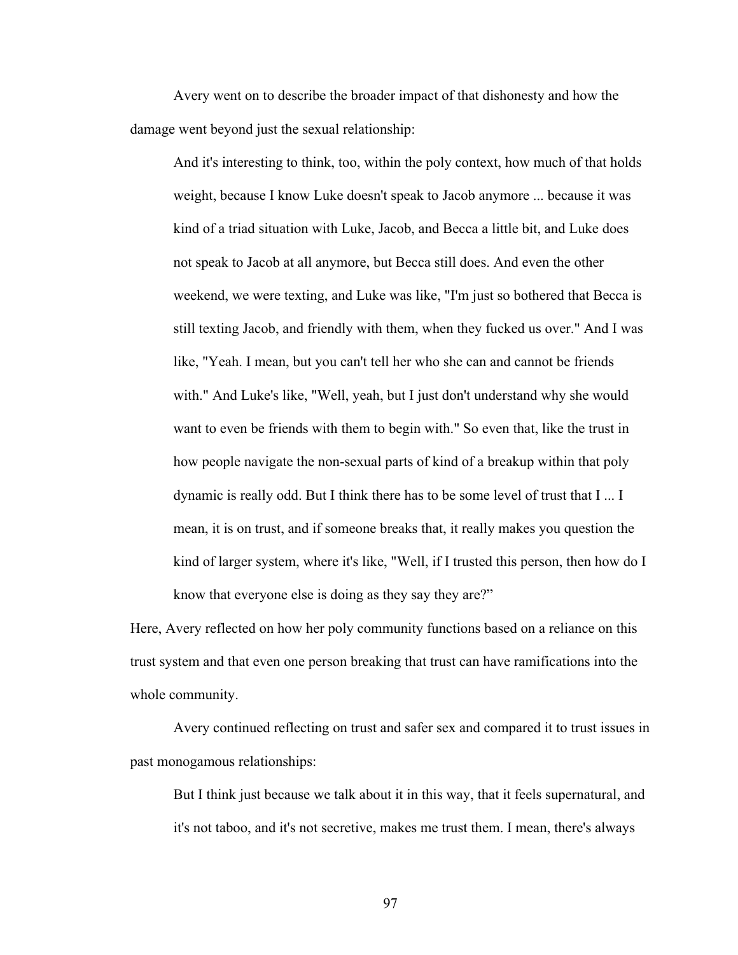Avery went on to describe the broader impact of that dishonesty and how the damage went beyond just the sexual relationship:

And it's interesting to think, too, within the poly context, how much of that holds weight, because I know Luke doesn't speak to Jacob anymore ... because it was kind of a triad situation with Luke, Jacob, and Becca a little bit, and Luke does not speak to Jacob at all anymore, but Becca still does. And even the other weekend, we were texting, and Luke was like, "I'm just so bothered that Becca is still texting Jacob, and friendly with them, when they fucked us over." And I was like, "Yeah. I mean, but you can't tell her who she can and cannot be friends with." And Luke's like, "Well, yeah, but I just don't understand why she would want to even be friends with them to begin with." So even that, like the trust in how people navigate the non-sexual parts of kind of a breakup within that poly dynamic is really odd. But I think there has to be some level of trust that I ... I mean, it is on trust, and if someone breaks that, it really makes you question the kind of larger system, where it's like, "Well, if I trusted this person, then how do I know that everyone else is doing as they say they are?"

Here, Avery reflected on how her poly community functions based on a reliance on this trust system and that even one person breaking that trust can have ramifications into the whole community.

Avery continued reflecting on trust and safer sex and compared it to trust issues in past monogamous relationships:

But I think just because we talk about it in this way, that it feels supernatural, and it's not taboo, and it's not secretive, makes me trust them. I mean, there's always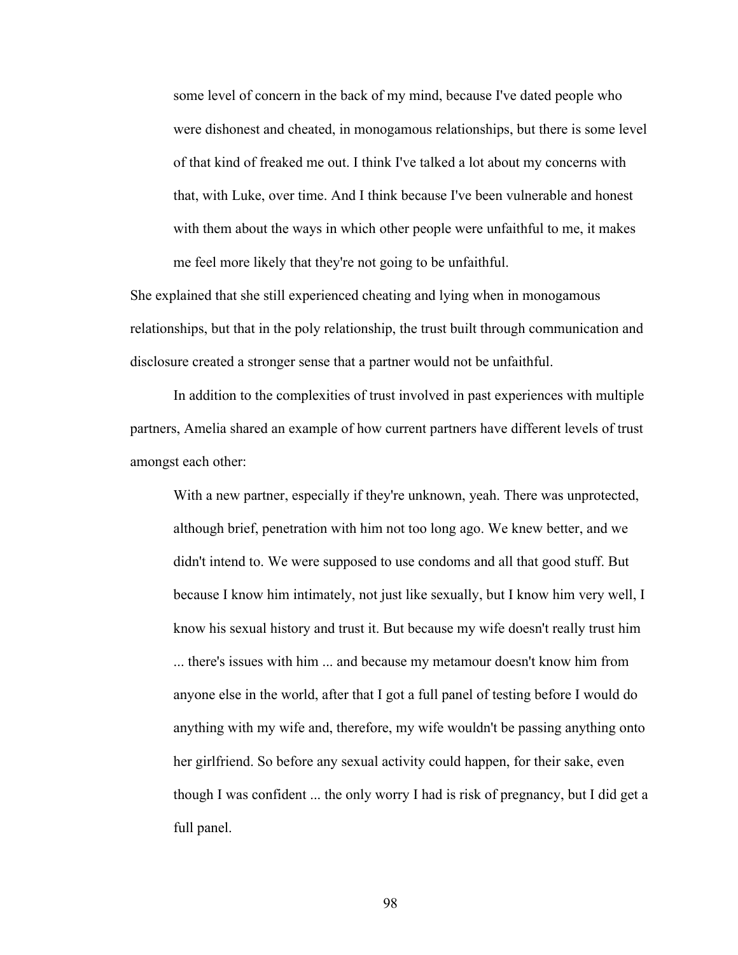some level of concern in the back of my mind, because I've dated people who were dishonest and cheated, in monogamous relationships, but there is some level of that kind of freaked me out. I think I've talked a lot about my concerns with that, with Luke, over time. And I think because I've been vulnerable and honest with them about the ways in which other people were unfaithful to me, it makes me feel more likely that they're not going to be unfaithful.

She explained that she still experienced cheating and lying when in monogamous relationships, but that in the poly relationship, the trust built through communication and disclosure created a stronger sense that a partner would not be unfaithful.

In addition to the complexities of trust involved in past experiences with multiple partners, Amelia shared an example of how current partners have different levels of trust amongst each other:

With a new partner, especially if they're unknown, yeah. There was unprotected, although brief, penetration with him not too long ago. We knew better, and we didn't intend to. We were supposed to use condoms and all that good stuff. But because I know him intimately, not just like sexually, but I know him very well, I know his sexual history and trust it. But because my wife doesn't really trust him ... there's issues with him ... and because my metamour doesn't know him from anyone else in the world, after that I got a full panel of testing before I would do anything with my wife and, therefore, my wife wouldn't be passing anything onto her girlfriend. So before any sexual activity could happen, for their sake, even though I was confident ... the only worry I had is risk of pregnancy, but I did get a full panel.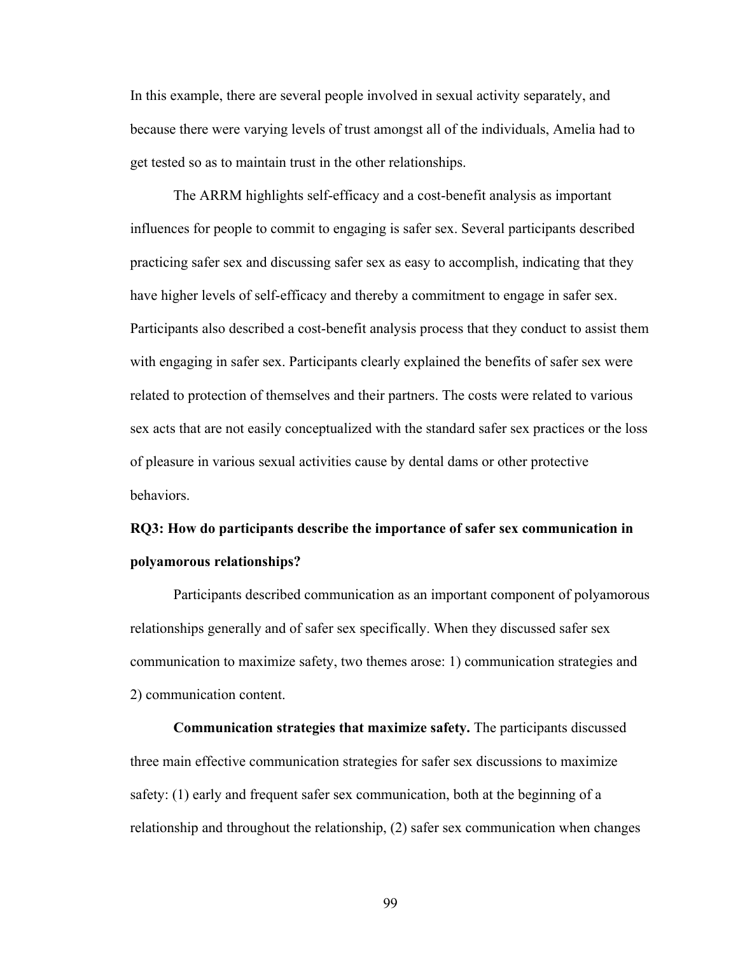In this example, there are several people involved in sexual activity separately, and because there were varying levels of trust amongst all of the individuals, Amelia had to get tested so as to maintain trust in the other relationships.

The ARRM highlights self-efficacy and a cost-benefit analysis as important influences for people to commit to engaging is safer sex. Several participants described practicing safer sex and discussing safer sex as easy to accomplish, indicating that they have higher levels of self-efficacy and thereby a commitment to engage in safer sex. Participants also described a cost-benefit analysis process that they conduct to assist them with engaging in safer sex. Participants clearly explained the benefits of safer sex were related to protection of themselves and their partners. The costs were related to various sex acts that are not easily conceptualized with the standard safer sex practices or the loss of pleasure in various sexual activities cause by dental dams or other protective behaviors.

# **RQ3: How do participants describe the importance of safer sex communication in polyamorous relationships?**

Participants described communication as an important component of polyamorous relationships generally and of safer sex specifically. When they discussed safer sex communication to maximize safety, two themes arose: 1) communication strategies and 2) communication content.

**Communication strategies that maximize safety.** The participants discussed three main effective communication strategies for safer sex discussions to maximize safety: (1) early and frequent safer sex communication, both at the beginning of a relationship and throughout the relationship, (2) safer sex communication when changes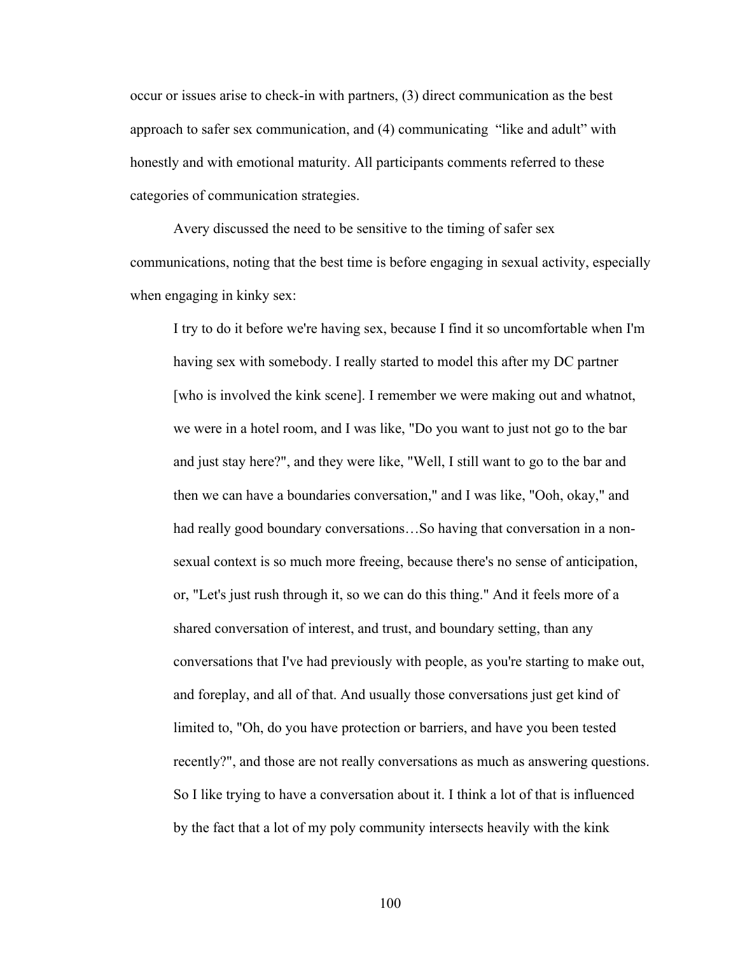occur or issues arise to check-in with partners, (3) direct communication as the best approach to safer sex communication, and (4) communicating "like and adult" with honestly and with emotional maturity. All participants comments referred to these categories of communication strategies.

Avery discussed the need to be sensitive to the timing of safer sex communications, noting that the best time is before engaging in sexual activity, especially when engaging in kinky sex:

I try to do it before we're having sex, because I find it so uncomfortable when I'm having sex with somebody. I really started to model this after my DC partner [who is involved the kink scene]. I remember we were making out and whatnot, we were in a hotel room, and I was like, "Do you want to just not go to the bar and just stay here?", and they were like, "Well, I still want to go to the bar and then we can have a boundaries conversation," and I was like, "Ooh, okay," and had really good boundary conversations…So having that conversation in a nonsexual context is so much more freeing, because there's no sense of anticipation, or, "Let's just rush through it, so we can do this thing." And it feels more of a shared conversation of interest, and trust, and boundary setting, than any conversations that I've had previously with people, as you're starting to make out, and foreplay, and all of that. And usually those conversations just get kind of limited to, "Oh, do you have protection or barriers, and have you been tested recently?", and those are not really conversations as much as answering questions. So I like trying to have a conversation about it. I think a lot of that is influenced by the fact that a lot of my poly community intersects heavily with the kink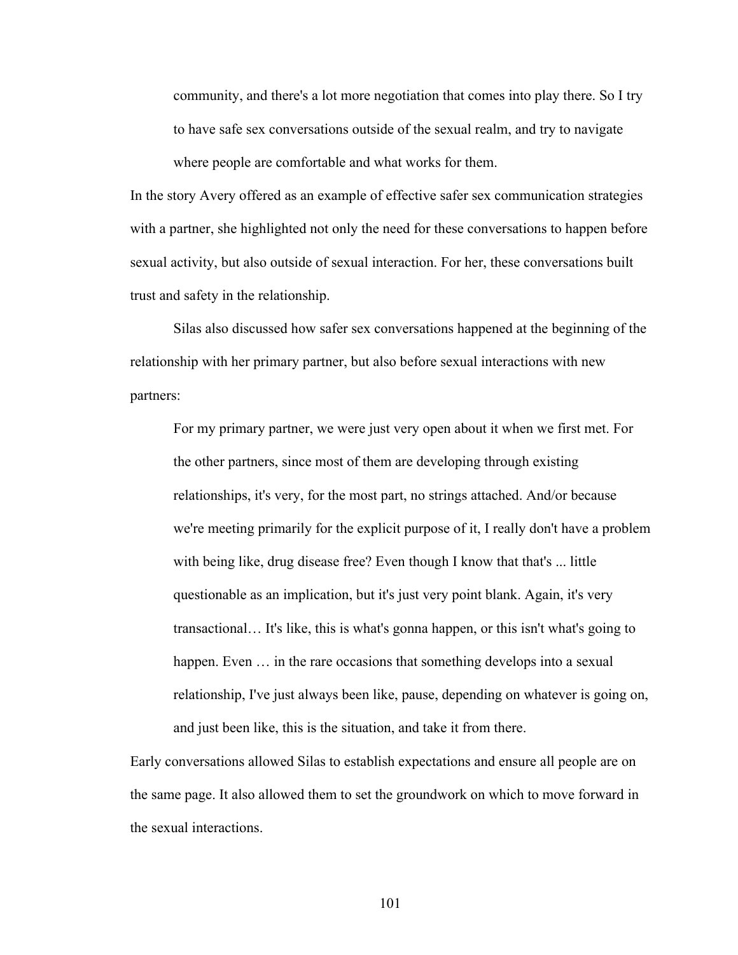community, and there's a lot more negotiation that comes into play there. So I try to have safe sex conversations outside of the sexual realm, and try to navigate where people are comfortable and what works for them.

In the story Avery offered as an example of effective safer sex communication strategies with a partner, she highlighted not only the need for these conversations to happen before sexual activity, but also outside of sexual interaction. For her, these conversations built trust and safety in the relationship.

Silas also discussed how safer sex conversations happened at the beginning of the relationship with her primary partner, but also before sexual interactions with new partners:

For my primary partner, we were just very open about it when we first met. For the other partners, since most of them are developing through existing relationships, it's very, for the most part, no strings attached. And/or because we're meeting primarily for the explicit purpose of it, I really don't have a problem with being like, drug disease free? Even though I know that that's ... little questionable as an implication, but it's just very point blank. Again, it's very transactional… It's like, this is what's gonna happen, or this isn't what's going to happen. Even  $\ldots$  in the rare occasions that something develops into a sexual relationship, I've just always been like, pause, depending on whatever is going on, and just been like, this is the situation, and take it from there.

Early conversations allowed Silas to establish expectations and ensure all people are on the same page. It also allowed them to set the groundwork on which to move forward in the sexual interactions.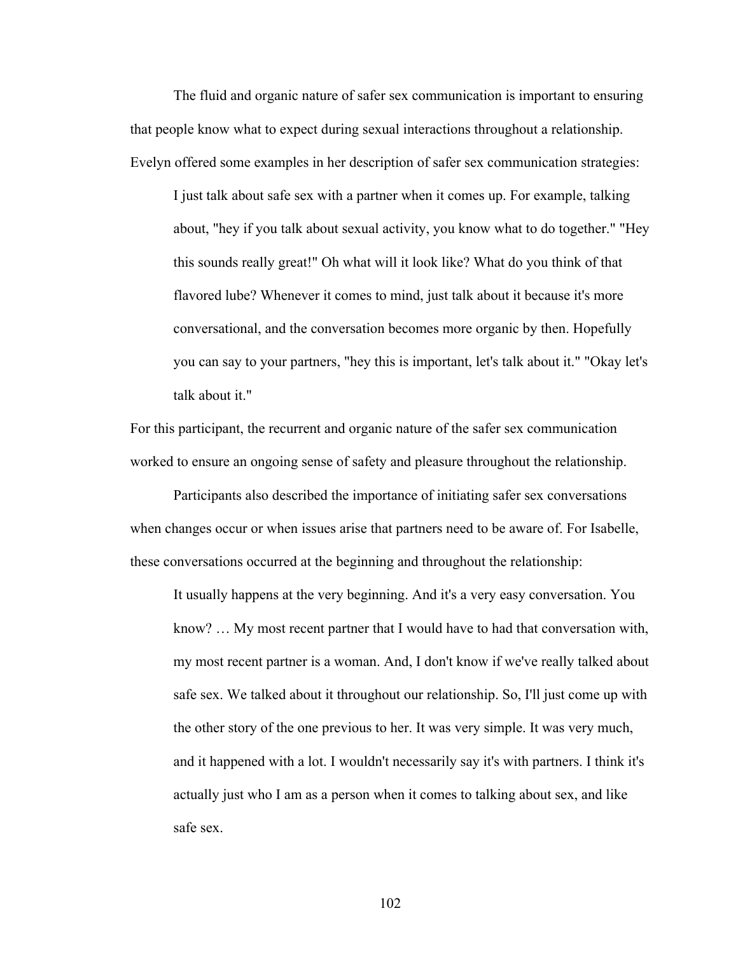The fluid and organic nature of safer sex communication is important to ensuring that people know what to expect during sexual interactions throughout a relationship. Evelyn offered some examples in her description of safer sex communication strategies:

I just talk about safe sex with a partner when it comes up. For example, talking about, "hey if you talk about sexual activity, you know what to do together." "Hey this sounds really great!" Oh what will it look like? What do you think of that flavored lube? Whenever it comes to mind, just talk about it because it's more conversational, and the conversation becomes more organic by then. Hopefully you can say to your partners, "hey this is important, let's talk about it." "Okay let's talk about it."

For this participant, the recurrent and organic nature of the safer sex communication worked to ensure an ongoing sense of safety and pleasure throughout the relationship.

Participants also described the importance of initiating safer sex conversations when changes occur or when issues arise that partners need to be aware of. For Isabelle, these conversations occurred at the beginning and throughout the relationship:

It usually happens at the very beginning. And it's a very easy conversation. You know? … My most recent partner that I would have to had that conversation with, my most recent partner is a woman. And, I don't know if we've really talked about safe sex. We talked about it throughout our relationship. So, I'll just come up with the other story of the one previous to her. It was very simple. It was very much, and it happened with a lot. I wouldn't necessarily say it's with partners. I think it's actually just who I am as a person when it comes to talking about sex, and like safe sex.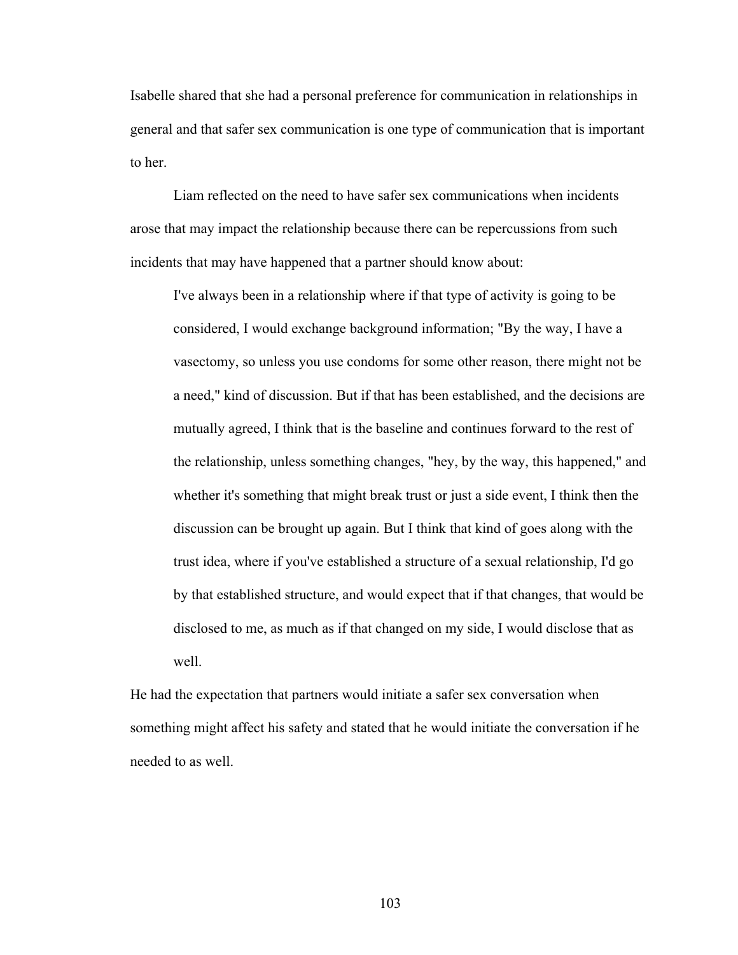Isabelle shared that she had a personal preference for communication in relationships in general and that safer sex communication is one type of communication that is important to her.

Liam reflected on the need to have safer sex communications when incidents arose that may impact the relationship because there can be repercussions from such incidents that may have happened that a partner should know about:

I've always been in a relationship where if that type of activity is going to be considered, I would exchange background information; "By the way, I have a vasectomy, so unless you use condoms for some other reason, there might not be a need," kind of discussion. But if that has been established, and the decisions are mutually agreed, I think that is the baseline and continues forward to the rest of the relationship, unless something changes, "hey, by the way, this happened," and whether it's something that might break trust or just a side event, I think then the discussion can be brought up again. But I think that kind of goes along with the trust idea, where if you've established a structure of a sexual relationship, I'd go by that established structure, and would expect that if that changes, that would be disclosed to me, as much as if that changed on my side, I would disclose that as well.

He had the expectation that partners would initiate a safer sex conversation when something might affect his safety and stated that he would initiate the conversation if he needed to as well.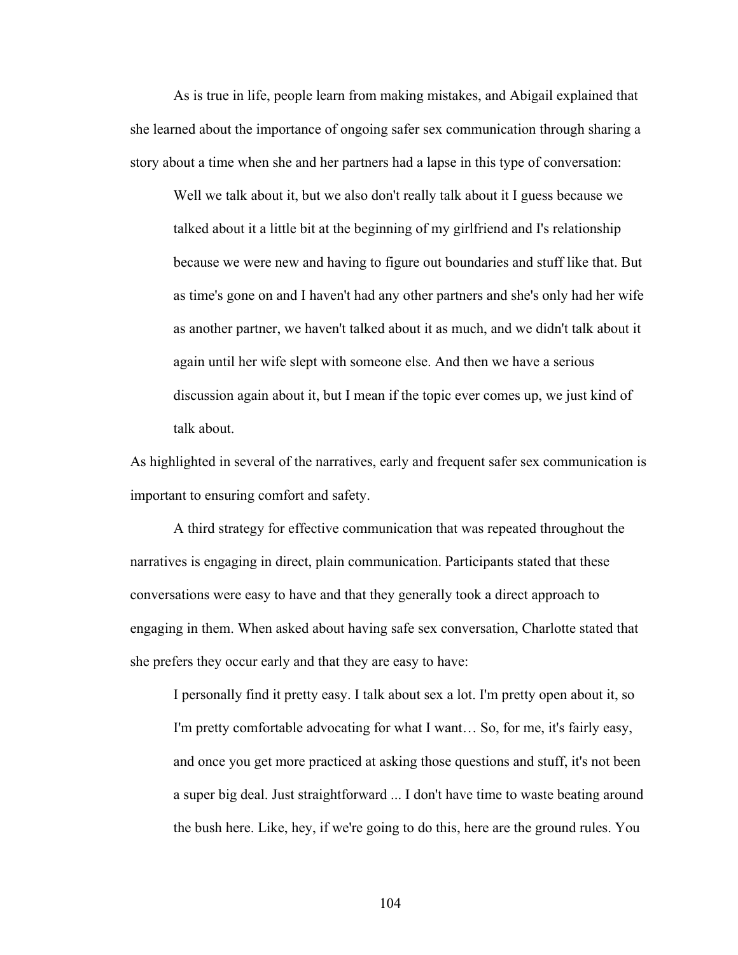As is true in life, people learn from making mistakes, and Abigail explained that she learned about the importance of ongoing safer sex communication through sharing a story about a time when she and her partners had a lapse in this type of conversation:

Well we talk about it, but we also don't really talk about it I guess because we talked about it a little bit at the beginning of my girlfriend and I's relationship because we were new and having to figure out boundaries and stuff like that. But as time's gone on and I haven't had any other partners and she's only had her wife as another partner, we haven't talked about it as much, and we didn't talk about it again until her wife slept with someone else. And then we have a serious discussion again about it, but I mean if the topic ever comes up, we just kind of talk about.

As highlighted in several of the narratives, early and frequent safer sex communication is important to ensuring comfort and safety.

A third strategy for effective communication that was repeated throughout the narratives is engaging in direct, plain communication. Participants stated that these conversations were easy to have and that they generally took a direct approach to engaging in them. When asked about having safe sex conversation, Charlotte stated that she prefers they occur early and that they are easy to have:

I personally find it pretty easy. I talk about sex a lot. I'm pretty open about it, so I'm pretty comfortable advocating for what I want… So, for me, it's fairly easy, and once you get more practiced at asking those questions and stuff, it's not been a super big deal. Just straightforward ... I don't have time to waste beating around the bush here. Like, hey, if we're going to do this, here are the ground rules. You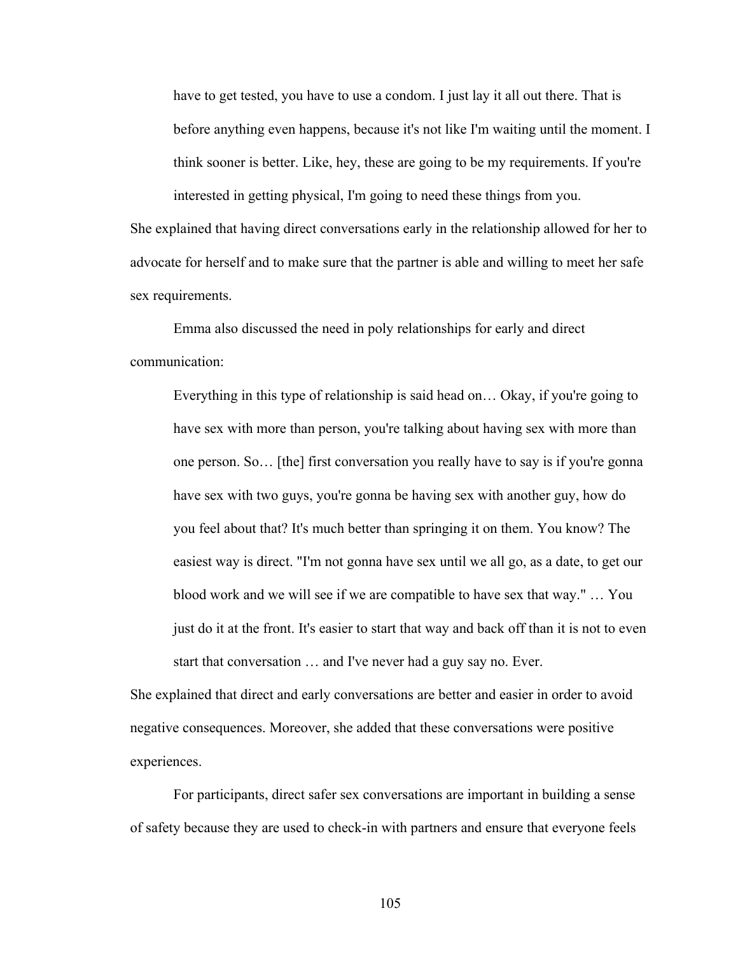have to get tested, you have to use a condom. I just lay it all out there. That is before anything even happens, because it's not like I'm waiting until the moment. I think sooner is better. Like, hey, these are going to be my requirements. If you're interested in getting physical, I'm going to need these things from you.

She explained that having direct conversations early in the relationship allowed for her to advocate for herself and to make sure that the partner is able and willing to meet her safe sex requirements.

Emma also discussed the need in poly relationships for early and direct communication:

Everything in this type of relationship is said head on… Okay, if you're going to have sex with more than person, you're talking about having sex with more than one person. So… [the] first conversation you really have to say is if you're gonna have sex with two guys, you're gonna be having sex with another guy, how do you feel about that? It's much better than springing it on them. You know? The easiest way is direct. "I'm not gonna have sex until we all go, as a date, to get our blood work and we will see if we are compatible to have sex that way." … You just do it at the front. It's easier to start that way and back off than it is not to even start that conversation … and I've never had a guy say no. Ever.

She explained that direct and early conversations are better and easier in order to avoid negative consequences. Moreover, she added that these conversations were positive experiences.

For participants, direct safer sex conversations are important in building a sense of safety because they are used to check-in with partners and ensure that everyone feels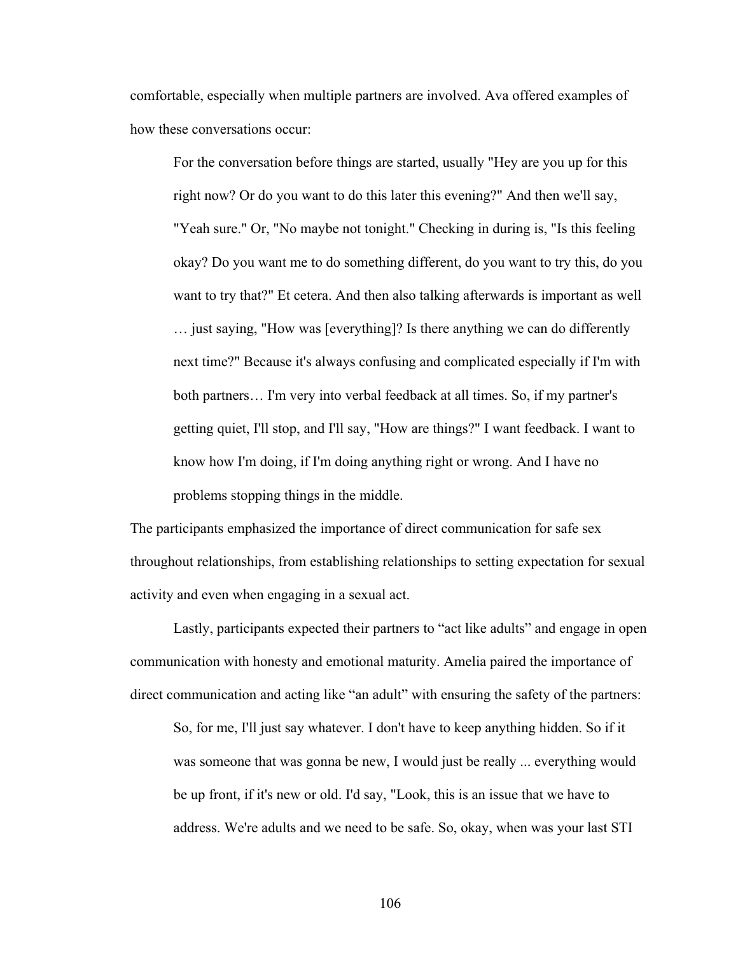comfortable, especially when multiple partners are involved. Ava offered examples of how these conversations occur:

For the conversation before things are started, usually "Hey are you up for this right now? Or do you want to do this later this evening?" And then we'll say, "Yeah sure." Or, "No maybe not tonight." Checking in during is, "Is this feeling okay? Do you want me to do something different, do you want to try this, do you want to try that?" Et cetera. And then also talking afterwards is important as well … just saying, "How was [everything]? Is there anything we can do differently next time?" Because it's always confusing and complicated especially if I'm with both partners… I'm very into verbal feedback at all times. So, if my partner's getting quiet, I'll stop, and I'll say, "How are things?" I want feedback. I want to know how I'm doing, if I'm doing anything right or wrong. And I have no problems stopping things in the middle.

The participants emphasized the importance of direct communication for safe sex throughout relationships, from establishing relationships to setting expectation for sexual activity and even when engaging in a sexual act.

Lastly, participants expected their partners to "act like adults" and engage in open communication with honesty and emotional maturity. Amelia paired the importance of direct communication and acting like "an adult" with ensuring the safety of the partners:

So, for me, I'll just say whatever. I don't have to keep anything hidden. So if it was someone that was gonna be new, I would just be really ... everything would be up front, if it's new or old. I'd say, "Look, this is an issue that we have to address. We're adults and we need to be safe. So, okay, when was your last STI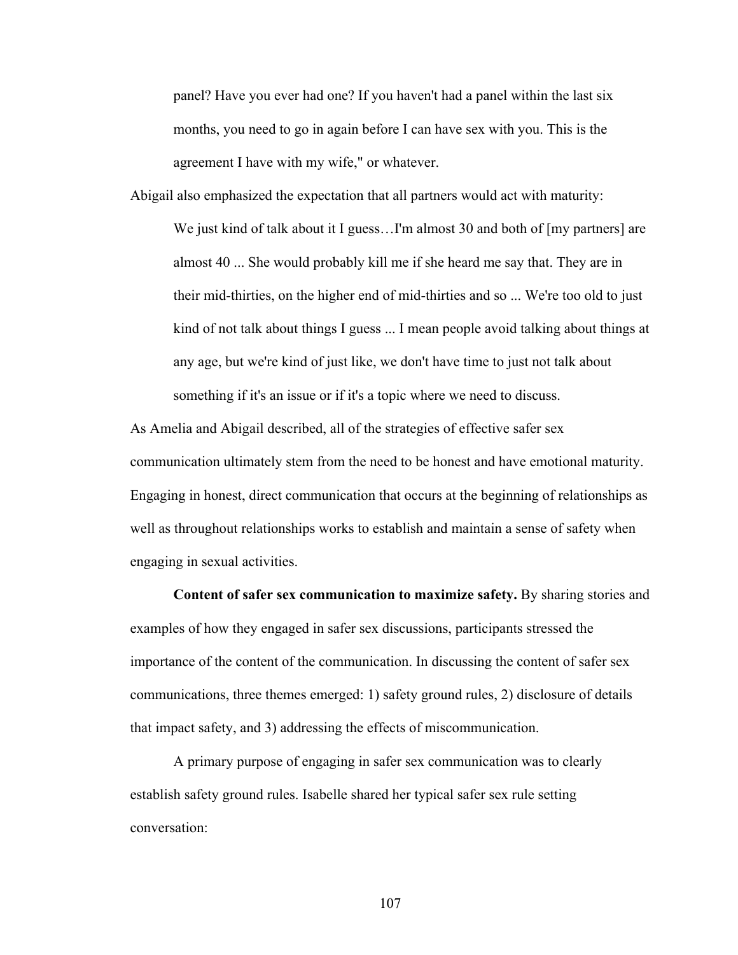panel? Have you ever had one? If you haven't had a panel within the last six months, you need to go in again before I can have sex with you. This is the agreement I have with my wife," or whatever.

Abigail also emphasized the expectation that all partners would act with maturity: We just kind of talk about it I guess...I'm almost 30 and both of [my partners] are almost 40 ... She would probably kill me if she heard me say that. They are in their mid-thirties, on the higher end of mid-thirties and so ... We're too old to just kind of not talk about things I guess ... I mean people avoid talking about things at any age, but we're kind of just like, we don't have time to just not talk about something if it's an issue or if it's a topic where we need to discuss.

As Amelia and Abigail described, all of the strategies of effective safer sex communication ultimately stem from the need to be honest and have emotional maturity. Engaging in honest, direct communication that occurs at the beginning of relationships as well as throughout relationships works to establish and maintain a sense of safety when engaging in sexual activities.

**Content of safer sex communication to maximize safety.** By sharing stories and examples of how they engaged in safer sex discussions, participants stressed the importance of the content of the communication. In discussing the content of safer sex communications, three themes emerged: 1) safety ground rules, 2) disclosure of details that impact safety, and 3) addressing the effects of miscommunication.

A primary purpose of engaging in safer sex communication was to clearly establish safety ground rules. Isabelle shared her typical safer sex rule setting conversation: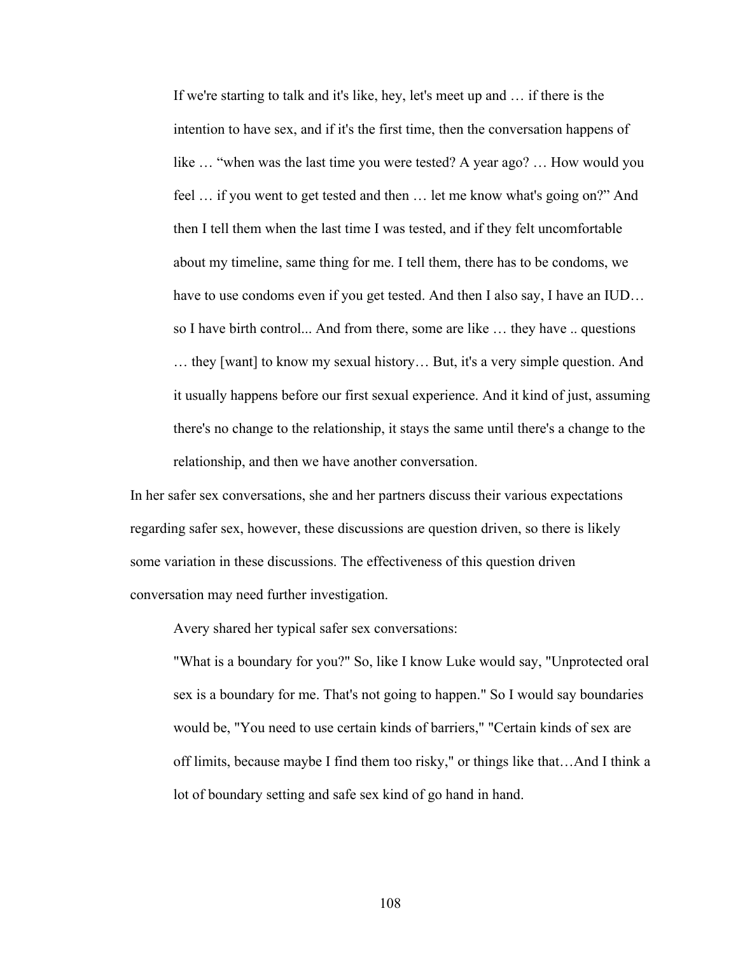If we're starting to talk and it's like, hey, let's meet up and … if there is the intention to have sex, and if it's the first time, then the conversation happens of like … "when was the last time you were tested? A year ago? … How would you feel … if you went to get tested and then … let me know what's going on?" And then I tell them when the last time I was tested, and if they felt uncomfortable about my timeline, same thing for me. I tell them, there has to be condoms, we have to use condoms even if you get tested. And then I also say, I have an IUD... so I have birth control... And from there, some are like … they have .. questions … they [want] to know my sexual history… But, it's a very simple question. And it usually happens before our first sexual experience. And it kind of just, assuming there's no change to the relationship, it stays the same until there's a change to the relationship, and then we have another conversation.

In her safer sex conversations, she and her partners discuss their various expectations regarding safer sex, however, these discussions are question driven, so there is likely some variation in these discussions. The effectiveness of this question driven conversation may need further investigation.

Avery shared her typical safer sex conversations:

"What is a boundary for you?" So, like I know Luke would say, "Unprotected oral sex is a boundary for me. That's not going to happen." So I would say boundaries would be, "You need to use certain kinds of barriers," "Certain kinds of sex are off limits, because maybe I find them too risky," or things like that…And I think a lot of boundary setting and safe sex kind of go hand in hand.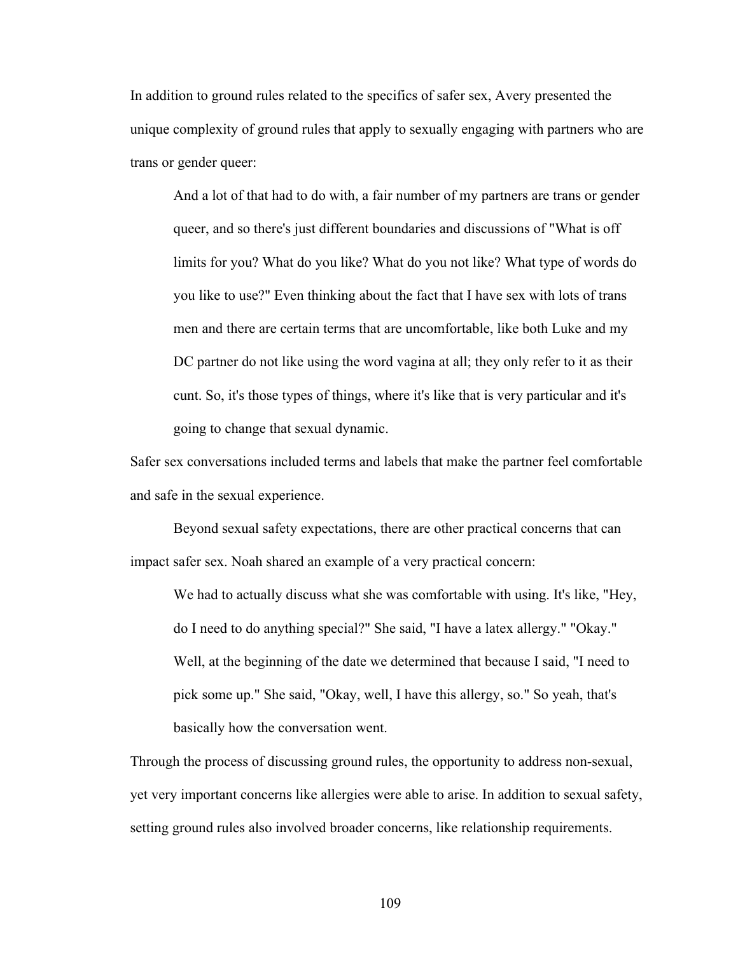In addition to ground rules related to the specifics of safer sex, Avery presented the unique complexity of ground rules that apply to sexually engaging with partners who are trans or gender queer:

And a lot of that had to do with, a fair number of my partners are trans or gender queer, and so there's just different boundaries and discussions of "What is off limits for you? What do you like? What do you not like? What type of words do you like to use?" Even thinking about the fact that I have sex with lots of trans men and there are certain terms that are uncomfortable, like both Luke and my DC partner do not like using the word vagina at all; they only refer to it as their cunt. So, it's those types of things, where it's like that is very particular and it's going to change that sexual dynamic.

Safer sex conversations included terms and labels that make the partner feel comfortable and safe in the sexual experience.

Beyond sexual safety expectations, there are other practical concerns that can impact safer sex. Noah shared an example of a very practical concern:

We had to actually discuss what she was comfortable with using. It's like, "Hey, do I need to do anything special?" She said, "I have a latex allergy." "Okay." Well, at the beginning of the date we determined that because I said, "I need to pick some up." She said, "Okay, well, I have this allergy, so." So yeah, that's basically how the conversation went.

Through the process of discussing ground rules, the opportunity to address non-sexual, yet very important concerns like allergies were able to arise. In addition to sexual safety, setting ground rules also involved broader concerns, like relationship requirements.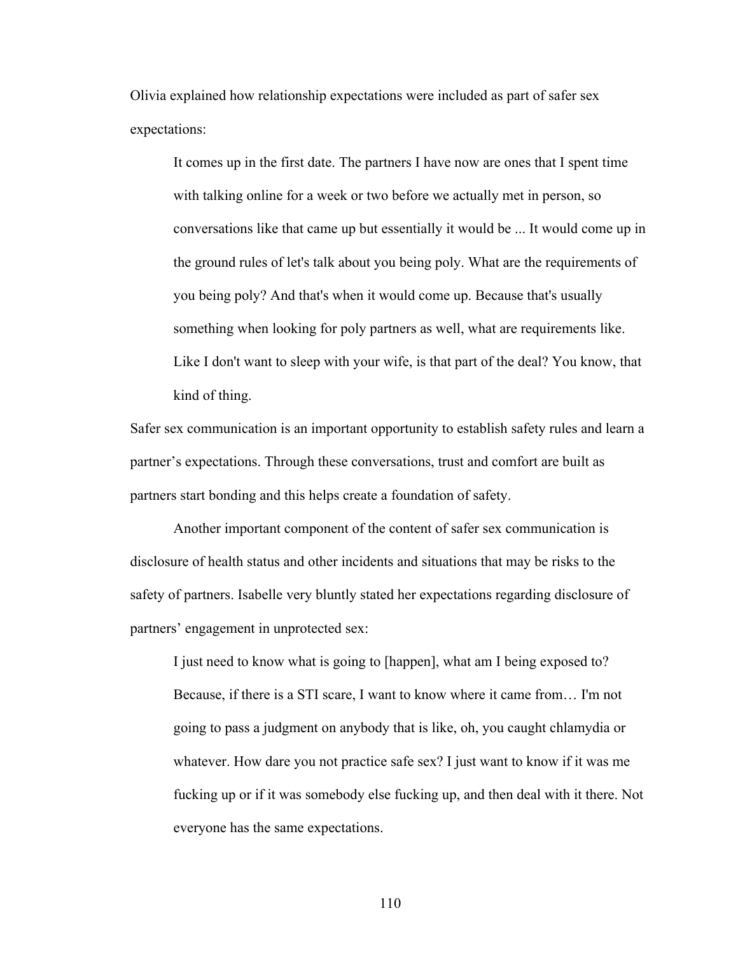Olivia explained how relationship expectations were included as part of safer sex expectations:

It comes up in the first date. The partners I have now are ones that I spent time with talking online for a week or two before we actually met in person, so conversations like that came up but essentially it would be ... It would come up in the ground rules of let's talk about you being poly. What are the requirements of you being poly? And that's when it would come up. Because that's usually something when looking for poly partners as well, what are requirements like. Like I don't want to sleep with your wife, is that part of the deal? You know, that kind of thing.

Safer sex communication is an important opportunity to establish safety rules and learn a partner's expectations. Through these conversations, trust and comfort are built as partners start bonding and this helps create a foundation of safety.

Another important component of the content of safer sex communication is disclosure of health status and other incidents and situations that may be risks to the safety of partners. Isabelle very bluntly stated her expectations regarding disclosure of partners' engagement in unprotected sex:

I just need to know what is going to [happen], what am I being exposed to? Because, if there is a STI scare, I want to know where it came from… I'm not going to pass a judgment on anybody that is like, oh, you caught chlamydia or whatever. How dare you not practice safe sex? I just want to know if it was me fucking up or if it was somebody else fucking up, and then deal with it there. Not everyone has the same expectations.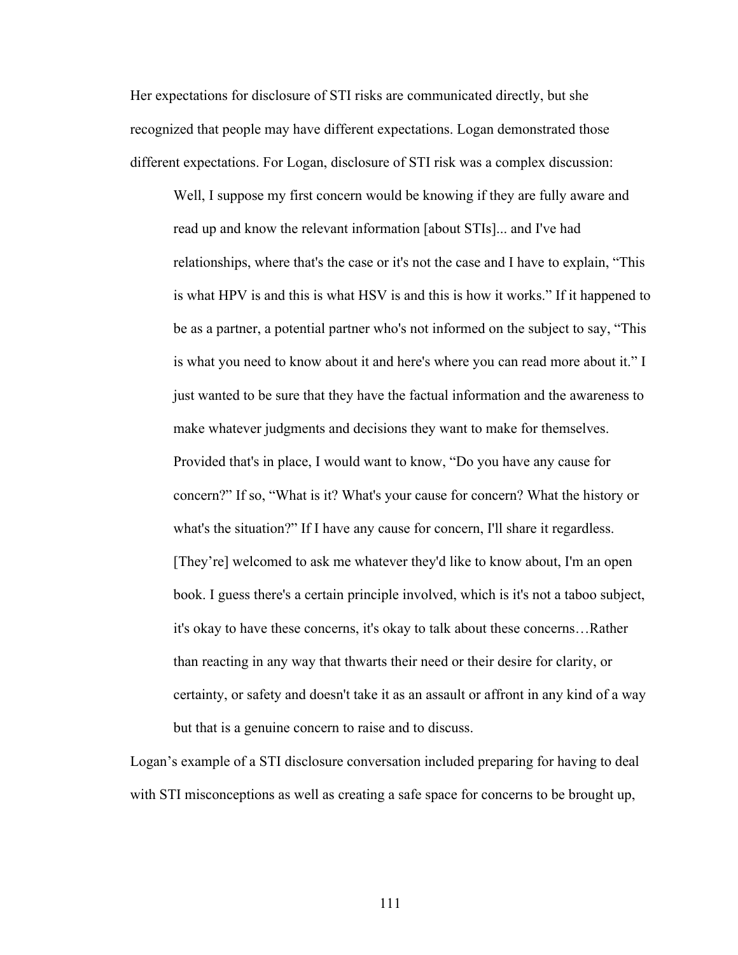Her expectations for disclosure of STI risks are communicated directly, but she recognized that people may have different expectations. Logan demonstrated those different expectations. For Logan, disclosure of STI risk was a complex discussion:

Well, I suppose my first concern would be knowing if they are fully aware and read up and know the relevant information [about STIs]... and I've had relationships, where that's the case or it's not the case and I have to explain, "This is what HPV is and this is what HSV is and this is how it works." If it happened to be as a partner, a potential partner who's not informed on the subject to say, "This is what you need to know about it and here's where you can read more about it." I just wanted to be sure that they have the factual information and the awareness to make whatever judgments and decisions they want to make for themselves. Provided that's in place, I would want to know, "Do you have any cause for concern?" If so, "What is it? What's your cause for concern? What the history or what's the situation?" If I have any cause for concern, I'll share it regardless. [They're] welcomed to ask me whatever they'd like to know about, I'm an open book. I guess there's a certain principle involved, which is it's not a taboo subject, it's okay to have these concerns, it's okay to talk about these concerns…Rather than reacting in any way that thwarts their need or their desire for clarity, or certainty, or safety and doesn't take it as an assault or affront in any kind of a way but that is a genuine concern to raise and to discuss.

Logan's example of a STI disclosure conversation included preparing for having to deal with STI misconceptions as well as creating a safe space for concerns to be brought up,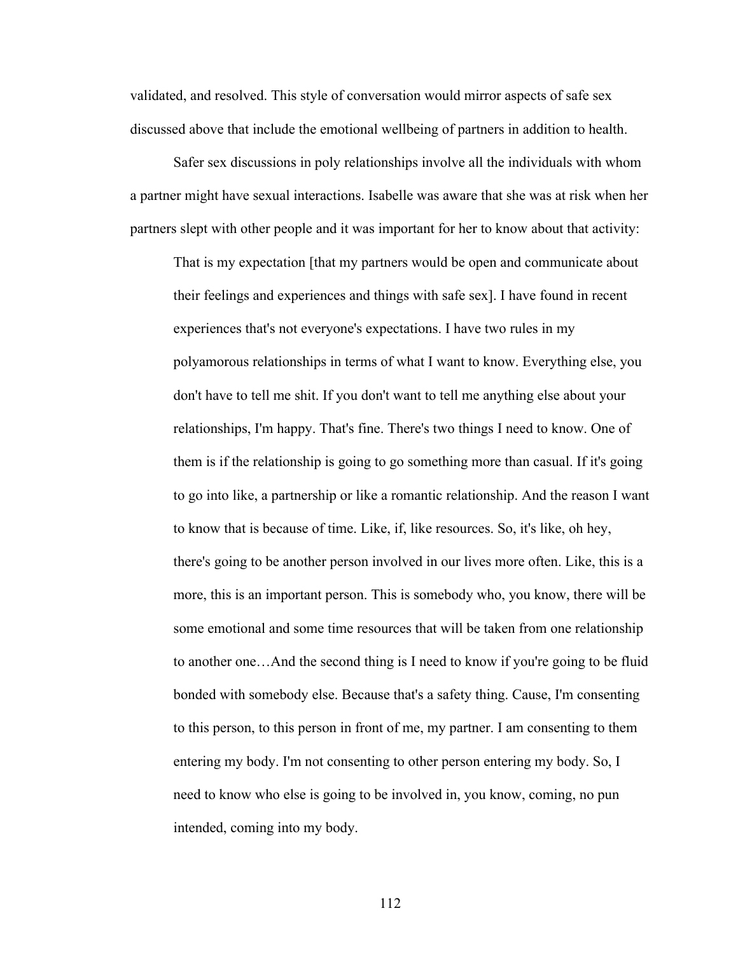validated, and resolved. This style of conversation would mirror aspects of safe sex discussed above that include the emotional wellbeing of partners in addition to health.

Safer sex discussions in poly relationships involve all the individuals with whom a partner might have sexual interactions. Isabelle was aware that she was at risk when her partners slept with other people and it was important for her to know about that activity:

That is my expectation [that my partners would be open and communicate about their feelings and experiences and things with safe sex]. I have found in recent experiences that's not everyone's expectations. I have two rules in my polyamorous relationships in terms of what I want to know. Everything else, you don't have to tell me shit. If you don't want to tell me anything else about your relationships, I'm happy. That's fine. There's two things I need to know. One of them is if the relationship is going to go something more than casual. If it's going to go into like, a partnership or like a romantic relationship. And the reason I want to know that is because of time. Like, if, like resources. So, it's like, oh hey, there's going to be another person involved in our lives more often. Like, this is a more, this is an important person. This is somebody who, you know, there will be some emotional and some time resources that will be taken from one relationship to another one…And the second thing is I need to know if you're going to be fluid bonded with somebody else. Because that's a safety thing. Cause, I'm consenting to this person, to this person in front of me, my partner. I am consenting to them entering my body. I'm not consenting to other person entering my body. So, I need to know who else is going to be involved in, you know, coming, no pun intended, coming into my body.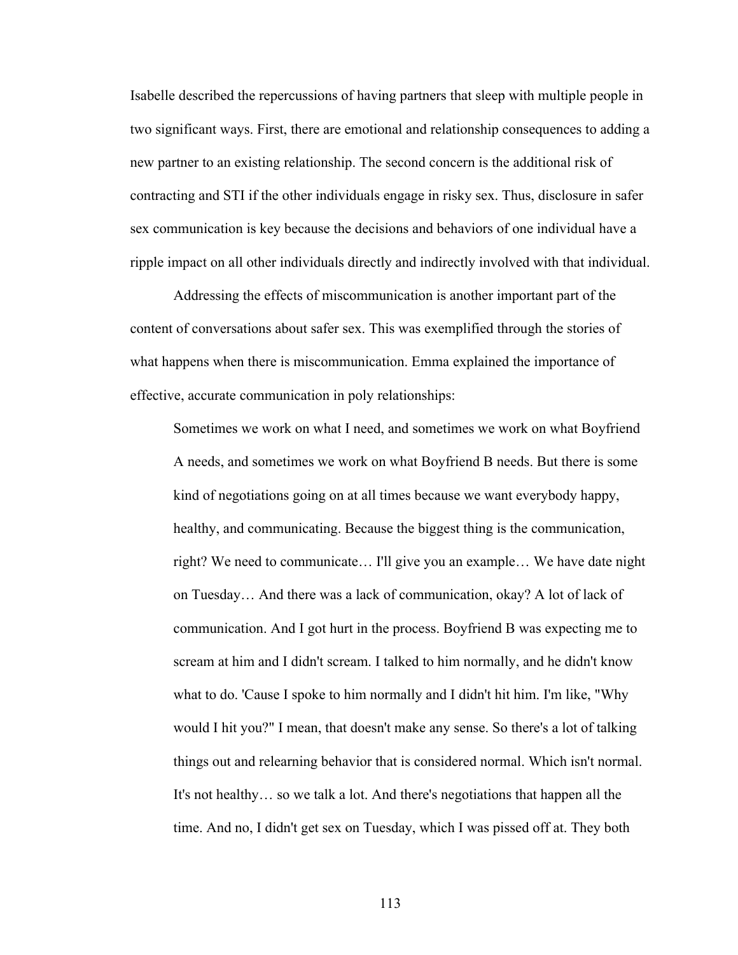Isabelle described the repercussions of having partners that sleep with multiple people in two significant ways. First, there are emotional and relationship consequences to adding a new partner to an existing relationship. The second concern is the additional risk of contracting and STI if the other individuals engage in risky sex. Thus, disclosure in safer sex communication is key because the decisions and behaviors of one individual have a ripple impact on all other individuals directly and indirectly involved with that individual.

Addressing the effects of miscommunication is another important part of the content of conversations about safer sex. This was exemplified through the stories of what happens when there is miscommunication. Emma explained the importance of effective, accurate communication in poly relationships:

Sometimes we work on what I need, and sometimes we work on what Boyfriend A needs, and sometimes we work on what Boyfriend B needs. But there is some kind of negotiations going on at all times because we want everybody happy, healthy, and communicating. Because the biggest thing is the communication, right? We need to communicate… I'll give you an example… We have date night on Tuesday… And there was a lack of communication, okay? A lot of lack of communication. And I got hurt in the process. Boyfriend B was expecting me to scream at him and I didn't scream. I talked to him normally, and he didn't know what to do. 'Cause I spoke to him normally and I didn't hit him. I'm like, "Why would I hit you?" I mean, that doesn't make any sense. So there's a lot of talking things out and relearning behavior that is considered normal. Which isn't normal. It's not healthy… so we talk a lot. And there's negotiations that happen all the time. And no, I didn't get sex on Tuesday, which I was pissed off at. They both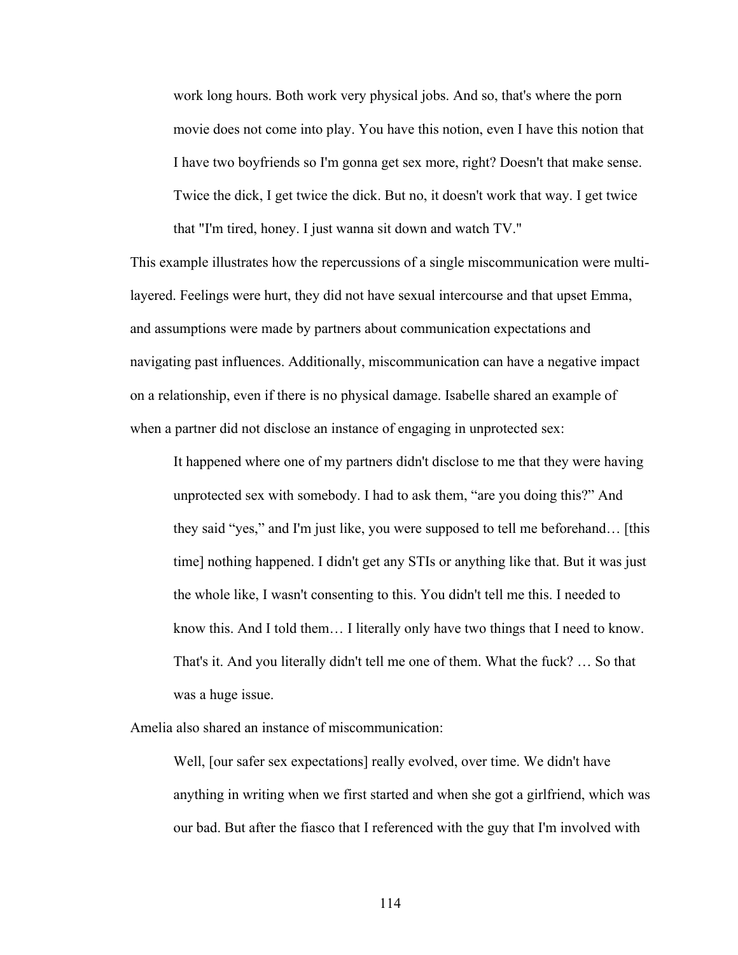work long hours. Both work very physical jobs. And so, that's where the porn movie does not come into play. You have this notion, even I have this notion that I have two boyfriends so I'm gonna get sex more, right? Doesn't that make sense. Twice the dick, I get twice the dick. But no, it doesn't work that way. I get twice that "I'm tired, honey. I just wanna sit down and watch TV."

This example illustrates how the repercussions of a single miscommunication were multilayered. Feelings were hurt, they did not have sexual intercourse and that upset Emma, and assumptions were made by partners about communication expectations and navigating past influences. Additionally, miscommunication can have a negative impact on a relationship, even if there is no physical damage. Isabelle shared an example of when a partner did not disclose an instance of engaging in unprotected sex:

It happened where one of my partners didn't disclose to me that they were having unprotected sex with somebody. I had to ask them, "are you doing this?" And they said "yes," and I'm just like, you were supposed to tell me beforehand… [this time] nothing happened. I didn't get any STIs or anything like that. But it was just the whole like, I wasn't consenting to this. You didn't tell me this. I needed to know this. And I told them… I literally only have two things that I need to know. That's it. And you literally didn't tell me one of them. What the fuck? … So that was a huge issue.

Amelia also shared an instance of miscommunication:

Well, [our safer sex expectations] really evolved, over time. We didn't have anything in writing when we first started and when she got a girlfriend, which was our bad. But after the fiasco that I referenced with the guy that I'm involved with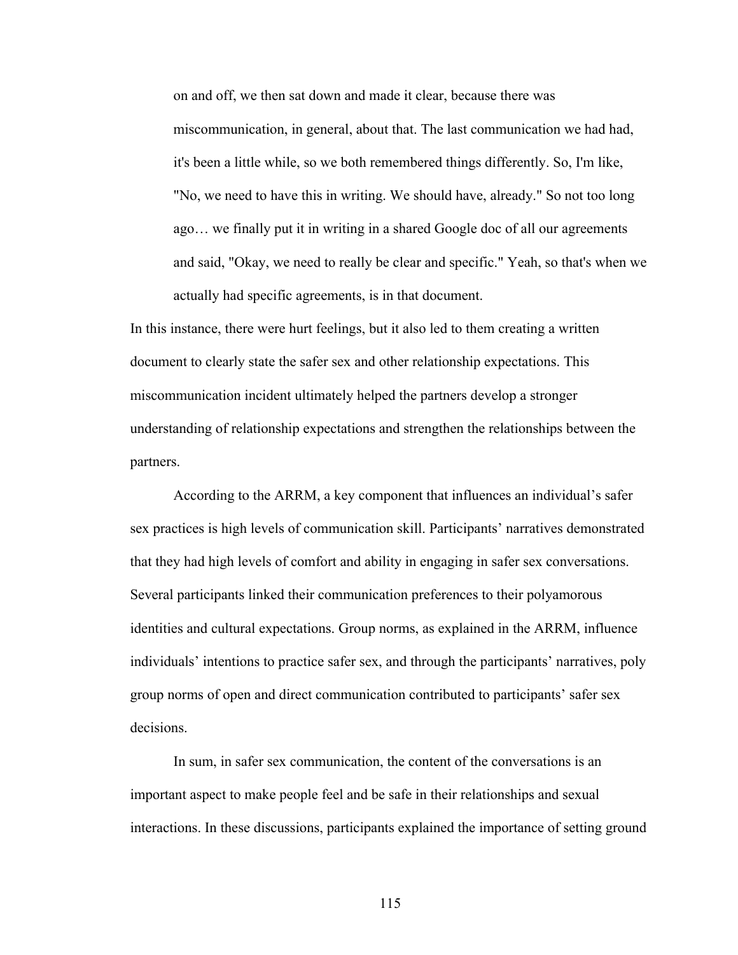on and off, we then sat down and made it clear, because there was miscommunication, in general, about that. The last communication we had had, it's been a little while, so we both remembered things differently. So, I'm like, "No, we need to have this in writing. We should have, already." So not too long ago… we finally put it in writing in a shared Google doc of all our agreements and said, "Okay, we need to really be clear and specific." Yeah, so that's when we actually had specific agreements, is in that document.

In this instance, there were hurt feelings, but it also led to them creating a written document to clearly state the safer sex and other relationship expectations. This miscommunication incident ultimately helped the partners develop a stronger understanding of relationship expectations and strengthen the relationships between the partners.

According to the ARRM, a key component that influences an individual's safer sex practices is high levels of communication skill. Participants' narratives demonstrated that they had high levels of comfort and ability in engaging in safer sex conversations. Several participants linked their communication preferences to their polyamorous identities and cultural expectations. Group norms, as explained in the ARRM, influence individuals' intentions to practice safer sex, and through the participants' narratives, poly group norms of open and direct communication contributed to participants' safer sex decisions.

In sum, in safer sex communication, the content of the conversations is an important aspect to make people feel and be safe in their relationships and sexual interactions. In these discussions, participants explained the importance of setting ground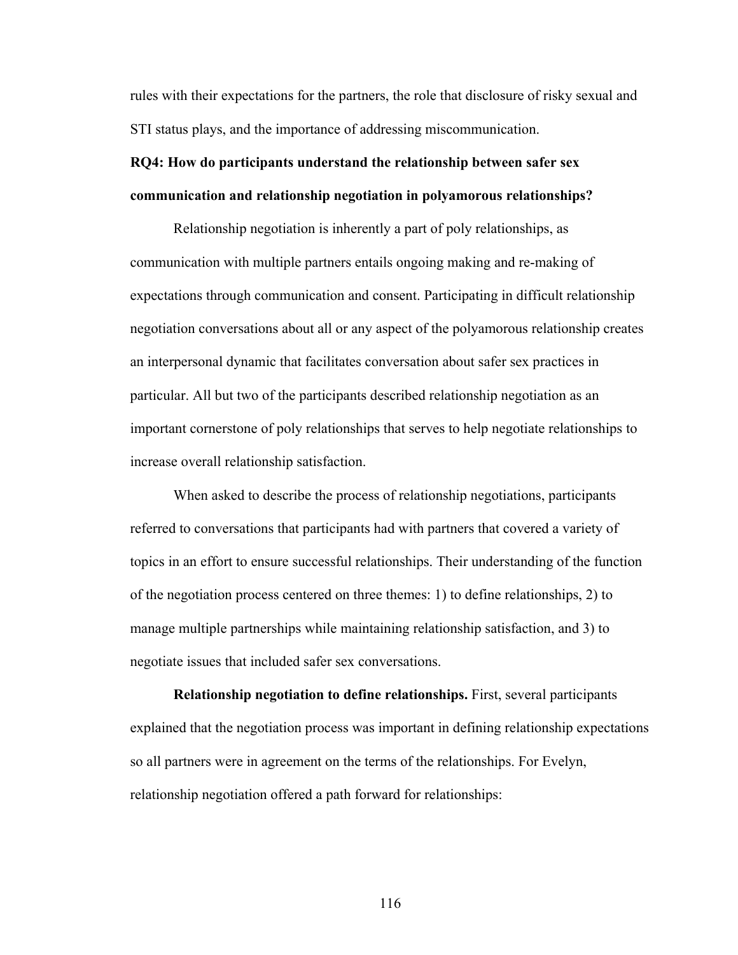rules with their expectations for the partners, the role that disclosure of risky sexual and STI status plays, and the importance of addressing miscommunication.

# **RQ4: How do participants understand the relationship between safer sex communication and relationship negotiation in polyamorous relationships?**

Relationship negotiation is inherently a part of poly relationships, as communication with multiple partners entails ongoing making and re-making of expectations through communication and consent. Participating in difficult relationship negotiation conversations about all or any aspect of the polyamorous relationship creates an interpersonal dynamic that facilitates conversation about safer sex practices in particular. All but two of the participants described relationship negotiation as an important cornerstone of poly relationships that serves to help negotiate relationships to increase overall relationship satisfaction.

When asked to describe the process of relationship negotiations, participants referred to conversations that participants had with partners that covered a variety of topics in an effort to ensure successful relationships. Their understanding of the function of the negotiation process centered on three themes: 1) to define relationships, 2) to manage multiple partnerships while maintaining relationship satisfaction, and 3) to negotiate issues that included safer sex conversations.

**Relationship negotiation to define relationships.** First, several participants explained that the negotiation process was important in defining relationship expectations so all partners were in agreement on the terms of the relationships. For Evelyn, relationship negotiation offered a path forward for relationships: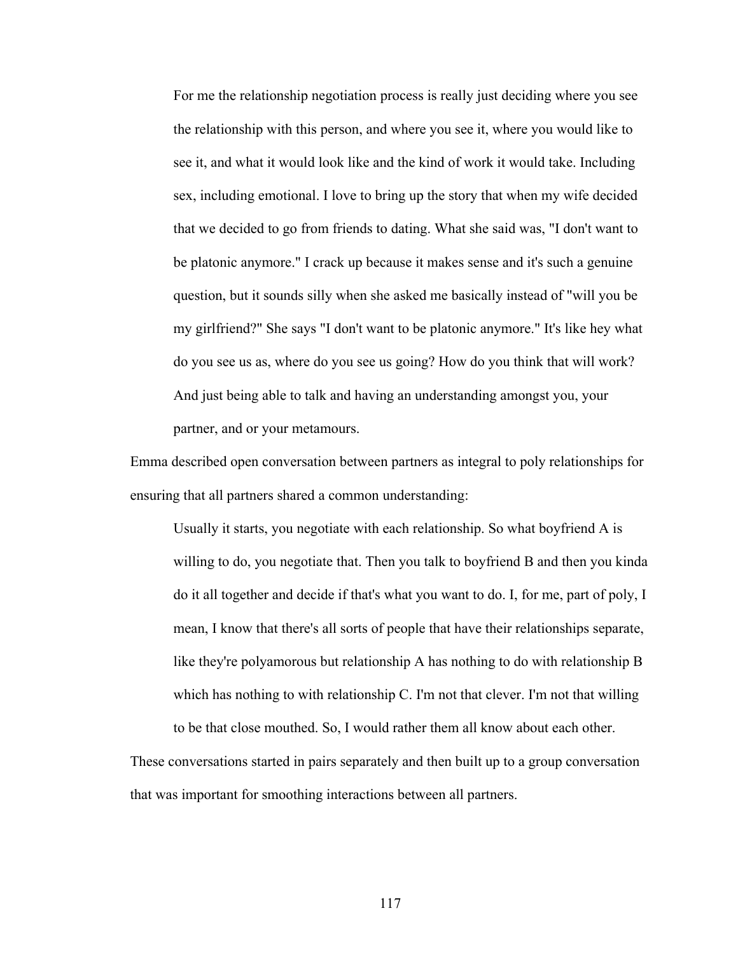For me the relationship negotiation process is really just deciding where you see the relationship with this person, and where you see it, where you would like to see it, and what it would look like and the kind of work it would take. Including sex, including emotional. I love to bring up the story that when my wife decided that we decided to go from friends to dating. What she said was, "I don't want to be platonic anymore." I crack up because it makes sense and it's such a genuine question, but it sounds silly when she asked me basically instead of "will you be my girlfriend?" She says "I don't want to be platonic anymore." It's like hey what do you see us as, where do you see us going? How do you think that will work? And just being able to talk and having an understanding amongst you, your partner, and or your metamours.

Emma described open conversation between partners as integral to poly relationships for ensuring that all partners shared a common understanding:

Usually it starts, you negotiate with each relationship. So what boyfriend A is willing to do, you negotiate that. Then you talk to boyfriend B and then you kinda do it all together and decide if that's what you want to do. I, for me, part of poly, I mean, I know that there's all sorts of people that have their relationships separate, like they're polyamorous but relationship A has nothing to do with relationship B which has nothing to with relationship C. I'm not that clever. I'm not that willing to be that close mouthed. So, I would rather them all know about each other.

These conversations started in pairs separately and then built up to a group conversation that was important for smoothing interactions between all partners.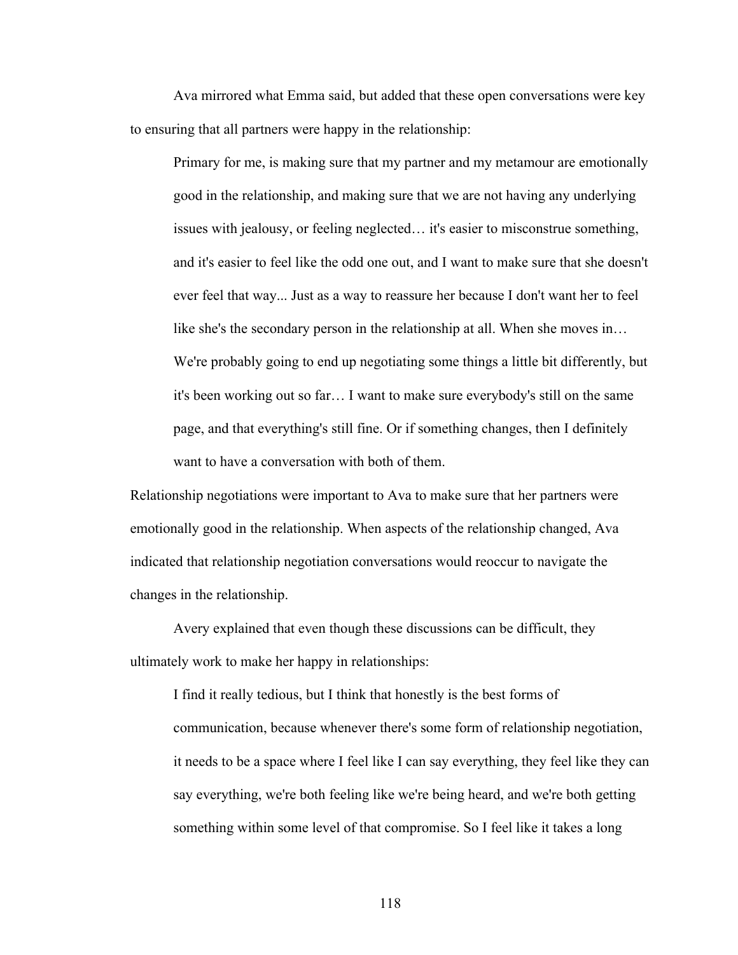Ava mirrored what Emma said, but added that these open conversations were key to ensuring that all partners were happy in the relationship:

Primary for me, is making sure that my partner and my metamour are emotionally good in the relationship, and making sure that we are not having any underlying issues with jealousy, or feeling neglected… it's easier to misconstrue something, and it's easier to feel like the odd one out, and I want to make sure that she doesn't ever feel that way... Just as a way to reassure her because I don't want her to feel like she's the secondary person in the relationship at all. When she moves in… We're probably going to end up negotiating some things a little bit differently, but it's been working out so far… I want to make sure everybody's still on the same page, and that everything's still fine. Or if something changes, then I definitely want to have a conversation with both of them.

Relationship negotiations were important to Ava to make sure that her partners were emotionally good in the relationship. When aspects of the relationship changed, Ava indicated that relationship negotiation conversations would reoccur to navigate the changes in the relationship.

Avery explained that even though these discussions can be difficult, they ultimately work to make her happy in relationships:

I find it really tedious, but I think that honestly is the best forms of communication, because whenever there's some form of relationship negotiation, it needs to be a space where I feel like I can say everything, they feel like they can say everything, we're both feeling like we're being heard, and we're both getting something within some level of that compromise. So I feel like it takes a long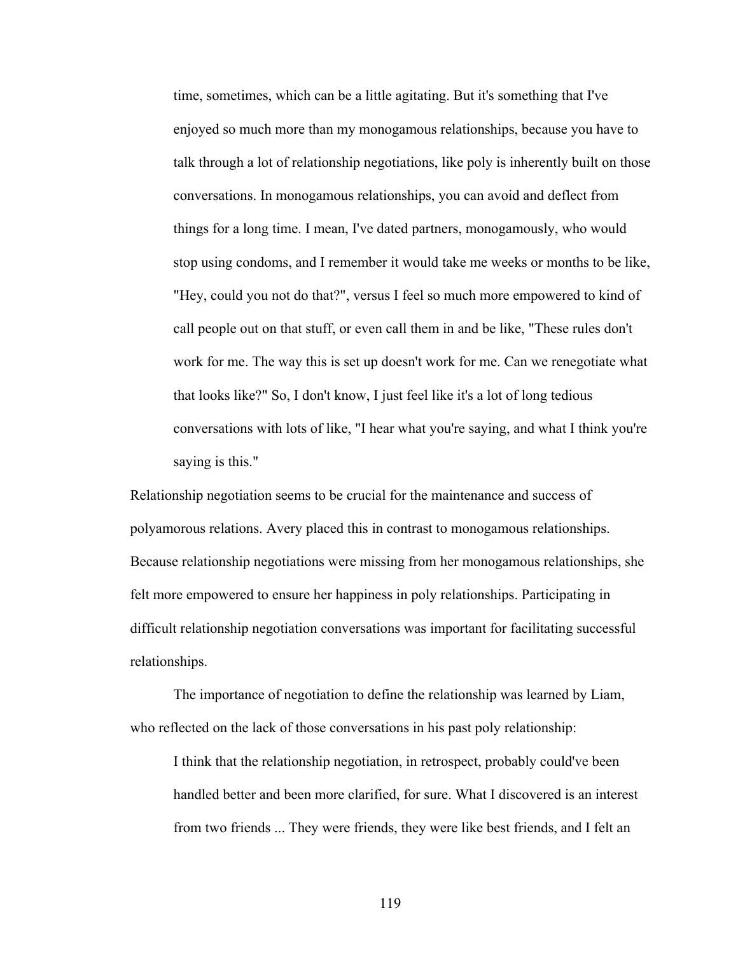time, sometimes, which can be a little agitating. But it's something that I've enjoyed so much more than my monogamous relationships, because you have to talk through a lot of relationship negotiations, like poly is inherently built on those conversations. In monogamous relationships, you can avoid and deflect from things for a long time. I mean, I've dated partners, monogamously, who would stop using condoms, and I remember it would take me weeks or months to be like, "Hey, could you not do that?", versus I feel so much more empowered to kind of call people out on that stuff, or even call them in and be like, "These rules don't work for me. The way this is set up doesn't work for me. Can we renegotiate what that looks like?" So, I don't know, I just feel like it's a lot of long tedious conversations with lots of like, "I hear what you're saying, and what I think you're saying is this."

Relationship negotiation seems to be crucial for the maintenance and success of polyamorous relations. Avery placed this in contrast to monogamous relationships. Because relationship negotiations were missing from her monogamous relationships, she felt more empowered to ensure her happiness in poly relationships. Participating in difficult relationship negotiation conversations was important for facilitating successful relationships.

The importance of negotiation to define the relationship was learned by Liam, who reflected on the lack of those conversations in his past poly relationship:

I think that the relationship negotiation, in retrospect, probably could've been handled better and been more clarified, for sure. What I discovered is an interest from two friends ... They were friends, they were like best friends, and I felt an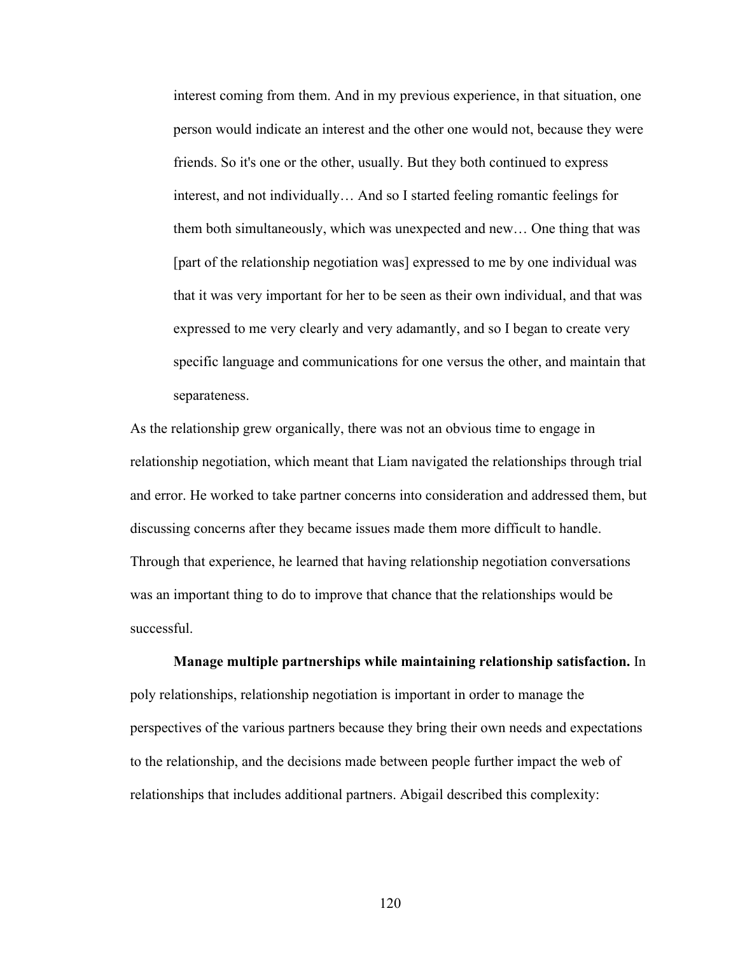interest coming from them. And in my previous experience, in that situation, one person would indicate an interest and the other one would not, because they were friends. So it's one or the other, usually. But they both continued to express interest, and not individually… And so I started feeling romantic feelings for them both simultaneously, which was unexpected and new… One thing that was [part of the relationship negotiation was] expressed to me by one individual was that it was very important for her to be seen as their own individual, and that was expressed to me very clearly and very adamantly, and so I began to create very specific language and communications for one versus the other, and maintain that separateness.

As the relationship grew organically, there was not an obvious time to engage in relationship negotiation, which meant that Liam navigated the relationships through trial and error. He worked to take partner concerns into consideration and addressed them, but discussing concerns after they became issues made them more difficult to handle. Through that experience, he learned that having relationship negotiation conversations was an important thing to do to improve that chance that the relationships would be successful.

**Manage multiple partnerships while maintaining relationship satisfaction.** In poly relationships, relationship negotiation is important in order to manage the perspectives of the various partners because they bring their own needs and expectations to the relationship, and the decisions made between people further impact the web of relationships that includes additional partners. Abigail described this complexity: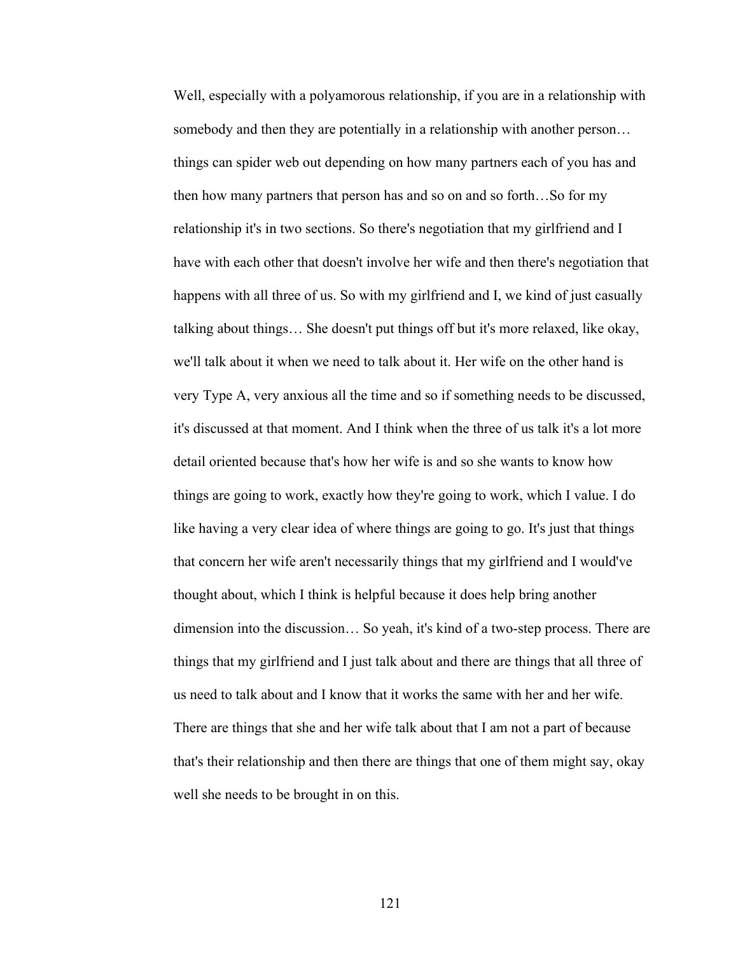Well, especially with a polyamorous relationship, if you are in a relationship with somebody and then they are potentially in a relationship with another person… things can spider web out depending on how many partners each of you has and then how many partners that person has and so on and so forth…So for my relationship it's in two sections. So there's negotiation that my girlfriend and I have with each other that doesn't involve her wife and then there's negotiation that happens with all three of us. So with my girlfriend and I, we kind of just casually talking about things… She doesn't put things off but it's more relaxed, like okay, we'll talk about it when we need to talk about it. Her wife on the other hand is very Type A, very anxious all the time and so if something needs to be discussed, it's discussed at that moment. And I think when the three of us talk it's a lot more detail oriented because that's how her wife is and so she wants to know how things are going to work, exactly how they're going to work, which I value. I do like having a very clear idea of where things are going to go. It's just that things that concern her wife aren't necessarily things that my girlfriend and I would've thought about, which I think is helpful because it does help bring another dimension into the discussion… So yeah, it's kind of a two-step process. There are things that my girlfriend and I just talk about and there are things that all three of us need to talk about and I know that it works the same with her and her wife. There are things that she and her wife talk about that I am not a part of because that's their relationship and then there are things that one of them might say, okay well she needs to be brought in on this.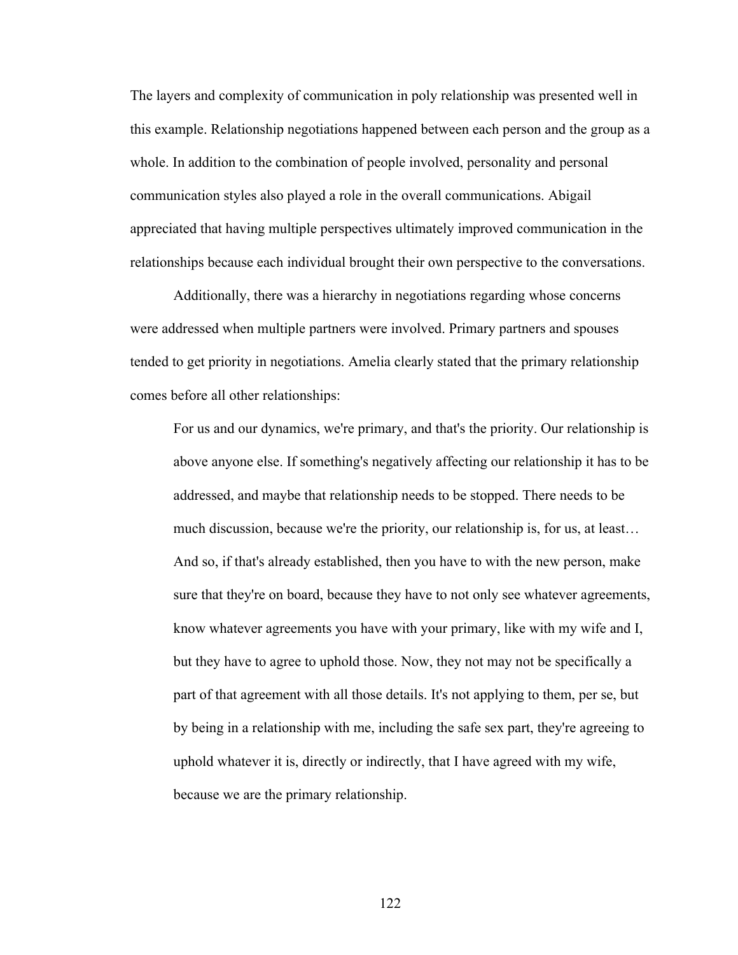The layers and complexity of communication in poly relationship was presented well in this example. Relationship negotiations happened between each person and the group as a whole. In addition to the combination of people involved, personality and personal communication styles also played a role in the overall communications. Abigail appreciated that having multiple perspectives ultimately improved communication in the relationships because each individual brought their own perspective to the conversations.

Additionally, there was a hierarchy in negotiations regarding whose concerns were addressed when multiple partners were involved. Primary partners and spouses tended to get priority in negotiations. Amelia clearly stated that the primary relationship comes before all other relationships:

For us and our dynamics, we're primary, and that's the priority. Our relationship is above anyone else. If something's negatively affecting our relationship it has to be addressed, and maybe that relationship needs to be stopped. There needs to be much discussion, because we're the priority, our relationship is, for us, at least… And so, if that's already established, then you have to with the new person, make sure that they're on board, because they have to not only see whatever agreements, know whatever agreements you have with your primary, like with my wife and I, but they have to agree to uphold those. Now, they not may not be specifically a part of that agreement with all those details. It's not applying to them, per se, but by being in a relationship with me, including the safe sex part, they're agreeing to uphold whatever it is, directly or indirectly, that I have agreed with my wife, because we are the primary relationship.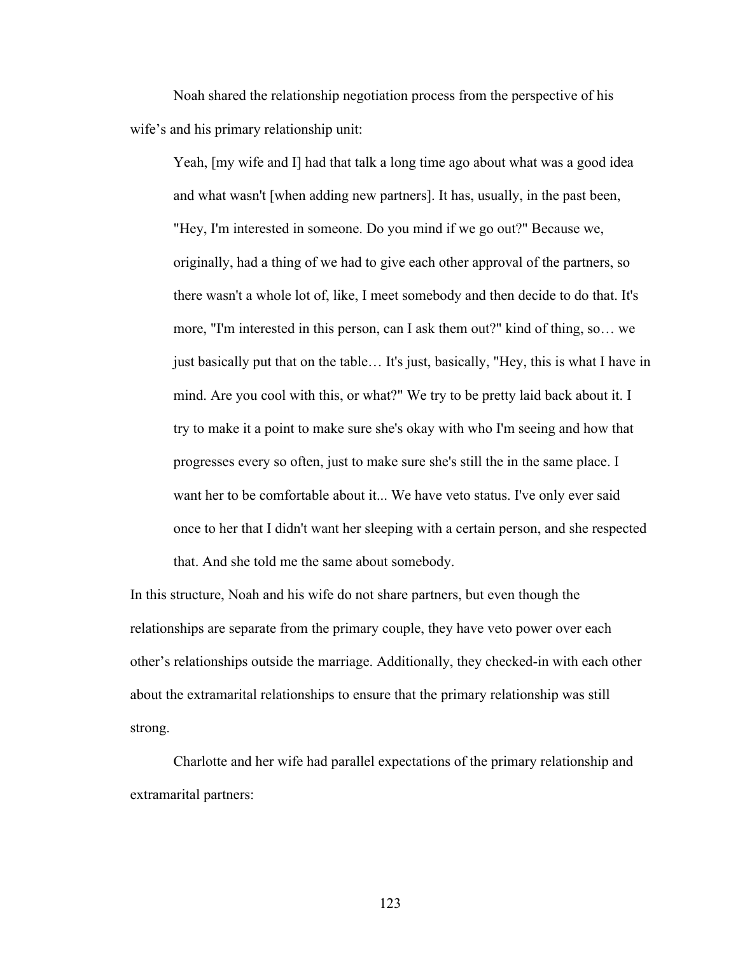Noah shared the relationship negotiation process from the perspective of his wife's and his primary relationship unit:

Yeah, [my wife and I] had that talk a long time ago about what was a good idea and what wasn't [when adding new partners]. It has, usually, in the past been, "Hey, I'm interested in someone. Do you mind if we go out?" Because we, originally, had a thing of we had to give each other approval of the partners, so there wasn't a whole lot of, like, I meet somebody and then decide to do that. It's more, "I'm interested in this person, can I ask them out?" kind of thing, so… we just basically put that on the table… It's just, basically, "Hey, this is what I have in mind. Are you cool with this, or what?" We try to be pretty laid back about it. I try to make it a point to make sure she's okay with who I'm seeing and how that progresses every so often, just to make sure she's still the in the same place. I want her to be comfortable about it... We have veto status. I've only ever said once to her that I didn't want her sleeping with a certain person, and she respected that. And she told me the same about somebody.

In this structure, Noah and his wife do not share partners, but even though the relationships are separate from the primary couple, they have veto power over each other's relationships outside the marriage. Additionally, they checked-in with each other about the extramarital relationships to ensure that the primary relationship was still strong.

Charlotte and her wife had parallel expectations of the primary relationship and extramarital partners: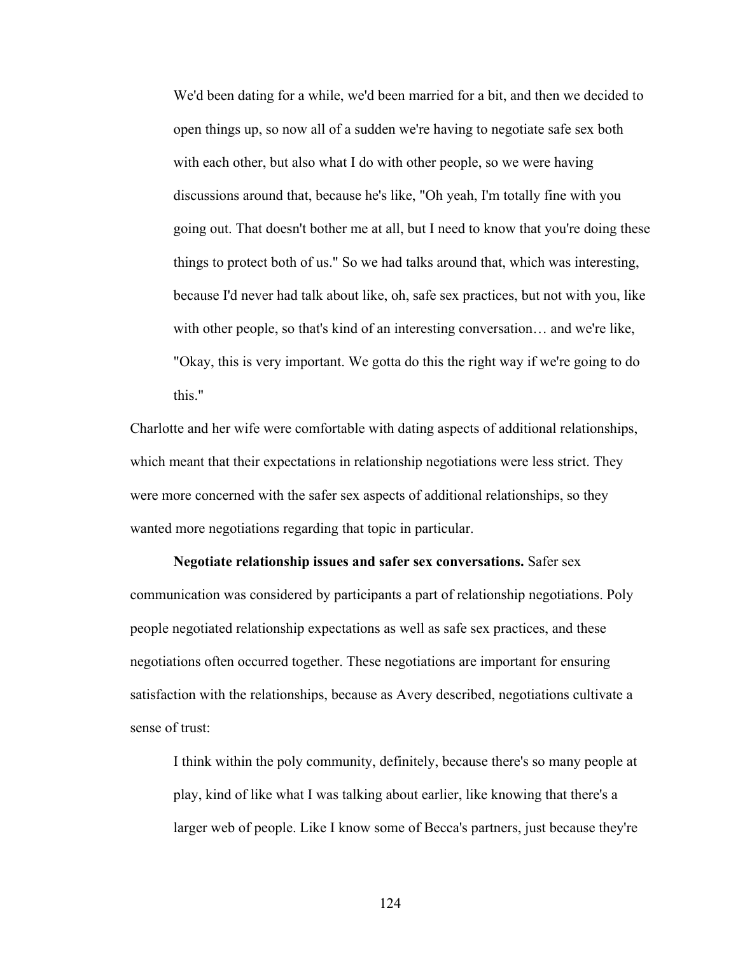We'd been dating for a while, we'd been married for a bit, and then we decided to open things up, so now all of a sudden we're having to negotiate safe sex both with each other, but also what I do with other people, so we were having discussions around that, because he's like, "Oh yeah, I'm totally fine with you going out. That doesn't bother me at all, but I need to know that you're doing these things to protect both of us." So we had talks around that, which was interesting, because I'd never had talk about like, oh, safe sex practices, but not with you, like with other people, so that's kind of an interesting conversation… and we're like, "Okay, this is very important. We gotta do this the right way if we're going to do this."

Charlotte and her wife were comfortable with dating aspects of additional relationships, which meant that their expectations in relationship negotiations were less strict. They were more concerned with the safer sex aspects of additional relationships, so they wanted more negotiations regarding that topic in particular.

**Negotiate relationship issues and safer sex conversations.** Safer sex communication was considered by participants a part of relationship negotiations. Poly people negotiated relationship expectations as well as safe sex practices, and these negotiations often occurred together. These negotiations are important for ensuring satisfaction with the relationships, because as Avery described, negotiations cultivate a sense of trust:

I think within the poly community, definitely, because there's so many people at play, kind of like what I was talking about earlier, like knowing that there's a larger web of people. Like I know some of Becca's partners, just because they're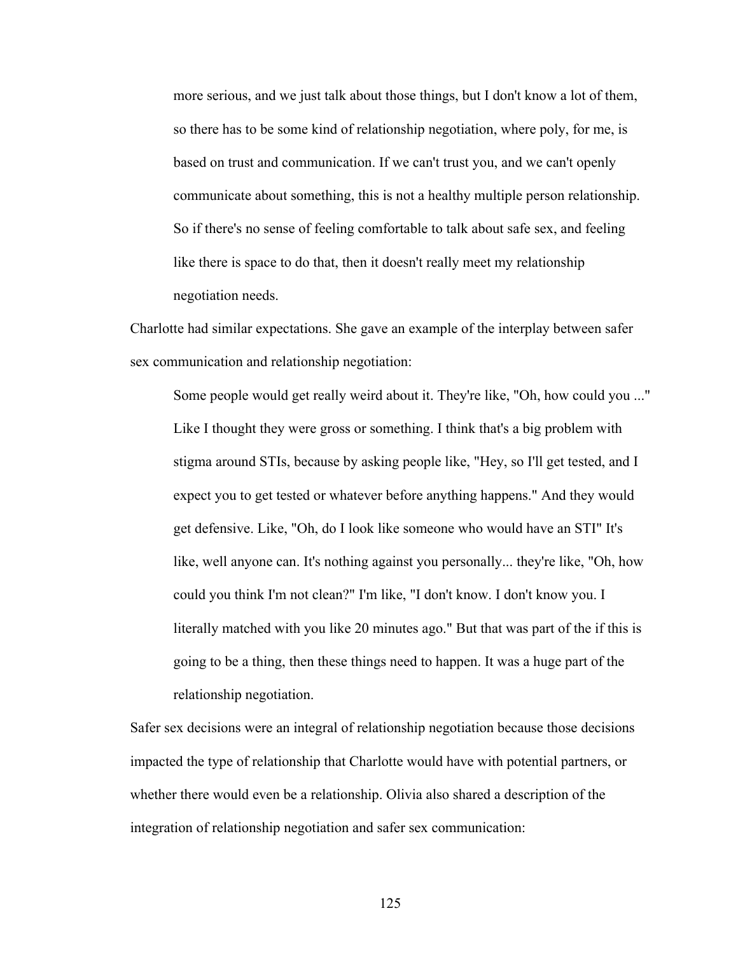more serious, and we just talk about those things, but I don't know a lot of them, so there has to be some kind of relationship negotiation, where poly, for me, is based on trust and communication. If we can't trust you, and we can't openly communicate about something, this is not a healthy multiple person relationship. So if there's no sense of feeling comfortable to talk about safe sex, and feeling like there is space to do that, then it doesn't really meet my relationship negotiation needs.

Charlotte had similar expectations. She gave an example of the interplay between safer sex communication and relationship negotiation:

Some people would get really weird about it. They're like, "Oh, how could you ..." Like I thought they were gross or something. I think that's a big problem with stigma around STIs, because by asking people like, "Hey, so I'll get tested, and I expect you to get tested or whatever before anything happens." And they would get defensive. Like, "Oh, do I look like someone who would have an STI" It's like, well anyone can. It's nothing against you personally... they're like, "Oh, how could you think I'm not clean?" I'm like, "I don't know. I don't know you. I literally matched with you like 20 minutes ago." But that was part of the if this is going to be a thing, then these things need to happen. It was a huge part of the relationship negotiation.

Safer sex decisions were an integral of relationship negotiation because those decisions impacted the type of relationship that Charlotte would have with potential partners, or whether there would even be a relationship. Olivia also shared a description of the integration of relationship negotiation and safer sex communication: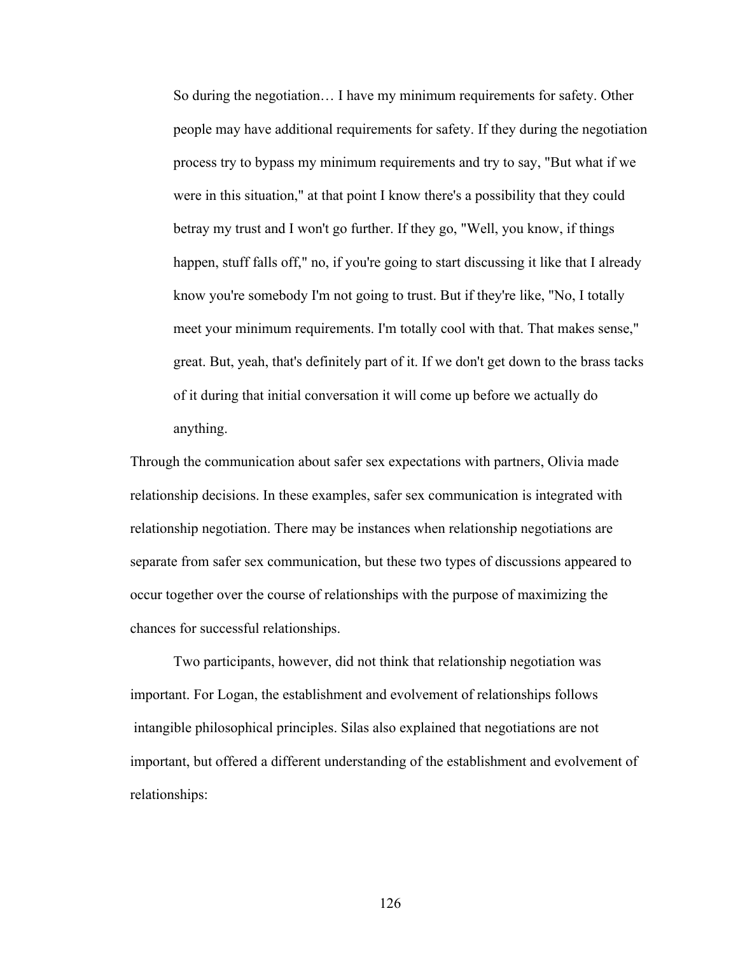So during the negotiation… I have my minimum requirements for safety. Other people may have additional requirements for safety. If they during the negotiation process try to bypass my minimum requirements and try to say, "But what if we were in this situation," at that point I know there's a possibility that they could betray my trust and I won't go further. If they go, "Well, you know, if things happen, stuff falls off," no, if you're going to start discussing it like that I already know you're somebody I'm not going to trust. But if they're like, "No, I totally meet your minimum requirements. I'm totally cool with that. That makes sense," great. But, yeah, that's definitely part of it. If we don't get down to the brass tacks of it during that initial conversation it will come up before we actually do anything.

Through the communication about safer sex expectations with partners, Olivia made relationship decisions. In these examples, safer sex communication is integrated with relationship negotiation. There may be instances when relationship negotiations are separate from safer sex communication, but these two types of discussions appeared to occur together over the course of relationships with the purpose of maximizing the chances for successful relationships.

Two participants, however, did not think that relationship negotiation was important. For Logan, the establishment and evolvement of relationships follows intangible philosophical principles. Silas also explained that negotiations are not important, but offered a different understanding of the establishment and evolvement of relationships: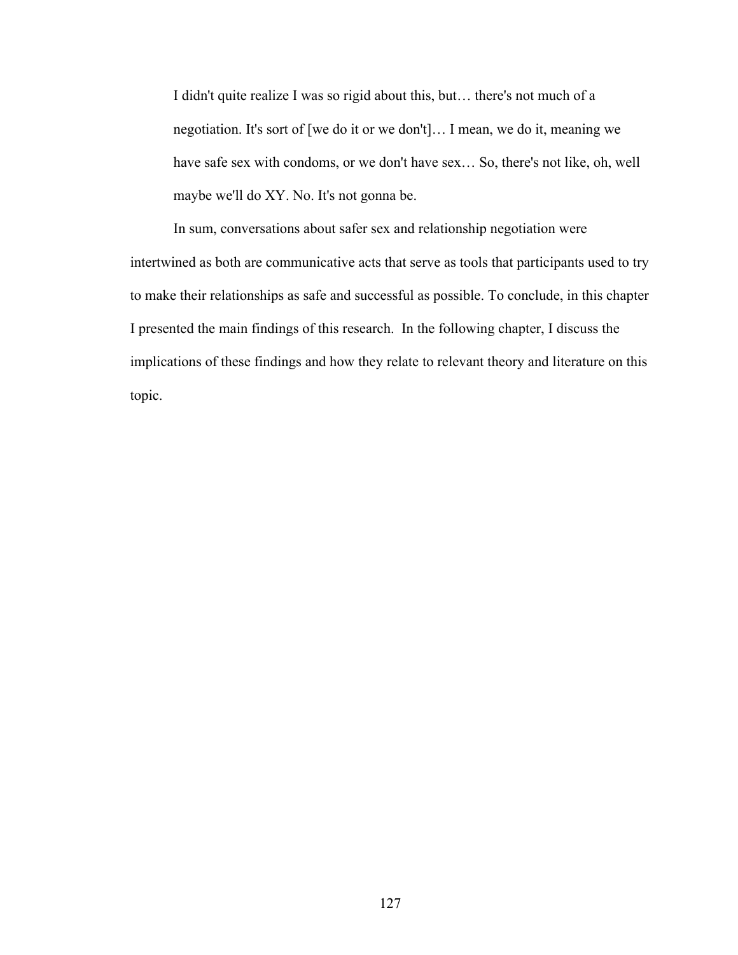I didn't quite realize I was so rigid about this, but… there's not much of a negotiation. It's sort of [we do it or we don't]… I mean, we do it, meaning we have safe sex with condoms, or we don't have sex… So, there's not like, oh, well maybe we'll do XY. No. It's not gonna be.

In sum, conversations about safer sex and relationship negotiation were intertwined as both are communicative acts that serve as tools that participants used to try to make their relationships as safe and successful as possible. To conclude, in this chapter I presented the main findings of this research. In the following chapter, I discuss the implications of these findings and how they relate to relevant theory and literature on this topic.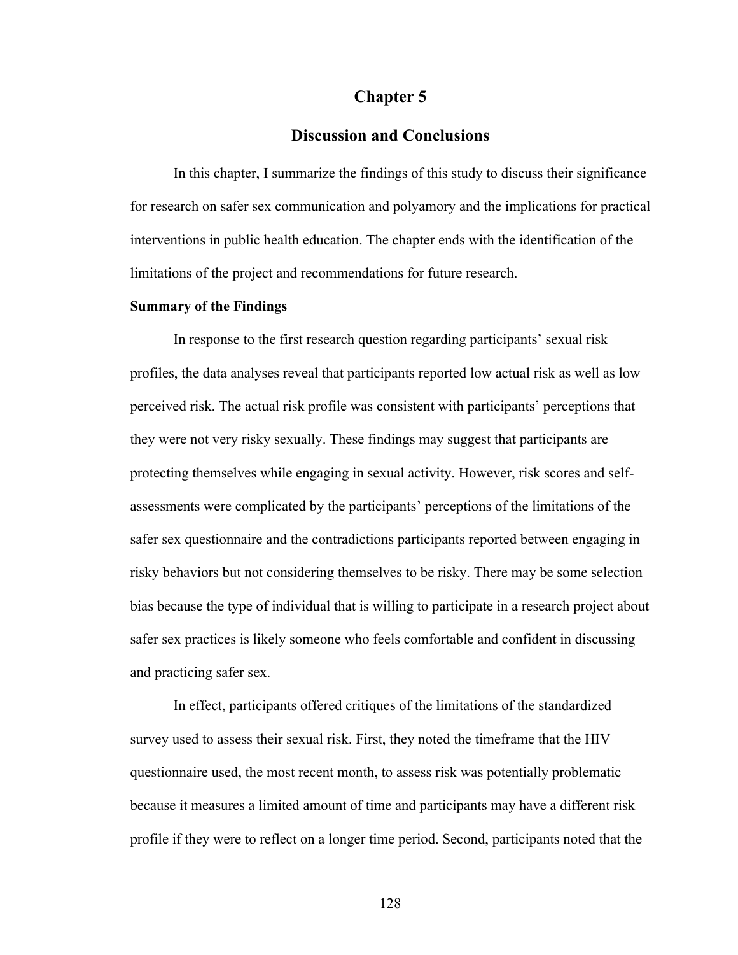### **Chapter 5**

### **Discussion and Conclusions**

In this chapter, I summarize the findings of this study to discuss their significance for research on safer sex communication and polyamory and the implications for practical interventions in public health education. The chapter ends with the identification of the limitations of the project and recommendations for future research.

#### **Summary of the Findings**

In response to the first research question regarding participants' sexual risk profiles, the data analyses reveal that participants reported low actual risk as well as low perceived risk. The actual risk profile was consistent with participants' perceptions that they were not very risky sexually. These findings may suggest that participants are protecting themselves while engaging in sexual activity. However, risk scores and selfassessments were complicated by the participants' perceptions of the limitations of the safer sex questionnaire and the contradictions participants reported between engaging in risky behaviors but not considering themselves to be risky. There may be some selection bias because the type of individual that is willing to participate in a research project about safer sex practices is likely someone who feels comfortable and confident in discussing and practicing safer sex.

In effect, participants offered critiques of the limitations of the standardized survey used to assess their sexual risk. First, they noted the timeframe that the HIV questionnaire used, the most recent month, to assess risk was potentially problematic because it measures a limited amount of time and participants may have a different risk profile if they were to reflect on a longer time period. Second, participants noted that the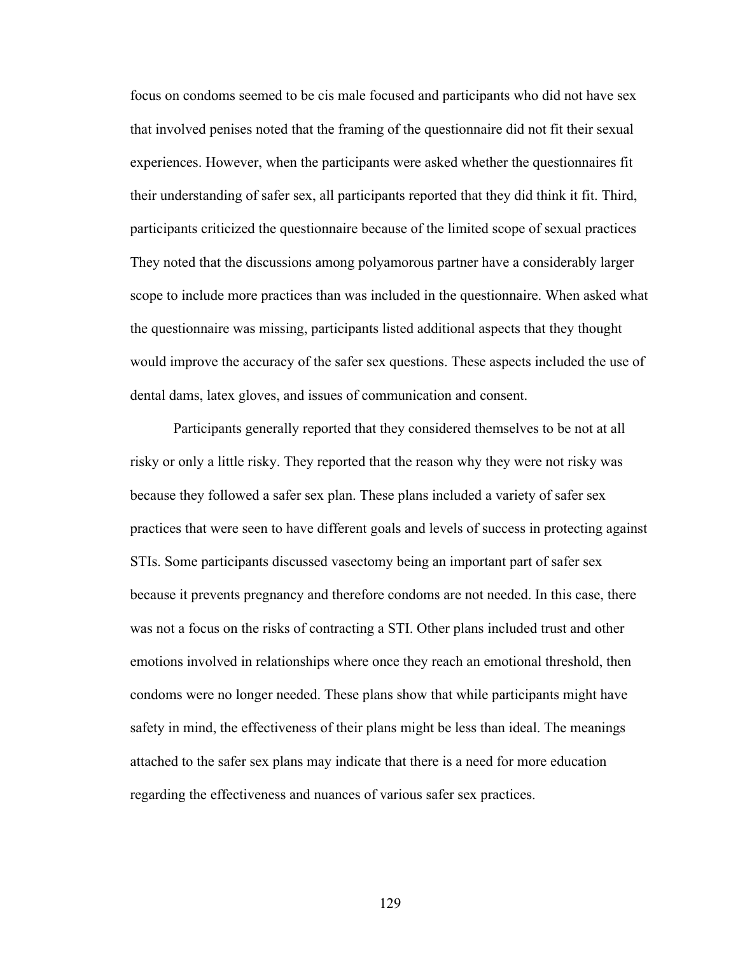focus on condoms seemed to be cis male focused and participants who did not have sex that involved penises noted that the framing of the questionnaire did not fit their sexual experiences. However, when the participants were asked whether the questionnaires fit their understanding of safer sex, all participants reported that they did think it fit. Third, participants criticized the questionnaire because of the limited scope of sexual practices They noted that the discussions among polyamorous partner have a considerably larger scope to include more practices than was included in the questionnaire. When asked what the questionnaire was missing, participants listed additional aspects that they thought would improve the accuracy of the safer sex questions. These aspects included the use of dental dams, latex gloves, and issues of communication and consent.

Participants generally reported that they considered themselves to be not at all risky or only a little risky. They reported that the reason why they were not risky was because they followed a safer sex plan. These plans included a variety of safer sex practices that were seen to have different goals and levels of success in protecting against STIs. Some participants discussed vasectomy being an important part of safer sex because it prevents pregnancy and therefore condoms are not needed. In this case, there was not a focus on the risks of contracting a STI. Other plans included trust and other emotions involved in relationships where once they reach an emotional threshold, then condoms were no longer needed. These plans show that while participants might have safety in mind, the effectiveness of their plans might be less than ideal. The meanings attached to the safer sex plans may indicate that there is a need for more education regarding the effectiveness and nuances of various safer sex practices.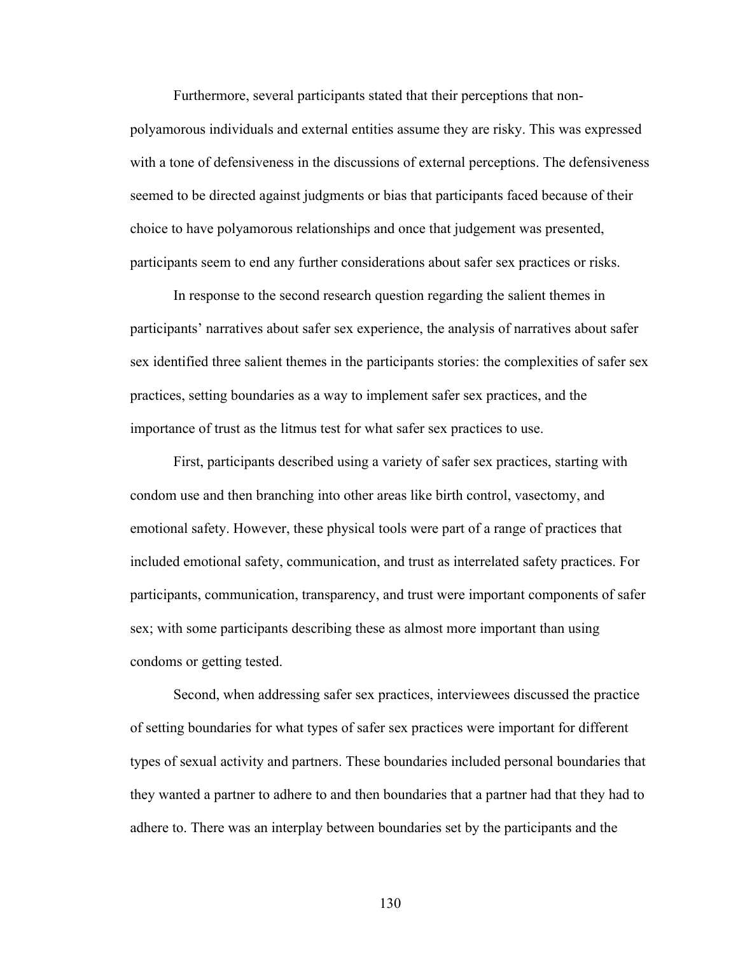Furthermore, several participants stated that their perceptions that non-

polyamorous individuals and external entities assume they are risky. This was expressed with a tone of defensiveness in the discussions of external perceptions. The defensiveness seemed to be directed against judgments or bias that participants faced because of their choice to have polyamorous relationships and once that judgement was presented, participants seem to end any further considerations about safer sex practices or risks.

In response to the second research question regarding the salient themes in participants' narratives about safer sex experience, the analysis of narratives about safer sex identified three salient themes in the participants stories: the complexities of safer sex practices, setting boundaries as a way to implement safer sex practices, and the importance of trust as the litmus test for what safer sex practices to use.

First, participants described using a variety of safer sex practices, starting with condom use and then branching into other areas like birth control, vasectomy, and emotional safety. However, these physical tools were part of a range of practices that included emotional safety, communication, and trust as interrelated safety practices. For participants, communication, transparency, and trust were important components of safer sex; with some participants describing these as almost more important than using condoms or getting tested.

Second, when addressing safer sex practices, interviewees discussed the practice of setting boundaries for what types of safer sex practices were important for different types of sexual activity and partners. These boundaries included personal boundaries that they wanted a partner to adhere to and then boundaries that a partner had that they had to adhere to. There was an interplay between boundaries set by the participants and the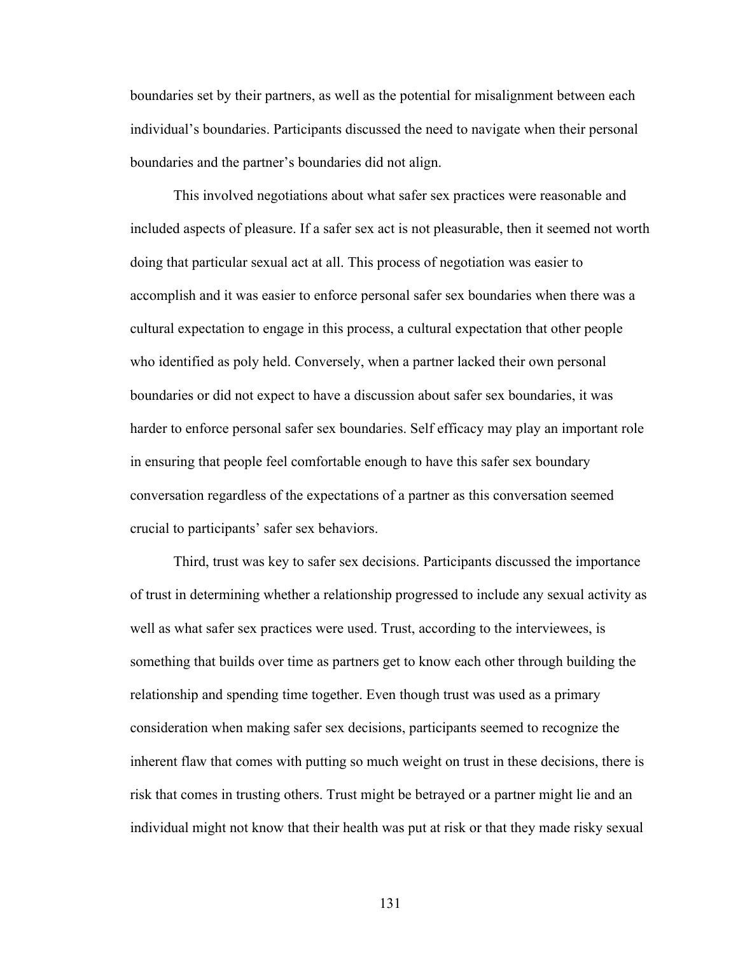boundaries set by their partners, as well as the potential for misalignment between each individual's boundaries. Participants discussed the need to navigate when their personal boundaries and the partner's boundaries did not align.

This involved negotiations about what safer sex practices were reasonable and included aspects of pleasure. If a safer sex act is not pleasurable, then it seemed not worth doing that particular sexual act at all. This process of negotiation was easier to accomplish and it was easier to enforce personal safer sex boundaries when there was a cultural expectation to engage in this process, a cultural expectation that other people who identified as poly held. Conversely, when a partner lacked their own personal boundaries or did not expect to have a discussion about safer sex boundaries, it was harder to enforce personal safer sex boundaries. Self efficacy may play an important role in ensuring that people feel comfortable enough to have this safer sex boundary conversation regardless of the expectations of a partner as this conversation seemed crucial to participants' safer sex behaviors.

Third, trust was key to safer sex decisions. Participants discussed the importance of trust in determining whether a relationship progressed to include any sexual activity as well as what safer sex practices were used. Trust, according to the interviewees, is something that builds over time as partners get to know each other through building the relationship and spending time together. Even though trust was used as a primary consideration when making safer sex decisions, participants seemed to recognize the inherent flaw that comes with putting so much weight on trust in these decisions, there is risk that comes in trusting others. Trust might be betrayed or a partner might lie and an individual might not know that their health was put at risk or that they made risky sexual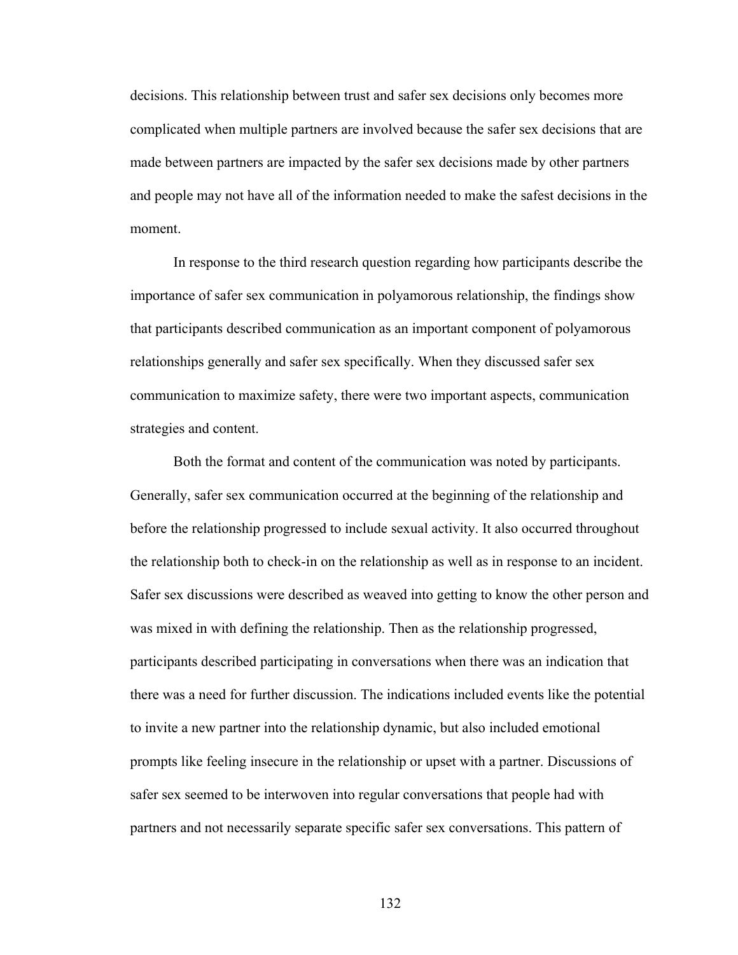decisions. This relationship between trust and safer sex decisions only becomes more complicated when multiple partners are involved because the safer sex decisions that are made between partners are impacted by the safer sex decisions made by other partners and people may not have all of the information needed to make the safest decisions in the moment.

In response to the third research question regarding how participants describe the importance of safer sex communication in polyamorous relationship, the findings show that participants described communication as an important component of polyamorous relationships generally and safer sex specifically. When they discussed safer sex communication to maximize safety, there were two important aspects, communication strategies and content.

Both the format and content of the communication was noted by participants. Generally, safer sex communication occurred at the beginning of the relationship and before the relationship progressed to include sexual activity. It also occurred throughout the relationship both to check-in on the relationship as well as in response to an incident. Safer sex discussions were described as weaved into getting to know the other person and was mixed in with defining the relationship. Then as the relationship progressed, participants described participating in conversations when there was an indication that there was a need for further discussion. The indications included events like the potential to invite a new partner into the relationship dynamic, but also included emotional prompts like feeling insecure in the relationship or upset with a partner. Discussions of safer sex seemed to be interwoven into regular conversations that people had with partners and not necessarily separate specific safer sex conversations. This pattern of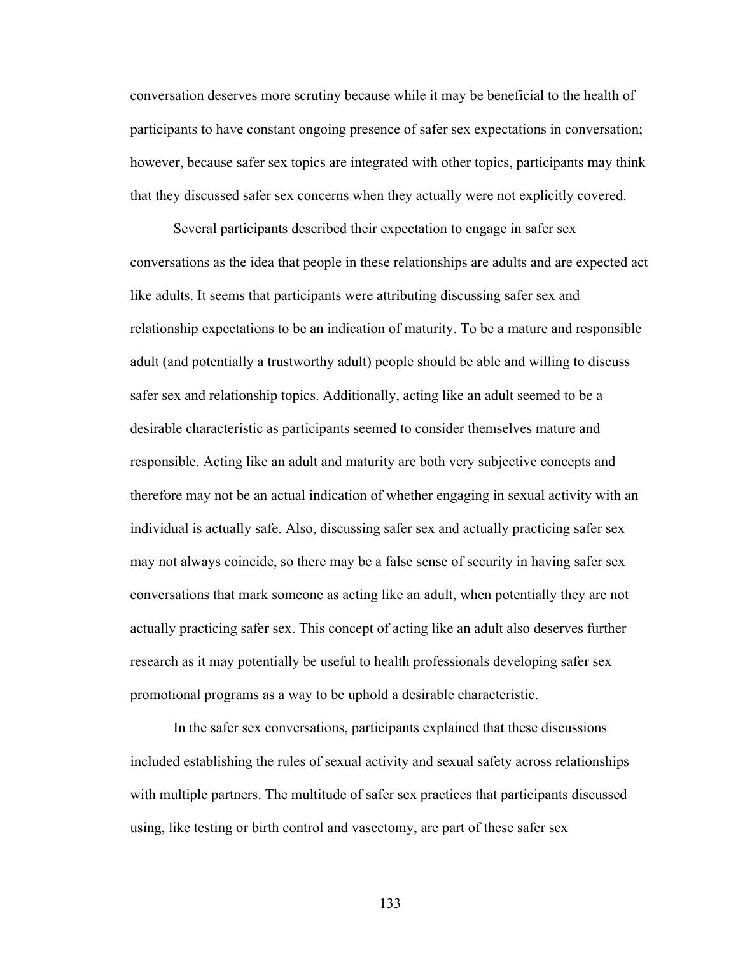conversation deserves more scrutiny because while it may be beneficial to the health of participants to have constant ongoing presence of safer sex expectations in conversation; however, because safer sex topics are integrated with other topics, participants may think that they discussed safer sex concerns when they actually were not explicitly covered.

Several participants described their expectation to engage in safer sex conversations as the idea that people in these relationships are adults and are expected act like adults. It seems that participants were attributing discussing safer sex and relationship expectations to be an indication of maturity. To be a mature and responsible adult (and potentially a trustworthy adult) people should be able and willing to discuss safer sex and relationship topics. Additionally, acting like an adult seemed to be a desirable characteristic as participants seemed to consider themselves mature and responsible. Acting like an adult and maturity are both very subjective concepts and therefore may not be an actual indication of whether engaging in sexual activity with an individual is actually safe. Also, discussing safer sex and actually practicing safer sex may not always coincide, so there may be a false sense of security in having safer sex conversations that mark someone as acting like an adult, when potentially they are not actually practicing safer sex. This concept of acting like an adult also deserves further research as it may potentially be useful to health professionals developing safer sex promotional programs as a way to be uphold a desirable characteristic.

In the safer sex conversations, participants explained that these discussions included establishing the rules of sexual activity and sexual safety across relationships with multiple partners. The multitude of safer sex practices that participants discussed using, like testing or birth control and vasectomy, are part of these safer sex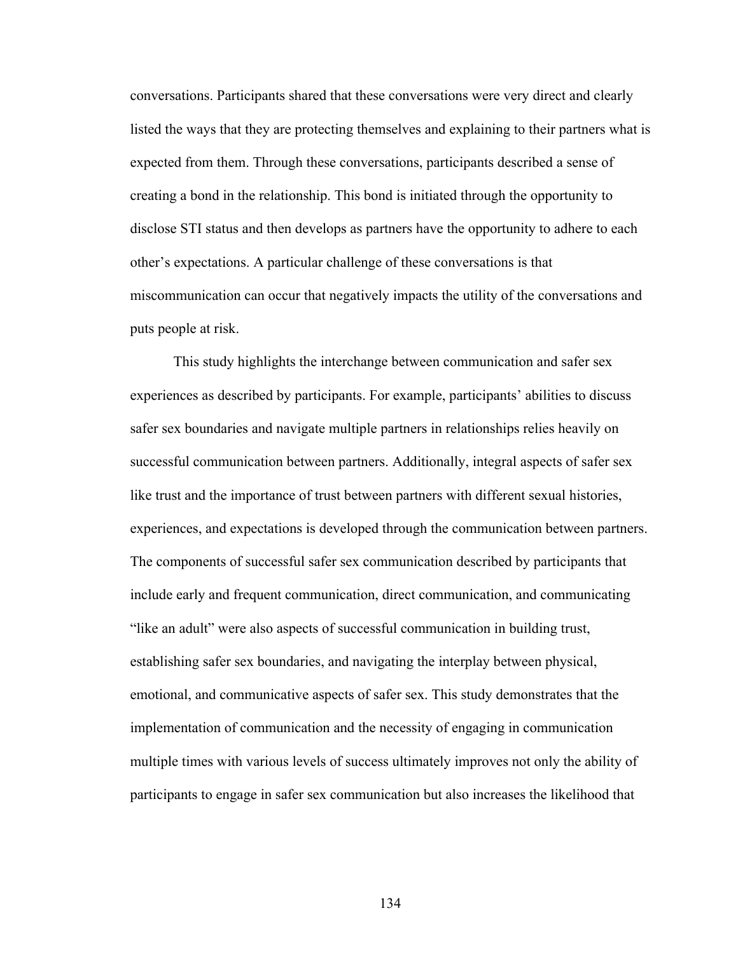conversations. Participants shared that these conversations were very direct and clearly listed the ways that they are protecting themselves and explaining to their partners what is expected from them. Through these conversations, participants described a sense of creating a bond in the relationship. This bond is initiated through the opportunity to disclose STI status and then develops as partners have the opportunity to adhere to each other's expectations. A particular challenge of these conversations is that miscommunication can occur that negatively impacts the utility of the conversations and puts people at risk.

This study highlights the interchange between communication and safer sex experiences as described by participants. For example, participants' abilities to discuss safer sex boundaries and navigate multiple partners in relationships relies heavily on successful communication between partners. Additionally, integral aspects of safer sex like trust and the importance of trust between partners with different sexual histories, experiences, and expectations is developed through the communication between partners. The components of successful safer sex communication described by participants that include early and frequent communication, direct communication, and communicating "like an adult" were also aspects of successful communication in building trust, establishing safer sex boundaries, and navigating the interplay between physical, emotional, and communicative aspects of safer sex. This study demonstrates that the implementation of communication and the necessity of engaging in communication multiple times with various levels of success ultimately improves not only the ability of participants to engage in safer sex communication but also increases the likelihood that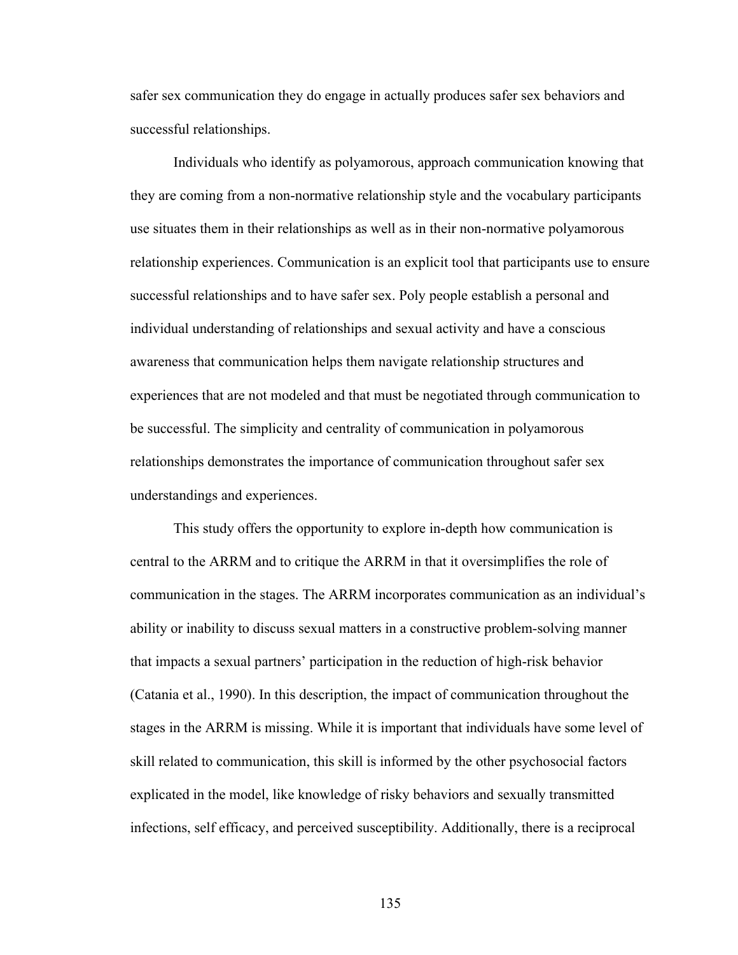safer sex communication they do engage in actually produces safer sex behaviors and successful relationships.

Individuals who identify as polyamorous, approach communication knowing that they are coming from a non-normative relationship style and the vocabulary participants use situates them in their relationships as well as in their non-normative polyamorous relationship experiences. Communication is an explicit tool that participants use to ensure successful relationships and to have safer sex. Poly people establish a personal and individual understanding of relationships and sexual activity and have a conscious awareness that communication helps them navigate relationship structures and experiences that are not modeled and that must be negotiated through communication to be successful. The simplicity and centrality of communication in polyamorous relationships demonstrates the importance of communication throughout safer sex understandings and experiences.

This study offers the opportunity to explore in-depth how communication is central to the ARRM and to critique the ARRM in that it oversimplifies the role of communication in the stages. The ARRM incorporates communication as an individual's ability or inability to discuss sexual matters in a constructive problem-solving manner that impacts a sexual partners' participation in the reduction of high-risk behavior (Catania et al., 1990). In this description, the impact of communication throughout the stages in the ARRM is missing. While it is important that individuals have some level of skill related to communication, this skill is informed by the other psychosocial factors explicated in the model, like knowledge of risky behaviors and sexually transmitted infections, self efficacy, and perceived susceptibility. Additionally, there is a reciprocal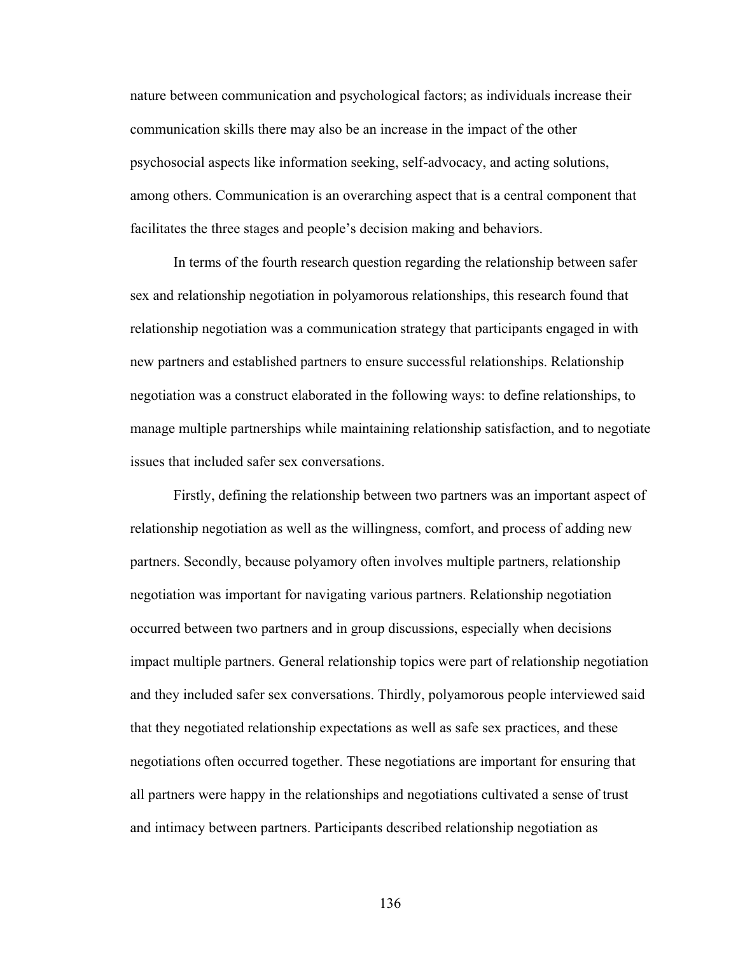nature between communication and psychological factors; as individuals increase their communication skills there may also be an increase in the impact of the other psychosocial aspects like information seeking, self-advocacy, and acting solutions, among others. Communication is an overarching aspect that is a central component that facilitates the three stages and people's decision making and behaviors.

In terms of the fourth research question regarding the relationship between safer sex and relationship negotiation in polyamorous relationships, this research found that relationship negotiation was a communication strategy that participants engaged in with new partners and established partners to ensure successful relationships. Relationship negotiation was a construct elaborated in the following ways: to define relationships, to manage multiple partnerships while maintaining relationship satisfaction, and to negotiate issues that included safer sex conversations.

Firstly, defining the relationship between two partners was an important aspect of relationship negotiation as well as the willingness, comfort, and process of adding new partners. Secondly, because polyamory often involves multiple partners, relationship negotiation was important for navigating various partners. Relationship negotiation occurred between two partners and in group discussions, especially when decisions impact multiple partners. General relationship topics were part of relationship negotiation and they included safer sex conversations. Thirdly, polyamorous people interviewed said that they negotiated relationship expectations as well as safe sex practices, and these negotiations often occurred together. These negotiations are important for ensuring that all partners were happy in the relationships and negotiations cultivated a sense of trust and intimacy between partners. Participants described relationship negotiation as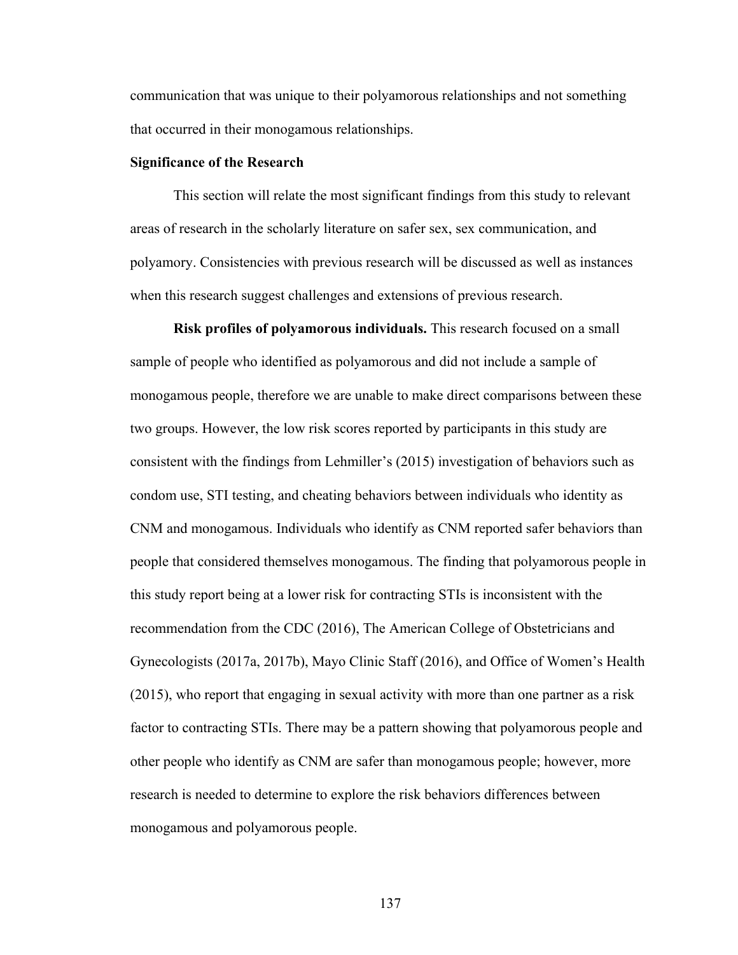communication that was unique to their polyamorous relationships and not something that occurred in their monogamous relationships.

### **Significance of the Research**

This section will relate the most significant findings from this study to relevant areas of research in the scholarly literature on safer sex, sex communication, and polyamory. Consistencies with previous research will be discussed as well as instances when this research suggest challenges and extensions of previous research.

**Risk profiles of polyamorous individuals.** This research focused on a small sample of people who identified as polyamorous and did not include a sample of monogamous people, therefore we are unable to make direct comparisons between these two groups. However, the low risk scores reported by participants in this study are consistent with the findings from Lehmiller's (2015) investigation of behaviors such as condom use, STI testing, and cheating behaviors between individuals who identity as CNM and monogamous. Individuals who identify as CNM reported safer behaviors than people that considered themselves monogamous. The finding that polyamorous people in this study report being at a lower risk for contracting STIs is inconsistent with the recommendation from the CDC (2016), The American College of Obstetricians and Gynecologists (2017a, 2017b), Mayo Clinic Staff (2016), and Office of Women's Health (2015), who report that engaging in sexual activity with more than one partner as a risk factor to contracting STIs. There may be a pattern showing that polyamorous people and other people who identify as CNM are safer than monogamous people; however, more research is needed to determine to explore the risk behaviors differences between monogamous and polyamorous people.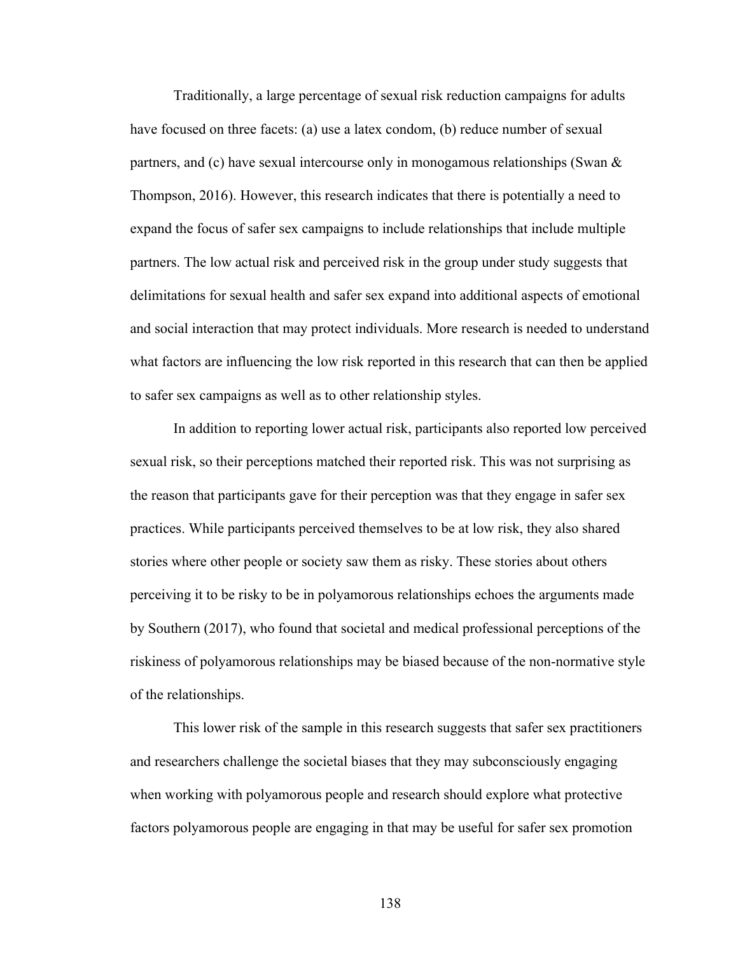Traditionally, a large percentage of sexual risk reduction campaigns for adults have focused on three facets: (a) use a latex condom, (b) reduce number of sexual partners, and (c) have sexual intercourse only in monogamous relationships (Swan  $\&$ Thompson, 2016). However, this research indicates that there is potentially a need to expand the focus of safer sex campaigns to include relationships that include multiple partners. The low actual risk and perceived risk in the group under study suggests that delimitations for sexual health and safer sex expand into additional aspects of emotional and social interaction that may protect individuals. More research is needed to understand what factors are influencing the low risk reported in this research that can then be applied to safer sex campaigns as well as to other relationship styles.

In addition to reporting lower actual risk, participants also reported low perceived sexual risk, so their perceptions matched their reported risk. This was not surprising as the reason that participants gave for their perception was that they engage in safer sex practices. While participants perceived themselves to be at low risk, they also shared stories where other people or society saw them as risky. These stories about others perceiving it to be risky to be in polyamorous relationships echoes the arguments made by Southern (2017), who found that societal and medical professional perceptions of the riskiness of polyamorous relationships may be biased because of the non-normative style of the relationships.

This lower risk of the sample in this research suggests that safer sex practitioners and researchers challenge the societal biases that they may subconsciously engaging when working with polyamorous people and research should explore what protective factors polyamorous people are engaging in that may be useful for safer sex promotion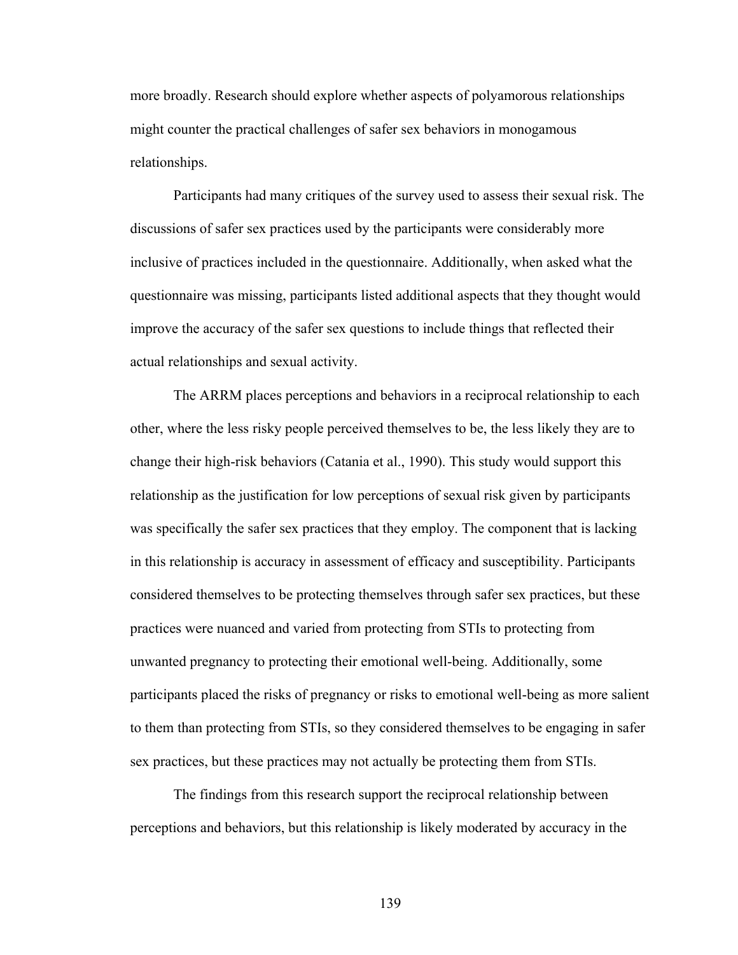more broadly. Research should explore whether aspects of polyamorous relationships might counter the practical challenges of safer sex behaviors in monogamous relationships.

Participants had many critiques of the survey used to assess their sexual risk. The discussions of safer sex practices used by the participants were considerably more inclusive of practices included in the questionnaire. Additionally, when asked what the questionnaire was missing, participants listed additional aspects that they thought would improve the accuracy of the safer sex questions to include things that reflected their actual relationships and sexual activity.

The ARRM places perceptions and behaviors in a reciprocal relationship to each other, where the less risky people perceived themselves to be, the less likely they are to change their high-risk behaviors (Catania et al., 1990). This study would support this relationship as the justification for low perceptions of sexual risk given by participants was specifically the safer sex practices that they employ. The component that is lacking in this relationship is accuracy in assessment of efficacy and susceptibility. Participants considered themselves to be protecting themselves through safer sex practices, but these practices were nuanced and varied from protecting from STIs to protecting from unwanted pregnancy to protecting their emotional well-being. Additionally, some participants placed the risks of pregnancy or risks to emotional well-being as more salient to them than protecting from STIs, so they considered themselves to be engaging in safer sex practices, but these practices may not actually be protecting them from STIs.

The findings from this research support the reciprocal relationship between perceptions and behaviors, but this relationship is likely moderated by accuracy in the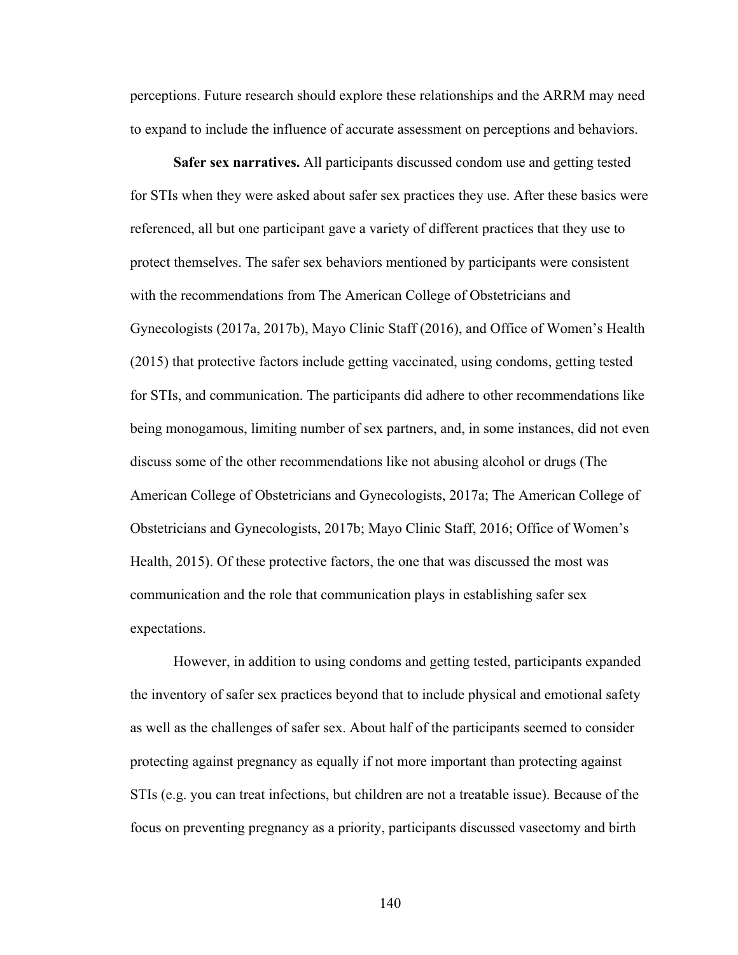perceptions. Future research should explore these relationships and the ARRM may need to expand to include the influence of accurate assessment on perceptions and behaviors.

**Safer sex narratives.** All participants discussed condom use and getting tested for STIs when they were asked about safer sex practices they use. After these basics were referenced, all but one participant gave a variety of different practices that they use to protect themselves. The safer sex behaviors mentioned by participants were consistent with the recommendations from The American College of Obstetricians and Gynecologists (2017a, 2017b), Mayo Clinic Staff (2016), and Office of Women's Health (2015) that protective factors include getting vaccinated, using condoms, getting tested for STIs, and communication. The participants did adhere to other recommendations like being monogamous, limiting number of sex partners, and, in some instances, did not even discuss some of the other recommendations like not abusing alcohol or drugs (The American College of Obstetricians and Gynecologists, 2017a; The American College of Obstetricians and Gynecologists, 2017b; Mayo Clinic Staff, 2016; Office of Women's Health, 2015). Of these protective factors, the one that was discussed the most was communication and the role that communication plays in establishing safer sex expectations.

However, in addition to using condoms and getting tested, participants expanded the inventory of safer sex practices beyond that to include physical and emotional safety as well as the challenges of safer sex. About half of the participants seemed to consider protecting against pregnancy as equally if not more important than protecting against STIs (e.g. you can treat infections, but children are not a treatable issue). Because of the focus on preventing pregnancy as a priority, participants discussed vasectomy and birth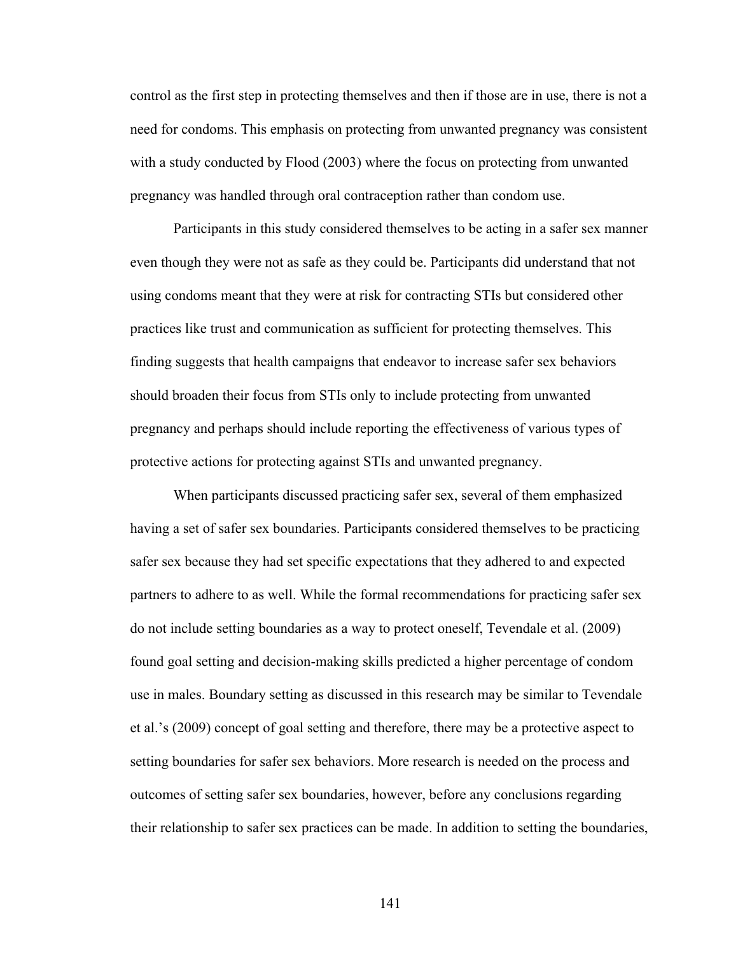control as the first step in protecting themselves and then if those are in use, there is not a need for condoms. This emphasis on protecting from unwanted pregnancy was consistent with a study conducted by Flood (2003) where the focus on protecting from unwanted pregnancy was handled through oral contraception rather than condom use.

Participants in this study considered themselves to be acting in a safer sex manner even though they were not as safe as they could be. Participants did understand that not using condoms meant that they were at risk for contracting STIs but considered other practices like trust and communication as sufficient for protecting themselves. This finding suggests that health campaigns that endeavor to increase safer sex behaviors should broaden their focus from STIs only to include protecting from unwanted pregnancy and perhaps should include reporting the effectiveness of various types of protective actions for protecting against STIs and unwanted pregnancy.

When participants discussed practicing safer sex, several of them emphasized having a set of safer sex boundaries. Participants considered themselves to be practicing safer sex because they had set specific expectations that they adhered to and expected partners to adhere to as well. While the formal recommendations for practicing safer sex do not include setting boundaries as a way to protect oneself, Tevendale et al. (2009) found goal setting and decision-making skills predicted a higher percentage of condom use in males. Boundary setting as discussed in this research may be similar to Tevendale et al.'s (2009) concept of goal setting and therefore, there may be a protective aspect to setting boundaries for safer sex behaviors. More research is needed on the process and outcomes of setting safer sex boundaries, however, before any conclusions regarding their relationship to safer sex practices can be made. In addition to setting the boundaries,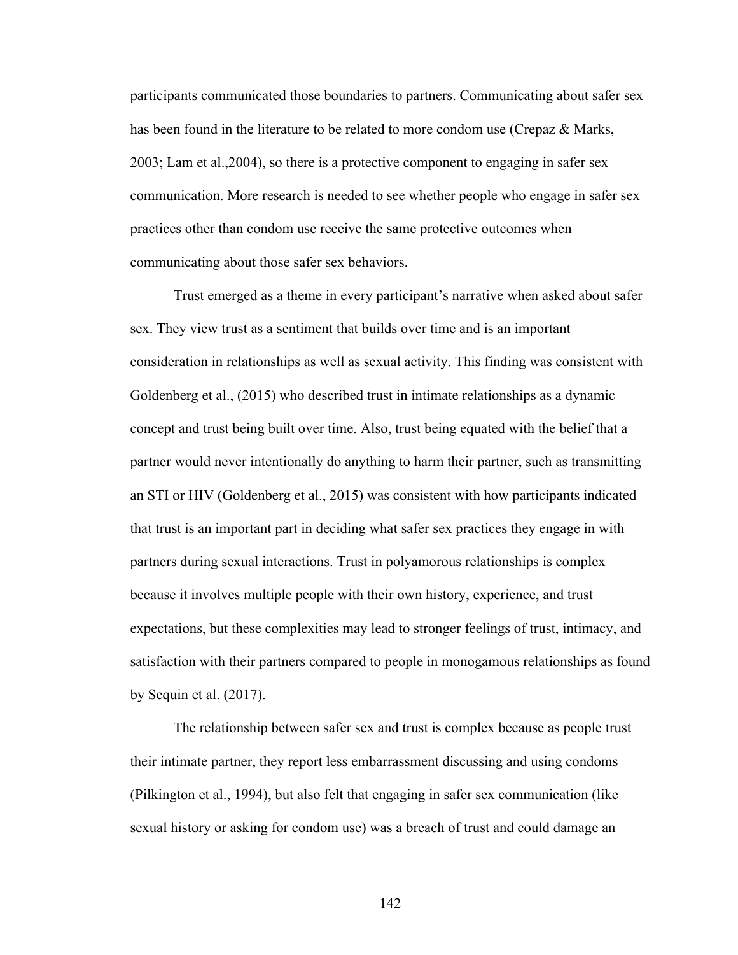participants communicated those boundaries to partners. Communicating about safer sex has been found in the literature to be related to more condom use (Crepaz & Marks, 2003; Lam et al.,2004), so there is a protective component to engaging in safer sex communication. More research is needed to see whether people who engage in safer sex practices other than condom use receive the same protective outcomes when communicating about those safer sex behaviors.

Trust emerged as a theme in every participant's narrative when asked about safer sex. They view trust as a sentiment that builds over time and is an important consideration in relationships as well as sexual activity. This finding was consistent with Goldenberg et al., (2015) who described trust in intimate relationships as a dynamic concept and trust being built over time. Also, trust being equated with the belief that a partner would never intentionally do anything to harm their partner, such as transmitting an STI or HIV (Goldenberg et al., 2015) was consistent with how participants indicated that trust is an important part in deciding what safer sex practices they engage in with partners during sexual interactions. Trust in polyamorous relationships is complex because it involves multiple people with their own history, experience, and trust expectations, but these complexities may lead to stronger feelings of trust, intimacy, and satisfaction with their partners compared to people in monogamous relationships as found by Sequin et al. (2017).

The relationship between safer sex and trust is complex because as people trust their intimate partner, they report less embarrassment discussing and using condoms (Pilkington et al., 1994), but also felt that engaging in safer sex communication (like sexual history or asking for condom use) was a breach of trust and could damage an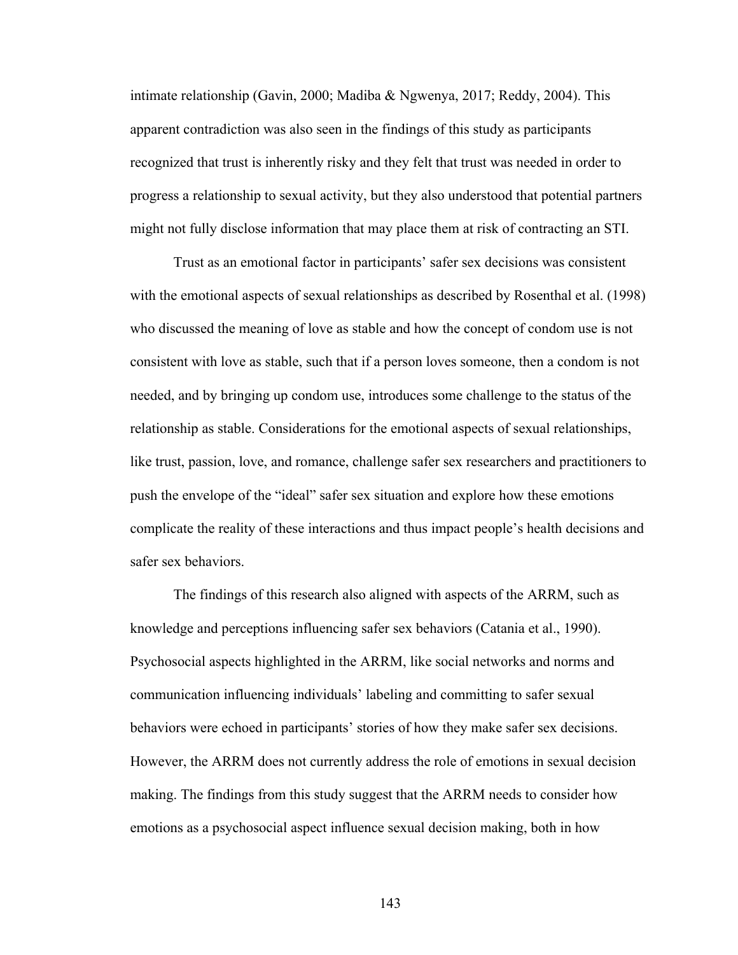intimate relationship (Gavin, 2000; Madiba & Ngwenya, 2017; Reddy, 2004). This apparent contradiction was also seen in the findings of this study as participants recognized that trust is inherently risky and they felt that trust was needed in order to progress a relationship to sexual activity, but they also understood that potential partners might not fully disclose information that may place them at risk of contracting an STI.

Trust as an emotional factor in participants' safer sex decisions was consistent with the emotional aspects of sexual relationships as described by Rosenthal et al. (1998) who discussed the meaning of love as stable and how the concept of condom use is not consistent with love as stable, such that if a person loves someone, then a condom is not needed, and by bringing up condom use, introduces some challenge to the status of the relationship as stable. Considerations for the emotional aspects of sexual relationships, like trust, passion, love, and romance, challenge safer sex researchers and practitioners to push the envelope of the "ideal" safer sex situation and explore how these emotions complicate the reality of these interactions and thus impact people's health decisions and safer sex behaviors.

The findings of this research also aligned with aspects of the ARRM, such as knowledge and perceptions influencing safer sex behaviors (Catania et al., 1990). Psychosocial aspects highlighted in the ARRM, like social networks and norms and communication influencing individuals' labeling and committing to safer sexual behaviors were echoed in participants' stories of how they make safer sex decisions. However, the ARRM does not currently address the role of emotions in sexual decision making. The findings from this study suggest that the ARRM needs to consider how emotions as a psychosocial aspect influence sexual decision making, both in how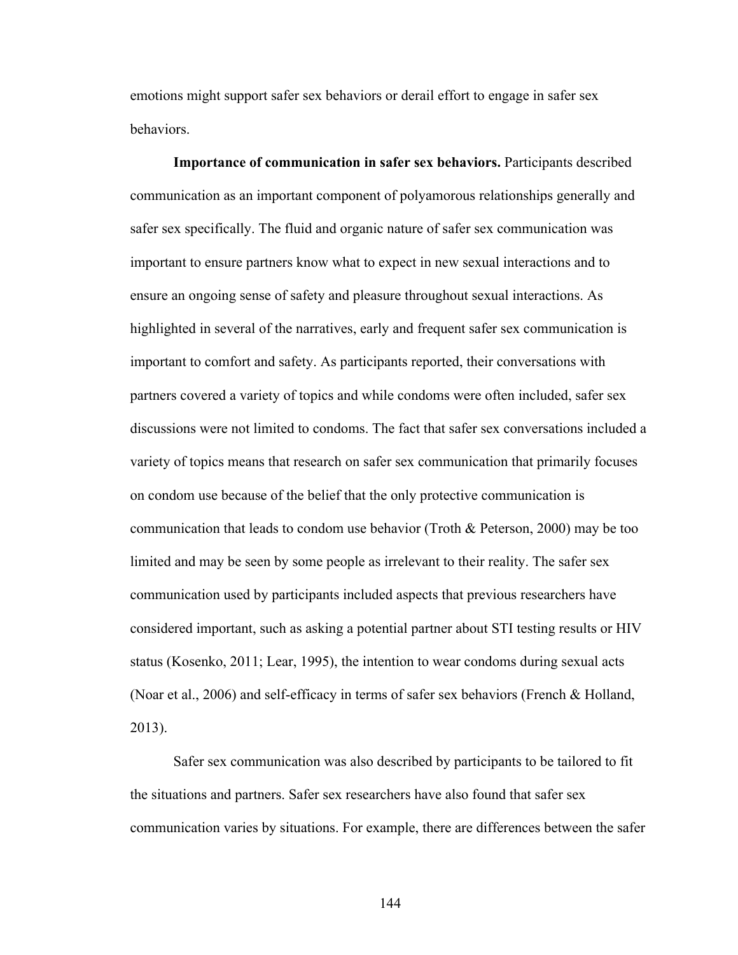emotions might support safer sex behaviors or derail effort to engage in safer sex behaviors.

**Importance of communication in safer sex behaviors.** Participants described communication as an important component of polyamorous relationships generally and safer sex specifically. The fluid and organic nature of safer sex communication was important to ensure partners know what to expect in new sexual interactions and to ensure an ongoing sense of safety and pleasure throughout sexual interactions. As highlighted in several of the narratives, early and frequent safer sex communication is important to comfort and safety. As participants reported, their conversations with partners covered a variety of topics and while condoms were often included, safer sex discussions were not limited to condoms. The fact that safer sex conversations included a variety of topics means that research on safer sex communication that primarily focuses on condom use because of the belief that the only protective communication is communication that leads to condom use behavior (Troth & Peterson, 2000) may be too limited and may be seen by some people as irrelevant to their reality. The safer sex communication used by participants included aspects that previous researchers have considered important, such as asking a potential partner about STI testing results or HIV status (Kosenko, 2011; Lear, 1995), the intention to wear condoms during sexual acts (Noar et al., 2006) and self-efficacy in terms of safer sex behaviors (French & Holland, 2013).

Safer sex communication was also described by participants to be tailored to fit the situations and partners. Safer sex researchers have also found that safer sex communication varies by situations. For example, there are differences between the safer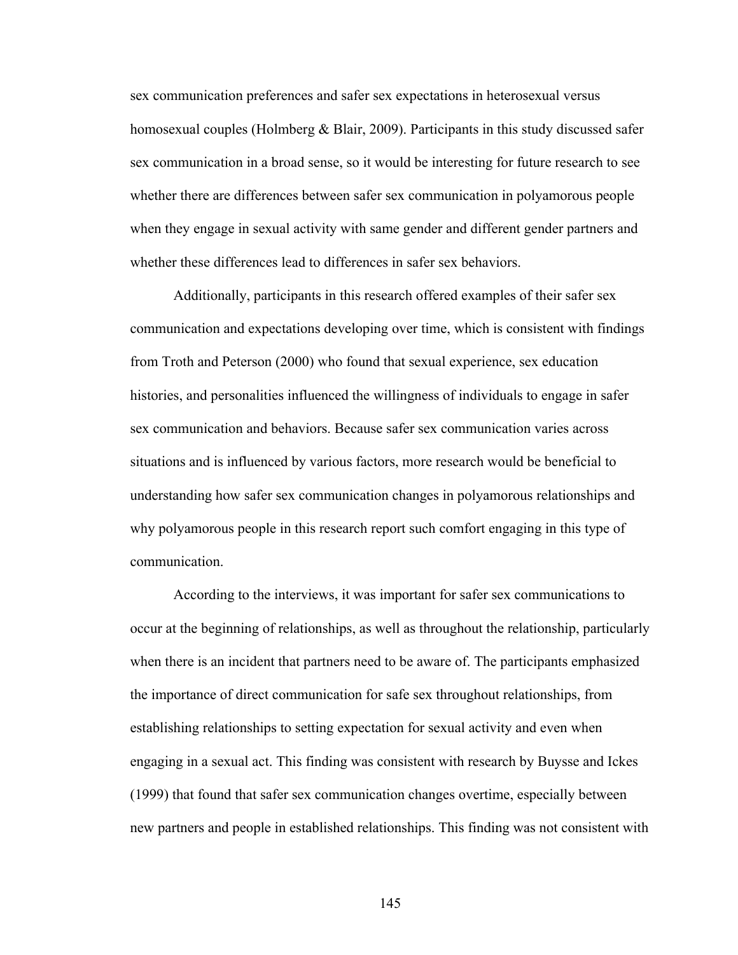sex communication preferences and safer sex expectations in heterosexual versus homosexual couples (Holmberg & Blair, 2009). Participants in this study discussed safer sex communication in a broad sense, so it would be interesting for future research to see whether there are differences between safer sex communication in polyamorous people when they engage in sexual activity with same gender and different gender partners and whether these differences lead to differences in safer sex behaviors.

Additionally, participants in this research offered examples of their safer sex communication and expectations developing over time, which is consistent with findings from Troth and Peterson (2000) who found that sexual experience, sex education histories, and personalities influenced the willingness of individuals to engage in safer sex communication and behaviors. Because safer sex communication varies across situations and is influenced by various factors, more research would be beneficial to understanding how safer sex communication changes in polyamorous relationships and why polyamorous people in this research report such comfort engaging in this type of communication.

According to the interviews, it was important for safer sex communications to occur at the beginning of relationships, as well as throughout the relationship, particularly when there is an incident that partners need to be aware of. The participants emphasized the importance of direct communication for safe sex throughout relationships, from establishing relationships to setting expectation for sexual activity and even when engaging in a sexual act. This finding was consistent with research by Buysse and Ickes (1999) that found that safer sex communication changes overtime, especially between new partners and people in established relationships. This finding was not consistent with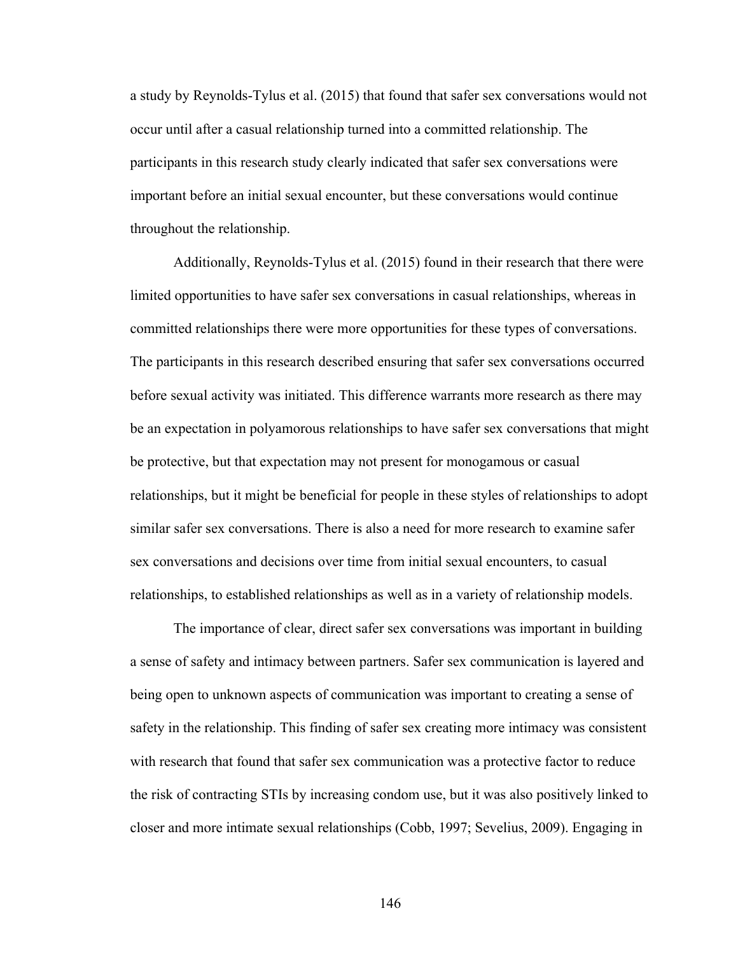a study by Reynolds-Tylus et al. (2015) that found that safer sex conversations would not occur until after a casual relationship turned into a committed relationship. The participants in this research study clearly indicated that safer sex conversations were important before an initial sexual encounter, but these conversations would continue throughout the relationship.

Additionally, Reynolds-Tylus et al. (2015) found in their research that there were limited opportunities to have safer sex conversations in casual relationships, whereas in committed relationships there were more opportunities for these types of conversations. The participants in this research described ensuring that safer sex conversations occurred before sexual activity was initiated. This difference warrants more research as there may be an expectation in polyamorous relationships to have safer sex conversations that might be protective, but that expectation may not present for monogamous or casual relationships, but it might be beneficial for people in these styles of relationships to adopt similar safer sex conversations. There is also a need for more research to examine safer sex conversations and decisions over time from initial sexual encounters, to casual relationships, to established relationships as well as in a variety of relationship models.

The importance of clear, direct safer sex conversations was important in building a sense of safety and intimacy between partners. Safer sex communication is layered and being open to unknown aspects of communication was important to creating a sense of safety in the relationship. This finding of safer sex creating more intimacy was consistent with research that found that safer sex communication was a protective factor to reduce the risk of contracting STIs by increasing condom use, but it was also positively linked to closer and more intimate sexual relationships (Cobb, 1997; Sevelius, 2009). Engaging in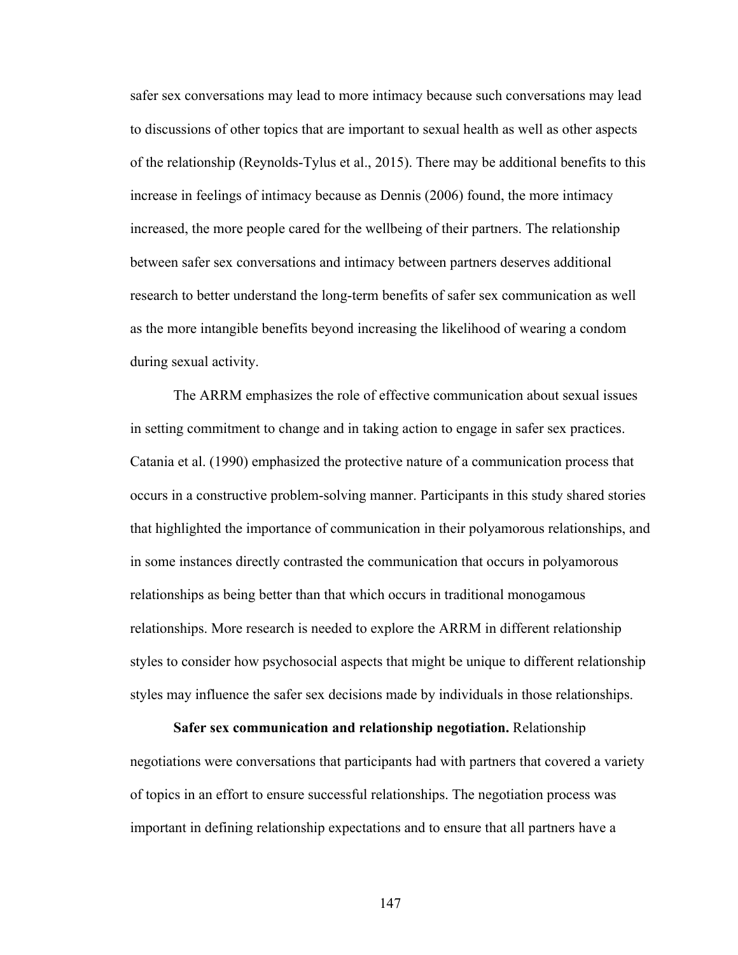safer sex conversations may lead to more intimacy because such conversations may lead to discussions of other topics that are important to sexual health as well as other aspects of the relationship (Reynolds-Tylus et al., 2015). There may be additional benefits to this increase in feelings of intimacy because as Dennis (2006) found, the more intimacy increased, the more people cared for the wellbeing of their partners. The relationship between safer sex conversations and intimacy between partners deserves additional research to better understand the long-term benefits of safer sex communication as well as the more intangible benefits beyond increasing the likelihood of wearing a condom during sexual activity.

The ARRM emphasizes the role of effective communication about sexual issues in setting commitment to change and in taking action to engage in safer sex practices. Catania et al. (1990) emphasized the protective nature of a communication process that occurs in a constructive problem-solving manner. Participants in this study shared stories that highlighted the importance of communication in their polyamorous relationships, and in some instances directly contrasted the communication that occurs in polyamorous relationships as being better than that which occurs in traditional monogamous relationships. More research is needed to explore the ARRM in different relationship styles to consider how psychosocial aspects that might be unique to different relationship styles may influence the safer sex decisions made by individuals in those relationships.

**Safer sex communication and relationship negotiation.** Relationship negotiations were conversations that participants had with partners that covered a variety of topics in an effort to ensure successful relationships. The negotiation process was important in defining relationship expectations and to ensure that all partners have a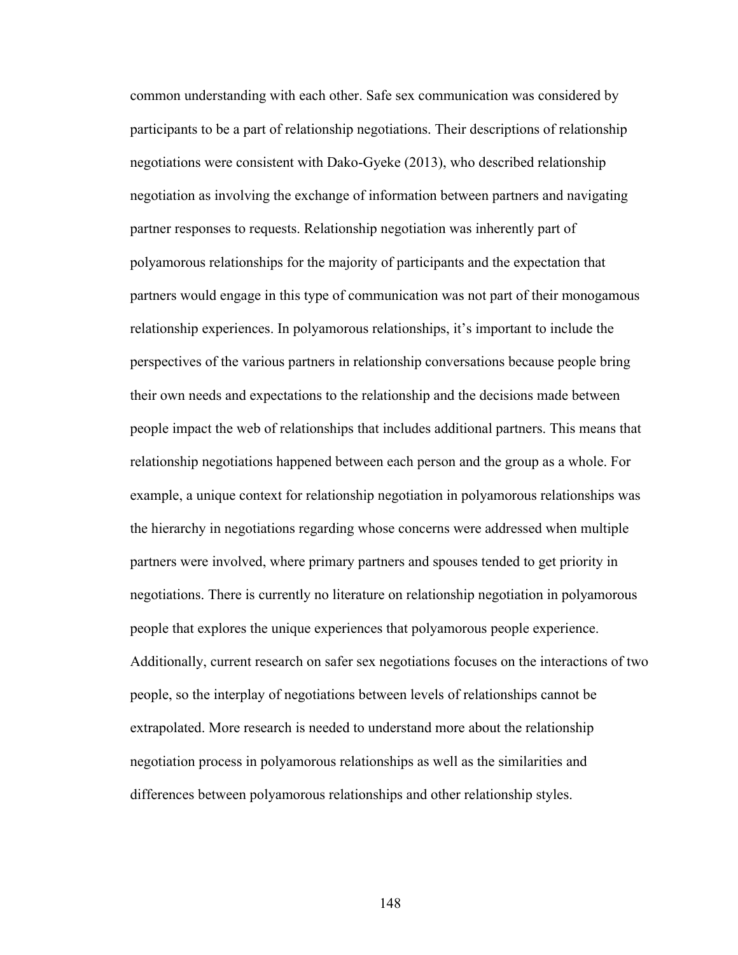common understanding with each other. Safe sex communication was considered by participants to be a part of relationship negotiations. Their descriptions of relationship negotiations were consistent with Dako-Gyeke (2013), who described relationship negotiation as involving the exchange of information between partners and navigating partner responses to requests. Relationship negotiation was inherently part of polyamorous relationships for the majority of participants and the expectation that partners would engage in this type of communication was not part of their monogamous relationship experiences. In polyamorous relationships, it's important to include the perspectives of the various partners in relationship conversations because people bring their own needs and expectations to the relationship and the decisions made between people impact the web of relationships that includes additional partners. This means that relationship negotiations happened between each person and the group as a whole. For example, a unique context for relationship negotiation in polyamorous relationships was the hierarchy in negotiations regarding whose concerns were addressed when multiple partners were involved, where primary partners and spouses tended to get priority in negotiations. There is currently no literature on relationship negotiation in polyamorous people that explores the unique experiences that polyamorous people experience. Additionally, current research on safer sex negotiations focuses on the interactions of two people, so the interplay of negotiations between levels of relationships cannot be extrapolated. More research is needed to understand more about the relationship negotiation process in polyamorous relationships as well as the similarities and differences between polyamorous relationships and other relationship styles.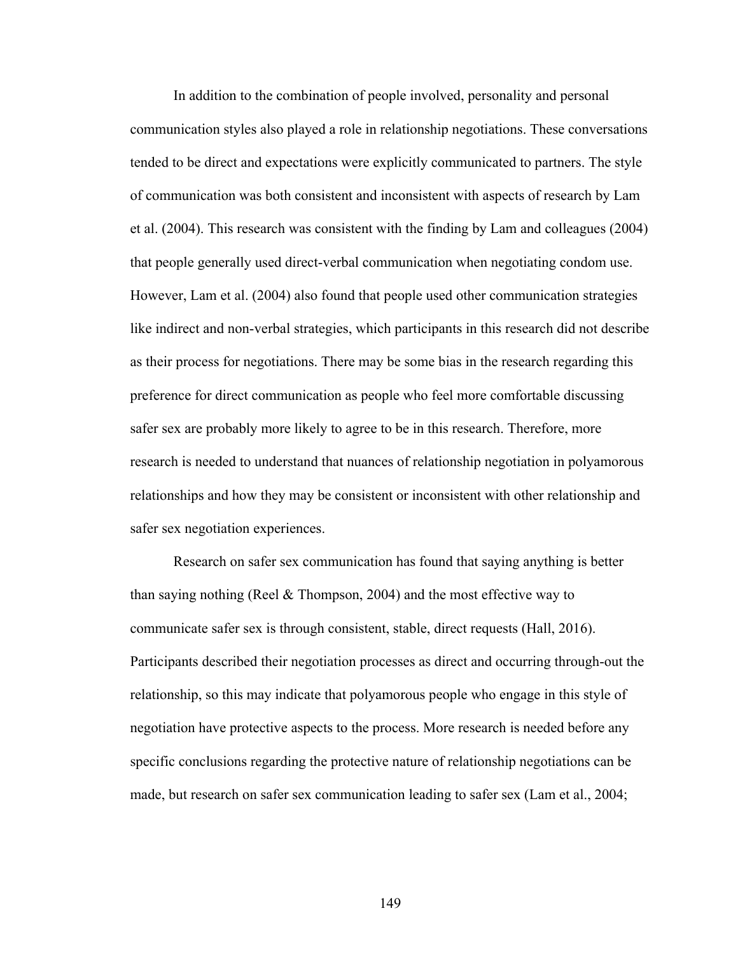In addition to the combination of people involved, personality and personal communication styles also played a role in relationship negotiations. These conversations tended to be direct and expectations were explicitly communicated to partners. The style of communication was both consistent and inconsistent with aspects of research by Lam et al. (2004). This research was consistent with the finding by Lam and colleagues (2004) that people generally used direct-verbal communication when negotiating condom use. However, Lam et al. (2004) also found that people used other communication strategies like indirect and non-verbal strategies, which participants in this research did not describe as their process for negotiations. There may be some bias in the research regarding this preference for direct communication as people who feel more comfortable discussing safer sex are probably more likely to agree to be in this research. Therefore, more research is needed to understand that nuances of relationship negotiation in polyamorous relationships and how they may be consistent or inconsistent with other relationship and safer sex negotiation experiences.

Research on safer sex communication has found that saying anything is better than saying nothing (Reel & Thompson, 2004) and the most effective way to communicate safer sex is through consistent, stable, direct requests (Hall, 2016). Participants described their negotiation processes as direct and occurring through-out the relationship, so this may indicate that polyamorous people who engage in this style of negotiation have protective aspects to the process. More research is needed before any specific conclusions regarding the protective nature of relationship negotiations can be made, but research on safer sex communication leading to safer sex (Lam et al., 2004;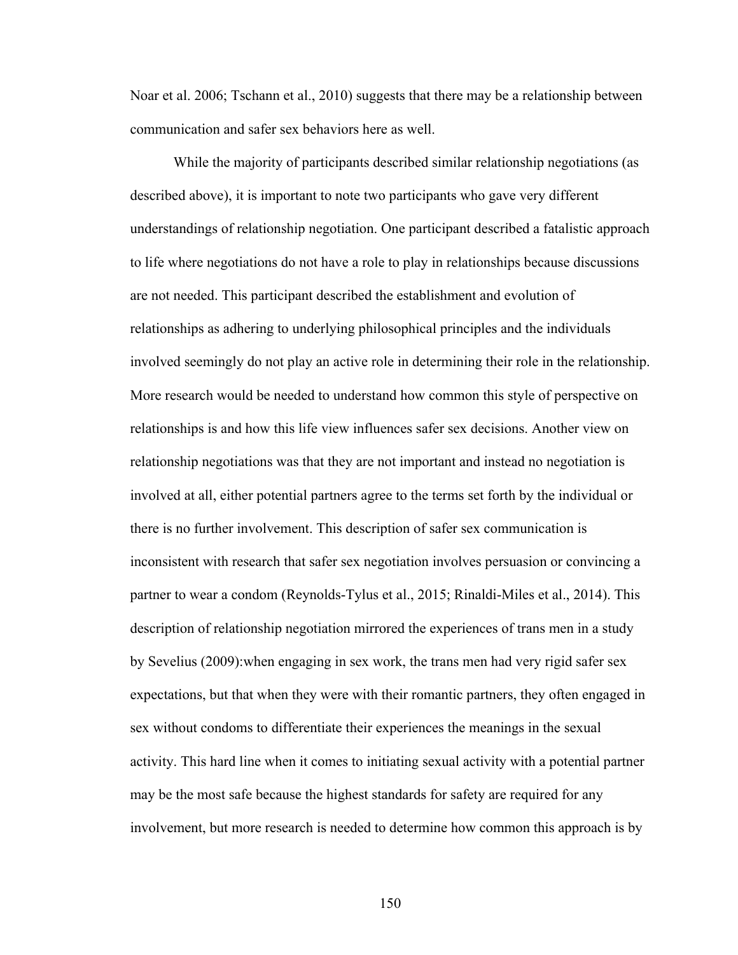Noar et al. 2006; Tschann et al., 2010) suggests that there may be a relationship between communication and safer sex behaviors here as well.

While the majority of participants described similar relationship negotiations (as described above), it is important to note two participants who gave very different understandings of relationship negotiation. One participant described a fatalistic approach to life where negotiations do not have a role to play in relationships because discussions are not needed. This participant described the establishment and evolution of relationships as adhering to underlying philosophical principles and the individuals involved seemingly do not play an active role in determining their role in the relationship. More research would be needed to understand how common this style of perspective on relationships is and how this life view influences safer sex decisions. Another view on relationship negotiations was that they are not important and instead no negotiation is involved at all, either potential partners agree to the terms set forth by the individual or there is no further involvement. This description of safer sex communication is inconsistent with research that safer sex negotiation involves persuasion or convincing a partner to wear a condom (Reynolds-Tylus et al., 2015; Rinaldi-Miles et al., 2014). This description of relationship negotiation mirrored the experiences of trans men in a study by Sevelius (2009):when engaging in sex work, the trans men had very rigid safer sex expectations, but that when they were with their romantic partners, they often engaged in sex without condoms to differentiate their experiences the meanings in the sexual activity. This hard line when it comes to initiating sexual activity with a potential partner may be the most safe because the highest standards for safety are required for any involvement, but more research is needed to determine how common this approach is by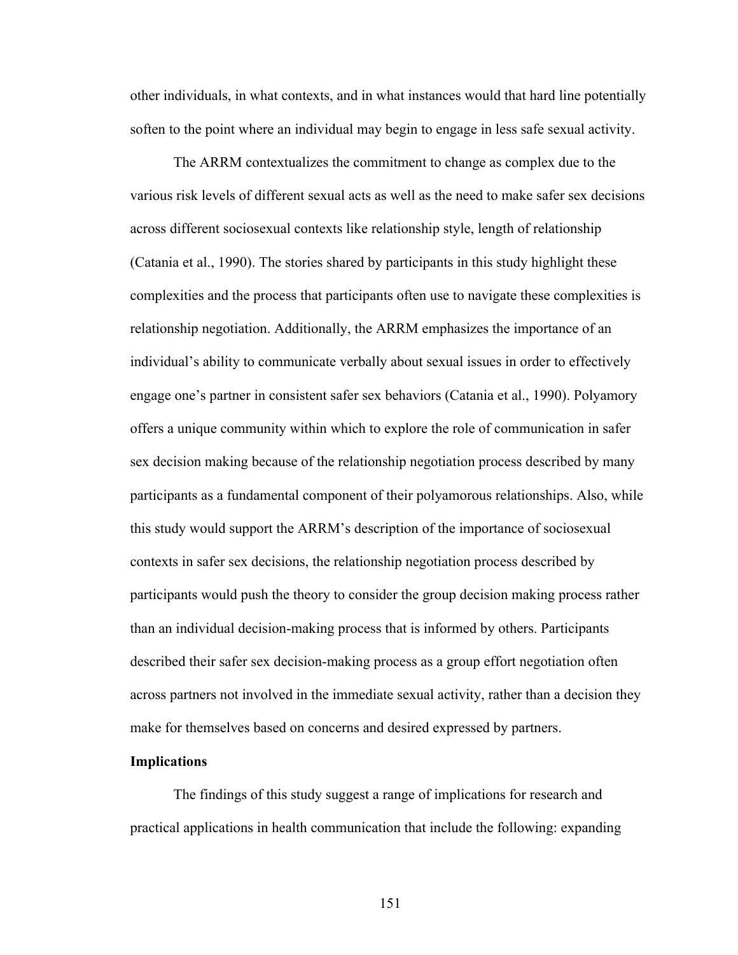other individuals, in what contexts, and in what instances would that hard line potentially soften to the point where an individual may begin to engage in less safe sexual activity.

The ARRM contextualizes the commitment to change as complex due to the various risk levels of different sexual acts as well as the need to make safer sex decisions across different sociosexual contexts like relationship style, length of relationship (Catania et al., 1990). The stories shared by participants in this study highlight these complexities and the process that participants often use to navigate these complexities is relationship negotiation. Additionally, the ARRM emphasizes the importance of an individual's ability to communicate verbally about sexual issues in order to effectively engage one's partner in consistent safer sex behaviors (Catania et al., 1990). Polyamory offers a unique community within which to explore the role of communication in safer sex decision making because of the relationship negotiation process described by many participants as a fundamental component of their polyamorous relationships. Also, while this study would support the ARRM's description of the importance of sociosexual contexts in safer sex decisions, the relationship negotiation process described by participants would push the theory to consider the group decision making process rather than an individual decision-making process that is informed by others. Participants described their safer sex decision-making process as a group effort negotiation often across partners not involved in the immediate sexual activity, rather than a decision they make for themselves based on concerns and desired expressed by partners.

### **Implications**

The findings of this study suggest a range of implications for research and practical applications in health communication that include the following: expanding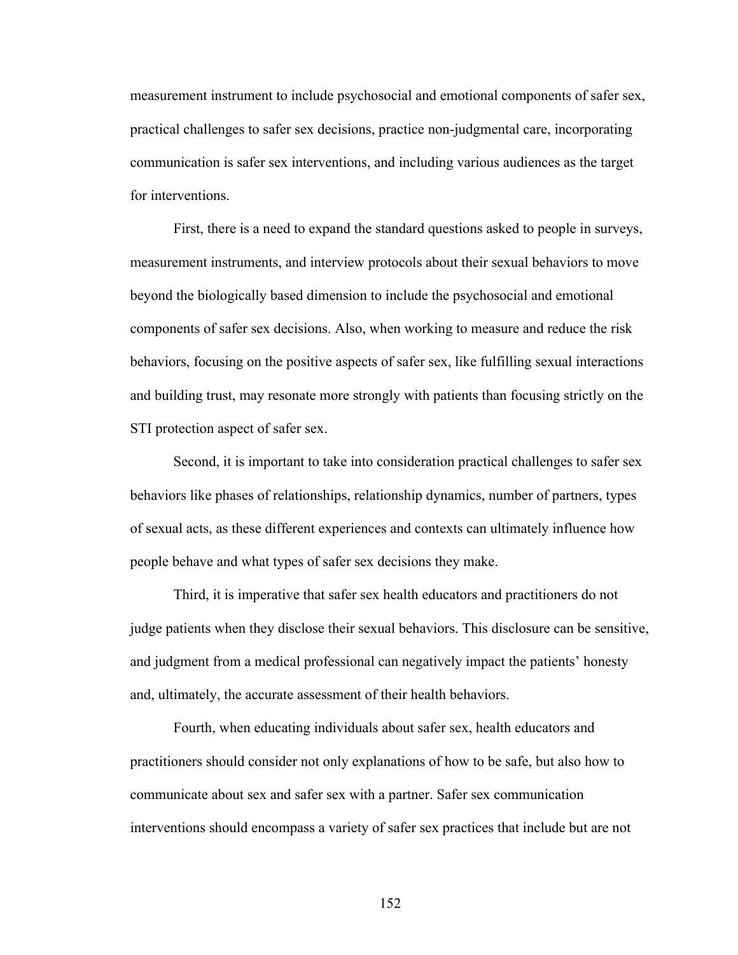measurement instrument to include psychosocial and emotional components of safer sex, practical challenges to safer sex decisions, practice non-judgmental care, incorporating communication is safer sex interventions, and including various audiences as the target for interventions.

First, there is a need to expand the standard questions asked to people in surveys, measurement instruments, and interview protocols about their sexual behaviors to move beyond the biologically based dimension to include the psychosocial and emotional components of safer sex decisions. Also, when working to measure and reduce the risk behaviors, focusing on the positive aspects of safer sex, like fulfilling sexual interactions and building trust, may resonate more strongly with patients than focusing strictly on the STI protection aspect of safer sex.

Second, it is important to take into consideration practical challenges to safer sex behaviors like phases of relationships, relationship dynamics, number of partners, types of sexual acts, as these different experiences and contexts can ultimately influence how people behave and what types of safer sex decisions they make.

Third, it is imperative that safer sex health educators and practitioners do not judge patients when they disclose their sexual behaviors. This disclosure can be sensitive, and judgment from a medical professional can negatively impact the patients' honesty and, ultimately, the accurate assessment of their health behaviors.

Fourth, when educating individuals about safer sex, health educators and practitioners should consider not only explanations of how to be safe, but also how to communicate about sex and safer sex with a partner. Safer sex communication interventions should encompass a variety of safer sex practices that include but are not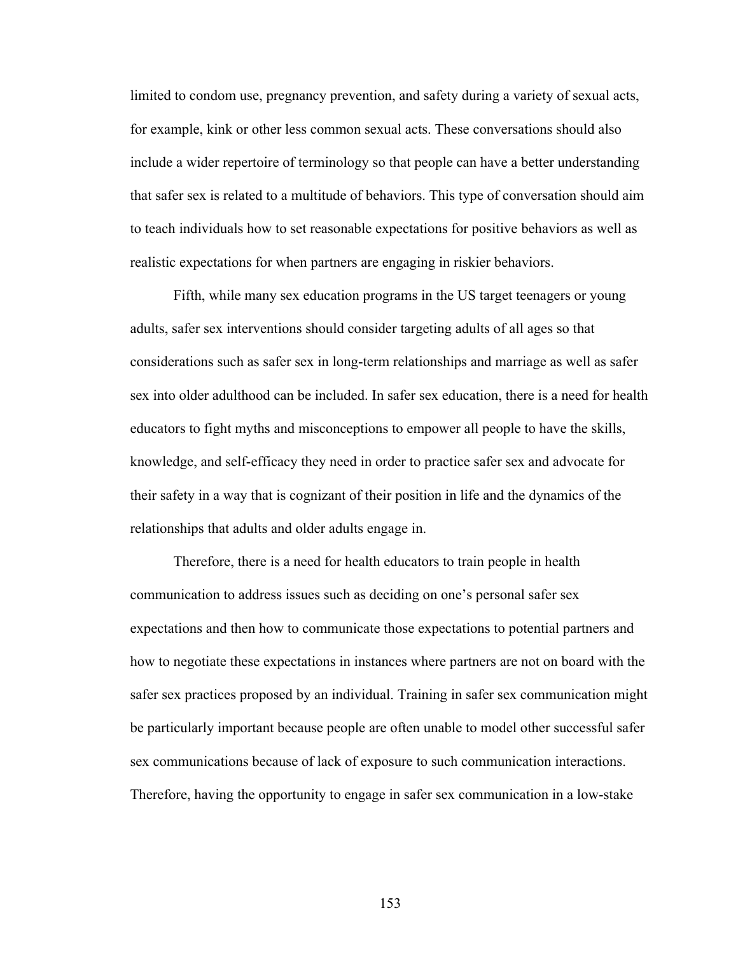limited to condom use, pregnancy prevention, and safety during a variety of sexual acts, for example, kink or other less common sexual acts. These conversations should also include a wider repertoire of terminology so that people can have a better understanding that safer sex is related to a multitude of behaviors. This type of conversation should aim to teach individuals how to set reasonable expectations for positive behaviors as well as realistic expectations for when partners are engaging in riskier behaviors.

Fifth, while many sex education programs in the US target teenagers or young adults, safer sex interventions should consider targeting adults of all ages so that considerations such as safer sex in long-term relationships and marriage as well as safer sex into older adulthood can be included. In safer sex education, there is a need for health educators to fight myths and misconceptions to empower all people to have the skills, knowledge, and self-efficacy they need in order to practice safer sex and advocate for their safety in a way that is cognizant of their position in life and the dynamics of the relationships that adults and older adults engage in.

Therefore, there is a need for health educators to train people in health communication to address issues such as deciding on one's personal safer sex expectations and then how to communicate those expectations to potential partners and how to negotiate these expectations in instances where partners are not on board with the safer sex practices proposed by an individual. Training in safer sex communication might be particularly important because people are often unable to model other successful safer sex communications because of lack of exposure to such communication interactions. Therefore, having the opportunity to engage in safer sex communication in a low-stake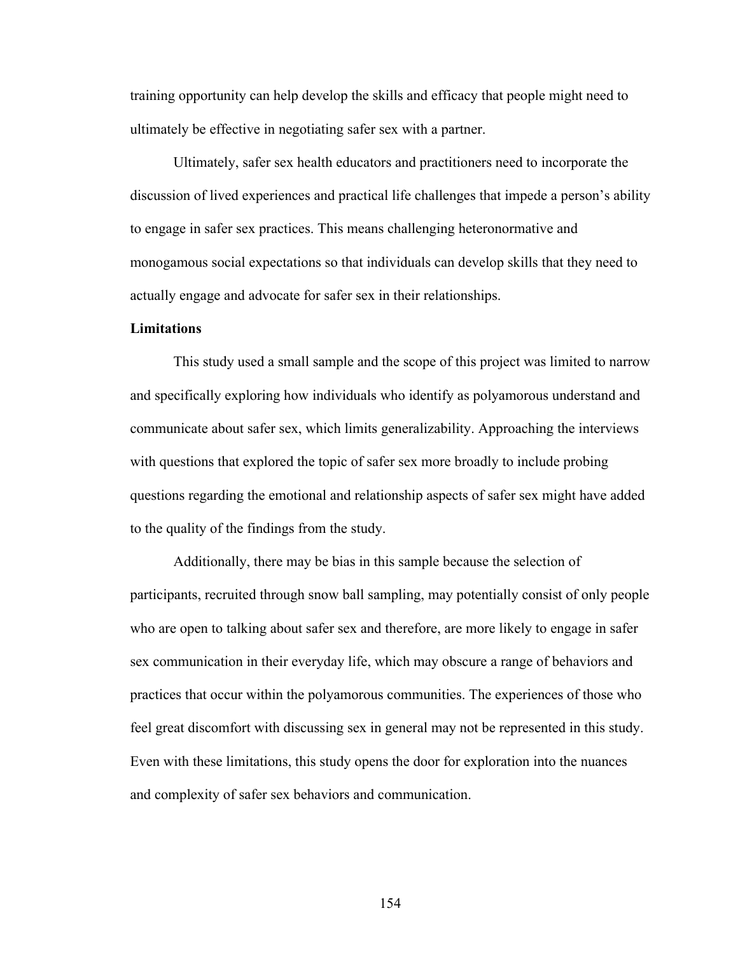training opportunity can help develop the skills and efficacy that people might need to ultimately be effective in negotiating safer sex with a partner.

Ultimately, safer sex health educators and practitioners need to incorporate the discussion of lived experiences and practical life challenges that impede a person's ability to engage in safer sex practices. This means challenging heteronormative and monogamous social expectations so that individuals can develop skills that they need to actually engage and advocate for safer sex in their relationships.

#### **Limitations**

This study used a small sample and the scope of this project was limited to narrow and specifically exploring how individuals who identify as polyamorous understand and communicate about safer sex, which limits generalizability. Approaching the interviews with questions that explored the topic of safer sex more broadly to include probing questions regarding the emotional and relationship aspects of safer sex might have added to the quality of the findings from the study.

Additionally, there may be bias in this sample because the selection of participants, recruited through snow ball sampling, may potentially consist of only people who are open to talking about safer sex and therefore, are more likely to engage in safer sex communication in their everyday life, which may obscure a range of behaviors and practices that occur within the polyamorous communities. The experiences of those who feel great discomfort with discussing sex in general may not be represented in this study. Even with these limitations, this study opens the door for exploration into the nuances and complexity of safer sex behaviors and communication.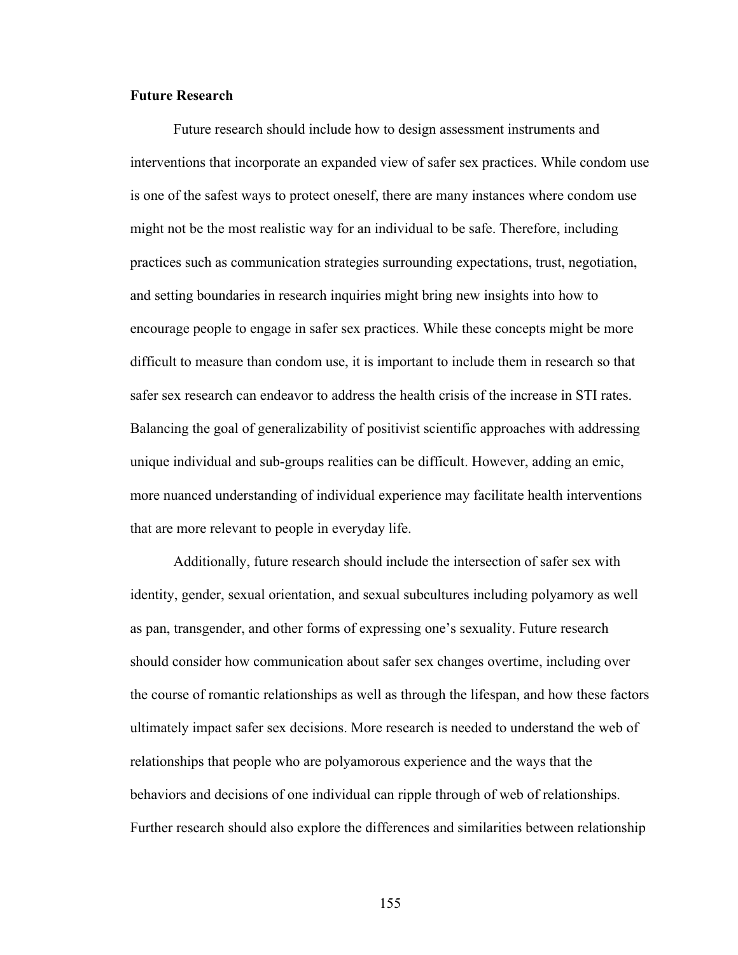## **Future Research**

Future research should include how to design assessment instruments and interventions that incorporate an expanded view of safer sex practices. While condom use is one of the safest ways to protect oneself, there are many instances where condom use might not be the most realistic way for an individual to be safe. Therefore, including practices such as communication strategies surrounding expectations, trust, negotiation, and setting boundaries in research inquiries might bring new insights into how to encourage people to engage in safer sex practices. While these concepts might be more difficult to measure than condom use, it is important to include them in research so that safer sex research can endeavor to address the health crisis of the increase in STI rates. Balancing the goal of generalizability of positivist scientific approaches with addressing unique individual and sub-groups realities can be difficult. However, adding an emic, more nuanced understanding of individual experience may facilitate health interventions that are more relevant to people in everyday life.

Additionally, future research should include the intersection of safer sex with identity, gender, sexual orientation, and sexual subcultures including polyamory as well as pan, transgender, and other forms of expressing one's sexuality. Future research should consider how communication about safer sex changes overtime, including over the course of romantic relationships as well as through the lifespan, and how these factors ultimately impact safer sex decisions. More research is needed to understand the web of relationships that people who are polyamorous experience and the ways that the behaviors and decisions of one individual can ripple through of web of relationships. Further research should also explore the differences and similarities between relationship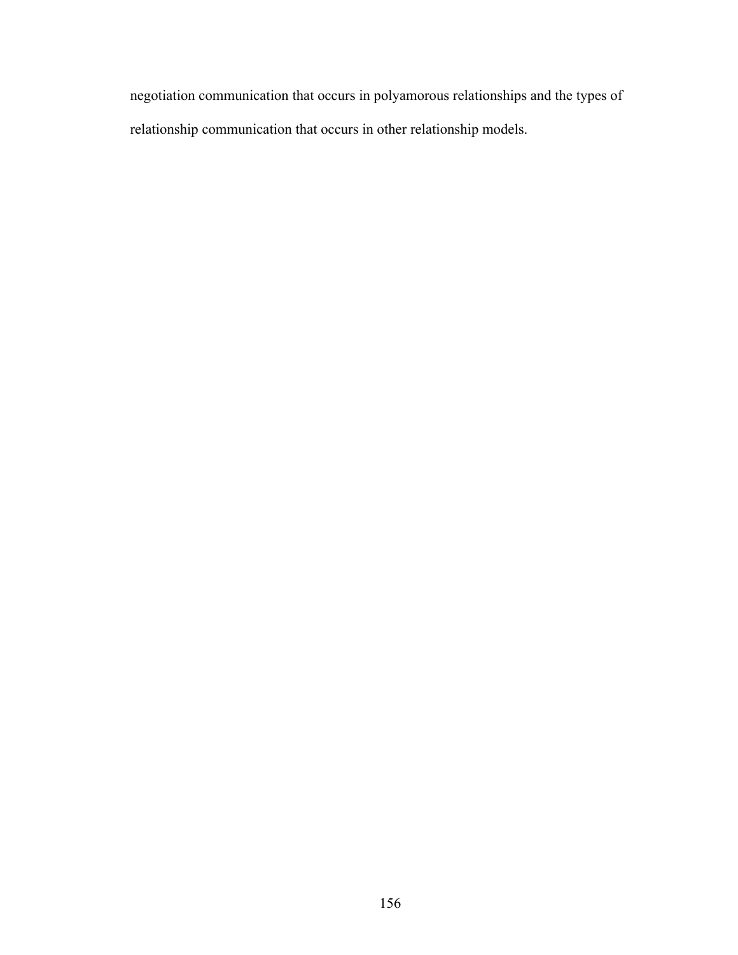negotiation communication that occurs in polyamorous relationships and the types of relationship communication that occurs in other relationship models.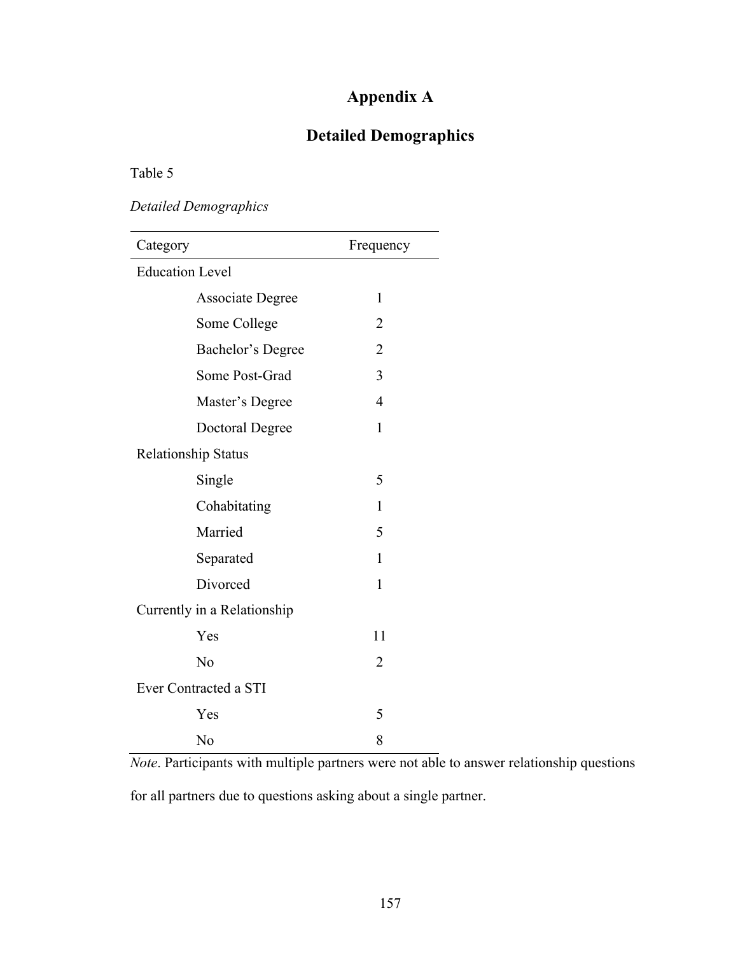# **Appendix A**

# **Detailed Demographics**

Table 5

*Detailed Demographics*

| Category                    | Frequency      |  |  |  |  |
|-----------------------------|----------------|--|--|--|--|
| <b>Education Level</b>      |                |  |  |  |  |
| <b>Associate Degree</b>     | 1              |  |  |  |  |
| Some College                | $\overline{2}$ |  |  |  |  |
| Bachelor's Degree           | $\overline{2}$ |  |  |  |  |
| Some Post-Grad              | 3              |  |  |  |  |
| Master's Degree             | $\overline{4}$ |  |  |  |  |
| <b>Doctoral Degree</b>      | $\mathbf{1}$   |  |  |  |  |
| <b>Relationship Status</b>  |                |  |  |  |  |
| Single                      | 5              |  |  |  |  |
| Cohabitating                | 1              |  |  |  |  |
| Married                     | 5              |  |  |  |  |
| Separated                   | 1              |  |  |  |  |
| Divorced                    | $\mathbf{1}$   |  |  |  |  |
| Currently in a Relationship |                |  |  |  |  |
| Yes                         | 11             |  |  |  |  |
| No                          | 2              |  |  |  |  |
| Ever Contracted a STI       |                |  |  |  |  |
| Yes                         | 5              |  |  |  |  |
| No                          | 8              |  |  |  |  |

*Note*. Participants with multiple partners were not able to answer relationship questions

for all partners due to questions asking about a single partner.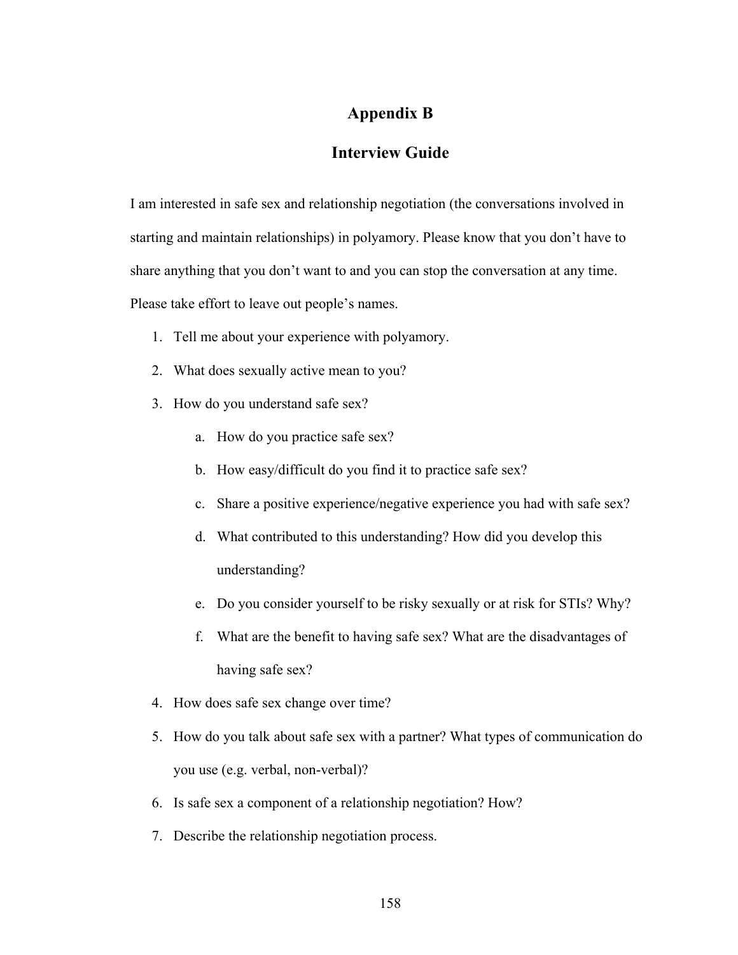## **Appendix B**

## **Interview Guide**

I am interested in safe sex and relationship negotiation (the conversations involved in starting and maintain relationships) in polyamory. Please know that you don't have to share anything that you don't want to and you can stop the conversation at any time. Please take effort to leave out people's names.

- 1. Tell me about your experience with polyamory.
- 2. What does sexually active mean to you?
- 3. How do you understand safe sex?
	- a. How do you practice safe sex?
	- b. How easy/difficult do you find it to practice safe sex?
	- c. Share a positive experience/negative experience you had with safe sex?
	- d. What contributed to this understanding? How did you develop this understanding?
	- e. Do you consider yourself to be risky sexually or at risk for STIs? Why?
	- f. What are the benefit to having safe sex? What are the disadvantages of having safe sex?
- 4. How does safe sex change over time?
- 5. How do you talk about safe sex with a partner? What types of communication do you use (e.g. verbal, non-verbal)?
- 6. Is safe sex a component of a relationship negotiation? How?
- 7. Describe the relationship negotiation process.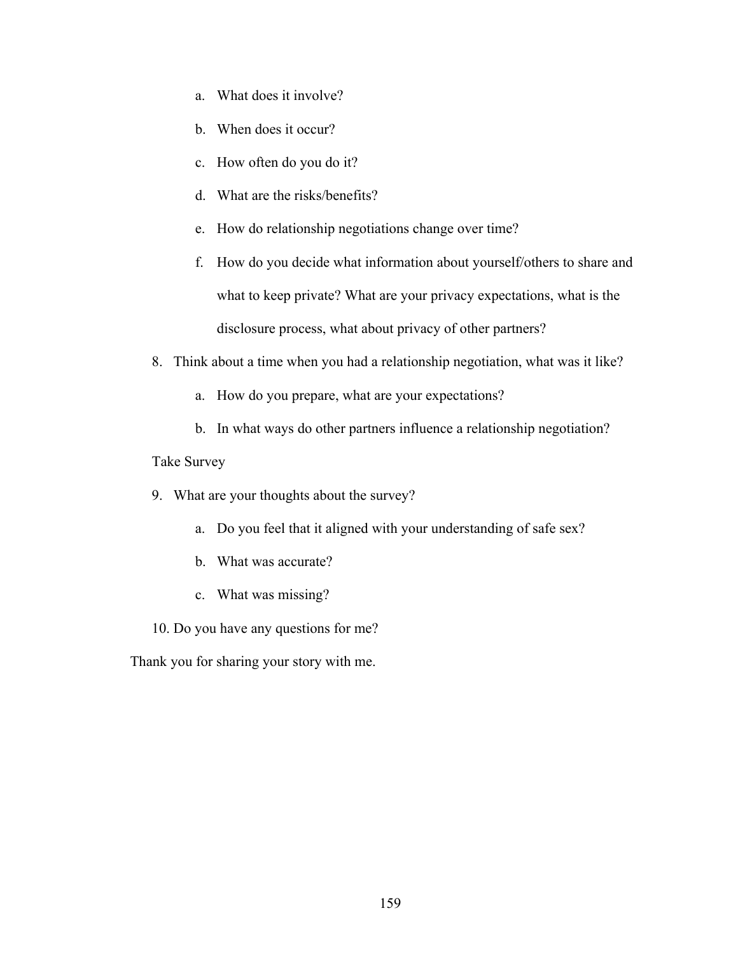- a. What does it involve?
- b. When does it occur?
- c. How often do you do it?
- d. What are the risks/benefits?
- e. How do relationship negotiations change over time?
- f. How do you decide what information about yourself/others to share and what to keep private? What are your privacy expectations, what is the disclosure process, what about privacy of other partners?
- 8. Think about a time when you had a relationship negotiation, what was it like?
	- a. How do you prepare, what are your expectations?
	- b. In what ways do other partners influence a relationship negotiation?

## Take Survey

- 9. What are your thoughts about the survey?
	- a. Do you feel that it aligned with your understanding of safe sex?
	- b. What was accurate?
	- c. What was missing?
- 10. Do you have any questions for me?

Thank you for sharing your story with me.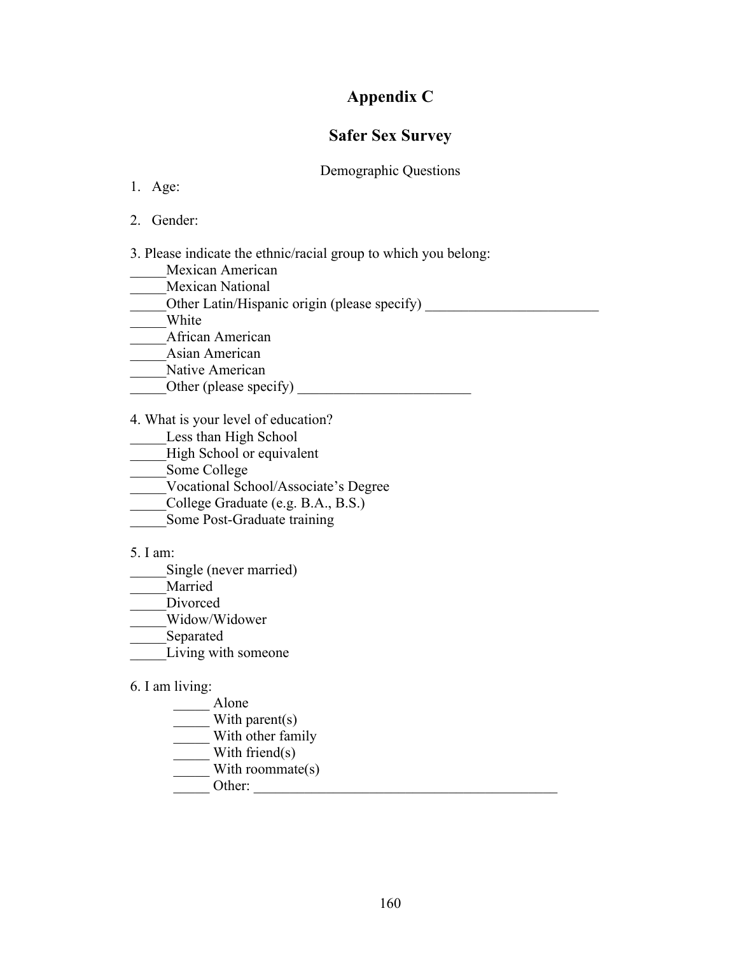## **Appendix C**

## **Safer Sex Survey**

## Demographic Questions

- 1. Age:
- 2. Gender:

3. Please indicate the ethnic/racial group to which you belong:

- \_\_\_\_\_Mexican American
- Mexican National
- Other Latin/Hispanic origin (please specify) \_\_\_\_\_\_\_\_\_\_\_\_\_\_\_\_\_\_\_\_\_\_\_\_\_\_\_\_\_\_\_\_\_\_\_
- \_\_\_\_\_White
- \_\_\_\_\_African American
- \_\_\_\_\_Asian American
- Native American
- $\Box$  Other (please specify)  $\Box$

4. What is your level of education?

- Less than High School
- High School or equivalent
- \_\_\_\_\_Some College
- \_\_\_\_\_Vocational School/Associate's Degree
- \_\_\_\_\_College Graduate (e.g. B.A., B.S.)
- Some Post-Graduate training
- 5. I am:
- \_\_\_\_\_Single (never married)
- Married
- Divorced
- \_\_\_\_\_Widow/Widower
- \_\_\_\_\_Separated
- Living with someone

## 6. I am living:

- \_\_\_\_\_ Alone
- With parent(s)
- \_\_\_\_\_ With other family
- \_\_\_\_\_ With friend(s)
- With roommate $(s)$
- $\overline{\phantom{a}}$  Other:  $\overline{\phantom{a}}$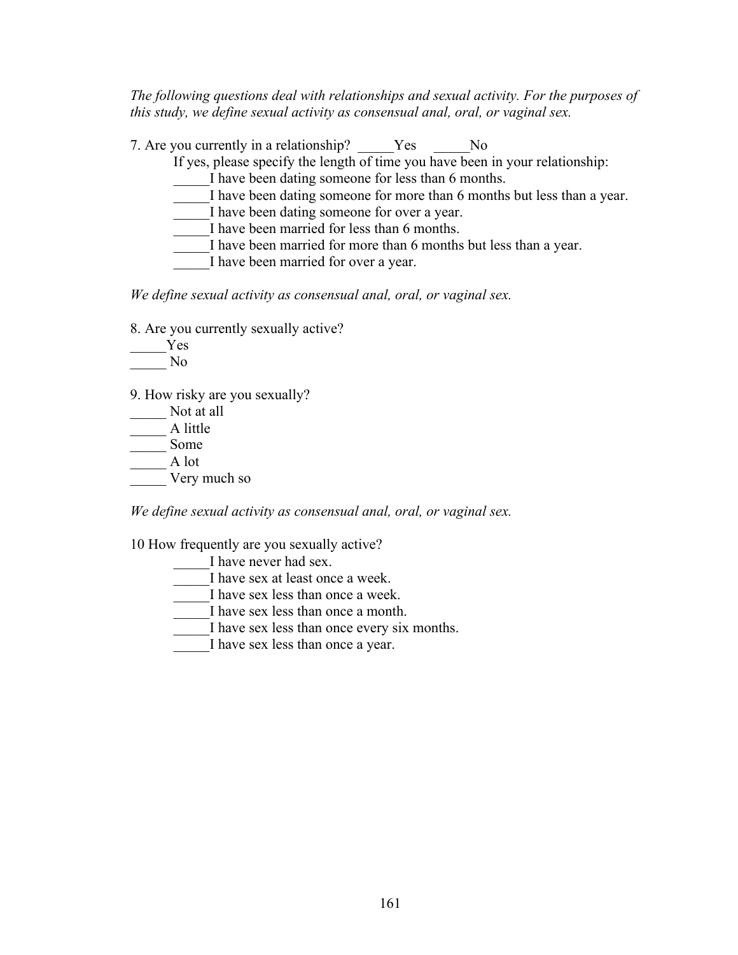*The following questions deal with relationships and sexual activity. For the purposes of this study, we define sexual activity as consensual anal, oral, or vaginal sex.*

7. Are you currently in a relationship? The Yes The No If yes, please specify the length of time you have been in your relationship: I have been dating someone for less than 6 months. I have been dating someone for more than 6 months but less than a year. I have been dating someone for over a year. I have been married for less than 6 months. I have been married for more than 6 months but less than a year. I have been married for over a year.

*We define sexual activity as consensual anal, oral, or vaginal sex.*

8. Are you currently sexually active?

\_\_\_\_\_Yes \_\_\_\_\_ No

9. How risky are you sexually?

Not at all  $\overline{\phantom{a}}$  A little \_\_\_\_\_ Some \_\_\_\_\_ A lot Very much so

*We define sexual activity as consensual anal, oral, or vaginal sex.*

10 How frequently are you sexually active?

I have never had sex. I have sex at least once a week. I have sex less than once a week. I have sex less than once a month. I have sex less than once every six months. I have sex less than once a year.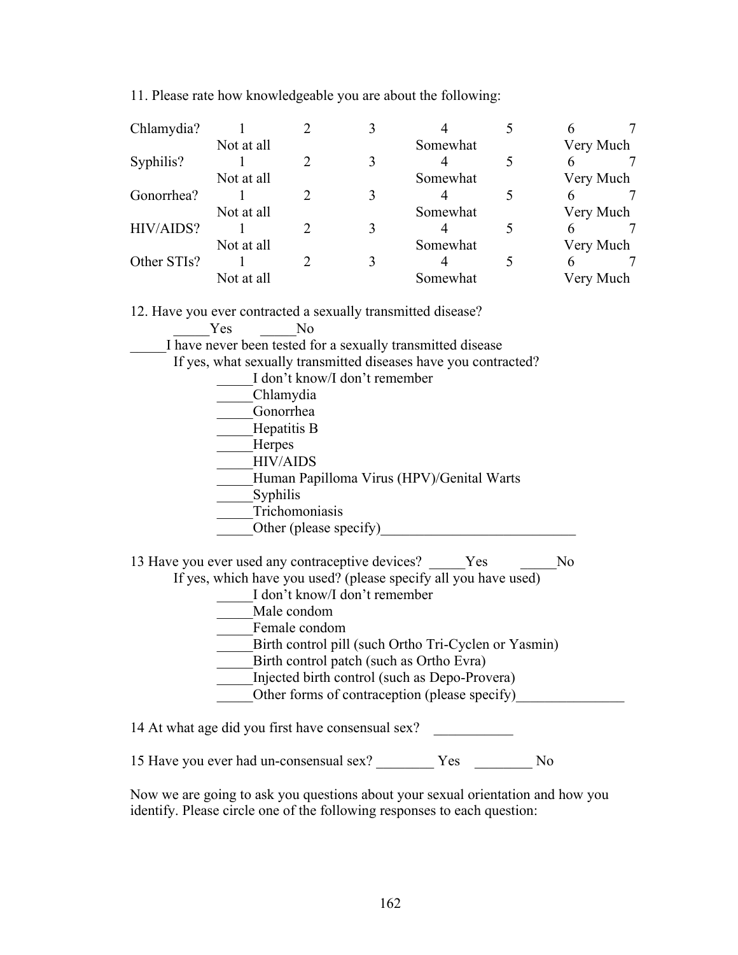11. Please rate how knowledgeable you are about the following:

| Chlamydia?  |                        |          |  |          |  |           |  |
|-------------|------------------------|----------|--|----------|--|-----------|--|
|             | Not at all             |          |  | Somewhat |  | Very Much |  |
| Syphilis?   |                        |          |  |          |  |           |  |
|             | Not at all             |          |  | Somewhat |  | Very Much |  |
| Gonorrhea?  |                        |          |  |          |  | 6         |  |
|             | Not at all             |          |  | Somewhat |  | Very Much |  |
| HIV/AIDS?   |                        |          |  |          |  |           |  |
|             | Not at all             | Somewhat |  |          |  | Very Much |  |
| Other STIs? |                        |          |  |          |  | 6         |  |
|             | Somewhat<br>Not at all |          |  |          |  | Very Much |  |

12. Have you ever contracted a sexually transmitted disease?

| Yes | N <sub>o</sub>                                                                                                                                                                                                                                                                                                                                                                                       |
|-----|------------------------------------------------------------------------------------------------------------------------------------------------------------------------------------------------------------------------------------------------------------------------------------------------------------------------------------------------------------------------------------------------------|
|     | I have never been tested for a sexually transmitted disease                                                                                                                                                                                                                                                                                                                                          |
|     | If yes, what sexually transmitted diseases have you contracted?                                                                                                                                                                                                                                                                                                                                      |
|     | I don't know/I don't remember                                                                                                                                                                                                                                                                                                                                                                        |
|     | Chlamydia                                                                                                                                                                                                                                                                                                                                                                                            |
|     | Gonorrhea                                                                                                                                                                                                                                                                                                                                                                                            |
|     | Hepatitis B                                                                                                                                                                                                                                                                                                                                                                                          |
|     | Herpes                                                                                                                                                                                                                                                                                                                                                                                               |
|     | <b>HIV/AIDS</b>                                                                                                                                                                                                                                                                                                                                                                                      |
|     | Human Papilloma Virus (HPV)/Genital Warts                                                                                                                                                                                                                                                                                                                                                            |
|     | Syphilis                                                                                                                                                                                                                                                                                                                                                                                             |
|     | Trichomoniasis                                                                                                                                                                                                                                                                                                                                                                                       |
|     | Other (please specify)                                                                                                                                                                                                                                                                                                                                                                               |
|     | 13 Have you ever used any contraceptive devices? Yes<br>No<br>If yes, which have you used? (please specify all you have used)<br>I don't know/I don't remember<br>Male condom<br>Female condom<br>Birth control pill (such Ortho Tri-Cyclen or Yasmin)<br>Birth control patch (such as Ortho Evra)<br>Injected birth control (such as Depo-Provera)<br>Other forms of contraception (please specify) |
|     | 14 At what age did you first have consensual sex?                                                                                                                                                                                                                                                                                                                                                    |

15 Have you ever had un-consensual sex? \_\_\_\_\_\_\_\_ Yes \_\_\_\_\_\_\_\_ No

Now we are going to ask you questions about your sexual orientation and how you identify. Please circle one of the following responses to each question: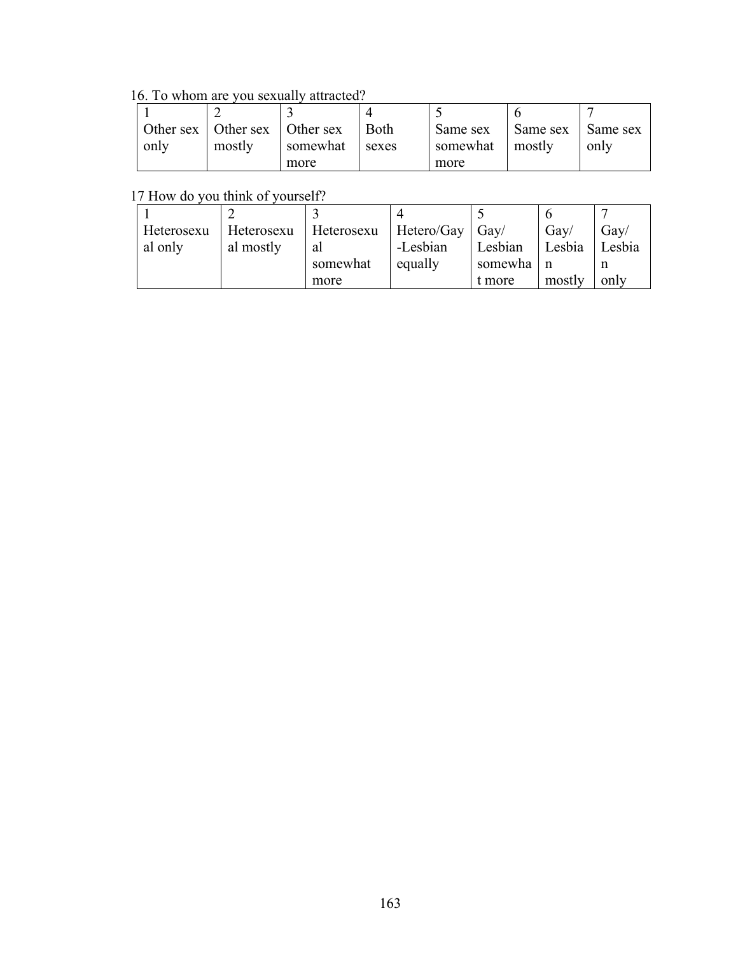16. To whom are you sexually attracted?

|      | Other sex   Other sex   Other sex |          | Both  | Same sex        | Same sex | I Same sex |
|------|-----------------------------------|----------|-------|-----------------|----------|------------|
| only | mostly                            | somewhat | sexes | somewhat mostly |          | only       |
|      |                                   | more     |       | more            |          |            |

17 How do you think of yourself?

| Heterosexu | Heterosexu Heterosexu |          | $Hetero/Gay$ $Gay/$ |             | Gav/   | Gay/   |
|------------|-----------------------|----------|---------------------|-------------|--------|--------|
| al only    | al mostly             | al       | -Lesbian            | Lesbian     | Lesbia | Lesbia |
|            |                       | somewhat | equally             | somewha   n |        |        |
|            |                       | more     |                     | t more      | mostly | only   |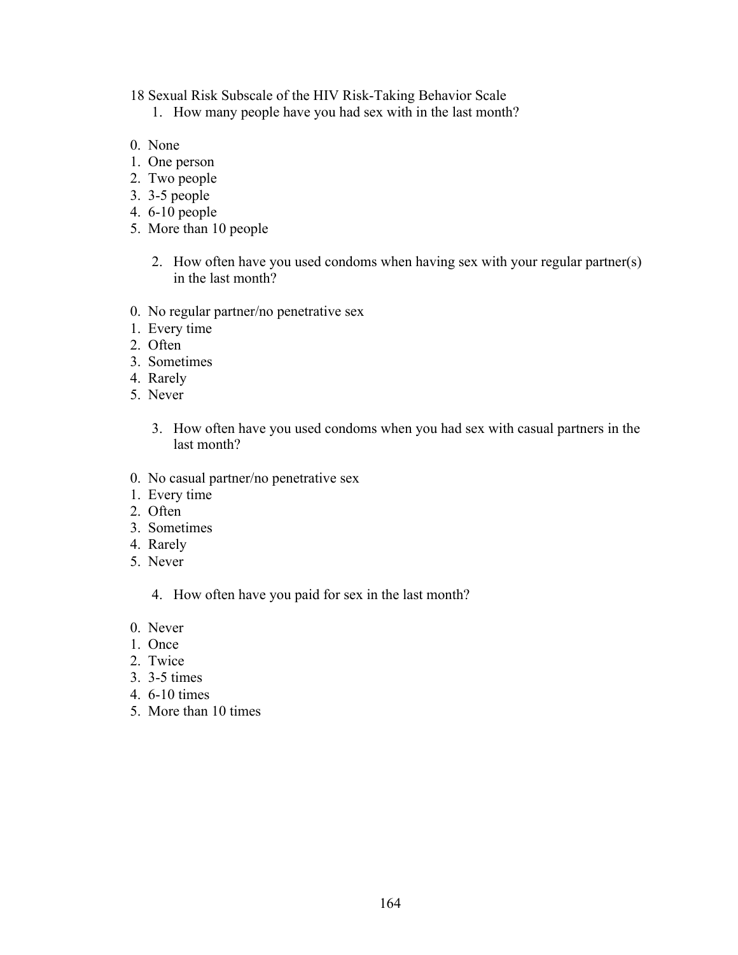- 18 Sexual Risk Subscale of the HIV Risk-Taking Behavior Scale
	- 1. How many people have you had sex with in the last month?
- 0. None
- 1. One person
- 2. Two people
- 3. 3-5 people
- 4. 6-10 people
- 5. More than 10 people
	- 2. How often have you used condoms when having sex with your regular partner(s) in the last month?
- 0. No regular partner/no penetrative sex
- 1. Every time
- 2. Often
- 3. Sometimes
- 4. Rarely
- 5. Never
	- 3. How often have you used condoms when you had sex with casual partners in the last month?
- 0. No casual partner/no penetrative sex
- 1. Every time
- 2. Often
- 3. Sometimes
- 4. Rarely
- 5. Never
	- 4. How often have you paid for sex in the last month?
- 0. Never
- 1. Once
- 2. Twice
- 3. 3-5 times
- 4. 6-10 times
- 5. More than 10 times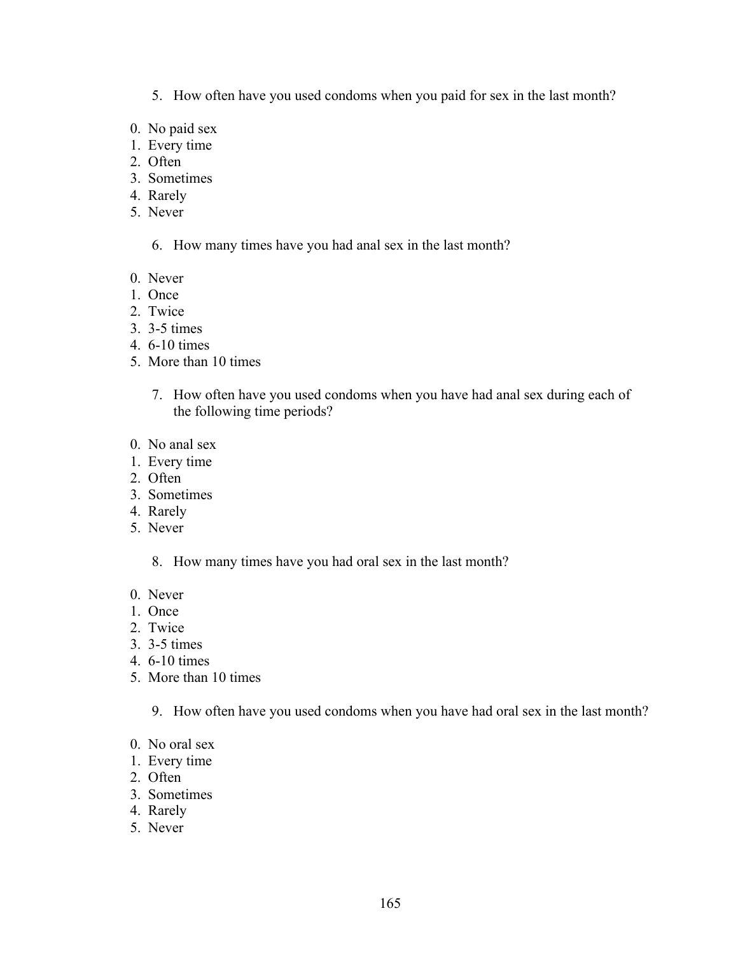- 5. How often have you used condoms when you paid for sex in the last month?
- 0. No paid sex
- 1. Every time
- 2. Often
- 3. Sometimes
- 4. Rarely
- 5. Never

6. How many times have you had anal sex in the last month?

- 0. Never
- 1. Once
- 2. Twice
- 3. 3-5 times
- 4. 6-10 times
- 5. More than 10 times
	- 7. How often have you used condoms when you have had anal sex during each of the following time periods?
- 0. No anal sex
- 1. Every time
- 2. Often
- 3. Sometimes
- 4. Rarely
- 5. Never

8. How many times have you had oral sex in the last month?

- 0. Never
- 1. Once
- 2. Twice
- 3. 3-5 times
- 4. 6-10 times
- 5. More than 10 times
	- 9. How often have you used condoms when you have had oral sex in the last month?
- 0. No oral sex
- 1. Every time
- 2. Often
- 3. Sometimes
- 4. Rarely
- 5. Never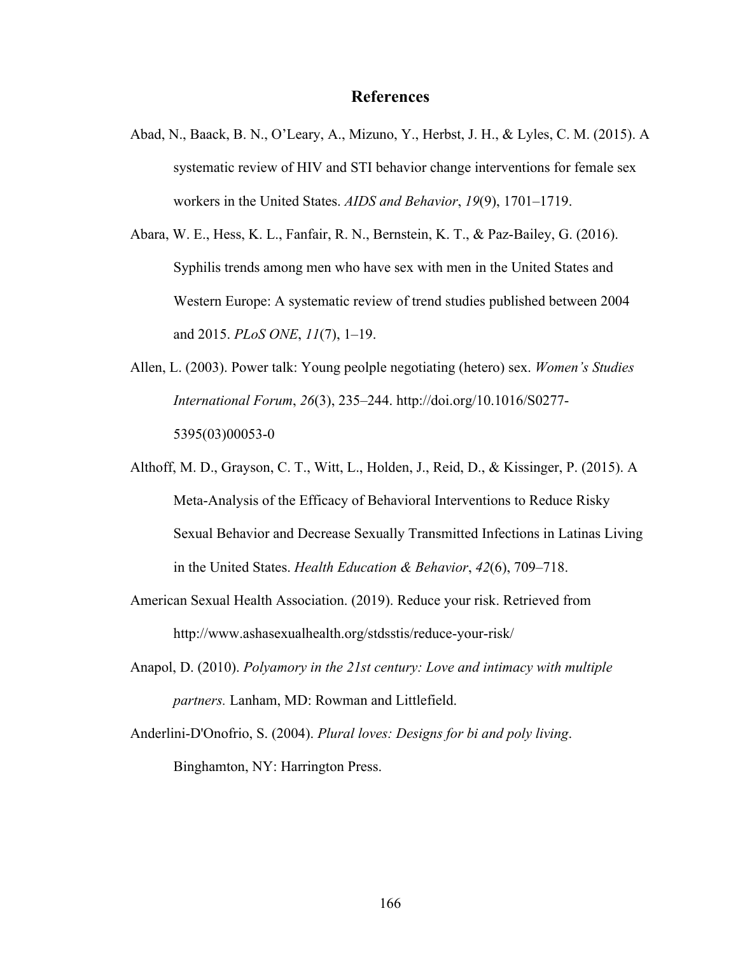## **References**

- Abad, N., Baack, B. N., O'Leary, A., Mizuno, Y., Herbst, J. H., & Lyles, C. M. (2015). A systematic review of HIV and STI behavior change interventions for female sex workers in the United States. *AIDS and Behavior*, *19*(9), 1701–1719.
- Abara, W. E., Hess, K. L., Fanfair, R. N., Bernstein, K. T., & Paz-Bailey, G. (2016). Syphilis trends among men who have sex with men in the United States and Western Europe: A systematic review of trend studies published between 2004 and 2015. *PLoS ONE*, *11*(7), 1–19.
- Allen, L. (2003). Power talk: Young peolple negotiating (hetero) sex. *Women's Studies International Forum*, *26*(3), 235–244. http://doi.org/10.1016/S0277- 5395(03)00053-0
- Althoff, M. D., Grayson, C. T., Witt, L., Holden, J., Reid, D., & Kissinger, P. (2015). A Meta-Analysis of the Efficacy of Behavioral Interventions to Reduce Risky Sexual Behavior and Decrease Sexually Transmitted Infections in Latinas Living in the United States. *Health Education & Behavior*, *42*(6), 709–718.
- American Sexual Health Association. (2019). Reduce your risk. Retrieved from http://www.ashasexualhealth.org/stdsstis/reduce-your-risk/
- Anapol, D. (2010). *Polyamory in the 21st century: Love and intimacy with multiple partners.* Lanham, MD: Rowman and Littlefield.
- Anderlini-D'Onofrio, S. (2004). *Plural loves: Designs for bi and poly living*. Binghamton, NY: Harrington Press.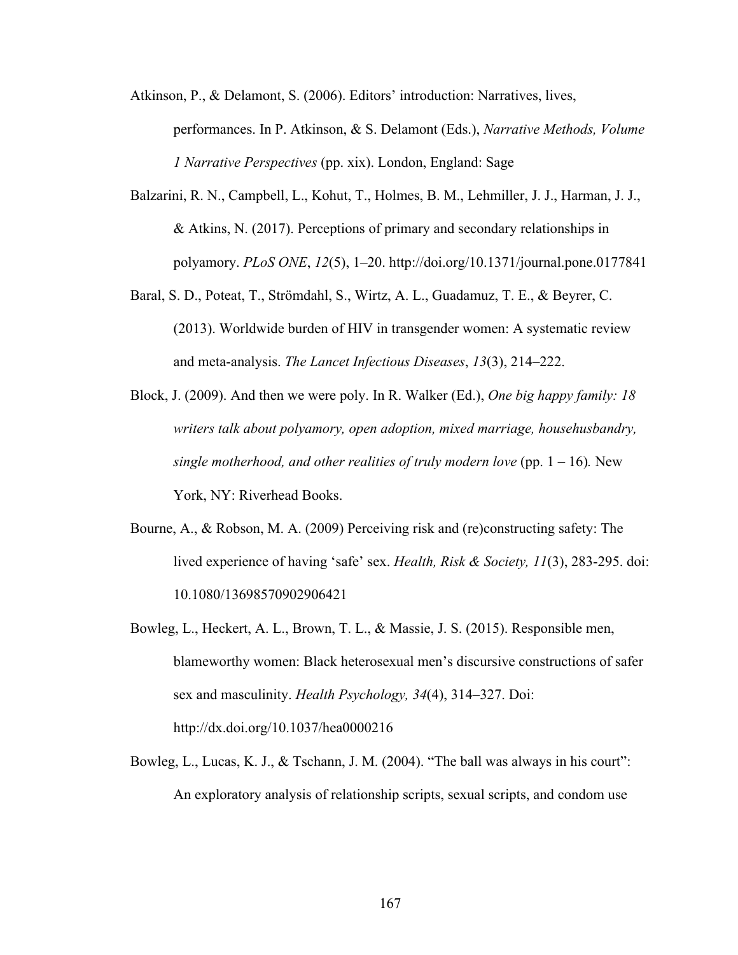- Atkinson, P., & Delamont, S. (2006). Editors' introduction: Narratives, lives, performances. In P. Atkinson, & S. Delamont (Eds.), *Narrative Methods, Volume 1 Narrative Perspectives* (pp. xix). London, England: Sage
- Balzarini, R. N., Campbell, L., Kohut, T., Holmes, B. M., Lehmiller, J. J., Harman, J. J., & Atkins, N. (2017). Perceptions of primary and secondary relationships in polyamory. *PLoS ONE*, *12*(5), 1–20. http://doi.org/10.1371/journal.pone.0177841
- Baral, S. D., Poteat, T., Strömdahl, S., Wirtz, A. L., Guadamuz, T. E., & Beyrer, C. (2013). Worldwide burden of HIV in transgender women: A systematic review and meta-analysis. *The Lancet Infectious Diseases*, *13*(3), 214–222.
- Block, J. (2009). And then we were poly. In R. Walker (Ed.), *One big happy family: 18 writers talk about polyamory, open adoption, mixed marriage, househusbandry, single motherhood, and other realities of truly modern love* (pp.  $1 - 16$ ). New York, NY: Riverhead Books.
- Bourne, A., & Robson, M. A. (2009) Perceiving risk and (re)constructing safety: The lived experience of having 'safe' sex. *Health, Risk & Society, 11*(3), 283-295. doi: 10.1080/13698570902906421
- Bowleg, L., Heckert, A. L., Brown, T. L., & Massie, J. S. (2015). Responsible men, blameworthy women: Black heterosexual men's discursive constructions of safer sex and masculinity. *Health Psychology, 34*(4), 314–327. Doi: http://dx.doi.org/10.1037/hea0000216
- Bowleg, L., Lucas, K. J., & Tschann, J. M. (2004). "The ball was always in his court": An exploratory analysis of relationship scripts, sexual scripts, and condom use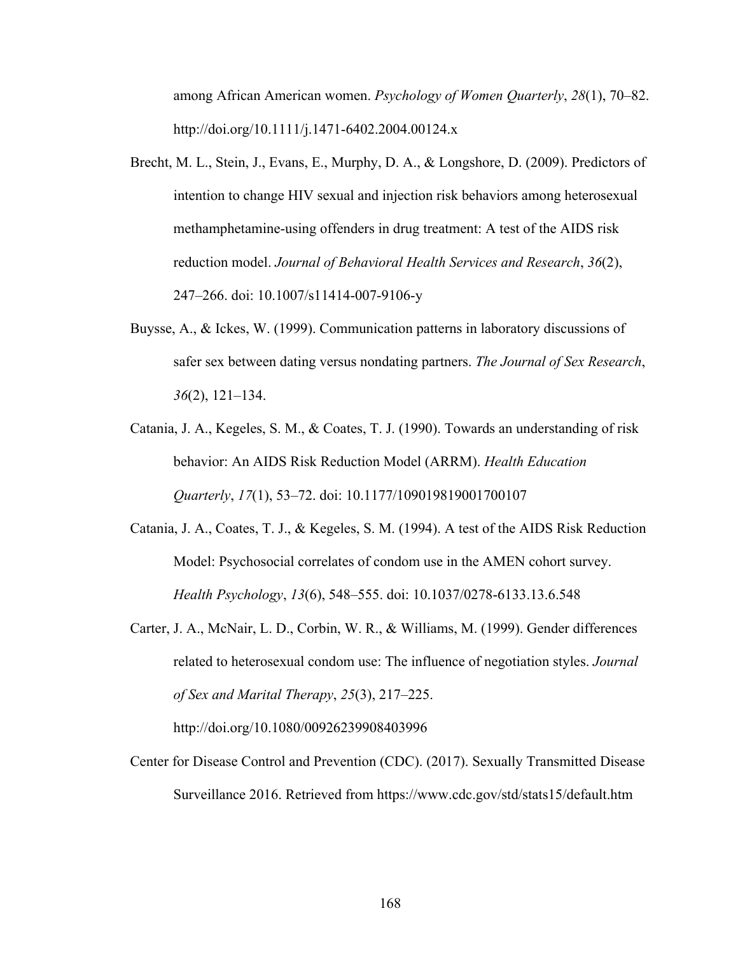among African American women. *Psychology of Women Quarterly*, *28*(1), 70–82. http://doi.org/10.1111/j.1471-6402.2004.00124.x

- Brecht, M. L., Stein, J., Evans, E., Murphy, D. A., & Longshore, D. (2009). Predictors of intention to change HIV sexual and injection risk behaviors among heterosexual methamphetamine-using offenders in drug treatment: A test of the AIDS risk reduction model. *Journal of Behavioral Health Services and Research*, *36*(2), 247–266. doi: 10.1007/s11414-007-9106-y
- Buysse, A., & Ickes, W. (1999). Communication patterns in laboratory discussions of safer sex between dating versus nondating partners. *The Journal of Sex Research*, *36*(2), 121–134.
- Catania, J. A., Kegeles, S. M., & Coates, T. J. (1990). Towards an understanding of risk behavior: An AIDS Risk Reduction Model (ARRM). *Health Education Quarterly*, *17*(1), 53–72. doi: 10.1177/109019819001700107
- Catania, J. A., Coates, T. J., & Kegeles, S. M. (1994). A test of the AIDS Risk Reduction Model: Psychosocial correlates of condom use in the AMEN cohort survey. *Health Psychology*, *13*(6), 548–555. doi: 10.1037/0278-6133.13.6.548
- Carter, J. A., McNair, L. D., Corbin, W. R., & Williams, M. (1999). Gender differences related to heterosexual condom use: The influence of negotiation styles. *Journal of Sex and Marital Therapy*, *25*(3), 217–225.

http://doi.org/10.1080/00926239908403996

Center for Disease Control and Prevention (CDC). (2017). Sexually Transmitted Disease Surveillance 2016. Retrieved from https://www.cdc.gov/std/stats15/default.htm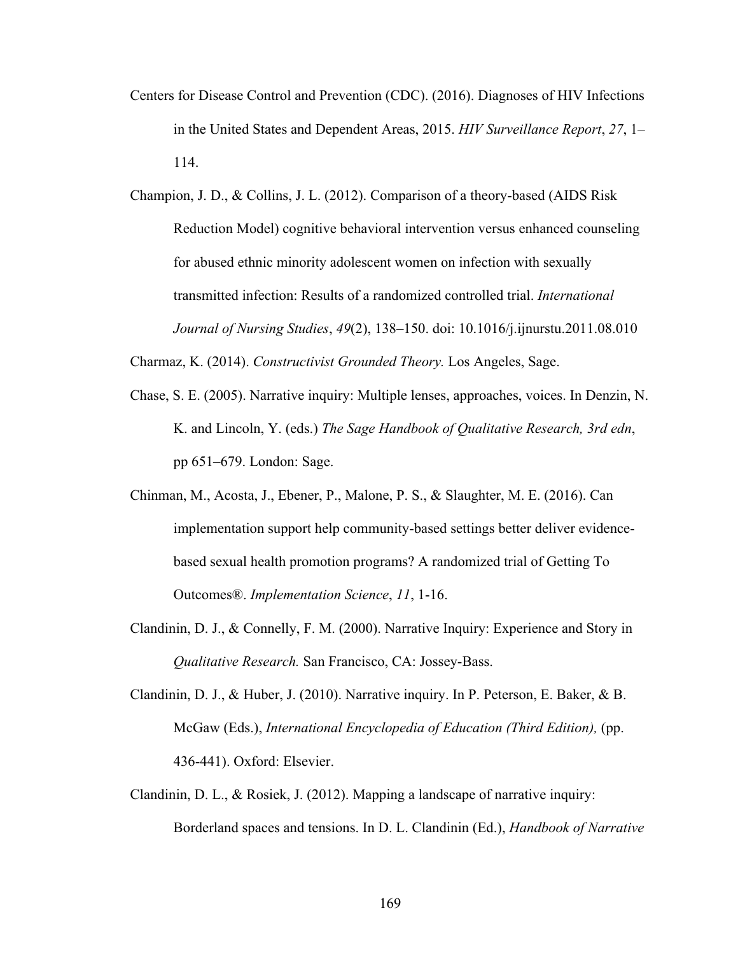- Centers for Disease Control and Prevention (CDC). (2016). Diagnoses of HIV Infections in the United States and Dependent Areas, 2015. *HIV Surveillance Report*, *27*, 1– 114.
- Champion, J. D., & Collins, J. L. (2012). Comparison of a theory-based (AIDS Risk Reduction Model) cognitive behavioral intervention versus enhanced counseling for abused ethnic minority adolescent women on infection with sexually transmitted infection: Results of a randomized controlled trial. *International Journal of Nursing Studies*, *49*(2), 138–150. doi: 10.1016/j.ijnurstu.2011.08.010

Charmaz, K. (2014). *Constructivist Grounded Theory.* Los Angeles, Sage.

- Chase, S. E. (2005). Narrative inquiry: Multiple lenses, approaches, voices. In Denzin, N. K. and Lincoln, Y. (eds.) *The Sage Handbook of Qualitative Research, 3rd edn*, pp 651–679. London: Sage.
- Chinman, M., Acosta, J., Ebener, P., Malone, P. S., & Slaughter, M. E. (2016). Can implementation support help community-based settings better deliver evidencebased sexual health promotion programs? A randomized trial of Getting To Outcomes®. *Implementation Science*, *11*, 1-16.
- Clandinin, D. J., & Connelly, F. M. (2000). Narrative Inquiry: Experience and Story in *Qualitative Research.* San Francisco, CA: Jossey-Bass.
- Clandinin, D. J., & Huber, J. (2010). Narrative inquiry. In P. Peterson, E. Baker, & B. McGaw (Eds.), *International Encyclopedia of Education (Third Edition),* (pp. 436-441). Oxford: Elsevier.
- Clandinin, D. L., & Rosiek, J. (2012). Mapping a landscape of narrative inquiry: Borderland spaces and tensions. In D. L. Clandinin (Ed.), *Handbook of Narrative*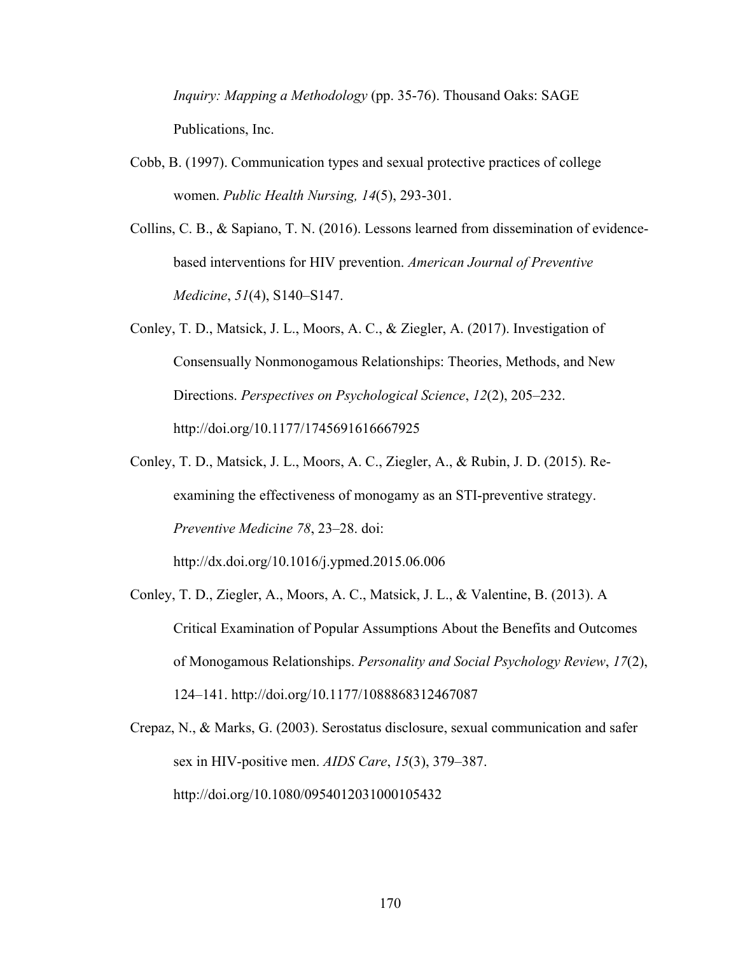*Inquiry: Mapping a Methodology* (pp. 35-76). Thousand Oaks: SAGE Publications, Inc.

- Cobb, B. (1997). Communication types and sexual protective practices of college women. *Public Health Nursing, 14*(5), 293-301.
- Collins, C. B., & Sapiano, T. N. (2016). Lessons learned from dissemination of evidencebased interventions for HIV prevention. *American Journal of Preventive Medicine*, *51*(4), S140–S147.
- Conley, T. D., Matsick, J. L., Moors, A. C., & Ziegler, A. (2017). Investigation of Consensually Nonmonogamous Relationships: Theories, Methods, and New Directions. *Perspectives on Psychological Science*, *12*(2), 205–232. http://doi.org/10.1177/1745691616667925
- Conley, T. D., Matsick, J. L., Moors, A. C., Ziegler, A., & Rubin, J. D. (2015). Reexamining the effectiveness of monogamy as an STI-preventive strategy. *Preventive Medicine 78*, 23–28. doi:

http://dx.doi.org/10.1016/j.ypmed.2015.06.006

- Conley, T. D., Ziegler, A., Moors, A. C., Matsick, J. L., & Valentine, B. (2013). A Critical Examination of Popular Assumptions About the Benefits and Outcomes of Monogamous Relationships. *Personality and Social Psychology Review*, *17*(2), 124–141. http://doi.org/10.1177/1088868312467087
- Crepaz, N., & Marks, G. (2003). Serostatus disclosure, sexual communication and safer sex in HIV-positive men. *AIDS Care*, *15*(3), 379–387. http://doi.org/10.1080/0954012031000105432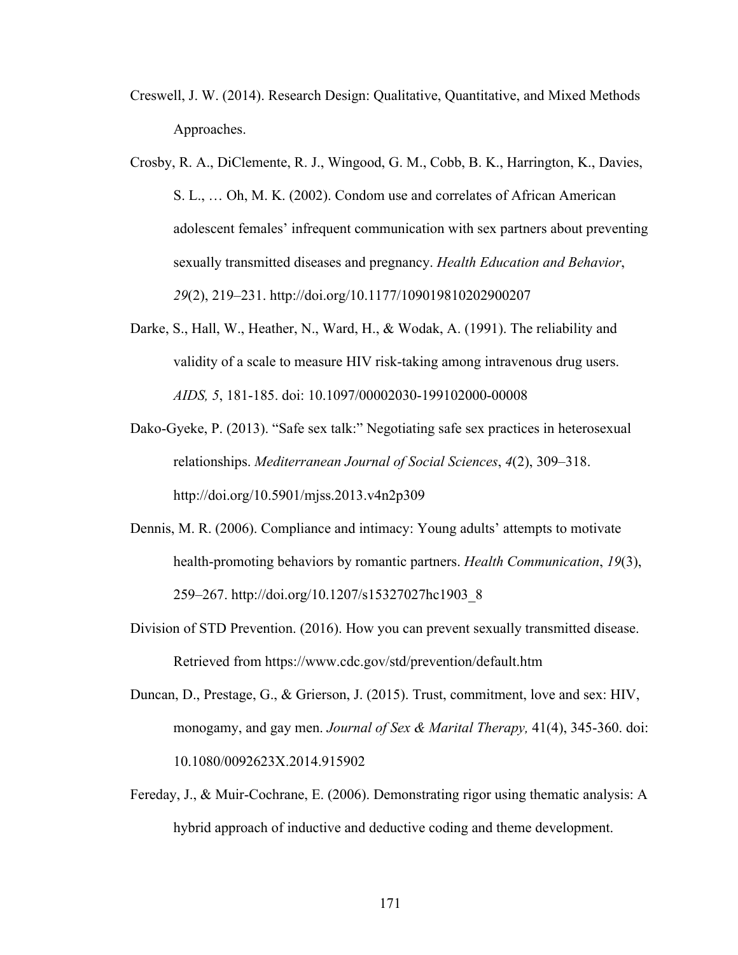- Creswell, J. W. (2014). Research Design: Qualitative, Quantitative, and Mixed Methods Approaches.
- Crosby, R. A., DiClemente, R. J., Wingood, G. M., Cobb, B. K., Harrington, K., Davies, S. L., … Oh, M. K. (2002). Condom use and correlates of African American adolescent females' infrequent communication with sex partners about preventing sexually transmitted diseases and pregnancy. *Health Education and Behavior*, *29*(2), 219–231. http://doi.org/10.1177/109019810202900207
- Darke, S., Hall, W., Heather, N., Ward, H., & Wodak, A. (1991). The reliability and validity of a scale to measure HIV risk-taking among intravenous drug users. *AIDS, 5*, 181-185. doi: 10.1097/00002030-199102000-00008
- Dako-Gyeke, P. (2013). "Safe sex talk:" Negotiating safe sex practices in heterosexual relationships. *Mediterranean Journal of Social Sciences*, *4*(2), 309–318. http://doi.org/10.5901/mjss.2013.v4n2p309
- Dennis, M. R. (2006). Compliance and intimacy: Young adults' attempts to motivate health-promoting behaviors by romantic partners. *Health Communication*, *19*(3), 259–267. http://doi.org/10.1207/s15327027hc1903\_8
- Division of STD Prevention. (2016). How you can prevent sexually transmitted disease. Retrieved from https://www.cdc.gov/std/prevention/default.htm
- Duncan, D., Prestage, G., & Grierson, J. (2015). Trust, commitment, love and sex: HIV, monogamy, and gay men. *Journal of Sex & Marital Therapy,* 41(4), 345-360. doi: 10.1080/0092623X.2014.915902
- Fereday, J., & Muir-Cochrane, E. (2006). Demonstrating rigor using thematic analysis: A hybrid approach of inductive and deductive coding and theme development.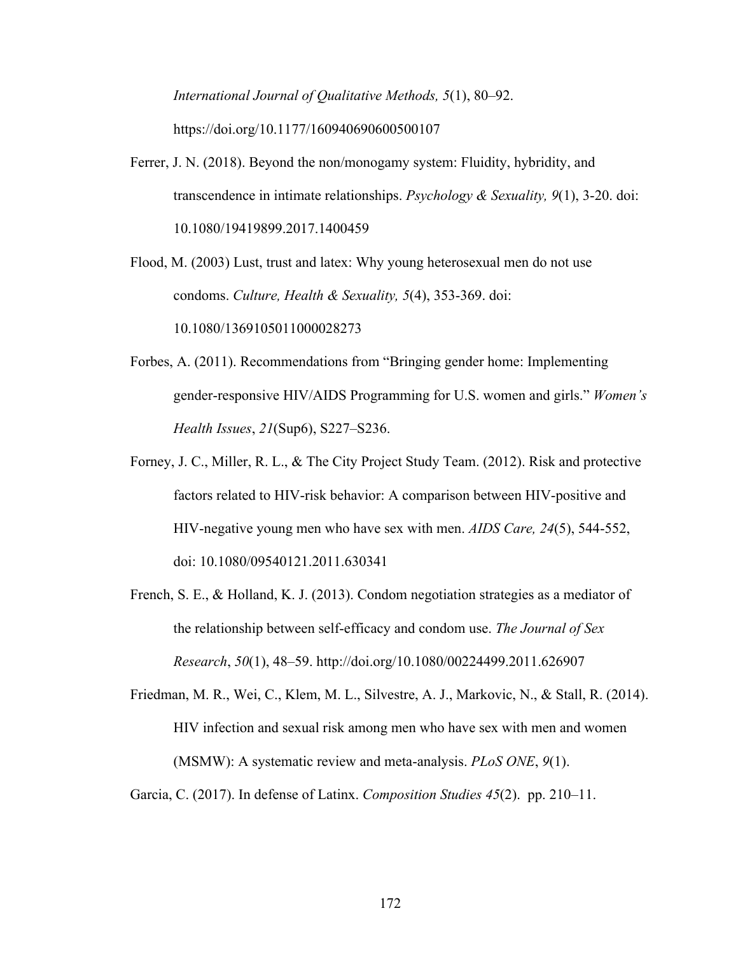*International Journal of Qualitative Methods, 5*(1), 80–92. https://doi.org/10.1177/160940690600500107

Ferrer, J. N. (2018). Beyond the non/monogamy system: Fluidity, hybridity, and transcendence in intimate relationships. *Psychology & Sexuality, 9*(1), 3-20. doi: 10.1080/19419899.2017.1400459

Flood, M. (2003) Lust, trust and latex: Why young heterosexual men do not use condoms. *Culture, Health & Sexuality, 5*(4), 353-369. doi: 10.1080/1369105011000028273

- Forbes, A. (2011). Recommendations from "Bringing gender home: Implementing gender-responsive HIV/AIDS Programming for U.S. women and girls." *Women's Health Issues*, *21*(Sup6), S227–S236.
- Forney, J. C., Miller, R. L., & The City Project Study Team. (2012). Risk and protective factors related to HIV-risk behavior: A comparison between HIV-positive and HIV-negative young men who have sex with men. *AIDS Care, 24*(5), 544-552, doi: 10.1080/09540121.2011.630341
- French, S. E., & Holland, K. J. (2013). Condom negotiation strategies as a mediator of the relationship between self-efficacy and condom use. *The Journal of Sex Research*, *50*(1), 48–59. http://doi.org/10.1080/00224499.2011.626907

Friedman, M. R., Wei, C., Klem, M. L., Silvestre, A. J., Markovic, N., & Stall, R. (2014). HIV infection and sexual risk among men who have sex with men and women (MSMW): A systematic review and meta-analysis. *PLoS ONE*, *9*(1).

Garcia, C. (2017). In defense of Latinx. *Composition Studies 45*(2). pp. 210–11.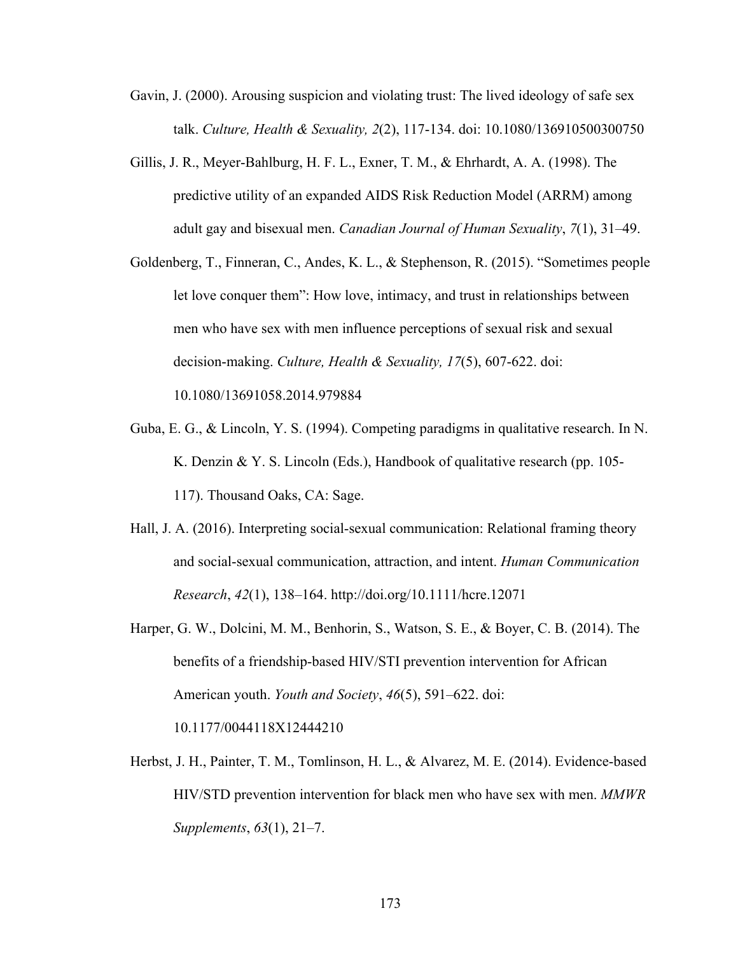- Gavin, J. (2000). Arousing suspicion and violating trust: The lived ideology of safe sex talk. *Culture, Health & Sexuality, 2*(2), 117-134. doi: 10.1080/136910500300750
- Gillis, J. R., Meyer-Bahlburg, H. F. L., Exner, T. M., & Ehrhardt, A. A. (1998). The predictive utility of an expanded AIDS Risk Reduction Model (ARRM) among adult gay and bisexual men. *Canadian Journal of Human Sexuality*, *7*(1), 31–49.
- Goldenberg, T., Finneran, C., Andes, K. L., & Stephenson, R. (2015). "Sometimes people let love conquer them": How love, intimacy, and trust in relationships between men who have sex with men influence perceptions of sexual risk and sexual decision-making. *Culture, Health & Sexuality, 17*(5), 607-622. doi: 10.1080/13691058.2014.979884
- Guba, E. G., & Lincoln, Y. S. (1994). Competing paradigms in qualitative research. In N. K. Denzin & Y. S. Lincoln (Eds.), Handbook of qualitative research (pp. 105- 117). Thousand Oaks, CA: Sage.
- Hall, J. A. (2016). Interpreting social-sexual communication: Relational framing theory and social-sexual communication, attraction, and intent. *Human Communication Research*, *42*(1), 138–164. http://doi.org/10.1111/hcre.12071
- Harper, G. W., Dolcini, M. M., Benhorin, S., Watson, S. E., & Boyer, C. B. (2014). The benefits of a friendship-based HIV/STI prevention intervention for African American youth. *Youth and Society*, *46*(5), 591–622. doi: 10.1177/0044118X12444210
- Herbst, J. H., Painter, T. M., Tomlinson, H. L., & Alvarez, M. E. (2014). Evidence-based HIV/STD prevention intervention for black men who have sex with men. *MMWR Supplements*, *63*(1), 21–7.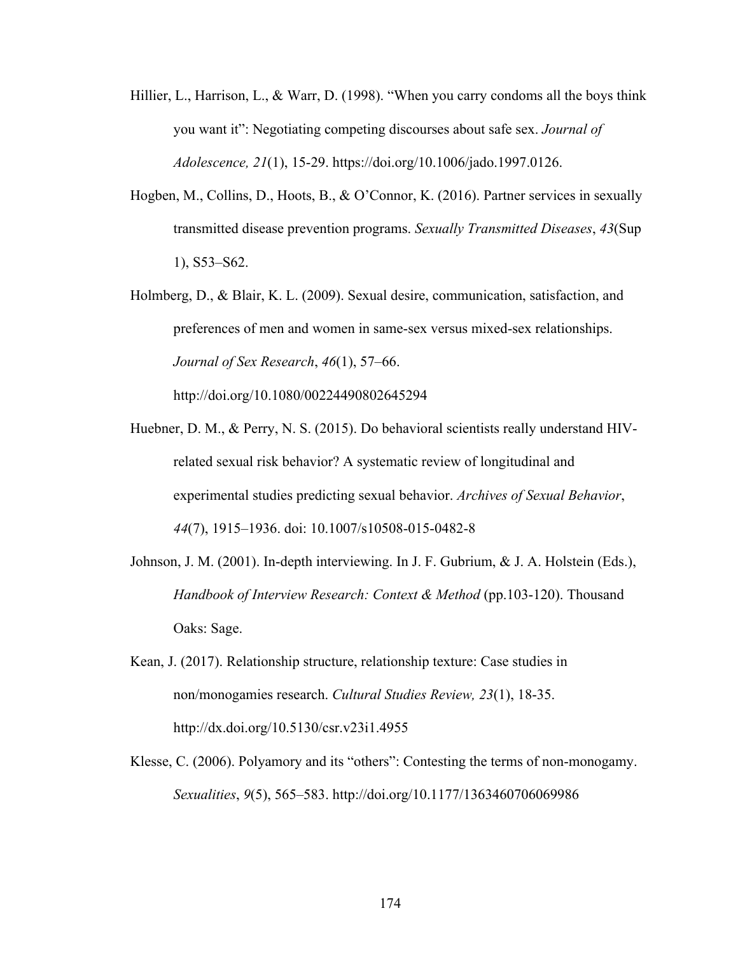- Hillier, L., Harrison, L., & Warr, D. (1998). "When you carry condoms all the boys think you want it": Negotiating competing discourses about safe sex. *Journal of Adolescence, 21*(1), 15-29. https://doi.org/10.1006/jado.1997.0126.
- Hogben, M., Collins, D., Hoots, B., & O'Connor, K. (2016). Partner services in sexually transmitted disease prevention programs. *Sexually Transmitted Diseases*, *43*(Sup 1), S53–S62.
- Holmberg, D., & Blair, K. L. (2009). Sexual desire, communication, satisfaction, and preferences of men and women in same-sex versus mixed-sex relationships. *Journal of Sex Research*, *46*(1), 57–66.

http://doi.org/10.1080/00224490802645294

- Huebner, D. M., & Perry, N. S. (2015). Do behavioral scientists really understand HIVrelated sexual risk behavior? A systematic review of longitudinal and experimental studies predicting sexual behavior. *Archives of Sexual Behavior*, *44*(7), 1915–1936. doi: 10.1007/s10508-015-0482-8
- Johnson, J. M. (2001). In-depth interviewing. In J. F. Gubrium, & J. A. Holstein (Eds.), *Handbook of Interview Research: Context & Method* (pp.103-120). Thousand Oaks: Sage.
- Kean, J. (2017). Relationship structure, relationship texture: Case studies in non/monogamies research. *Cultural Studies Review, 23*(1), 18-35. http://dx.doi.org/10.5130/csr.v23i1.4955
- Klesse, C. (2006). Polyamory and its "others": Contesting the terms of non-monogamy. *Sexualities*, *9*(5), 565–583. http://doi.org/10.1177/1363460706069986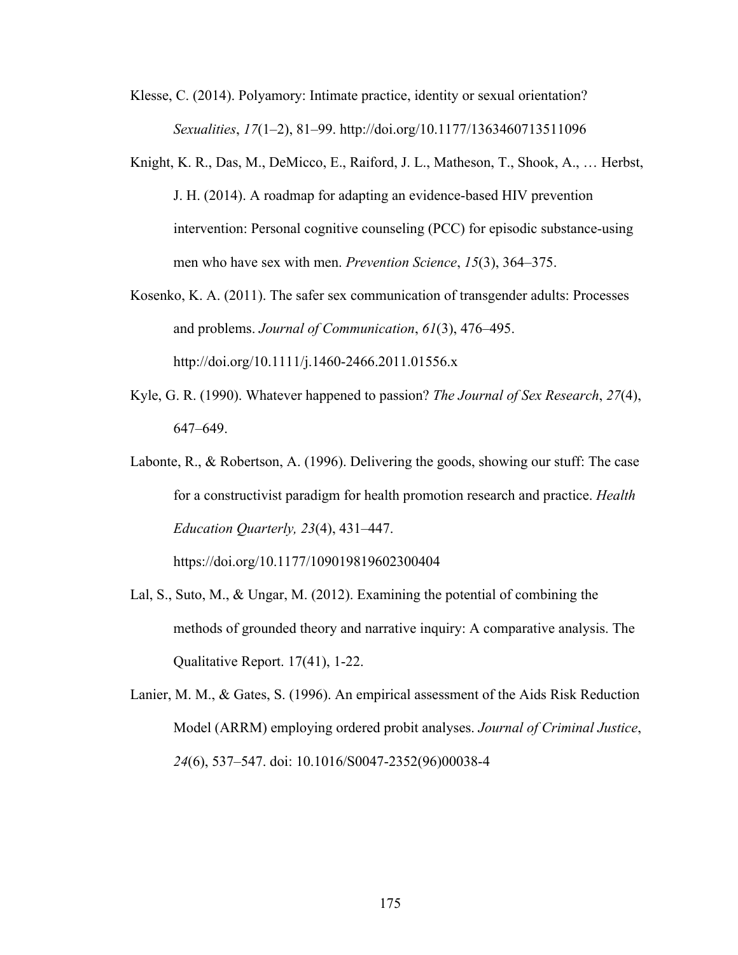- Klesse, C. (2014). Polyamory: Intimate practice, identity or sexual orientation? *Sexualities*, *17*(1–2), 81–99. http://doi.org/10.1177/1363460713511096
- Knight, K. R., Das, M., DeMicco, E., Raiford, J. L., Matheson, T., Shook, A., … Herbst, J. H. (2014). A roadmap for adapting an evidence-based HIV prevention intervention: Personal cognitive counseling (PCC) for episodic substance-using men who have sex with men. *Prevention Science*, *15*(3), 364–375.
- Kosenko, K. A. (2011). The safer sex communication of transgender adults: Processes and problems. *Journal of Communication*, *61*(3), 476–495. http://doi.org/10.1111/j.1460-2466.2011.01556.x
- Kyle, G. R. (1990). Whatever happened to passion? *The Journal of Sex Research*, *27*(4), 647–649.
- Labonte, R., & Robertson, A. (1996). Delivering the goods, showing our stuff: The case for a constructivist paradigm for health promotion research and practice. *Health Education Quarterly, 23*(4), 431–447.

https://doi.org/10.1177/109019819602300404

- Lal, S., Suto, M., & Ungar, M. (2012). Examining the potential of combining the methods of grounded theory and narrative inquiry: A comparative analysis. The Qualitative Report. 17(41), 1-22.
- Lanier, M. M., & Gates, S. (1996). An empirical assessment of the Aids Risk Reduction Model (ARRM) employing ordered probit analyses. *Journal of Criminal Justice*, *24*(6), 537–547. doi: 10.1016/S0047-2352(96)00038-4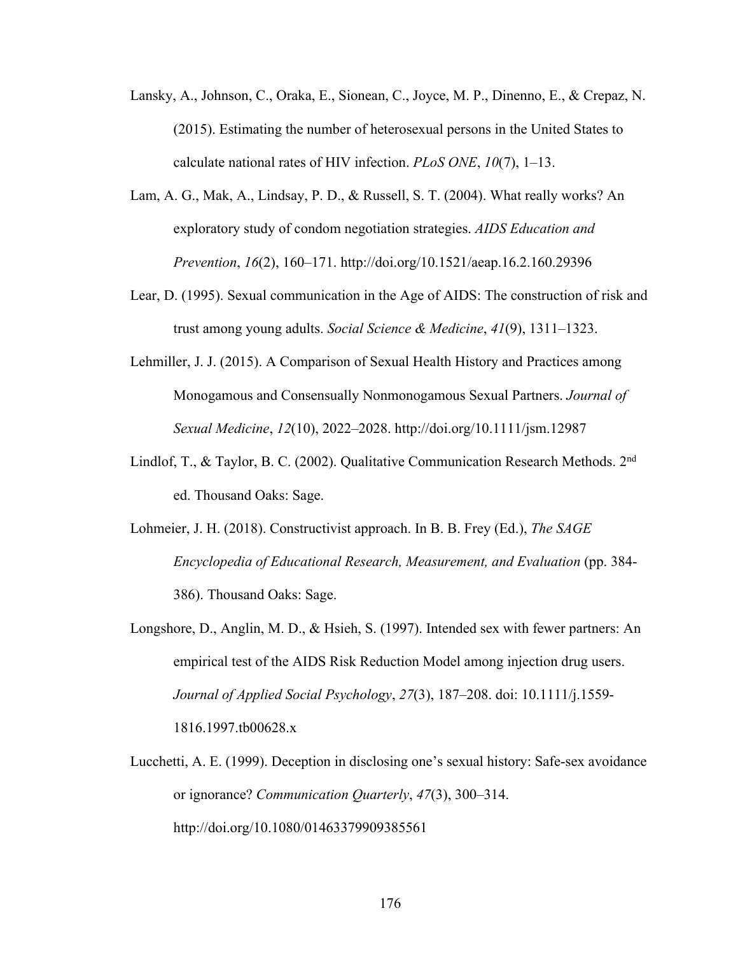- Lansky, A., Johnson, C., Oraka, E., Sionean, C., Joyce, M. P., Dinenno, E., & Crepaz, N. (2015). Estimating the number of heterosexual persons in the United States to calculate national rates of HIV infection. *PLoS ONE*, *10*(7), 1–13.
- Lam, A. G., Mak, A., Lindsay, P. D., & Russell, S. T. (2004). What really works? An exploratory study of condom negotiation strategies. *AIDS Education and Prevention*, *16*(2), 160–171. http://doi.org/10.1521/aeap.16.2.160.29396
- Lear, D. (1995). Sexual communication in the Age of AIDS: The construction of risk and trust among young adults. *Social Science & Medicine*, *41*(9), 1311–1323.
- Lehmiller, J. J. (2015). A Comparison of Sexual Health History and Practices among Monogamous and Consensually Nonmonogamous Sexual Partners. *Journal of Sexual Medicine*, *12*(10), 2022–2028. http://doi.org/10.1111/jsm.12987
- Lindlof, T., & Taylor, B. C. (2002). Qualitative Communication Research Methods. 2nd ed. Thousand Oaks: Sage.
- Lohmeier, J. H. (2018). Constructivist approach. In B. B. Frey (Ed.), *The SAGE Encyclopedia of Educational Research, Measurement, and Evaluation* (pp. 384- 386). Thousand Oaks: Sage.
- Longshore, D., Anglin, M. D., & Hsieh, S. (1997). Intended sex with fewer partners: An empirical test of the AIDS Risk Reduction Model among injection drug users. *Journal of Applied Social Psychology*, *27*(3), 187–208. doi: 10.1111/j.1559- 1816.1997.tb00628.x
- Lucchetti, A. E. (1999). Deception in disclosing one's sexual history: Safe‐sex avoidance or ignorance? *Communication Quarterly*, *47*(3), 300–314. http://doi.org/10.1080/01463379909385561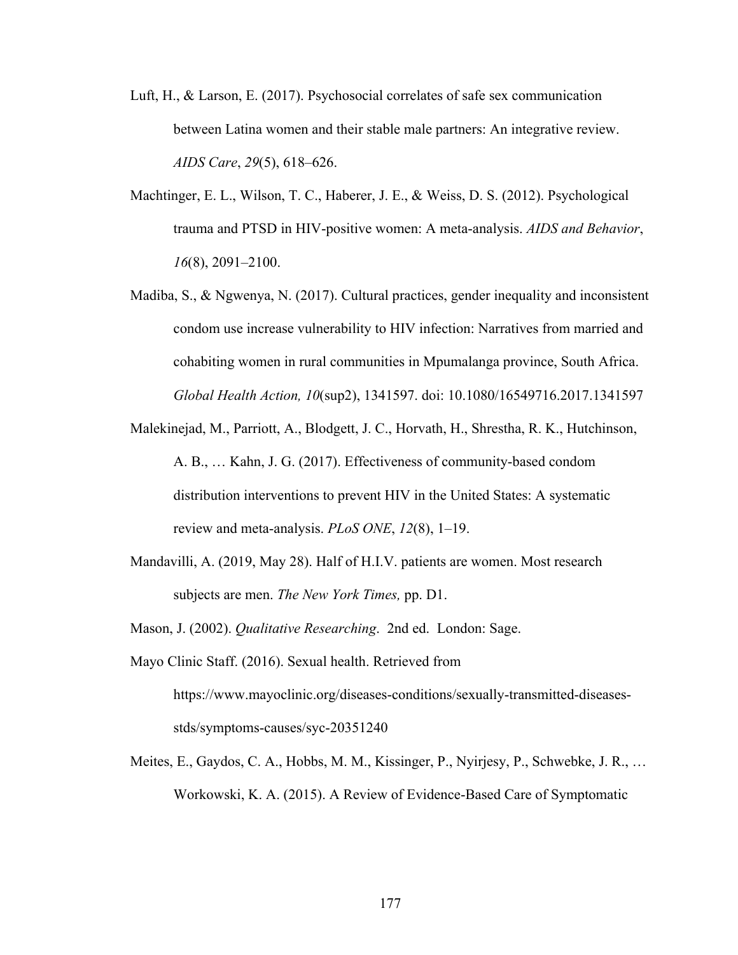- Luft, H., & Larson, E. (2017). Psychosocial correlates of safe sex communication between Latina women and their stable male partners: An integrative review. *AIDS Care*, *29*(5), 618–626.
- Machtinger, E. L., Wilson, T. C., Haberer, J. E., & Weiss, D. S. (2012). Psychological trauma and PTSD in HIV-positive women: A meta-analysis. *AIDS and Behavior*, *16*(8), 2091–2100.
- Madiba, S., & Ngwenya, N. (2017). Cultural practices, gender inequality and inconsistent condom use increase vulnerability to HIV infection: Narratives from married and cohabiting women in rural communities in Mpumalanga province, South Africa. *Global Health Action, 10*(sup2), 1341597. doi: 10.1080/16549716.2017.1341597
- Malekinejad, M., Parriott, A., Blodgett, J. C., Horvath, H., Shrestha, R. K., Hutchinson, A. B., … Kahn, J. G. (2017). Effectiveness of community-based condom distribution interventions to prevent HIV in the United States: A systematic review and meta-analysis. *PLoS ONE*, *12*(8), 1–19.
- Mandavilli, A. (2019, May 28). Half of H.I.V. patients are women. Most research subjects are men. *The New York Times,* pp. D1.
- Mason, J. (2002). *Qualitative Researching*. 2nd ed. London: Sage.
- Mayo Clinic Staff. (2016). Sexual health. Retrieved from https://www.mayoclinic.org/diseases-conditions/sexually-transmitted-diseasesstds/symptoms-causes/syc-20351240
- Meites, E., Gaydos, C. A., Hobbs, M. M., Kissinger, P., Nyirjesy, P., Schwebke, J. R., … Workowski, K. A. (2015). A Review of Evidence-Based Care of Symptomatic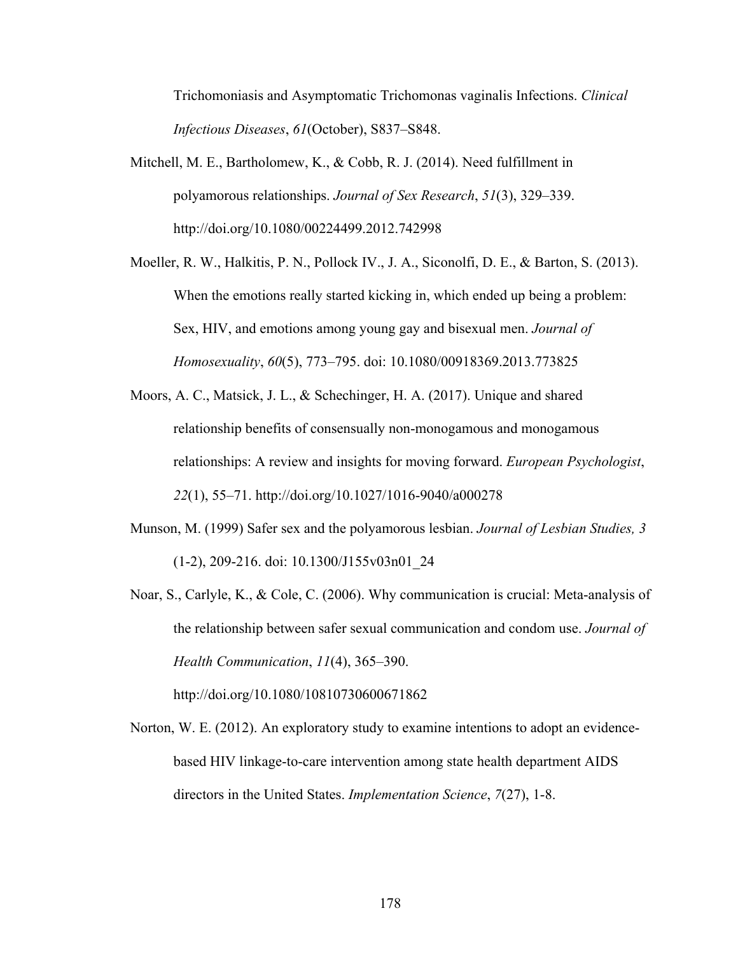Trichomoniasis and Asymptomatic Trichomonas vaginalis Infections. *Clinical Infectious Diseases*, *61*(October), S837–S848.

- Mitchell, M. E., Bartholomew, K., & Cobb, R. J. (2014). Need fulfillment in polyamorous relationships. *Journal of Sex Research*, *51*(3), 329–339. http://doi.org/10.1080/00224499.2012.742998
- Moeller, R. W., Halkitis, P. N., Pollock IV., J. A., Siconolfi, D. E., & Barton, S. (2013). When the emotions really started kicking in, which ended up being a problem: Sex, HIV, and emotions among young gay and bisexual men. *Journal of Homosexuality*, *60*(5), 773–795. doi: 10.1080/00918369.2013.773825
- Moors, A. C., Matsick, J. L., & Schechinger, H. A. (2017). Unique and shared relationship benefits of consensually non-monogamous and monogamous relationships: A review and insights for moving forward. *European Psychologist*, *22*(1), 55–71. http://doi.org/10.1027/1016-9040/a000278
- Munson, M. (1999) Safer sex and the polyamorous lesbian. *Journal of Lesbian Studies, 3* (1-2), 209-216. doi: 10.1300/J155v03n01\_24
- Noar, S., Carlyle, K., & Cole, C. (2006). Why communication is crucial: Meta-analysis of the relationship between safer sexual communication and condom use. *Journal of Health Communication*, *11*(4), 365–390.

Norton, W. E. (2012). An exploratory study to examine intentions to adopt an evidencebased HIV linkage-to-care intervention among state health department AIDS directors in the United States. *Implementation Science*, *7*(27), 1-8.

http://doi.org/10.1080/10810730600671862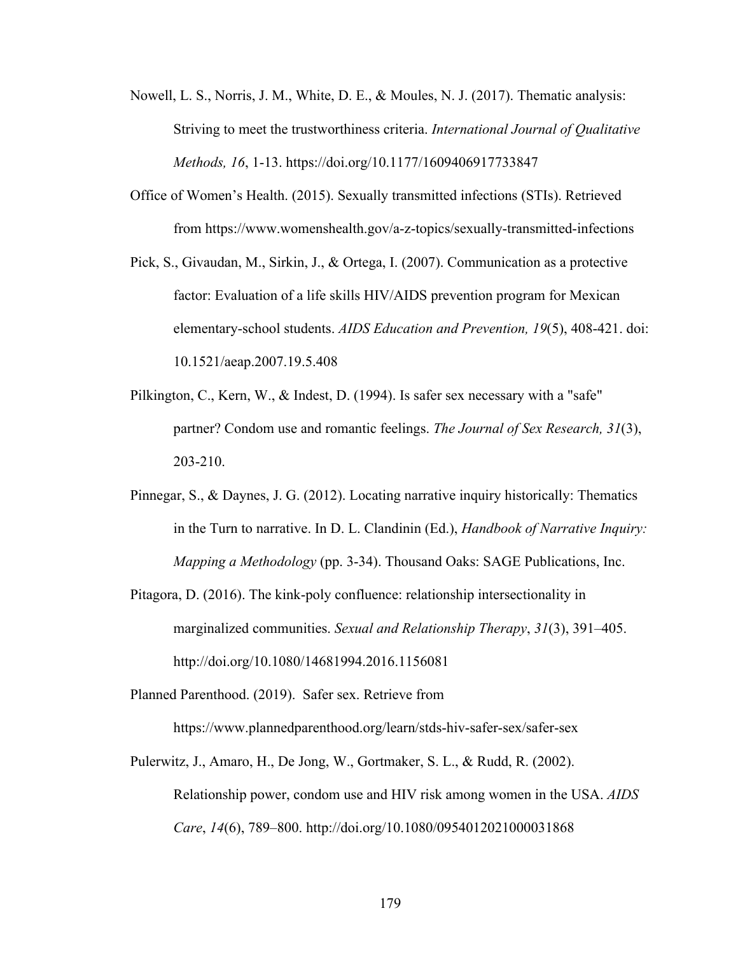- Nowell, L. S., Norris, J. M., White, D. E., & Moules, N. J. (2017). Thematic analysis: Striving to meet the trustworthiness criteria. *International Journal of Qualitative Methods, 16*, 1-13. https://doi.org/10.1177/1609406917733847
- Office of Women's Health. (2015). Sexually transmitted infections (STIs). Retrieved from https://www.womenshealth.gov/a-z-topics/sexually-transmitted-infections
- Pick, S., Givaudan, M., Sirkin, J., & Ortega, I. (2007). Communication as a protective factor: Evaluation of a life skills HIV/AIDS prevention program for Mexican elementary-school students. *AIDS Education and Prevention, 19*(5), 408-421. doi: 10.1521/aeap.2007.19.5.408
- Pilkington, C., Kern, W., & Indest, D. (1994). Is safer sex necessary with a "safe" partner? Condom use and romantic feelings. *The Journal of Sex Research, 31*(3), 203-210.
- Pinnegar, S., & Daynes, J. G. (2012). Locating narrative inquiry historically: Thematics in the Turn to narrative. In D. L. Clandinin (Ed.), *Handbook of Narrative Inquiry: Mapping a Methodology* (pp. 3-34). Thousand Oaks: SAGE Publications, Inc.
- Pitagora, D. (2016). The kink-poly confluence: relationship intersectionality in marginalized communities. *Sexual and Relationship Therapy*, *31*(3), 391–405. http://doi.org/10.1080/14681994.2016.1156081

Planned Parenthood. (2019). Safer sex. Retrieve from https://www.plannedparenthood.org/learn/stds-hiv-safer-sex/safer-sex

Pulerwitz, J., Amaro, H., De Jong, W., Gortmaker, S. L., & Rudd, R. (2002). Relationship power, condom use and HIV risk among women in the USA. *AIDS Care*, *14*(6), 789–800. http://doi.org/10.1080/0954012021000031868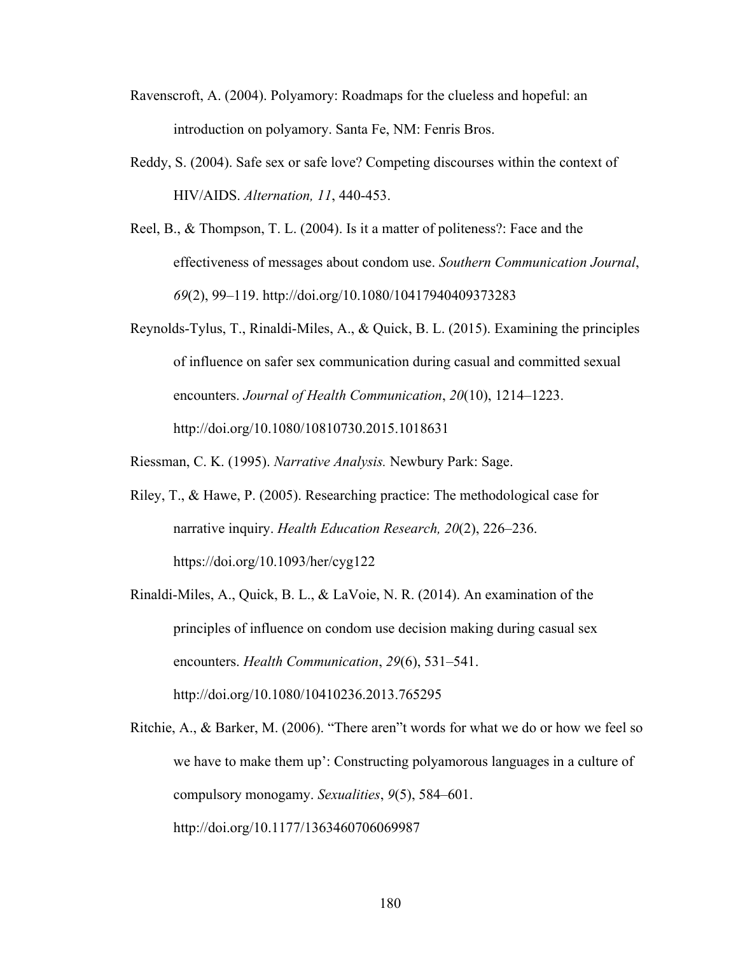- Ravenscroft, A. (2004). Polyamory: Roadmaps for the clueless and hopeful: an introduction on polyamory. Santa Fe, NM: Fenris Bros.
- Reddy, S. (2004). Safe sex or safe love? Competing discourses within the context of HIV/AIDS. *Alternation, 11*, 440-453.
- Reel, B., & Thompson, T. L. (2004). Is it a matter of politeness?: Face and the effectiveness of messages about condom use. *Southern Communication Journal*, *69*(2), 99–119. http://doi.org/10.1080/10417940409373283
- Reynolds-Tylus, T., Rinaldi-Miles, A., & Quick, B. L. (2015). Examining the principles of influence on safer sex communication during casual and committed sexual encounters. *Journal of Health Communication*, *20*(10), 1214–1223. http://doi.org/10.1080/10810730.2015.1018631

Riessman, C. K. (1995). *Narrative Analysis.* Newbury Park: Sage.

- Riley, T., & Hawe, P. (2005). Researching practice: The methodological case for narrative inquiry. *Health Education Research, 20*(2), 226–236. https://doi.org/10.1093/her/cyg122
- Rinaldi-Miles, A., Quick, B. L., & LaVoie, N. R. (2014). An examination of the principles of influence on condom use decision making during casual sex encounters. *Health Communication*, *29*(6), 531–541. http://doi.org/10.1080/10410236.2013.765295
- Ritchie, A., & Barker, M. (2006). "There aren"t words for what we do or how we feel so we have to make them up': Constructing polyamorous languages in a culture of compulsory monogamy. *Sexualities*, *9*(5), 584–601. http://doi.org/10.1177/1363460706069987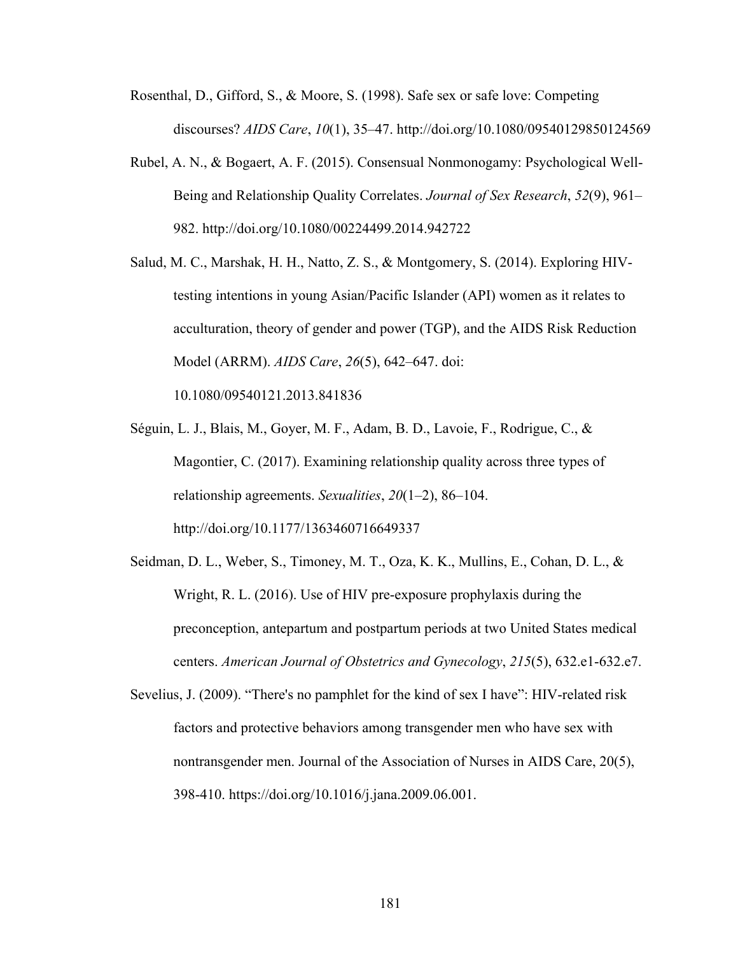- Rosenthal, D., Gifford, S., & Moore, S. (1998). Safe sex or safe love: Competing discourses? *AIDS Care*, *10*(1), 35–47. http://doi.org/10.1080/09540129850124569
- Rubel, A. N., & Bogaert, A. F. (2015). Consensual Nonmonogamy: Psychological Well-Being and Relationship Quality Correlates. *Journal of Sex Research*, *52*(9), 961– 982. http://doi.org/10.1080/00224499.2014.942722
- Salud, M. C., Marshak, H. H., Natto, Z. S., & Montgomery, S. (2014). Exploring HIVtesting intentions in young Asian/Pacific Islander (API) women as it relates to acculturation, theory of gender and power (TGP), and the AIDS Risk Reduction Model (ARRM). *AIDS Care*, *26*(5), 642–647. doi:

10.1080/09540121.2013.841836

- Séguin, L. J., Blais, M., Goyer, M. F., Adam, B. D., Lavoie, F., Rodrigue, C., & Magontier, C. (2017). Examining relationship quality across three types of relationship agreements. *Sexualities*, *20*(1–2), 86–104. http://doi.org/10.1177/1363460716649337
- Seidman, D. L., Weber, S., Timoney, M. T., Oza, K. K., Mullins, E., Cohan, D. L., & Wright, R. L. (2016). Use of HIV pre-exposure prophylaxis during the preconception, antepartum and postpartum periods at two United States medical centers. *American Journal of Obstetrics and Gynecology*, *215*(5), 632.e1-632.e7.
- Sevelius, J. (2009). "There's no pamphlet for the kind of sex I have": HIV-related risk factors and protective behaviors among transgender men who have sex with nontransgender men. Journal of the Association of Nurses in AIDS Care, 20(5), 398-410. https://doi.org/10.1016/j.jana.2009.06.001.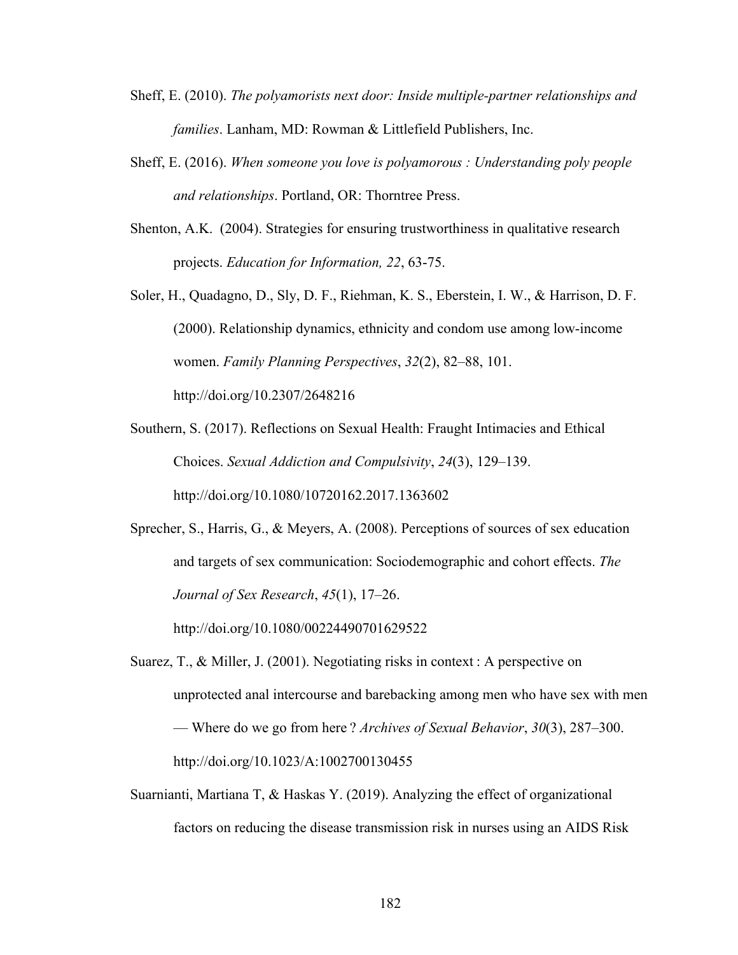- Sheff, E. (2010). *The polyamorists next door: Inside multiple-partner relationships and families*. Lanham, MD: Rowman & Littlefield Publishers, Inc.
- Sheff, E. (2016). *When someone you love is polyamorous : Understanding poly people and relationships*. Portland, OR: Thorntree Press.
- Shenton, A.K. (2004). Strategies for ensuring trustworthiness in qualitative research projects. *Education for Information, 22*, 63-75.

Soler, H., Quadagno, D., Sly, D. F., Riehman, K. S., Eberstein, I. W., & Harrison, D. F. (2000). Relationship dynamics, ethnicity and condom use among low-income women. *Family Planning Perspectives*, *32*(2), 82–88, 101. http://doi.org/10.2307/2648216

Southern, S. (2017). Reflections on Sexual Health: Fraught Intimacies and Ethical Choices. *Sexual Addiction and Compulsivity*, *24*(3), 129–139. http://doi.org/10.1080/10720162.2017.1363602

Sprecher, S., Harris, G., & Meyers, A. (2008). Perceptions of sources of sex education and targets of sex communication: Sociodemographic and cohort effects. *The Journal of Sex Research*, *45*(1), 17–26.

http://doi.org/10.1080/00224490701629522

- Suarez, T., & Miller, J. (2001). Negotiating risks in context : A perspective on unprotected anal intercourse and barebacking among men who have sex with men — Where do we go from here ? *Archives of Sexual Behavior*, *30*(3), 287–300. http://doi.org/10.1023/A:1002700130455
- Suarnianti, Martiana T, & Haskas Y. (2019). Analyzing the effect of organizational factors on reducing the disease transmission risk in nurses using an AIDS Risk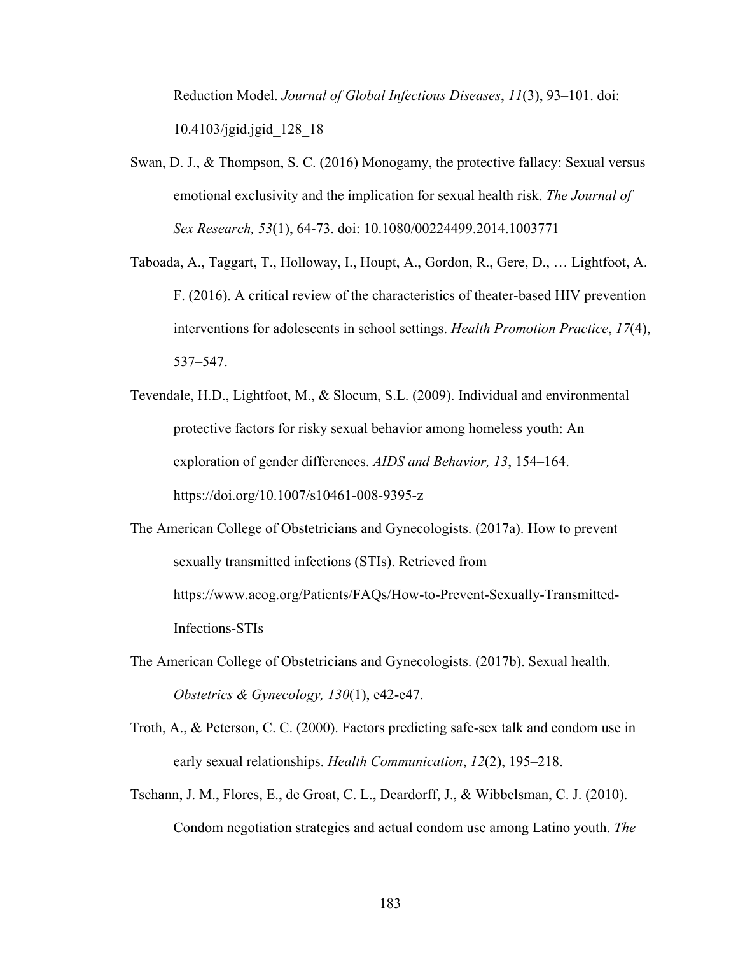Reduction Model. *Journal of Global Infectious Diseases*, *11*(3), 93–101. doi: 10.4103/jgid.jgid\_128\_18

- Swan, D. J., & Thompson, S. C. (2016) Monogamy, the protective fallacy: Sexual versus emotional exclusivity and the implication for sexual health risk. *The Journal of Sex Research, 53*(1), 64-73. doi: 10.1080/00224499.2014.1003771
- Taboada, A., Taggart, T., Holloway, I., Houpt, A., Gordon, R., Gere, D., … Lightfoot, A. F. (2016). A critical review of the characteristics of theater-based HIV prevention interventions for adolescents in school settings. *Health Promotion Practice*, *17*(4), 537–547.
- Tevendale, H.D., Lightfoot, M., & Slocum, S.L. (2009). Individual and environmental protective factors for risky sexual behavior among homeless youth: An exploration of gender differences. *AIDS and Behavior, 13*, 154–164. https://doi.org/10.1007/s10461-008-9395-z
- The American College of Obstetricians and Gynecologists. (2017a). How to prevent sexually transmitted infections (STIs). Retrieved from https://www.acog.org/Patients/FAQs/How-to-Prevent-Sexually-Transmitted-Infections-STIs
- The American College of Obstetricians and Gynecologists. (2017b). Sexual health. *Obstetrics & Gynecology, 130*(1), e42-e47.
- Troth, A., & Peterson, C. C. (2000). Factors predicting safe-sex talk and condom use in early sexual relationships. *Health Communication*, *12*(2), 195–218.
- Tschann, J. M., Flores, E., de Groat, C. L., Deardorff, J., & Wibbelsman, C. J. (2010). Condom negotiation strategies and actual condom use among Latino youth. *The*